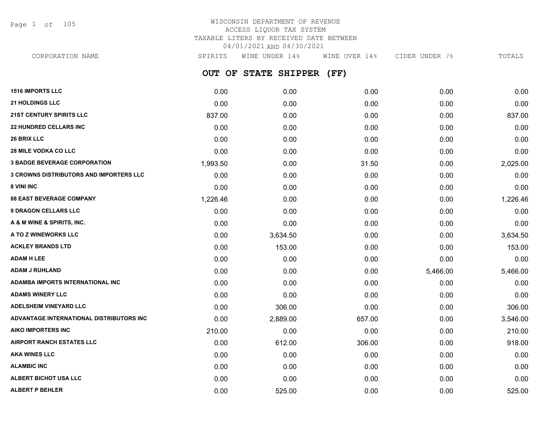Page 1 of 105

## WISCONSIN DEPARTMENT OF REVENUE ACCESS LIQUOR TAX SYSTEM TAXABLE LITERS BY RECEIVED DATE BETWEEN 04/01/2021 AND 04/30/2021

**OUT OF STATE SHIPPER (FF) 1516 IMPORTS LLC** 0.00 0.00 0.00 0.00 0.00 **21 HOLDINGS LLC** 0.00 0.00 0.00 0.00 0.00 **21ST CENTURY SPIRITS LLC** 837.00 0.00 0.00 0.00 837.00 **22 HUNDRED CELLARS INC** 0.00 0.00 0.00 0.00 0.00 **26 BRIX LLC** 0.00 0.00 0.00 0.00 0.00 **28 MILE VODKA CO LLC** 0.00 0.00 0.00 0.00 0.00 **3 BADGE BEVERAGE CORPORATION** 1,993.50 0.00 31.50 0.00 2,025.00 **3 CROWNS DISTRIBUTORS AND IMPORTERS LLC** 0.00 0.00 0.00 0.00 0.00 **8 VINI INC** 0.00 0.00 0.00 0.00 0.00 **88 EAST BEVERAGE COMPANY** 1,226.46 0.00 0.00 0.00 1,226.46 **9 DRAGON CELLARS LLC** 0.00 0.00 0.00 0.00 0.00 **A & M WINE & SPIRITS, INC.** 0.00 0.00 0.00 0.00 0.00 **A TO Z WINEWORKS LLC** 0.00 3,634.50 0.00 0.00 3,634.50 **ACKLEY BRANDS LTD** 0.00 153.00 0.00 0.00 153.00 **ADAM H LEE** 0.00 0.00 0.00 0.00 0.00 **ADAM J RUHLAND** 0.00 0.00 0.00 5,466.00 5,466.00 **ADAMBA IMPORTS INTERNATIONAL INC** 0.00 0.00 0.00 0.00 0.00 **ADAMS WINERY LLC** 0.00 0.00 0.00 0.00 0.00 **ADELSHEIM VINEYARD LLC** 0.00 306.00 0.00 0.00 306.00 **ADVANTAGE INTERNATIONAL DISTRIBUTORS INC** 0.00 2,889.00 657.00 0.00 3,546.00 **AIKO IMPORTERS INC** 210.00 0.00 0.00 0.00 210.00 **AIRPORT RANCH ESTATES LLC** 0.00 612.00 306.00 0.00 918.00 **AKA WINES LLC** 0.00 0.00 0.00 0.00 0.00 **ALAMBIC INC** 0.00 0.00 0.00 0.00 0.00 **ALBERT BICHOT USA LLC** 0.00 0.00 0.00 0.00 0.00 CORPORATION NAME SPIRITS WINE UNDER 14% WINE OVER 14% CIDER UNDER 7% TOTALS

**ALBERT P BEHLER** 0.00 525.00 0.00 0.00 525.00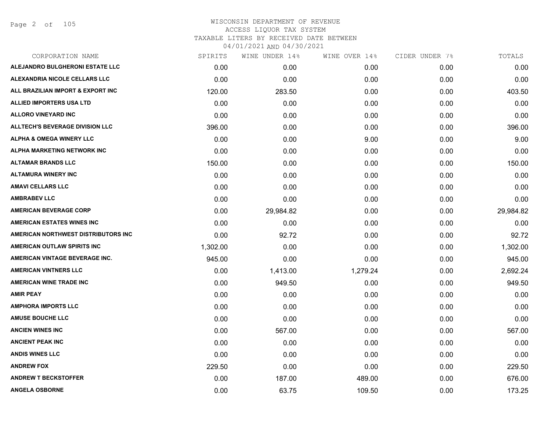Page 2 of 105

| CORPORATION NAME                       | SPIRITS  | WINE UNDER 14% | WINE OVER 14% | CIDER UNDER 7% | TOTALS    |
|----------------------------------------|----------|----------------|---------------|----------------|-----------|
| ALEJANDRO BULGHERONI ESTATE LLC        | 0.00     | 0.00           | 0.00          | 0.00           | 0.00      |
| ALEXANDRIA NICOLE CELLARS LLC          | 0.00     | 0.00           | 0.00          | 0.00           | 0.00      |
| ALL BRAZILIAN IMPORT & EXPORT INC      | 120.00   | 283.50         | 0.00          | 0.00           | 403.50    |
| <b>ALLIED IMPORTERS USA LTD</b>        | 0.00     | 0.00           | 0.00          | 0.00           | 0.00      |
| <b>ALLORO VINEYARD INC</b>             | 0.00     | 0.00           | 0.00          | 0.00           | 0.00      |
| <b>ALLTECH'S BEVERAGE DIVISION LLC</b> | 396.00   | 0.00           | 0.00          | 0.00           | 396.00    |
| <b>ALPHA &amp; OMEGA WINERY LLC</b>    | 0.00     | 0.00           | 9.00          | 0.00           | 9.00      |
| ALPHA MARKETING NETWORK INC            | 0.00     | 0.00           | 0.00          | 0.00           | 0.00      |
| <b>ALTAMAR BRANDS LLC</b>              | 150.00   | 0.00           | 0.00          | 0.00           | 150.00    |
| <b>ALTAMURA WINERY INC</b>             | 0.00     | 0.00           | 0.00          | 0.00           | 0.00      |
| <b>AMAVI CELLARS LLC</b>               | 0.00     | 0.00           | 0.00          | 0.00           | 0.00      |
| <b>AMBRABEV LLC</b>                    | 0.00     | 0.00           | 0.00          | 0.00           | 0.00      |
| <b>AMERICAN BEVERAGE CORP</b>          | 0.00     | 29,984.82      | 0.00          | 0.00           | 29,984.82 |
| <b>AMERICAN ESTATES WINES INC</b>      | 0.00     | 0.00           | 0.00          | 0.00           | 0.00      |
| AMERICAN NORTHWEST DISTRIBUTORS INC    | 0.00     | 92.72          | 0.00          | 0.00           | 92.72     |
| AMERICAN OUTLAW SPIRITS INC            | 1,302.00 | 0.00           | 0.00          | 0.00           | 1,302.00  |
| AMERICAN VINTAGE BEVERAGE INC.         | 945.00   | 0.00           | 0.00          | 0.00           | 945.00    |
| <b>AMERICAN VINTNERS LLC</b>           | 0.00     | 1,413.00       | 1,279.24      | 0.00           | 2,692.24  |
| <b>AMERICAN WINE TRADE INC</b>         | 0.00     | 949.50         | 0.00          | 0.00           | 949.50    |
| <b>AMIR PEAY</b>                       | 0.00     | 0.00           | 0.00          | 0.00           | 0.00      |
| <b>AMPHORA IMPORTS LLC</b>             | 0.00     | 0.00           | 0.00          | 0.00           | 0.00      |
| <b>AMUSE BOUCHE LLC</b>                | 0.00     | 0.00           | 0.00          | 0.00           | 0.00      |
| <b>ANCIEN WINES INC</b>                | 0.00     | 567.00         | 0.00          | 0.00           | 567.00    |
| <b>ANCIENT PEAK INC</b>                | 0.00     | 0.00           | 0.00          | 0.00           | 0.00      |
| <b>ANDIS WINES LLC</b>                 | 0.00     | 0.00           | 0.00          | 0.00           | 0.00      |
| <b>ANDREW FOX</b>                      | 229.50   | 0.00           | 0.00          | 0.00           | 229.50    |
| <b>ANDREW T BECKSTOFFER</b>            | 0.00     | 187.00         | 489.00        | 0.00           | 676.00    |
| <b>ANGELA OSBORNE</b>                  | 0.00     | 63.75          | 109.50        | 0.00           | 173.25    |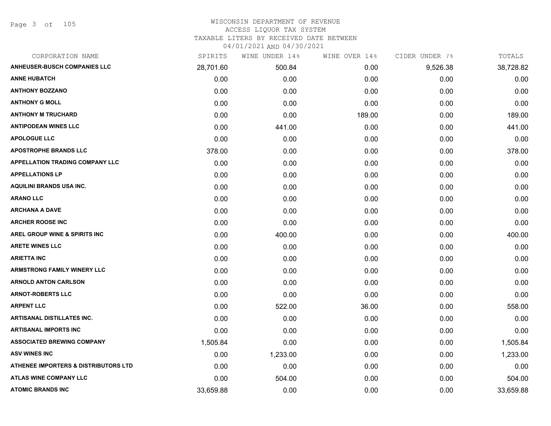| CORPORATION NAME                         | SPIRITS   | WINE UNDER 14% | WINE OVER 14% | CIDER UNDER 7% | TOTALS    |
|------------------------------------------|-----------|----------------|---------------|----------------|-----------|
| <b>ANHEUSER-BUSCH COMPANIES LLC</b>      | 28,701.60 | 500.84         | 0.00          | 9,526.38       | 38,728.82 |
| <b>ANNE HUBATCH</b>                      | 0.00      | 0.00           | 0.00          | 0.00           | 0.00      |
| <b>ANTHONY BOZZANO</b>                   | 0.00      | 0.00           | 0.00          | 0.00           | 0.00      |
| <b>ANTHONY G MOLL</b>                    | 0.00      | 0.00           | 0.00          | 0.00           | 0.00      |
| <b>ANTHONY M TRUCHARD</b>                | 0.00      | 0.00           | 189.00        | 0.00           | 189.00    |
| <b>ANTIPODEAN WINES LLC</b>              | 0.00      | 441.00         | 0.00          | 0.00           | 441.00    |
| <b>APOLOGUE LLC</b>                      | 0.00      | 0.00           | 0.00          | 0.00           | 0.00      |
| <b>APOSTROPHE BRANDS LLC</b>             | 378.00    | 0.00           | 0.00          | 0.00           | 378.00    |
| <b>APPELLATION TRADING COMPANY LLC</b>   | 0.00      | 0.00           | 0.00          | 0.00           | 0.00      |
| <b>APPELLATIONS LP</b>                   | 0.00      | 0.00           | 0.00          | 0.00           | 0.00      |
| <b>AQUILINI BRANDS USA INC.</b>          | 0.00      | 0.00           | 0.00          | 0.00           | 0.00      |
| <b>ARANO LLC</b>                         | 0.00      | 0.00           | 0.00          | 0.00           | 0.00      |
| <b>ARCHANA A DAVE</b>                    | 0.00      | 0.00           | 0.00          | 0.00           | 0.00      |
| <b>ARCHER ROOSE INC</b>                  | 0.00      | 0.00           | 0.00          | 0.00           | 0.00      |
| <b>AREL GROUP WINE &amp; SPIRITS INC</b> | 0.00      | 400.00         | 0.00          | 0.00           | 400.00    |
| <b>ARETE WINES LLC</b>                   | 0.00      | 0.00           | 0.00          | 0.00           | 0.00      |
| <b>ARIETTA INC</b>                       | 0.00      | 0.00           | 0.00          | 0.00           | 0.00      |
| <b>ARMSTRONG FAMILY WINERY LLC</b>       | 0.00      | 0.00           | 0.00          | 0.00           | 0.00      |
| <b>ARNOLD ANTON CARLSON</b>              | 0.00      | 0.00           | 0.00          | 0.00           | 0.00      |
| <b>ARNOT-ROBERTS LLC</b>                 | 0.00      | 0.00           | 0.00          | 0.00           | 0.00      |
| <b>ARPENT LLC</b>                        | 0.00      | 522.00         | 36.00         | 0.00           | 558.00    |
| <b>ARTISANAL DISTILLATES INC.</b>        | 0.00      | 0.00           | 0.00          | 0.00           | 0.00      |
| <b>ARTISANAL IMPORTS INC</b>             | 0.00      | 0.00           | 0.00          | 0.00           | 0.00      |
| <b>ASSOCIATED BREWING COMPANY</b>        | 1,505.84  | 0.00           | 0.00          | 0.00           | 1,505.84  |
| <b>ASV WINES INC</b>                     | 0.00      | 1,233.00       | 0.00          | 0.00           | 1,233.00  |
| ATHENEE IMPORTERS & DISTRIBUTORS LTD     | 0.00      | 0.00           | 0.00          | 0.00           | 0.00      |
| <b>ATLAS WINE COMPANY LLC</b>            | 0.00      | 504.00         | 0.00          | 0.00           | 504.00    |
| <b>ATOMIC BRANDS INC</b>                 | 33,659.88 | 0.00           | 0.00          | 0.00           | 33,659.88 |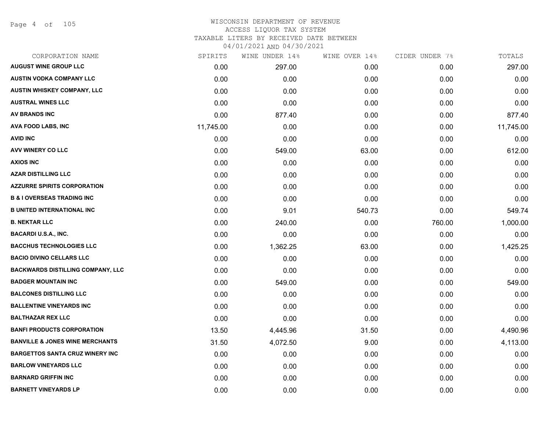Page 4 of 105

| CORPORATION NAME                           | SPIRITS   | WINE UNDER 14% | WINE OVER 14% | CIDER UNDER 7% | TOTALS    |
|--------------------------------------------|-----------|----------------|---------------|----------------|-----------|
| <b>AUGUST WINE GROUP LLC</b>               | 0.00      | 297.00         | 0.00          | 0.00           | 297.00    |
| <b>AUSTIN VODKA COMPANY LLC</b>            | 0.00      | 0.00           | 0.00          | 0.00           | 0.00      |
| AUSTIN WHISKEY COMPANY, LLC                | 0.00      | 0.00           | 0.00          | 0.00           | 0.00      |
| <b>AUSTRAL WINES LLC</b>                   | 0.00      | 0.00           | 0.00          | 0.00           | 0.00      |
| AV BRANDS INC                              | 0.00      | 877.40         | 0.00          | 0.00           | 877.40    |
| <b>AVA FOOD LABS, INC</b>                  | 11,745.00 | 0.00           | 0.00          | 0.00           | 11,745.00 |
| <b>AVID INC</b>                            | 0.00      | 0.00           | 0.00          | 0.00           | 0.00      |
| <b>AVV WINERY CO LLC</b>                   | 0.00      | 549.00         | 63.00         | 0.00           | 612.00    |
| <b>AXIOS INC</b>                           | 0.00      | 0.00           | 0.00          | 0.00           | 0.00      |
| <b>AZAR DISTILLING LLC</b>                 | 0.00      | 0.00           | 0.00          | 0.00           | 0.00      |
| <b>AZZURRE SPIRITS CORPORATION</b>         | 0.00      | 0.00           | 0.00          | 0.00           | 0.00      |
| <b>B &amp; I OVERSEAS TRADING INC</b>      | 0.00      | 0.00           | 0.00          | 0.00           | 0.00      |
| <b>B UNITED INTERNATIONAL INC</b>          | 0.00      | 9.01           | 540.73        | 0.00           | 549.74    |
| <b>B. NEKTAR LLC</b>                       | 0.00      | 240.00         | 0.00          | 760.00         | 1,000.00  |
| <b>BACARDI U.S.A., INC.</b>                | 0.00      | 0.00           | 0.00          | 0.00           | 0.00      |
| <b>BACCHUS TECHNOLOGIES LLC</b>            | 0.00      | 1,362.25       | 63.00         | 0.00           | 1,425.25  |
| <b>BACIO DIVINO CELLARS LLC</b>            | 0.00      | 0.00           | 0.00          | 0.00           | 0.00      |
| <b>BACKWARDS DISTILLING COMPANY, LLC</b>   | 0.00      | 0.00           | 0.00          | 0.00           | 0.00      |
| <b>BADGER MOUNTAIN INC</b>                 | 0.00      | 549.00         | 0.00          | 0.00           | 549.00    |
| <b>BALCONES DISTILLING LLC</b>             | 0.00      | 0.00           | 0.00          | 0.00           | 0.00      |
| <b>BALLENTINE VINEYARDS INC</b>            | 0.00      | 0.00           | 0.00          | 0.00           | 0.00      |
| <b>BALTHAZAR REX LLC</b>                   | 0.00      | 0.00           | 0.00          | 0.00           | 0.00      |
| <b>BANFI PRODUCTS CORPORATION</b>          | 13.50     | 4,445.96       | 31.50         | 0.00           | 4,490.96  |
| <b>BANVILLE &amp; JONES WINE MERCHANTS</b> | 31.50     | 4,072.50       | 9.00          | 0.00           | 4,113.00  |
| <b>BARGETTOS SANTA CRUZ WINERY INC</b>     | 0.00      | 0.00           | 0.00          | 0.00           | 0.00      |
| <b>BARLOW VINEYARDS LLC</b>                | 0.00      | 0.00           | 0.00          | 0.00           | 0.00      |
| <b>BARNARD GRIFFIN INC</b>                 | 0.00      | 0.00           | 0.00          | 0.00           | 0.00      |
| <b>BARNETT VINEYARDS LP</b>                | 0.00      | 0.00           | 0.00          | 0.00           | 0.00      |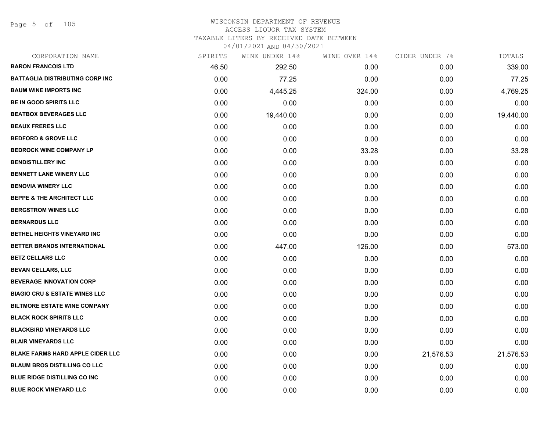Page 5 of 105

| CORPORATION NAME                         | SPIRITS | WINE UNDER 14% | WINE OVER 14% | CIDER UNDER 7% | TOTALS    |
|------------------------------------------|---------|----------------|---------------|----------------|-----------|
| <b>BARON FRANCOIS LTD</b>                | 46.50   | 292.50         | 0.00          | 0.00           | 339.00    |
| BATTAGLIA DISTRIBUTING CORP INC          | 0.00    | 77.25          | 0.00          | 0.00           | 77.25     |
| <b>BAUM WINE IMPORTS INC</b>             | 0.00    | 4,445.25       | 324.00        | 0.00           | 4,769.25  |
| <b>BE IN GOOD SPIRITS LLC</b>            | 0.00    | 0.00           | 0.00          | 0.00           | 0.00      |
| <b>BEATBOX BEVERAGES LLC</b>             | 0.00    | 19,440.00      | 0.00          | 0.00           | 19,440.00 |
| <b>BEAUX FRERES LLC</b>                  | 0.00    | 0.00           | 0.00          | 0.00           | 0.00      |
| <b>BEDFORD &amp; GROVE LLC</b>           | 0.00    | 0.00           | 0.00          | 0.00           | 0.00      |
| <b>BEDROCK WINE COMPANY LP</b>           | 0.00    | 0.00           | 33.28         | 0.00           | 33.28     |
| <b>BENDISTILLERY INC</b>                 | 0.00    | 0.00           | 0.00          | 0.00           | 0.00      |
| <b>BENNETT LANE WINERY LLC</b>           | 0.00    | 0.00           | 0.00          | 0.00           | 0.00      |
| <b>BENOVIA WINERY LLC</b>                | 0.00    | 0.00           | 0.00          | 0.00           | 0.00      |
| <b>BEPPE &amp; THE ARCHITECT LLC</b>     | 0.00    | 0.00           | 0.00          | 0.00           | 0.00      |
| <b>BERGSTROM WINES LLC</b>               | 0.00    | 0.00           | 0.00          | 0.00           | 0.00      |
| <b>BERNARDUS LLC</b>                     | 0.00    | 0.00           | 0.00          | 0.00           | 0.00      |
| <b>BETHEL HEIGHTS VINEYARD INC</b>       | 0.00    | 0.00           | 0.00          | 0.00           | 0.00      |
| BETTER BRANDS INTERNATIONAL              | 0.00    | 447.00         | 126.00        | 0.00           | 573.00    |
| <b>BETZ CELLARS LLC</b>                  | 0.00    | 0.00           | 0.00          | 0.00           | 0.00      |
| <b>BEVAN CELLARS, LLC</b>                | 0.00    | 0.00           | 0.00          | 0.00           | 0.00      |
| <b>BEVERAGE INNOVATION CORP</b>          | 0.00    | 0.00           | 0.00          | 0.00           | 0.00      |
| <b>BIAGIO CRU &amp; ESTATE WINES LLC</b> | 0.00    | 0.00           | 0.00          | 0.00           | 0.00      |
| <b>BILTMORE ESTATE WINE COMPANY</b>      | 0.00    | 0.00           | 0.00          | 0.00           | 0.00      |
| <b>BLACK ROCK SPIRITS LLC</b>            | 0.00    | 0.00           | 0.00          | 0.00           | 0.00      |
| <b>BLACKBIRD VINEYARDS LLC</b>           | 0.00    | 0.00           | 0.00          | 0.00           | 0.00      |
| <b>BLAIR VINEYARDS LLC</b>               | 0.00    | 0.00           | 0.00          | 0.00           | 0.00      |
| <b>BLAKE FARMS HARD APPLE CIDER LLC</b>  | 0.00    | 0.00           | 0.00          | 21,576.53      | 21,576.53 |
| <b>BLAUM BROS DISTILLING CO LLC</b>      | 0.00    | 0.00           | 0.00          | 0.00           | 0.00      |
| <b>BLUE RIDGE DISTILLING CO INC</b>      | 0.00    | 0.00           | 0.00          | 0.00           | 0.00      |
| <b>BLUE ROCK VINEYARD LLC</b>            | 0.00    | 0.00           | 0.00          | 0.00           | 0.00      |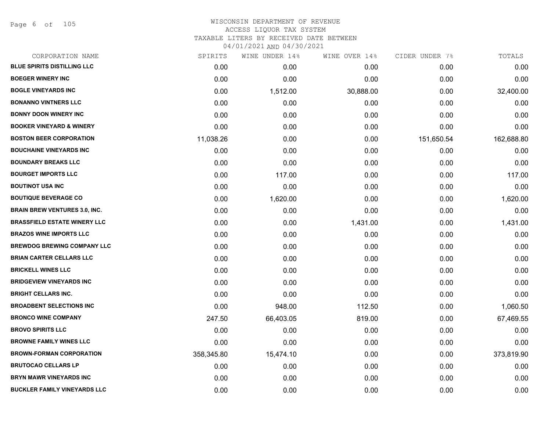Page 6 of 105

| CORPORATION NAME                     | SPIRITS    | WINE UNDER 14% | WINE OVER 14% | CIDER UNDER 7% | TOTALS     |
|--------------------------------------|------------|----------------|---------------|----------------|------------|
| <b>BLUE SPIRITS DISTILLING LLC</b>   | 0.00       | 0.00           | 0.00          | 0.00           | 0.00       |
| <b>BOEGER WINERY INC</b>             | 0.00       | 0.00           | 0.00          | 0.00           | 0.00       |
| <b>BOGLE VINEYARDS INC</b>           | 0.00       | 1,512.00       | 30,888.00     | 0.00           | 32,400.00  |
| <b>BONANNO VINTNERS LLC</b>          | 0.00       | 0.00           | 0.00          | 0.00           | 0.00       |
| <b>BONNY DOON WINERY INC</b>         | 0.00       | 0.00           | 0.00          | 0.00           | 0.00       |
| <b>BOOKER VINEYARD &amp; WINERY</b>  | 0.00       | 0.00           | 0.00          | 0.00           | 0.00       |
| <b>BOSTON BEER CORPORATION</b>       | 11,038.26  | 0.00           | 0.00          | 151,650.54     | 162,688.80 |
| <b>BOUCHAINE VINEYARDS INC</b>       | 0.00       | 0.00           | 0.00          | 0.00           | 0.00       |
| <b>BOUNDARY BREAKS LLC</b>           | 0.00       | 0.00           | 0.00          | 0.00           | 0.00       |
| <b>BOURGET IMPORTS LLC</b>           | 0.00       | 117.00         | 0.00          | 0.00           | 117.00     |
| <b>BOUTINOT USA INC</b>              | 0.00       | 0.00           | 0.00          | 0.00           | 0.00       |
| <b>BOUTIQUE BEVERAGE CO</b>          | 0.00       | 1,620.00       | 0.00          | 0.00           | 1,620.00   |
| <b>BRAIN BREW VENTURES 3.0, INC.</b> | 0.00       | 0.00           | 0.00          | 0.00           | 0.00       |
| <b>BRASSFIELD ESTATE WINERY LLC</b>  | 0.00       | 0.00           | 1,431.00      | 0.00           | 1,431.00   |
| <b>BRAZOS WINE IMPORTS LLC</b>       | 0.00       | 0.00           | 0.00          | 0.00           | 0.00       |
| <b>BREWDOG BREWING COMPANY LLC</b>   | 0.00       | 0.00           | 0.00          | 0.00           | 0.00       |
| <b>BRIAN CARTER CELLARS LLC</b>      | 0.00       | 0.00           | 0.00          | 0.00           | 0.00       |
| <b>BRICKELL WINES LLC</b>            | 0.00       | 0.00           | 0.00          | 0.00           | 0.00       |
| <b>BRIDGEVIEW VINEYARDS INC</b>      | 0.00       | 0.00           | 0.00          | 0.00           | 0.00       |
| <b>BRIGHT CELLARS INC.</b>           | 0.00       | 0.00           | 0.00          | 0.00           | 0.00       |
| <b>BROADBENT SELECTIONS INC</b>      | 0.00       | 948.00         | 112.50        | 0.00           | 1,060.50   |
| <b>BRONCO WINE COMPANY</b>           | 247.50     | 66,403.05      | 819.00        | 0.00           | 67,469.55  |
| <b>BROVO SPIRITS LLC</b>             | 0.00       | 0.00           | 0.00          | 0.00           | 0.00       |
| <b>BROWNE FAMILY WINES LLC</b>       | 0.00       | 0.00           | 0.00          | 0.00           | 0.00       |
| <b>BROWN-FORMAN CORPORATION</b>      | 358,345.80 | 15,474.10      | 0.00          | 0.00           | 373,819.90 |
| <b>BRUTOCAO CELLARS LP</b>           | 0.00       | 0.00           | 0.00          | 0.00           | 0.00       |
| <b>BRYN MAWR VINEYARDS INC</b>       | 0.00       | 0.00           | 0.00          | 0.00           | 0.00       |
| <b>BUCKLER FAMILY VINEYARDS LLC</b>  | 0.00       | 0.00           | 0.00          | 0.00           | 0.00       |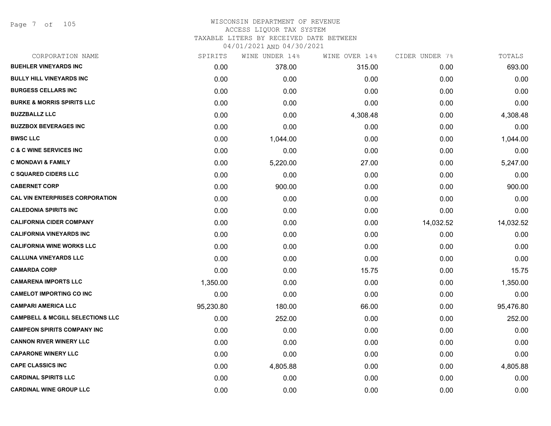Page 7 of 105

| CORPORATION NAME                            | SPIRITS   | WINE UNDER 14% | WINE OVER 14% | CIDER UNDER 7% | TOTALS    |
|---------------------------------------------|-----------|----------------|---------------|----------------|-----------|
| <b>BUEHLER VINEYARDS INC</b>                | 0.00      | 378.00         | 315.00        | 0.00           | 693.00    |
| <b>BULLY HILL VINEYARDS INC</b>             | 0.00      | 0.00           | 0.00          | 0.00           | 0.00      |
| <b>BURGESS CELLARS INC</b>                  | 0.00      | 0.00           | 0.00          | 0.00           | 0.00      |
| <b>BURKE &amp; MORRIS SPIRITS LLC</b>       | 0.00      | 0.00           | 0.00          | 0.00           | 0.00      |
| <b>BUZZBALLZ LLC</b>                        | 0.00      | 0.00           | 4,308.48      | 0.00           | 4,308.48  |
| <b>BUZZBOX BEVERAGES INC</b>                | 0.00      | 0.00           | 0.00          | 0.00           | 0.00      |
| <b>BWSC LLC</b>                             | 0.00      | 1,044.00       | 0.00          | 0.00           | 1,044.00  |
| <b>C &amp; C WINE SERVICES INC</b>          | 0.00      | 0.00           | 0.00          | 0.00           | 0.00      |
| <b>C MONDAVI &amp; FAMILY</b>               | 0.00      | 5,220.00       | 27.00         | 0.00           | 5,247.00  |
| <b>C SQUARED CIDERS LLC</b>                 | 0.00      | 0.00           | 0.00          | 0.00           | 0.00      |
| <b>CABERNET CORP</b>                        | 0.00      | 900.00         | 0.00          | 0.00           | 900.00    |
| <b>CAL VIN ENTERPRISES CORPORATION</b>      | 0.00      | 0.00           | 0.00          | 0.00           | 0.00      |
| <b>CALEDONIA SPIRITS INC</b>                | 0.00      | 0.00           | 0.00          | 0.00           | 0.00      |
| <b>CALIFORNIA CIDER COMPANY</b>             | 0.00      | 0.00           | 0.00          | 14,032.52      | 14,032.52 |
| <b>CALIFORNIA VINEYARDS INC</b>             | 0.00      | 0.00           | 0.00          | 0.00           | 0.00      |
| <b>CALIFORNIA WINE WORKS LLC</b>            | 0.00      | 0.00           | 0.00          | 0.00           | 0.00      |
| <b>CALLUNA VINEYARDS LLC</b>                | 0.00      | 0.00           | 0.00          | 0.00           | 0.00      |
| <b>CAMARDA CORP</b>                         | 0.00      | 0.00           | 15.75         | 0.00           | 15.75     |
| <b>CAMARENA IMPORTS LLC</b>                 | 1,350.00  | 0.00           | 0.00          | 0.00           | 1,350.00  |
| <b>CAMELOT IMPORTING CO INC</b>             | 0.00      | 0.00           | 0.00          | 0.00           | 0.00      |
| <b>CAMPARI AMERICA LLC</b>                  | 95,230.80 | 180.00         | 66.00         | 0.00           | 95,476.80 |
| <b>CAMPBELL &amp; MCGILL SELECTIONS LLC</b> | 0.00      | 252.00         | 0.00          | 0.00           | 252.00    |
| <b>CAMPEON SPIRITS COMPANY INC</b>          | 0.00      | 0.00           | 0.00          | 0.00           | 0.00      |
| <b>CANNON RIVER WINERY LLC</b>              | 0.00      | 0.00           | 0.00          | 0.00           | 0.00      |
| <b>CAPARONE WINERY LLC</b>                  | 0.00      | 0.00           | 0.00          | 0.00           | 0.00      |
| <b>CAPE CLASSICS INC</b>                    | 0.00      | 4,805.88       | 0.00          | 0.00           | 4,805.88  |
| <b>CARDINAL SPIRITS LLC</b>                 | 0.00      | 0.00           | 0.00          | 0.00           | 0.00      |
| <b>CARDINAL WINE GROUP LLC</b>              | 0.00      | 0.00           | 0.00          | 0.00           | 0.00      |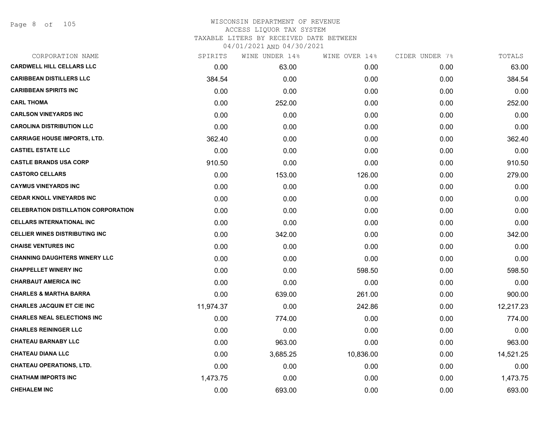| CORPORATION NAME                            | SPIRITS   | WINE UNDER 14% | WINE OVER 14% | CIDER UNDER 7% | TOTALS    |
|---------------------------------------------|-----------|----------------|---------------|----------------|-----------|
| <b>CARDWELL HILL CELLARS LLC</b>            | 0.00      | 63.00          | 0.00          | 0.00           | 63.00     |
| <b>CARIBBEAN DISTILLERS LLC</b>             | 384.54    | 0.00           | 0.00          | 0.00           | 384.54    |
| <b>CARIBBEAN SPIRITS INC</b>                | 0.00      | 0.00           | 0.00          | 0.00           | 0.00      |
| <b>CARL THOMA</b>                           | 0.00      | 252.00         | 0.00          | 0.00           | 252.00    |
| <b>CARLSON VINEYARDS INC</b>                | 0.00      | 0.00           | 0.00          | 0.00           | 0.00      |
| <b>CAROLINA DISTRIBUTION LLC</b>            | 0.00      | 0.00           | 0.00          | 0.00           | 0.00      |
| <b>CARRIAGE HOUSE IMPORTS, LTD.</b>         | 362.40    | 0.00           | 0.00          | 0.00           | 362.40    |
| <b>CASTIEL ESTATE LLC</b>                   | 0.00      | 0.00           | 0.00          | 0.00           | 0.00      |
| <b>CASTLE BRANDS USA CORP</b>               | 910.50    | 0.00           | 0.00          | 0.00           | 910.50    |
| <b>CASTORO CELLARS</b>                      | 0.00      | 153.00         | 126.00        | 0.00           | 279.00    |
| <b>CAYMUS VINEYARDS INC</b>                 | 0.00      | 0.00           | 0.00          | 0.00           | 0.00      |
| <b>CEDAR KNOLL VINEYARDS INC</b>            | 0.00      | 0.00           | 0.00          | 0.00           | 0.00      |
| <b>CELEBRATION DISTILLATION CORPORATION</b> | 0.00      | 0.00           | 0.00          | 0.00           | 0.00      |
| <b>CELLARS INTERNATIONAL INC</b>            | 0.00      | 0.00           | 0.00          | 0.00           | 0.00      |
| <b>CELLIER WINES DISTRIBUTING INC</b>       | 0.00      | 342.00         | 0.00          | 0.00           | 342.00    |
| <b>CHAISE VENTURES INC</b>                  | 0.00      | 0.00           | 0.00          | 0.00           | 0.00      |
| <b>CHANNING DAUGHTERS WINERY LLC</b>        | 0.00      | 0.00           | 0.00          | 0.00           | 0.00      |
| <b>CHAPPELLET WINERY INC</b>                | 0.00      | 0.00           | 598.50        | 0.00           | 598.50    |
| <b>CHARBAUT AMERICA INC</b>                 | 0.00      | 0.00           | 0.00          | 0.00           | 0.00      |
| <b>CHARLES &amp; MARTHA BARRA</b>           | 0.00      | 639.00         | 261.00        | 0.00           | 900.00    |
| <b>CHARLES JACQUIN ET CIE INC</b>           | 11,974.37 | 0.00           | 242.86        | 0.00           | 12,217.23 |
| <b>CHARLES NEAL SELECTIONS INC</b>          | 0.00      | 774.00         | 0.00          | 0.00           | 774.00    |
| <b>CHARLES REININGER LLC</b>                | 0.00      | 0.00           | 0.00          | 0.00           | 0.00      |
| <b>CHATEAU BARNABY LLC</b>                  | 0.00      | 963.00         | 0.00          | 0.00           | 963.00    |
| <b>CHATEAU DIANA LLC</b>                    | 0.00      | 3,685.25       | 10,836.00     | 0.00           | 14,521.25 |
| <b>CHATEAU OPERATIONS, LTD.</b>             | 0.00      | 0.00           | 0.00          | 0.00           | 0.00      |
| <b>CHATHAM IMPORTS INC</b>                  | 1,473.75  | 0.00           | 0.00          | 0.00           | 1,473.75  |
| <b>CHEHALEM INC</b>                         | 0.00      | 693.00         | 0.00          | 0.00           | 693.00    |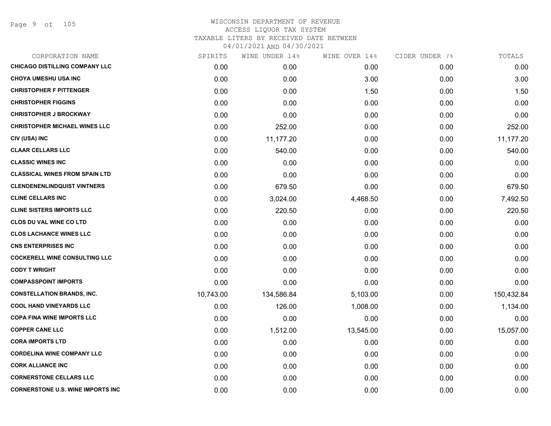| CORPORATION NAME                         | SPIRITS   | WINE UNDER 14% | WINE OVER 14% | CIDER UNDER 7% | TOTALS     |
|------------------------------------------|-----------|----------------|---------------|----------------|------------|
| CHICAGO DISTILLING COMPANY LLC           | 0.00      | 0.00           | 0.00          | 0.00           | 0.00       |
| <b>CHOYA UMESHU USA INC</b>              | 0.00      | 0.00           | 3.00          | 0.00           | 3.00       |
| <b>CHRISTOPHER F PITTENGER</b>           | 0.00      | 0.00           | 1.50          | 0.00           | 1.50       |
| <b>CHRISTOPHER FIGGINS</b>               | 0.00      | 0.00           | 0.00          | 0.00           | 0.00       |
| <b>CHRISTOPHER J BROCKWAY</b>            | 0.00      | 0.00           | 0.00          | 0.00           | 0.00       |
| <b>CHRISTOPHER MICHAEL WINES LLC</b>     | 0.00      | 252.00         | 0.00          | 0.00           | 252.00     |
| CIV (USA) INC                            | 0.00      | 11,177.20      | 0.00          | 0.00           | 11,177.20  |
| <b>CLAAR CELLARS LLC</b>                 | 0.00      | 540.00         | 0.00          | 0.00           | 540.00     |
| <b>CLASSIC WINES INC</b>                 | 0.00      | 0.00           | 0.00          | 0.00           | 0.00       |
| <b>CLASSICAL WINES FROM SPAIN LTD</b>    | 0.00      | 0.00           | 0.00          | 0.00           | 0.00       |
| <b>CLENDENENLINDQUIST VINTNERS</b>       | 0.00      | 679.50         | 0.00          | 0.00           | 679.50     |
| <b>CLINE CELLARS INC</b>                 | 0.00      | 3,024.00       | 4,468.50      | 0.00           | 7,492.50   |
| <b>CLINE SISTERS IMPORTS LLC</b>         | 0.00      | 220.50         | 0.00          | 0.00           | 220.50     |
| <b>CLOS DU VAL WINE CO LTD</b>           | 0.00      | 0.00           | 0.00          | 0.00           | 0.00       |
| <b>CLOS LACHANCE WINES LLC</b>           | 0.00      | 0.00           | 0.00          | 0.00           | 0.00       |
| <b>CNS ENTERPRISES INC</b>               | 0.00      | 0.00           | 0.00          | 0.00           | 0.00       |
| <b>COCKERELL WINE CONSULTING LLC</b>     | 0.00      | 0.00           | 0.00          | 0.00           | 0.00       |
| <b>CODY T WRIGHT</b>                     | 0.00      | 0.00           | 0.00          | 0.00           | 0.00       |
| <b>COMPASSPOINT IMPORTS</b>              | 0.00      | 0.00           | 0.00          | 0.00           | 0.00       |
| <b>CONSTELLATION BRANDS, INC.</b>        | 10,743.00 | 134,586.84     | 5,103.00      | 0.00           | 150,432.84 |
| <b>COOL HAND VINEYARDS LLC</b>           | 0.00      | 126.00         | 1,008.00      | 0.00           | 1,134.00   |
| <b>COPA FINA WINE IMPORTS LLC</b>        | 0.00      | 0.00           | 0.00          | 0.00           | 0.00       |
| <b>COPPER CANE LLC</b>                   | 0.00      | 1,512.00       | 13,545.00     | 0.00           | 15,057.00  |
| <b>CORA IMPORTS LTD</b>                  | 0.00      | 0.00           | 0.00          | 0.00           | 0.00       |
| <b>CORDELINA WINE COMPANY LLC</b>        | 0.00      | 0.00           | 0.00          | 0.00           | 0.00       |
| <b>CORK ALLIANCE INC</b>                 | 0.00      | 0.00           | 0.00          | 0.00           | 0.00       |
| <b>CORNERSTONE CELLARS LLC</b>           | 0.00      | 0.00           | 0.00          | 0.00           | 0.00       |
| <b>CORNERSTONE U.S. WINE IMPORTS INC</b> | 0.00      | 0.00           | 0.00          | 0.00           | 0.00       |
|                                          |           |                |               |                |            |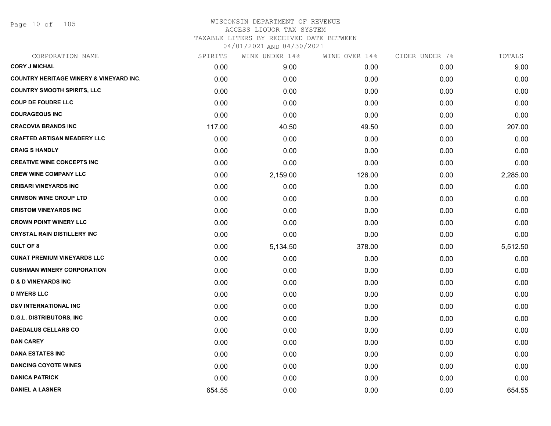Page 10 of 105

| CORPORATION NAME                                   | SPIRITS | WINE UNDER 14% | WINE OVER 14% | CIDER UNDER 7% | TOTALS   |
|----------------------------------------------------|---------|----------------|---------------|----------------|----------|
| <b>CORY J MICHAL</b>                               | 0.00    | 9.00           | 0.00          | 0.00           | 9.00     |
| <b>COUNTRY HERITAGE WINERY &amp; VINEYARD INC.</b> | 0.00    | 0.00           | 0.00          | 0.00           | 0.00     |
| <b>COUNTRY SMOOTH SPIRITS, LLC</b>                 | 0.00    | 0.00           | 0.00          | 0.00           | 0.00     |
| <b>COUP DE FOUDRE LLC</b>                          | 0.00    | 0.00           | 0.00          | 0.00           | 0.00     |
| <b>COURAGEOUS INC</b>                              | 0.00    | 0.00           | 0.00          | 0.00           | 0.00     |
| <b>CRACOVIA BRANDS INC</b>                         | 117.00  | 40.50          | 49.50         | 0.00           | 207.00   |
| <b>CRAFTED ARTISAN MEADERY LLC</b>                 | 0.00    | 0.00           | 0.00          | 0.00           | 0.00     |
| <b>CRAIG S HANDLY</b>                              | 0.00    | 0.00           | 0.00          | 0.00           | 0.00     |
| <b>CREATIVE WINE CONCEPTS INC</b>                  | 0.00    | 0.00           | 0.00          | 0.00           | 0.00     |
| <b>CREW WINE COMPANY LLC</b>                       | 0.00    | 2,159.00       | 126.00        | 0.00           | 2,285.00 |
| <b>CRIBARI VINEYARDS INC</b>                       | 0.00    | 0.00           | 0.00          | 0.00           | 0.00     |
| <b>CRIMSON WINE GROUP LTD</b>                      | 0.00    | 0.00           | 0.00          | 0.00           | 0.00     |
| <b>CRISTOM VINEYARDS INC</b>                       | 0.00    | 0.00           | 0.00          | 0.00           | 0.00     |
| <b>CROWN POINT WINERY LLC</b>                      | 0.00    | 0.00           | 0.00          | 0.00           | 0.00     |
| <b>CRYSTAL RAIN DISTILLERY INC</b>                 | 0.00    | 0.00           | 0.00          | 0.00           | 0.00     |
| <b>CULT OF 8</b>                                   | 0.00    | 5,134.50       | 378.00        | 0.00           | 5,512.50 |
| <b>CUNAT PREMIUM VINEYARDS LLC</b>                 | 0.00    | 0.00           | 0.00          | 0.00           | 0.00     |
| <b>CUSHMAN WINERY CORPORATION</b>                  | 0.00    | 0.00           | 0.00          | 0.00           | 0.00     |
| <b>D &amp; D VINEYARDS INC</b>                     | 0.00    | 0.00           | 0.00          | 0.00           | 0.00     |
| <b>D MYERS LLC</b>                                 | 0.00    | 0.00           | 0.00          | 0.00           | 0.00     |
| <b>D&amp;V INTERNATIONAL INC</b>                   | 0.00    | 0.00           | 0.00          | 0.00           | 0.00     |
| <b>D.G.L. DISTRIBUTORS, INC</b>                    | 0.00    | 0.00           | 0.00          | 0.00           | 0.00     |
| <b>DAEDALUS CELLARS CO</b>                         | 0.00    | 0.00           | 0.00          | 0.00           | 0.00     |
| <b>DAN CAREY</b>                                   | 0.00    | 0.00           | 0.00          | 0.00           | 0.00     |
| <b>DANA ESTATES INC</b>                            | 0.00    | 0.00           | 0.00          | 0.00           | 0.00     |
| <b>DANCING COYOTE WINES</b>                        | 0.00    | 0.00           | 0.00          | 0.00           | 0.00     |
| <b>DANICA PATRICK</b>                              | 0.00    | 0.00           | 0.00          | 0.00           | 0.00     |
| <b>DANIEL A LASNER</b>                             | 654.55  | 0.00           | 0.00          | 0.00           | 654.55   |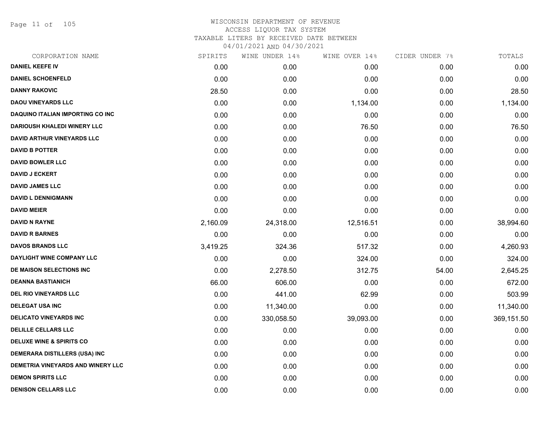Page 11 of 105

|          | WINE UNDER 14% |           | CIDER UNDER 7% | TOTALS     |
|----------|----------------|-----------|----------------|------------|
| 0.00     | 0.00           | 0.00      | 0.00           | 0.00       |
| 0.00     | 0.00           | 0.00      | 0.00           | 0.00       |
| 28.50    | 0.00           | 0.00      | 0.00           | 28.50      |
| 0.00     | 0.00           | 1,134.00  | 0.00           | 1,134.00   |
| 0.00     | 0.00           | 0.00      | 0.00           | 0.00       |
| 0.00     | 0.00           | 76.50     | 0.00           | 76.50      |
| 0.00     | 0.00           | 0.00      | 0.00           | 0.00       |
| 0.00     | 0.00           | 0.00      | 0.00           | 0.00       |
| 0.00     | 0.00           | 0.00      | 0.00           | 0.00       |
| 0.00     | 0.00           | 0.00      | 0.00           | 0.00       |
| 0.00     | 0.00           | 0.00      | 0.00           | 0.00       |
| 0.00     | 0.00           | 0.00      | 0.00           | 0.00       |
| 0.00     | 0.00           | 0.00      | 0.00           | 0.00       |
| 2,160.09 | 24,318.00      | 12,516.51 | 0.00           | 38,994.60  |
| 0.00     | 0.00           | 0.00      | 0.00           | 0.00       |
| 3,419.25 | 324.36         | 517.32    | 0.00           | 4,260.93   |
| 0.00     | 0.00           | 324.00    | 0.00           | 324.00     |
| 0.00     | 2,278.50       | 312.75    | 54.00          | 2,645.25   |
| 66.00    | 606.00         | 0.00      | 0.00           | 672.00     |
| 0.00     | 441.00         | 62.99     | 0.00           | 503.99     |
| 0.00     | 11,340.00      | 0.00      | 0.00           | 11,340.00  |
| 0.00     | 330,058.50     | 39,093.00 | 0.00           | 369,151.50 |
| 0.00     | 0.00           | 0.00      | 0.00           | 0.00       |
| 0.00     | 0.00           | 0.00      | 0.00           | 0.00       |
| 0.00     | 0.00           | 0.00      | 0.00           | 0.00       |
| 0.00     | 0.00           | 0.00      | 0.00           | 0.00       |
| 0.00     | 0.00           | 0.00      | 0.00           | 0.00       |
| 0.00     | 0.00           | 0.00      | 0.00           | 0.00       |
|          | SPIRITS        |           | WINE OVER 14%  |            |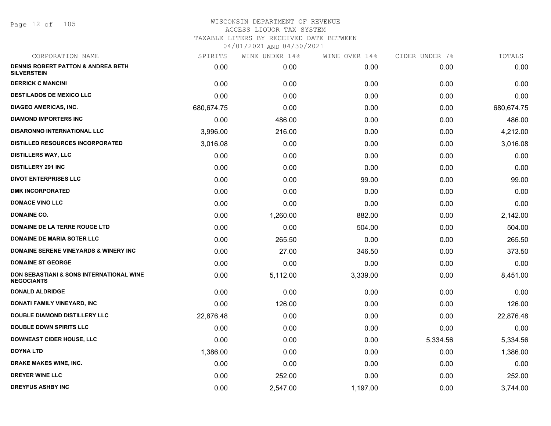Page 12 of 105

| CORPORATION NAME                                                    | SPIRITS    | WINE UNDER 14% | WINE OVER 14% | CIDER UNDER 7% | TOTALS     |
|---------------------------------------------------------------------|------------|----------------|---------------|----------------|------------|
| <b>DENNIS ROBERT PATTON &amp; ANDREA BETH</b><br><b>SILVERSTEIN</b> | 0.00       | 0.00           | 0.00          | 0.00           | 0.00       |
| <b>DERRICK C MANCINI</b>                                            | 0.00       | 0.00           | 0.00          | 0.00           | 0.00       |
| <b>DESTILADOS DE MEXICO LLC</b>                                     | 0.00       | 0.00           | 0.00          | 0.00           | 0.00       |
| <b>DIAGEO AMERICAS, INC.</b>                                        | 680,674.75 | 0.00           | 0.00          | 0.00           | 680,674.75 |
| <b>DIAMOND IMPORTERS INC</b>                                        | 0.00       | 486.00         | 0.00          | 0.00           | 486.00     |
| <b>DISARONNO INTERNATIONAL LLC</b>                                  | 3,996.00   | 216.00         | 0.00          | 0.00           | 4,212.00   |
| <b>DISTILLED RESOURCES INCORPORATED</b>                             | 3,016.08   | 0.00           | 0.00          | 0.00           | 3,016.08   |
| <b>DISTILLERS WAY, LLC</b>                                          | 0.00       | 0.00           | 0.00          | 0.00           | 0.00       |
| <b>DISTILLERY 291 INC</b>                                           | 0.00       | 0.00           | 0.00          | 0.00           | 0.00       |
| <b>DIVOT ENTERPRISES LLC</b>                                        | 0.00       | 0.00           | 99.00         | 0.00           | 99.00      |
| <b>DMK INCORPORATED</b>                                             | 0.00       | 0.00           | 0.00          | 0.00           | 0.00       |
| <b>DOMACE VINO LLC</b>                                              | 0.00       | 0.00           | 0.00          | 0.00           | 0.00       |
| <b>DOMAINE CO.</b>                                                  | 0.00       | 1,260.00       | 882.00        | 0.00           | 2,142.00   |
| DOMAINE DE LA TERRE ROUGE LTD                                       | 0.00       | 0.00           | 504.00        | 0.00           | 504.00     |
| <b>DOMAINE DE MARIA SOTER LLC</b>                                   | 0.00       | 265.50         | 0.00          | 0.00           | 265.50     |
| <b>DOMAINE SERENE VINEYARDS &amp; WINERY INC.</b>                   | 0.00       | 27.00          | 346.50        | 0.00           | 373.50     |
| <b>DOMAINE ST GEORGE</b>                                            | 0.00       | 0.00           | 0.00          | 0.00           | 0.00       |
| DON SEBASTIANI & SONS INTERNATIONAL WINE<br><b>NEGOCIANTS</b>       | 0.00       | 5,112.00       | 3,339.00      | 0.00           | 8,451.00   |
| <b>DONALD ALDRIDGE</b>                                              | 0.00       | 0.00           | 0.00          | 0.00           | 0.00       |
| DONATI FAMILY VINEYARD, INC                                         | 0.00       | 126.00         | 0.00          | 0.00           | 126.00     |
| <b>DOUBLE DIAMOND DISTILLERY LLC</b>                                | 22,876.48  | 0.00           | 0.00          | 0.00           | 22,876.48  |
| <b>DOUBLE DOWN SPIRITS LLC</b>                                      | 0.00       | 0.00           | 0.00          | 0.00           | 0.00       |
| <b>DOWNEAST CIDER HOUSE, LLC</b>                                    | 0.00       | 0.00           | 0.00          | 5,334.56       | 5,334.56   |
| <b>DOYNA LTD</b>                                                    | 1,386.00   | 0.00           | 0.00          | 0.00           | 1,386.00   |
| DRAKE MAKES WINE, INC.                                              | 0.00       | 0.00           | 0.00          | 0.00           | 0.00       |
| <b>DREYER WINE LLC</b>                                              | 0.00       | 252.00         | 0.00          | 0.00           | 252.00     |
| <b>DREYFUS ASHBY INC</b>                                            | 0.00       | 2,547.00       | 1,197.00      | 0.00           | 3,744.00   |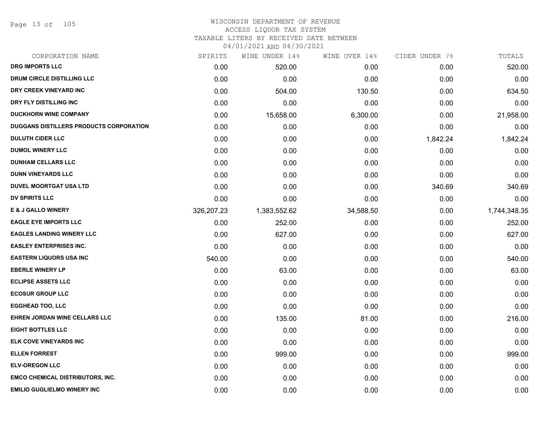Page 13 of 105

# WISCONSIN DEPARTMENT OF REVENUE ACCESS LIQUOR TAX SYSTEM

TAXABLE LITERS BY RECEIVED DATE BETWEEN

| CORPORATION NAME                        | SPIRITS    | WINE UNDER 14% | WINE OVER 14% | CIDER UNDER 7% | TOTALS       |
|-----------------------------------------|------------|----------------|---------------|----------------|--------------|
| <b>DRG IMPORTS LLC</b>                  | 0.00       | 520.00         | 0.00          | 0.00           | 520.00       |
| DRUM CIRCLE DISTILLING LLC              | 0.00       | 0.00           | 0.00          | 0.00           | 0.00         |
| DRY CREEK VINEYARD INC                  | 0.00       | 504.00         | 130.50        | 0.00           | 634.50       |
| DRY FLY DISTILLING INC                  | 0.00       | 0.00           | 0.00          | 0.00           | 0.00         |
| <b>DUCKHORN WINE COMPANY</b>            | 0.00       | 15,658.00      | 6,300.00      | 0.00           | 21,958.00    |
| DUGGANS DISTILLERS PRODUCTS CORPORATION | 0.00       | 0.00           | 0.00          | 0.00           | 0.00         |
| <b>DULUTH CIDER LLC</b>                 | 0.00       | 0.00           | 0.00          | 1,842.24       | 1,842.24     |
| <b>DUMOL WINERY LLC</b>                 | 0.00       | 0.00           | 0.00          | 0.00           | 0.00         |
| <b>DUNHAM CELLARS LLC</b>               | 0.00       | 0.00           | 0.00          | 0.00           | 0.00         |
| <b>DUNN VINEYARDS LLC</b>               | 0.00       | 0.00           | 0.00          | 0.00           | 0.00         |
| <b>DUVEL MOORTGAT USA LTD</b>           | 0.00       | 0.00           | 0.00          | 340.69         | 340.69       |
| <b>DV SPIRITS LLC</b>                   | 0.00       | 0.00           | 0.00          | 0.00           | 0.00         |
| <b>E &amp; J GALLO WINERY</b>           | 326,207.23 | 1,383,552.62   | 34,588.50     | 0.00           | 1,744,348.35 |
| <b>EAGLE EYE IMPORTS LLC</b>            | 0.00       | 252.00         | 0.00          | 0.00           | 252.00       |
| <b>EAGLES LANDING WINERY LLC</b>        | 0.00       | 627.00         | 0.00          | 0.00           | 627.00       |
| <b>EASLEY ENTERPRISES INC.</b>          | 0.00       | 0.00           | 0.00          | 0.00           | 0.00         |
| <b>EASTERN LIQUORS USA INC</b>          | 540.00     | 0.00           | 0.00          | 0.00           | 540.00       |
| <b>EBERLE WINERY LP</b>                 | 0.00       | 63.00          | 0.00          | 0.00           | 63.00        |
| <b>ECLIPSE ASSETS LLC</b>               | 0.00       | 0.00           | 0.00          | 0.00           | 0.00         |
| <b>ECOSUR GROUP LLC</b>                 | 0.00       | 0.00           | 0.00          | 0.00           | 0.00         |
| <b>EGGHEAD TOO, LLC</b>                 | 0.00       | 0.00           | 0.00          | 0.00           | 0.00         |
| EHREN JORDAN WINE CELLARS LLC           | 0.00       | 135.00         | 81.00         | 0.00           | 216.00       |
| <b>EIGHT BOTTLES LLC</b>                | 0.00       | 0.00           | 0.00          | 0.00           | 0.00         |
| ELK COVE VINEYARDS INC                  | 0.00       | 0.00           | 0.00          | 0.00           | 0.00         |
| <b>ELLEN FORREST</b>                    | 0.00       | 999.00         | 0.00          | 0.00           | 999.00       |
| <b>ELV-OREGON LLC</b>                   | 0.00       | 0.00           | 0.00          | 0.00           | 0.00         |
| <b>EMCO CHEMICAL DISTRIBUTORS, INC.</b> | 0.00       | 0.00           | 0.00          | 0.00           | 0.00         |
| <b>EMILIO GUGLIELMO WINERY INC</b>      | 0.00       | 0.00           | 0.00          | 0.00           | 0.00         |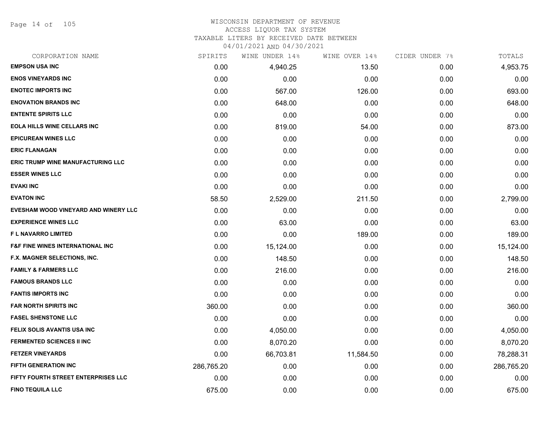Page 14 of 105

#### WISCONSIN DEPARTMENT OF REVENUE ACCESS LIQUOR TAX SYSTEM

#### TAXABLE LITERS BY RECEIVED DATE BETWEEN

| CORPORATION NAME                            | SPIRITS    | WINE UNDER 14% | WINE OVER 14% | CIDER UNDER 7% | TOTALS     |
|---------------------------------------------|------------|----------------|---------------|----------------|------------|
| <b>EMPSON USA INC</b>                       | 0.00       | 4,940.25       | 13.50         | 0.00           | 4,953.75   |
| <b>ENOS VINEYARDS INC</b>                   | 0.00       | 0.00           | 0.00          | 0.00           | 0.00       |
| <b>ENOTEC IMPORTS INC</b>                   | 0.00       | 567.00         | 126.00        | 0.00           | 693.00     |
| <b>ENOVATION BRANDS INC</b>                 | 0.00       | 648.00         | 0.00          | 0.00           | 648.00     |
| <b>ENTENTE SPIRITS LLC</b>                  | 0.00       | 0.00           | 0.00          | 0.00           | 0.00       |
| <b>EOLA HILLS WINE CELLARS INC</b>          | 0.00       | 819.00         | 54.00         | 0.00           | 873.00     |
| <b>EPICUREAN WINES LLC</b>                  | 0.00       | 0.00           | 0.00          | 0.00           | 0.00       |
| <b>ERIC FLANAGAN</b>                        | 0.00       | 0.00           | 0.00          | 0.00           | 0.00       |
| ERIC TRUMP WINE MANUFACTURING LLC           | 0.00       | 0.00           | 0.00          | 0.00           | 0.00       |
| <b>ESSER WINES LLC</b>                      | 0.00       | 0.00           | 0.00          | 0.00           | 0.00       |
| <b>EVAKI INC</b>                            | 0.00       | 0.00           | 0.00          | 0.00           | 0.00       |
| <b>EVATON INC</b>                           | 58.50      | 2,529.00       | 211.50        | 0.00           | 2,799.00   |
| EVESHAM WOOD VINEYARD AND WINERY LLC        | 0.00       | 0.00           | 0.00          | 0.00           | 0.00       |
| <b>EXPERIENCE WINES LLC</b>                 | 0.00       | 63.00          | 0.00          | 0.00           | 63.00      |
| <b>FL NAVARRO LIMITED</b>                   | 0.00       | 0.00           | 189.00        | 0.00           | 189.00     |
| <b>F&amp;F FINE WINES INTERNATIONAL INC</b> | 0.00       | 15,124.00      | 0.00          | 0.00           | 15,124.00  |
| F.X. MAGNER SELECTIONS, INC.                | 0.00       | 148.50         | 0.00          | 0.00           | 148.50     |
| <b>FAMILY &amp; FARMERS LLC</b>             | 0.00       | 216.00         | 0.00          | 0.00           | 216.00     |
| <b>FAMOUS BRANDS LLC</b>                    | 0.00       | 0.00           | 0.00          | 0.00           | 0.00       |
| <b>FANTIS IMPORTS INC</b>                   | 0.00       | 0.00           | 0.00          | 0.00           | 0.00       |
| <b>FAR NORTH SPIRITS INC</b>                | 360.00     | 0.00           | 0.00          | 0.00           | 360.00     |
| <b>FASEL SHENSTONE LLC</b>                  | 0.00       | 0.00           | 0.00          | 0.00           | 0.00       |
| FELIX SOLIS AVANTIS USA INC                 | 0.00       | 4,050.00       | 0.00          | 0.00           | 4,050.00   |
| <b>FERMENTED SCIENCES II INC</b>            | 0.00       | 8,070.20       | 0.00          | 0.00           | 8,070.20   |
| <b>FETZER VINEYARDS</b>                     | 0.00       | 66,703.81      | 11,584.50     | 0.00           | 78,288.31  |
| FIFTH GENERATION INC                        | 286,765.20 | 0.00           | 0.00          | 0.00           | 286,765.20 |
| FIFTY FOURTH STREET ENTERPRISES LLC         | 0.00       | 0.00           | 0.00          | 0.00           | 0.00       |
| <b>FINO TEQUILA LLC</b>                     | 675.00     | 0.00           | 0.00          | 0.00           | 675.00     |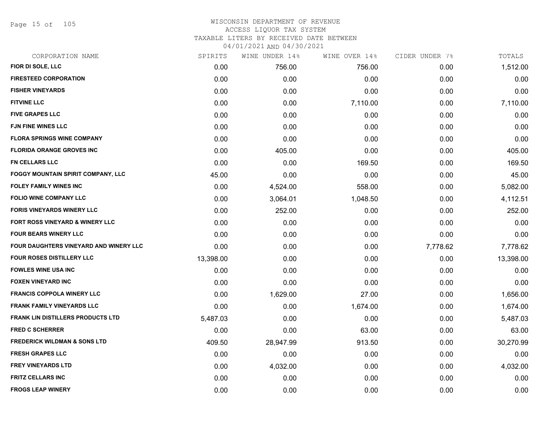Page 15 of 105

## WISCONSIN DEPARTMENT OF REVENUE ACCESS LIQUOR TAX SYSTEM TAXABLE LITERS BY RECEIVED DATE BETWEEN

| CORPORATION NAME                           | SPIRITS   | WINE UNDER 14% | WINE OVER 14% | CIDER UNDER 7% | TOTALS    |
|--------------------------------------------|-----------|----------------|---------------|----------------|-----------|
| FIOR DI SOLE, LLC                          | 0.00      | 756.00         | 756.00        | 0.00           | 1,512.00  |
| <b>FIRESTEED CORPORATION</b>               | 0.00      | 0.00           | 0.00          | 0.00           | 0.00      |
| <b>FISHER VINEYARDS</b>                    | 0.00      | 0.00           | 0.00          | 0.00           | 0.00      |
| <b>FITVINE LLC</b>                         | 0.00      | 0.00           | 7,110.00      | 0.00           | 7,110.00  |
| <b>FIVE GRAPES LLC</b>                     | 0.00      | 0.00           | 0.00          | 0.00           | 0.00      |
| <b>FJN FINE WINES LLC</b>                  | 0.00      | 0.00           | 0.00          | 0.00           | 0.00      |
| <b>FLORA SPRINGS WINE COMPANY</b>          | 0.00      | 0.00           | 0.00          | 0.00           | 0.00      |
| <b>FLORIDA ORANGE GROVES INC</b>           | 0.00      | 405.00         | 0.00          | 0.00           | 405.00    |
| <b>FN CELLARS LLC</b>                      | 0.00      | 0.00           | 169.50        | 0.00           | 169.50    |
| FOGGY MOUNTAIN SPIRIT COMPANY, LLC         | 45.00     | 0.00           | 0.00          | 0.00           | 45.00     |
| <b>FOLEY FAMILY WINES INC</b>              | 0.00      | 4,524.00       | 558.00        | 0.00           | 5,082.00  |
| <b>FOLIO WINE COMPANY LLC</b>              | 0.00      | 3,064.01       | 1,048.50      | 0.00           | 4,112.51  |
| <b>FORIS VINEYARDS WINERY LLC</b>          | 0.00      | 252.00         | 0.00          | 0.00           | 252.00    |
| <b>FORT ROSS VINEYARD &amp; WINERY LLC</b> | 0.00      | 0.00           | 0.00          | 0.00           | 0.00      |
| <b>FOUR BEARS WINERY LLC</b>               | 0.00      | 0.00           | 0.00          | 0.00           | 0.00      |
| FOUR DAUGHTERS VINEYARD AND WINERY LLC     | 0.00      | 0.00           | 0.00          | 7,778.62       | 7,778.62  |
| <b>FOUR ROSES DISTILLERY LLC</b>           | 13,398.00 | 0.00           | 0.00          | 0.00           | 13,398.00 |
| <b>FOWLES WINE USA INC</b>                 | 0.00      | 0.00           | 0.00          | 0.00           | 0.00      |
| <b>FOXEN VINEYARD INC</b>                  | 0.00      | 0.00           | 0.00          | 0.00           | 0.00      |
| <b>FRANCIS COPPOLA WINERY LLC</b>          | 0.00      | 1,629.00       | 27.00         | 0.00           | 1,656.00  |
| <b>FRANK FAMILY VINEYARDS LLC</b>          | 0.00      | 0.00           | 1,674.00      | 0.00           | 1,674.00  |
| <b>FRANK LIN DISTILLERS PRODUCTS LTD</b>   | 5,487.03  | 0.00           | 0.00          | 0.00           | 5,487.03  |
| <b>FRED C SCHERRER</b>                     | 0.00      | 0.00           | 63.00         | 0.00           | 63.00     |
| <b>FREDERICK WILDMAN &amp; SONS LTD</b>    | 409.50    | 28,947.99      | 913.50        | 0.00           | 30,270.99 |
| <b>FRESH GRAPES LLC</b>                    | 0.00      | 0.00           | 0.00          | 0.00           | 0.00      |
| <b>FREY VINEYARDS LTD</b>                  | 0.00      | 4,032.00       | 0.00          | 0.00           | 4,032.00  |
| <b>FRITZ CELLARS INC</b>                   | 0.00      | 0.00           | 0.00          | 0.00           | 0.00      |
| <b>FROGS LEAP WINERY</b>                   | 0.00      | 0.00           | 0.00          | 0.00           | 0.00      |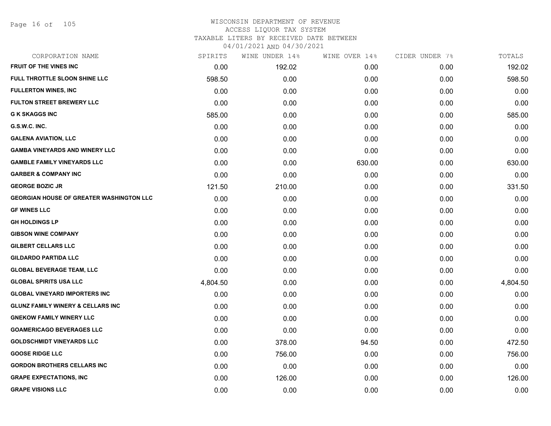Page 16 of 105

| CORPORATION NAME                                | SPIRITS  | WINE UNDER 14% | WINE OVER 14% | CIDER UNDER 7% | TOTALS   |
|-------------------------------------------------|----------|----------------|---------------|----------------|----------|
| FRUIT OF THE VINES INC                          | 0.00     | 192.02         | 0.00          | 0.00           | 192.02   |
| FULL THROTTLE SLOON SHINE LLC                   | 598.50   | 0.00           | 0.00          | 0.00           | 598.50   |
| <b>FULLERTON WINES, INC</b>                     | 0.00     | 0.00           | 0.00          | 0.00           | 0.00     |
| <b>FULTON STREET BREWERY LLC</b>                | 0.00     | 0.00           | 0.00          | 0.00           | 0.00     |
| <b>G K SKAGGS INC</b>                           | 585.00   | 0.00           | 0.00          | 0.00           | 585.00   |
| G.S.W.C. INC.                                   | 0.00     | 0.00           | 0.00          | 0.00           | 0.00     |
| <b>GALENA AVIATION, LLC</b>                     | 0.00     | 0.00           | 0.00          | 0.00           | 0.00     |
| <b>GAMBA VINEYARDS AND WINERY LLC</b>           | 0.00     | 0.00           | 0.00          | 0.00           | 0.00     |
| <b>GAMBLE FAMILY VINEYARDS LLC</b>              | 0.00     | 0.00           | 630.00        | 0.00           | 630.00   |
| <b>GARBER &amp; COMPANY INC</b>                 | 0.00     | 0.00           | 0.00          | 0.00           | 0.00     |
| <b>GEORGE BOZIC JR</b>                          | 121.50   | 210.00         | 0.00          | 0.00           | 331.50   |
| <b>GEORGIAN HOUSE OF GREATER WASHINGTON LLC</b> | 0.00     | 0.00           | 0.00          | 0.00           | 0.00     |
| <b>GF WINES LLC</b>                             | 0.00     | 0.00           | 0.00          | 0.00           | 0.00     |
| <b>GH HOLDINGS LP</b>                           | 0.00     | 0.00           | 0.00          | 0.00           | 0.00     |
| <b>GIBSON WINE COMPANY</b>                      | 0.00     | 0.00           | 0.00          | 0.00           | 0.00     |
| <b>GILBERT CELLARS LLC</b>                      | 0.00     | 0.00           | 0.00          | 0.00           | 0.00     |
| <b>GILDARDO PARTIDA LLC</b>                     | 0.00     | 0.00           | 0.00          | 0.00           | 0.00     |
| <b>GLOBAL BEVERAGE TEAM, LLC</b>                | 0.00     | 0.00           | 0.00          | 0.00           | 0.00     |
| <b>GLOBAL SPIRITS USA LLC</b>                   | 4,804.50 | 0.00           | 0.00          | 0.00           | 4,804.50 |
| <b>GLOBAL VINEYARD IMPORTERS INC</b>            | 0.00     | 0.00           | 0.00          | 0.00           | 0.00     |
| <b>GLUNZ FAMILY WINERY &amp; CELLARS INC</b>    | 0.00     | 0.00           | 0.00          | 0.00           | 0.00     |
| <b>GNEKOW FAMILY WINERY LLC</b>                 | 0.00     | 0.00           | 0.00          | 0.00           | 0.00     |
| <b>GOAMERICAGO BEVERAGES LLC</b>                | 0.00     | 0.00           | 0.00          | 0.00           | 0.00     |
| <b>GOLDSCHMIDT VINEYARDS LLC</b>                | 0.00     | 378.00         | 94.50         | 0.00           | 472.50   |
| <b>GOOSE RIDGE LLC</b>                          | 0.00     | 756.00         | 0.00          | 0.00           | 756.00   |
| <b>GORDON BROTHERS CELLARS INC</b>              | 0.00     | 0.00           | 0.00          | 0.00           | 0.00     |
| <b>GRAPE EXPECTATIONS, INC</b>                  | 0.00     | 126.00         | 0.00          | 0.00           | 126.00   |
| <b>GRAPE VISIONS LLC</b>                        | 0.00     | 0.00           | 0.00          | 0.00           | 0.00     |
|                                                 |          |                |               |                |          |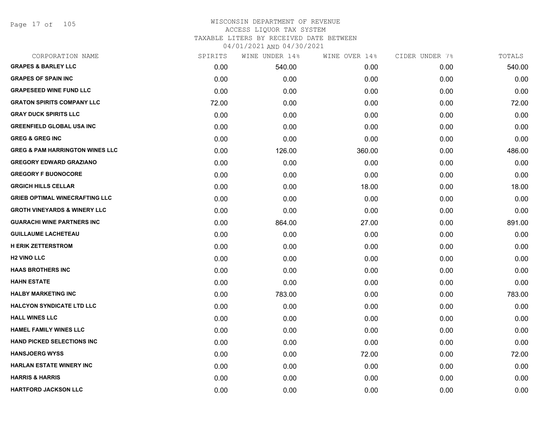Page 17 of 105

## WISCONSIN DEPARTMENT OF REVENUE ACCESS LIQUOR TAX SYSTEM TAXABLE LITERS BY RECEIVED DATE BETWEEN

| CORPORATION NAME                           | SPIRITS | WINE UNDER 14% | WINE OVER 14% | CIDER UNDER 7% | TOTALS |
|--------------------------------------------|---------|----------------|---------------|----------------|--------|
| <b>GRAPES &amp; BARLEY LLC</b>             | 0.00    | 540.00         | 0.00          | 0.00           | 540.00 |
| <b>GRAPES OF SPAIN INC</b>                 | 0.00    | 0.00           | 0.00          | 0.00           | 0.00   |
| <b>GRAPESEED WINE FUND LLC</b>             | 0.00    | 0.00           | 0.00          | 0.00           | 0.00   |
| <b>GRATON SPIRITS COMPANY LLC</b>          | 72.00   | 0.00           | 0.00          | 0.00           | 72.00  |
| <b>GRAY DUCK SPIRITS LLC</b>               | 0.00    | 0.00           | 0.00          | 0.00           | 0.00   |
| <b>GREENFIELD GLOBAL USA INC</b>           | 0.00    | 0.00           | 0.00          | 0.00           | 0.00   |
| <b>GREG &amp; GREG INC</b>                 | 0.00    | 0.00           | 0.00          | 0.00           | 0.00   |
| <b>GREG &amp; PAM HARRINGTON WINES LLC</b> | 0.00    | 126.00         | 360.00        | 0.00           | 486.00 |
| <b>GREGORY EDWARD GRAZIANO</b>             | 0.00    | 0.00           | 0.00          | 0.00           | 0.00   |
| <b>GREGORY F BUONOCORE</b>                 | 0.00    | 0.00           | 0.00          | 0.00           | 0.00   |
| <b>GRGICH HILLS CELLAR</b>                 | 0.00    | 0.00           | 18.00         | 0.00           | 18.00  |
| <b>GRIEB OPTIMAL WINECRAFTING LLC</b>      | 0.00    | 0.00           | 0.00          | 0.00           | 0.00   |
| <b>GROTH VINEYARDS &amp; WINERY LLC</b>    | 0.00    | 0.00           | 0.00          | 0.00           | 0.00   |
| <b>GUARACHI WINE PARTNERS INC</b>          | 0.00    | 864.00         | 27.00         | 0.00           | 891.00 |
| <b>GUILLAUME LACHETEAU</b>                 | 0.00    | 0.00           | 0.00          | 0.00           | 0.00   |
| <b>H ERIK ZETTERSTROM</b>                  | 0.00    | 0.00           | 0.00          | 0.00           | 0.00   |
| <b>H2 VINO LLC</b>                         | 0.00    | 0.00           | 0.00          | 0.00           | 0.00   |
| <b>HAAS BROTHERS INC</b>                   | 0.00    | 0.00           | 0.00          | 0.00           | 0.00   |
| <b>HAHN ESTATE</b>                         | 0.00    | 0.00           | 0.00          | 0.00           | 0.00   |
| <b>HALBY MARKETING INC</b>                 | 0.00    | 783.00         | 0.00          | 0.00           | 783.00 |
| <b>HALCYON SYNDICATE LTD LLC</b>           | 0.00    | 0.00           | 0.00          | 0.00           | 0.00   |
| <b>HALL WINES LLC</b>                      | 0.00    | 0.00           | 0.00          | 0.00           | 0.00   |
| <b>HAMEL FAMILY WINES LLC</b>              | 0.00    | 0.00           | 0.00          | 0.00           | 0.00   |
| <b>HAND PICKED SELECTIONS INC.</b>         | 0.00    | 0.00           | 0.00          | 0.00           | 0.00   |
| <b>HANSJOERG WYSS</b>                      | 0.00    | 0.00           | 72.00         | 0.00           | 72.00  |
| <b>HARLAN ESTATE WINERY INC</b>            | 0.00    | 0.00           | 0.00          | 0.00           | 0.00   |
| <b>HARRIS &amp; HARRIS</b>                 | 0.00    | 0.00           | 0.00          | 0.00           | 0.00   |
| <b>HARTFORD JACKSON LLC</b>                | 0.00    | 0.00           | 0.00          | 0.00           | 0.00   |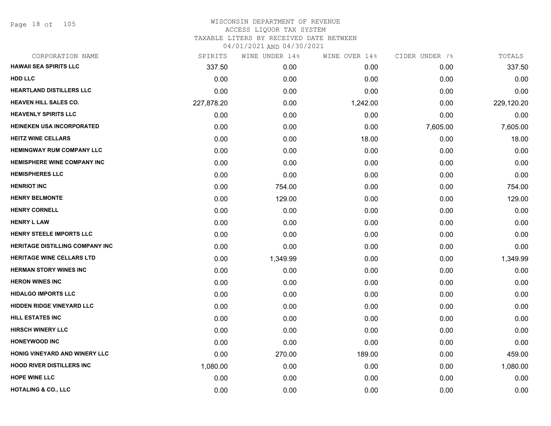Page 18 of 105

| CORPORATION NAME                   | SPIRITS    | WINE UNDER 14% | WINE OVER 14% | CIDER UNDER 7% | TOTALS     |
|------------------------------------|------------|----------------|---------------|----------------|------------|
| <b>HAWAII SEA SPIRITS LLC</b>      | 337.50     | 0.00           | 0.00          | 0.00           | 337.50     |
| <b>HDD LLC</b>                     | 0.00       | 0.00           | 0.00          | 0.00           | 0.00       |
| <b>HEARTLAND DISTILLERS LLC</b>    | 0.00       | 0.00           | 0.00          | 0.00           | 0.00       |
| <b>HEAVEN HILL SALES CO.</b>       | 227,878.20 | 0.00           | 1,242.00      | 0.00           | 229,120.20 |
| <b>HEAVENLY SPIRITS LLC</b>        | 0.00       | 0.00           | 0.00          | 0.00           | 0.00       |
| <b>HEINEKEN USA INCORPORATED</b>   | 0.00       | 0.00           | 0.00          | 7,605.00       | 7,605.00   |
| <b>HEITZ WINE CELLARS</b>          | 0.00       | 0.00           | 18.00         | 0.00           | 18.00      |
| <b>HEMINGWAY RUM COMPANY LLC</b>   | 0.00       | 0.00           | 0.00          | 0.00           | 0.00       |
| <b>HEMISPHERE WINE COMPANY INC</b> | 0.00       | 0.00           | 0.00          | 0.00           | 0.00       |
| <b>HEMISPHERES LLC</b>             | 0.00       | 0.00           | 0.00          | 0.00           | 0.00       |
| <b>HENRIOT INC</b>                 | 0.00       | 754.00         | 0.00          | 0.00           | 754.00     |
| <b>HENRY BELMONTE</b>              | 0.00       | 129.00         | 0.00          | 0.00           | 129.00     |
| <b>HENRY CORNELL</b>               | 0.00       | 0.00           | 0.00          | 0.00           | 0.00       |
| <b>HENRY L LAW</b>                 | 0.00       | 0.00           | 0.00          | 0.00           | 0.00       |
| <b>HENRY STEELE IMPORTS LLC</b>    | 0.00       | 0.00           | 0.00          | 0.00           | 0.00       |
| HERITAGE DISTILLING COMPANY INC    | 0.00       | 0.00           | 0.00          | 0.00           | 0.00       |
| <b>HERITAGE WINE CELLARS LTD</b>   | 0.00       | 1,349.99       | 0.00          | 0.00           | 1,349.99   |
| <b>HERMAN STORY WINES INC</b>      | 0.00       | 0.00           | 0.00          | 0.00           | 0.00       |
| <b>HERON WINES INC</b>             | 0.00       | 0.00           | 0.00          | 0.00           | 0.00       |
| <b>HIDALGO IMPORTS LLC</b>         | 0.00       | 0.00           | 0.00          | 0.00           | 0.00       |
| <b>HIDDEN RIDGE VINEYARD LLC</b>   | 0.00       | 0.00           | 0.00          | 0.00           | 0.00       |
| <b>HILL ESTATES INC</b>            | 0.00       | 0.00           | 0.00          | 0.00           | 0.00       |
| <b>HIRSCH WINERY LLC</b>           | 0.00       | 0.00           | 0.00          | 0.00           | 0.00       |
| <b>HONEYWOOD INC</b>               | 0.00       | 0.00           | 0.00          | 0.00           | 0.00       |
| HONIG VINEYARD AND WINERY LLC      | 0.00       | 270.00         | 189.00        | 0.00           | 459.00     |
| <b>HOOD RIVER DISTILLERS INC</b>   | 1,080.00   | 0.00           | 0.00          | 0.00           | 1,080.00   |
| <b>HOPE WINE LLC</b>               | 0.00       | 0.00           | 0.00          | 0.00           | 0.00       |
| <b>HOTALING &amp; CO., LLC</b>     | 0.00       | 0.00           | 0.00          | 0.00           | 0.00       |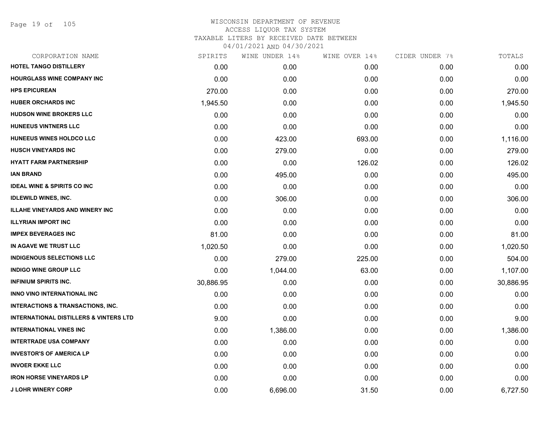Page 19 of 105

| CORPORATION NAME                                  | SPIRITS   | WINE UNDER 14% | WINE OVER 14% | CIDER UNDER 7% | TOTALS    |
|---------------------------------------------------|-----------|----------------|---------------|----------------|-----------|
| HOTEL TANGO DISTILLERY                            | 0.00      | 0.00           | 0.00          | 0.00           | 0.00      |
| <b>HOURGLASS WINE COMPANY INC</b>                 | 0.00      | 0.00           | 0.00          | 0.00           | 0.00      |
| <b>HPS EPICUREAN</b>                              | 270.00    | 0.00           | 0.00          | 0.00           | 270.00    |
| <b>HUBER ORCHARDS INC</b>                         | 1,945.50  | 0.00           | 0.00          | 0.00           | 1,945.50  |
| <b>HUDSON WINE BROKERS LLC</b>                    | 0.00      | 0.00           | 0.00          | 0.00           | 0.00      |
| <b>HUNEEUS VINTNERS LLC</b>                       | 0.00      | 0.00           | 0.00          | 0.00           | 0.00      |
| HUNEEUS WINES HOLDCO LLC                          | 0.00      | 423.00         | 693.00        | 0.00           | 1,116.00  |
| <b>HUSCH VINEYARDS INC</b>                        | 0.00      | 279.00         | 0.00          | 0.00           | 279.00    |
| <b>HYATT FARM PARTNERSHIP</b>                     | 0.00      | 0.00           | 126.02        | 0.00           | 126.02    |
| <b>IAN BRAND</b>                                  | 0.00      | 495.00         | 0.00          | 0.00           | 495.00    |
| <b>IDEAL WINE &amp; SPIRITS CO INC</b>            | 0.00      | 0.00           | 0.00          | 0.00           | 0.00      |
| <b>IDLEWILD WINES, INC.</b>                       | 0.00      | 306.00         | 0.00          | 0.00           | 306.00    |
| <b>ILLAHE VINEYARDS AND WINERY INC</b>            | 0.00      | 0.00           | 0.00          | 0.00           | 0.00      |
| <b>ILLYRIAN IMPORT INC</b>                        | 0.00      | 0.00           | 0.00          | 0.00           | 0.00      |
| <b>IMPEX BEVERAGES INC</b>                        | 81.00     | 0.00           | 0.00          | 0.00           | 81.00     |
| IN AGAVE WE TRUST LLC                             | 1,020.50  | 0.00           | 0.00          | 0.00           | 1,020.50  |
| <b>INDIGENOUS SELECTIONS LLC</b>                  | 0.00      | 279.00         | 225.00        | 0.00           | 504.00    |
| <b>INDIGO WINE GROUP LLC</b>                      | 0.00      | 1,044.00       | 63.00         | 0.00           | 1,107.00  |
| <b>INFINIUM SPIRITS INC.</b>                      | 30,886.95 | 0.00           | 0.00          | 0.00           | 30,886.95 |
| INNO VINO INTERNATIONAL INC                       | 0.00      | 0.00           | 0.00          | 0.00           | 0.00      |
| <b>INTERACTIONS &amp; TRANSACTIONS, INC.</b>      | 0.00      | 0.00           | 0.00          | 0.00           | 0.00      |
| <b>INTERNATIONAL DISTILLERS &amp; VINTERS LTD</b> | 9.00      | 0.00           | 0.00          | 0.00           | 9.00      |
| <b>INTERNATIONAL VINES INC</b>                    | 0.00      | 1,386.00       | 0.00          | 0.00           | 1,386.00  |
| <b>INTERTRADE USA COMPANY</b>                     | 0.00      | 0.00           | 0.00          | 0.00           | 0.00      |
| <b>INVESTOR'S OF AMERICA LP</b>                   | 0.00      | 0.00           | 0.00          | 0.00           | 0.00      |
| <b>INVOER EKKE LLC</b>                            | 0.00      | 0.00           | 0.00          | 0.00           | 0.00      |
| <b>IRON HORSE VINEYARDS LP</b>                    | 0.00      | 0.00           | 0.00          | 0.00           | 0.00      |
| <b>J LOHR WINERY CORP</b>                         | 0.00      | 6,696.00       | 31.50         | 0.00           | 6,727.50  |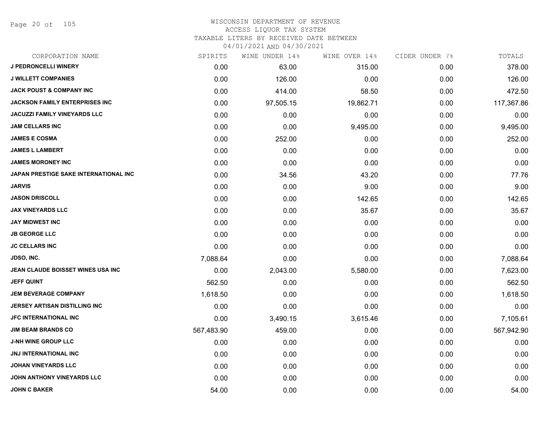Page 20 of 105

| CORPORATION NAME                       | SPIRITS    | WINE UNDER 14% | WINE OVER 14% | CIDER UNDER 7% | TOTALS     |
|----------------------------------------|------------|----------------|---------------|----------------|------------|
| <b>J PEDRONCELLI WINERY</b>            | 0.00       | 63.00          | 315.00        | 0.00           | 378.00     |
| <b>J WILLETT COMPANIES</b>             | 0.00       | 126.00         | 0.00          | 0.00           | 126.00     |
| <b>JACK POUST &amp; COMPANY INC</b>    | 0.00       | 414.00         | 58.50         | 0.00           | 472.50     |
| <b>JACKSON FAMILY ENTERPRISES INC.</b> | 0.00       | 97,505.15      | 19,862.71     | 0.00           | 117,367.86 |
| <b>JACUZZI FAMILY VINEYARDS LLC</b>    | 0.00       | 0.00           | 0.00          | 0.00           | 0.00       |
| <b>JAM CELLARS INC</b>                 | 0.00       | 0.00           | 9,495.00      | 0.00           | 9,495.00   |
| <b>JAMES E COSMA</b>                   | 0.00       | 252.00         | 0.00          | 0.00           | 252.00     |
| <b>JAMES L LAMBERT</b>                 | 0.00       | 0.00           | 0.00          | 0.00           | 0.00       |
| <b>JAMES MORONEY INC</b>               | 0.00       | 0.00           | 0.00          | 0.00           | 0.00       |
| JAPAN PRESTIGE SAKE INTERNATIONAL INC  | 0.00       | 34.56          | 43.20         | 0.00           | 77.76      |
| <b>JARVIS</b>                          | 0.00       | 0.00           | 9.00          | 0.00           | 9.00       |
| <b>JASON DRISCOLL</b>                  | 0.00       | 0.00           | 142.65        | 0.00           | 142.65     |
| <b>JAX VINEYARDS LLC</b>               | 0.00       | 0.00           | 35.67         | 0.00           | 35.67      |
| <b>JAY MIDWEST INC</b>                 | 0.00       | 0.00           | 0.00          | 0.00           | 0.00       |
| <b>JB GEORGE LLC</b>                   | 0.00       | 0.00           | 0.00          | 0.00           | 0.00       |
| <b>JC CELLARS INC</b>                  | 0.00       | 0.00           | 0.00          | 0.00           | 0.00       |
| <b>JDSO, INC.</b>                      | 7,088.64   | 0.00           | 0.00          | 0.00           | 7,088.64   |
| JEAN CLAUDE BOISSET WINES USA INC      | 0.00       | 2,043.00       | 5,580.00      | 0.00           | 7,623.00   |
| <b>JEFF QUINT</b>                      | 562.50     | 0.00           | 0.00          | 0.00           | 562.50     |
| <b>JEM BEVERAGE COMPANY</b>            | 1,618.50   | 0.00           | 0.00          | 0.00           | 1,618.50   |
| <b>JERSEY ARTISAN DISTILLING INC</b>   | 0.00       | 0.00           | 0.00          | 0.00           | 0.00       |
| <b>JFC INTERNATIONAL INC</b>           | 0.00       | 3,490.15       | 3,615.46      | 0.00           | 7,105.61   |
| <b>JIM BEAM BRANDS CO</b>              | 567,483.90 | 459.00         | 0.00          | 0.00           | 567,942.90 |
| <b>J-NH WINE GROUP LLC</b>             | 0.00       | 0.00           | 0.00          | 0.00           | 0.00       |
| <b>JNJ INTERNATIONAL INC</b>           | 0.00       | 0.00           | 0.00          | 0.00           | 0.00       |
| <b>JOHAN VINEYARDS LLC</b>             | 0.00       | 0.00           | 0.00          | 0.00           | 0.00       |
| JOHN ANTHONY VINEYARDS LLC             | 0.00       | 0.00           | 0.00          | 0.00           | 0.00       |
| <b>JOHN C BAKER</b>                    | 54.00      | 0.00           | 0.00          | 0.00           | 54.00      |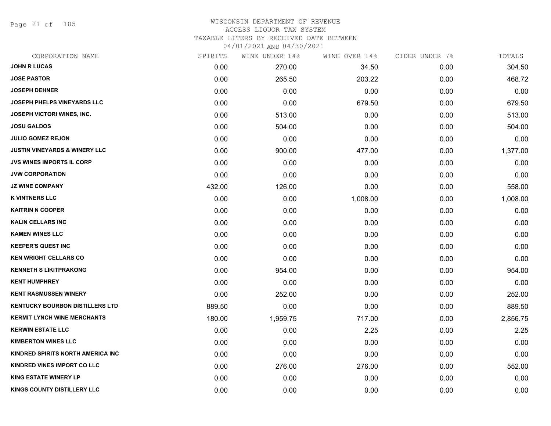Page 21 of 105

| CORPORATION NAME                         | SPIRITS | WINE UNDER 14% | WINE OVER 14% | CIDER UNDER 7% | TOTALS   |
|------------------------------------------|---------|----------------|---------------|----------------|----------|
| <b>JOHN R LUCAS</b>                      | 0.00    | 270.00         | 34.50         | 0.00           | 304.50   |
| <b>JOSE PASTOR</b>                       | 0.00    | 265.50         | 203.22        | 0.00           | 468.72   |
| <b>JOSEPH DEHNER</b>                     | 0.00    | 0.00           | 0.00          | 0.00           | 0.00     |
| <b>JOSEPH PHELPS VINEYARDS LLC</b>       | 0.00    | 0.00           | 679.50        | 0.00           | 679.50   |
| <b>JOSEPH VICTORI WINES, INC.</b>        | 0.00    | 513.00         | 0.00          | 0.00           | 513.00   |
| <b>JOSU GALDOS</b>                       | 0.00    | 504.00         | 0.00          | 0.00           | 504.00   |
| <b>JULIO GOMEZ REJON</b>                 | 0.00    | 0.00           | 0.00          | 0.00           | 0.00     |
| <b>JUSTIN VINEYARDS &amp; WINERY LLC</b> | 0.00    | 900.00         | 477.00        | 0.00           | 1,377.00 |
| <b>JVS WINES IMPORTS IL CORP</b>         | 0.00    | 0.00           | 0.00          | 0.00           | 0.00     |
| <b>JVW CORPORATION</b>                   | 0.00    | 0.00           | 0.00          | 0.00           | 0.00     |
| <b>JZ WINE COMPANY</b>                   | 432.00  | 126.00         | 0.00          | 0.00           | 558.00   |
| <b>K VINTNERS LLC</b>                    | 0.00    | 0.00           | 1,008.00      | 0.00           | 1,008.00 |
| <b>KAITRIN N COOPER</b>                  | 0.00    | 0.00           | 0.00          | 0.00           | 0.00     |
| KALIN CELLARS INC                        | 0.00    | 0.00           | 0.00          | 0.00           | 0.00     |
| <b>KAMEN WINES LLC</b>                   | 0.00    | 0.00           | 0.00          | 0.00           | 0.00     |
| <b>KEEPER'S QUEST INC</b>                | 0.00    | 0.00           | 0.00          | 0.00           | 0.00     |
| <b>KEN WRIGHT CELLARS CO</b>             | 0.00    | 0.00           | 0.00          | 0.00           | 0.00     |
| <b>KENNETH S LIKITPRAKONG</b>            | 0.00    | 954.00         | 0.00          | 0.00           | 954.00   |
| <b>KENT HUMPHREY</b>                     | 0.00    | 0.00           | 0.00          | 0.00           | 0.00     |
| <b>KENT RASMUSSEN WINERY</b>             | 0.00    | 252.00         | 0.00          | 0.00           | 252.00   |
| <b>KENTUCKY BOURBON DISTILLERS LTD</b>   | 889.50  | 0.00           | 0.00          | 0.00           | 889.50   |
| <b>KERMIT LYNCH WINE MERCHANTS</b>       | 180.00  | 1,959.75       | 717.00        | 0.00           | 2,856.75 |
| <b>KERWIN ESTATE LLC</b>                 | 0.00    | 0.00           | 2.25          | 0.00           | 2.25     |
| <b>KIMBERTON WINES LLC</b>               | 0.00    | 0.00           | 0.00          | 0.00           | 0.00     |
| KINDRED SPIRITS NORTH AMERICA INC        | 0.00    | 0.00           | 0.00          | 0.00           | 0.00     |
| <b>KINDRED VINES IMPORT CO LLC</b>       | 0.00    | 276.00         | 276.00        | 0.00           | 552.00   |
| <b>KING ESTATE WINERY LP</b>             | 0.00    | 0.00           | 0.00          | 0.00           | 0.00     |
| <b>KINGS COUNTY DISTILLERY LLC</b>       | 0.00    | 0.00           | 0.00          | 0.00           | 0.00     |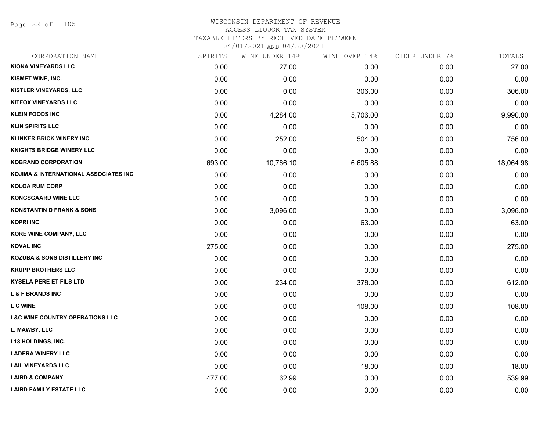Page 22 of 105

|        |           | WINE OVER 14%  | CIDER UNDER 7% | TOTALS    |
|--------|-----------|----------------|----------------|-----------|
| 0.00   | 27.00     | 0.00           | 0.00           | 27.00     |
| 0.00   | 0.00      | 0.00           | 0.00           | 0.00      |
| 0.00   | 0.00      | 306.00         | 0.00           | 306.00    |
| 0.00   | 0.00      | 0.00           | 0.00           | 0.00      |
| 0.00   | 4,284.00  | 5,706.00       | 0.00           | 9,990.00  |
| 0.00   | 0.00      | 0.00           | 0.00           | 0.00      |
| 0.00   | 252.00    | 504.00         | 0.00           | 756.00    |
| 0.00   | 0.00      | 0.00           | 0.00           | 0.00      |
| 693.00 | 10,766.10 | 6,605.88       | 0.00           | 18,064.98 |
| 0.00   | 0.00      | 0.00           | 0.00           | 0.00      |
| 0.00   | 0.00      | 0.00           | 0.00           | 0.00      |
| 0.00   | 0.00      | 0.00           | 0.00           | 0.00      |
| 0.00   | 3,096.00  | 0.00           | 0.00           | 3,096.00  |
| 0.00   | 0.00      | 63.00          | 0.00           | 63.00     |
| 0.00   | 0.00      | 0.00           | 0.00           | 0.00      |
| 275.00 | 0.00      | 0.00           | 0.00           | 275.00    |
| 0.00   | 0.00      | 0.00           | 0.00           | 0.00      |
| 0.00   | 0.00      | 0.00           | 0.00           | 0.00      |
| 0.00   | 234.00    | 378.00         | 0.00           | 612.00    |
| 0.00   | 0.00      | 0.00           | 0.00           | 0.00      |
| 0.00   | 0.00      | 108.00         | 0.00           | 108.00    |
| 0.00   | 0.00      | 0.00           | 0.00           | 0.00      |
| 0.00   | 0.00      | 0.00           | 0.00           | 0.00      |
| 0.00   | 0.00      | 0.00           | 0.00           | 0.00      |
| 0.00   | 0.00      | 0.00           | 0.00           | 0.00      |
| 0.00   | 0.00      | 18.00          | 0.00           | 18.00     |
| 477.00 | 62.99     | 0.00           | 0.00           | 539.99    |
| 0.00   | 0.00      | 0.00           | 0.00           | 0.00      |
|        | SPIRITS   | WINE UNDER 14% |                |           |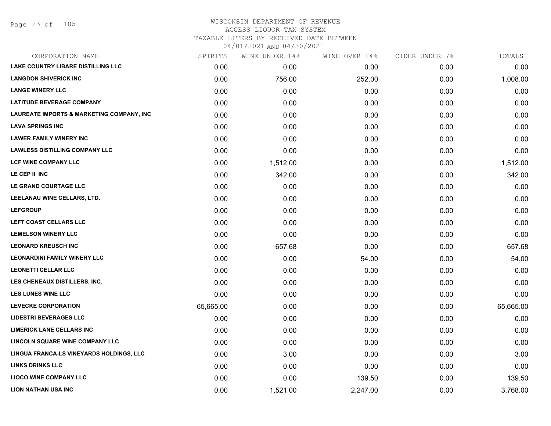## WISCONSIN DEPARTMENT OF REVENUE ACCESS LIQUOR TAX SYSTEM TAXABLE LITERS BY RECEIVED DATE BETWEEN

| CORPORATION NAME                          | SPIRITS   | WINE UNDER 14% | WINE OVER 14% | CIDER UNDER 7% | TOTALS    |
|-------------------------------------------|-----------|----------------|---------------|----------------|-----------|
| LAKE COUNTRY LIBARE DISTILLING LLC        | 0.00      | 0.00           | 0.00          | 0.00           | 0.00      |
| <b>LANGDON SHIVERICK INC</b>              | 0.00      | 756.00         | 252.00        | 0.00           | 1,008.00  |
| <b>LANGE WINERY LLC</b>                   | 0.00      | 0.00           | 0.00          | 0.00           | 0.00      |
| <b>LATITUDE BEVERAGE COMPANY</b>          | 0.00      | 0.00           | 0.00          | 0.00           | 0.00      |
| LAUREATE IMPORTS & MARKETING COMPANY, INC | 0.00      | 0.00           | 0.00          | 0.00           | 0.00      |
| <b>LAVA SPRINGS INC</b>                   | 0.00      | 0.00           | 0.00          | 0.00           | 0.00      |
| <b>LAWER FAMILY WINERY INC</b>            | 0.00      | 0.00           | 0.00          | 0.00           | 0.00      |
| <b>LAWLESS DISTILLING COMPANY LLC</b>     | 0.00      | 0.00           | 0.00          | 0.00           | 0.00      |
| <b>LCF WINE COMPANY LLC</b>               | 0.00      | 1,512.00       | 0.00          | 0.00           | 1,512.00  |
| LE CEP II INC                             | 0.00      | 342.00         | 0.00          | 0.00           | 342.00    |
| LE GRAND COURTAGE LLC                     | 0.00      | 0.00           | 0.00          | 0.00           | 0.00      |
| LEELANAU WINE CELLARS, LTD.               | 0.00      | 0.00           | 0.00          | 0.00           | 0.00      |
| <b>LEFGROUP</b>                           | 0.00      | 0.00           | 0.00          | 0.00           | 0.00      |
| LEFT COAST CELLARS LLC                    | 0.00      | 0.00           | 0.00          | 0.00           | 0.00      |
| <b>LEMELSON WINERY LLC</b>                | 0.00      | 0.00           | 0.00          | 0.00           | 0.00      |
| <b>LEONARD KREUSCH INC</b>                | 0.00      | 657.68         | 0.00          | 0.00           | 657.68    |
| <b>LEONARDINI FAMILY WINERY LLC</b>       | 0.00      | 0.00           | 54.00         | 0.00           | 54.00     |
| <b>LEONETTI CELLAR LLC</b>                | 0.00      | 0.00           | 0.00          | 0.00           | 0.00      |
| LES CHENEAUX DISTILLERS, INC.             | 0.00      | 0.00           | 0.00          | 0.00           | 0.00      |
| <b>LES LUNES WINE LLC</b>                 | 0.00      | 0.00           | 0.00          | 0.00           | 0.00      |
| <b>LEVECKE CORPORATION</b>                | 65,665.00 | 0.00           | 0.00          | 0.00           | 65,665.00 |
| <b>LIDESTRI BEVERAGES LLC</b>             | 0.00      | 0.00           | 0.00          | 0.00           | 0.00      |
| <b>LIMERICK LANE CELLARS INC</b>          | 0.00      | 0.00           | 0.00          | 0.00           | 0.00      |
| LINCOLN SQUARE WINE COMPANY LLC           | 0.00      | 0.00           | 0.00          | 0.00           | 0.00      |
| LINGUA FRANCA-LS VINEYARDS HOLDINGS, LLC  | 0.00      | 3.00           | 0.00          | 0.00           | 3.00      |
| <b>LINKS DRINKS LLC</b>                   | 0.00      | 0.00           | 0.00          | 0.00           | 0.00      |
| <b>LIOCO WINE COMPANY LLC</b>             | 0.00      | 0.00           | 139.50        | 0.00           | 139.50    |
| LION NATHAN USA INC                       | 0.00      | 1,521.00       | 2,247.00      | 0.00           | 3,768.00  |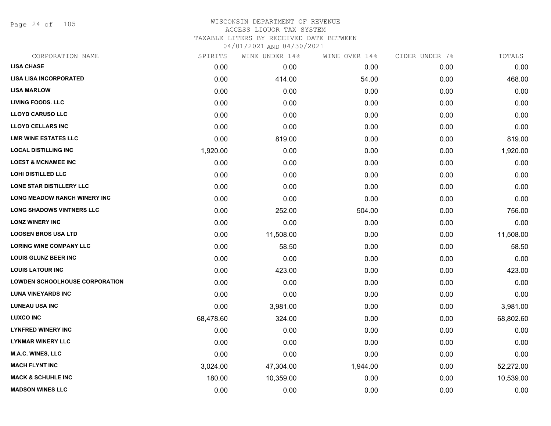Page 24 of 105

## WISCONSIN DEPARTMENT OF REVENUE ACCESS LIQUOR TAX SYSTEM TAXABLE LITERS BY RECEIVED DATE BETWEEN

| CORPORATION NAME                      | SPIRITS   | WINE UNDER 14% | WINE OVER 14% | CIDER UNDER 7% | TOTALS    |
|---------------------------------------|-----------|----------------|---------------|----------------|-----------|
| <b>LISA CHASE</b>                     | 0.00      | 0.00           | 0.00          | 0.00           | 0.00      |
| <b>LISA LISA INCORPORATED</b>         | 0.00      | 414.00         | 54.00         | 0.00           | 468.00    |
| <b>LISA MARLOW</b>                    | 0.00      | 0.00           | 0.00          | 0.00           | 0.00      |
| <b>LIVING FOODS. LLC</b>              | 0.00      | 0.00           | 0.00          | 0.00           | 0.00      |
| <b>LLOYD CARUSO LLC</b>               | 0.00      | 0.00           | 0.00          | 0.00           | 0.00      |
| <b>LLOYD CELLARS INC</b>              | 0.00      | 0.00           | 0.00          | 0.00           | 0.00      |
| <b>LMR WINE ESTATES LLC</b>           | 0.00      | 819.00         | 0.00          | 0.00           | 819.00    |
| <b>LOCAL DISTILLING INC</b>           | 1,920.00  | 0.00           | 0.00          | 0.00           | 1,920.00  |
| <b>LOEST &amp; MCNAMEE INC</b>        | 0.00      | 0.00           | 0.00          | 0.00           | 0.00      |
| <b>LOHI DISTILLED LLC</b>             | 0.00      | 0.00           | 0.00          | 0.00           | 0.00      |
| LONE STAR DISTILLERY LLC              | 0.00      | 0.00           | 0.00          | 0.00           | 0.00      |
| LONG MEADOW RANCH WINERY INC          | 0.00      | 0.00           | 0.00          | 0.00           | 0.00      |
| LONG SHADOWS VINTNERS LLC             | 0.00      | 252.00         | 504.00        | 0.00           | 756.00    |
| <b>LONZ WINERY INC</b>                | 0.00      | 0.00           | 0.00          | 0.00           | 0.00      |
| <b>LOOSEN BROS USA LTD</b>            | 0.00      | 11,508.00      | 0.00          | 0.00           | 11,508.00 |
| <b>LORING WINE COMPANY LLC</b>        | 0.00      | 58.50          | 0.00          | 0.00           | 58.50     |
| <b>LOUIS GLUNZ BEER INC</b>           | 0.00      | 0.00           | 0.00          | 0.00           | 0.00      |
| <b>LOUIS LATOUR INC</b>               | 0.00      | 423.00         | 0.00          | 0.00           | 423.00    |
| <b>LOWDEN SCHOOLHOUSE CORPORATION</b> | 0.00      | 0.00           | 0.00          | 0.00           | 0.00      |
| <b>LUNA VINEYARDS INC</b>             | 0.00      | 0.00           | 0.00          | 0.00           | 0.00      |
| <b>LUNEAU USA INC</b>                 | 0.00      | 3,981.00       | 0.00          | 0.00           | 3,981.00  |
| <b>LUXCO INC</b>                      | 68,478.60 | 324.00         | 0.00          | 0.00           | 68,802.60 |
| <b>LYNFRED WINERY INC</b>             | 0.00      | 0.00           | 0.00          | 0.00           | 0.00      |
| <b>LYNMAR WINERY LLC</b>              | 0.00      | 0.00           | 0.00          | 0.00           | 0.00      |
| <b>M.A.C. WINES, LLC</b>              | 0.00      | 0.00           | 0.00          | 0.00           | 0.00      |
| <b>MACH FLYNT INC</b>                 | 3,024.00  | 47,304.00      | 1,944.00      | 0.00           | 52,272.00 |
| <b>MACK &amp; SCHUHLE INC</b>         | 180.00    | 10,359.00      | 0.00          | 0.00           | 10,539.00 |
| <b>MADSON WINES LLC</b>               | 0.00      | 0.00           | 0.00          | 0.00           | 0.00      |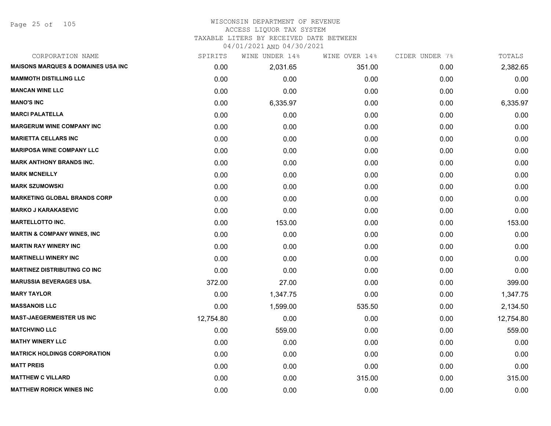Page 25 of 105

# WISCONSIN DEPARTMENT OF REVENUE ACCESS LIQUOR TAX SYSTEM

TAXABLE LITERS BY RECEIVED DATE BETWEEN

| CORPORATION NAME                               | SPIRITS   | WINE UNDER 14% | WINE OVER 14% | CIDER UNDER 7% | TOTALS    |
|------------------------------------------------|-----------|----------------|---------------|----------------|-----------|
| <b>MAISONS MARQUES &amp; DOMAINES USA INC.</b> | 0.00      | 2,031.65       | 351.00        | 0.00           | 2,382.65  |
| <b>MAMMOTH DISTILLING LLC</b>                  | 0.00      | 0.00           | 0.00          | 0.00           | 0.00      |
| <b>MANCAN WINE LLC</b>                         | 0.00      | 0.00           | 0.00          | 0.00           | 0.00      |
| <b>MANO'S INC</b>                              | 0.00      | 6,335.97       | 0.00          | 0.00           | 6,335.97  |
| <b>MARCI PALATELLA</b>                         | 0.00      | 0.00           | 0.00          | 0.00           | 0.00      |
| <b>MARGERUM WINE COMPANY INC</b>               | 0.00      | 0.00           | 0.00          | 0.00           | 0.00      |
| <b>MARIETTA CELLARS INC</b>                    | 0.00      | 0.00           | 0.00          | 0.00           | 0.00      |
| <b>MARIPOSA WINE COMPANY LLC</b>               | 0.00      | 0.00           | 0.00          | 0.00           | 0.00      |
| <b>MARK ANTHONY BRANDS INC.</b>                | 0.00      | 0.00           | 0.00          | 0.00           | 0.00      |
| <b>MARK MCNEILLY</b>                           | 0.00      | 0.00           | 0.00          | 0.00           | 0.00      |
| <b>MARK SZUMOWSKI</b>                          | 0.00      | 0.00           | 0.00          | 0.00           | 0.00      |
| <b>MARKETING GLOBAL BRANDS CORP</b>            | 0.00      | 0.00           | 0.00          | 0.00           | 0.00      |
| <b>MARKO J KARAKASEVIC</b>                     | 0.00      | 0.00           | 0.00          | 0.00           | 0.00      |
| <b>MARTELLOTTO INC.</b>                        | 0.00      | 153.00         | 0.00          | 0.00           | 153.00    |
| <b>MARTIN &amp; COMPANY WINES, INC</b>         | 0.00      | 0.00           | 0.00          | 0.00           | 0.00      |
| <b>MARTIN RAY WINERY INC</b>                   | 0.00      | 0.00           | 0.00          | 0.00           | 0.00      |
| <b>MARTINELLI WINERY INC</b>                   | 0.00      | 0.00           | 0.00          | 0.00           | 0.00      |
| <b>MARTINEZ DISTRIBUTING CO INC</b>            | 0.00      | 0.00           | 0.00          | 0.00           | 0.00      |
| <b>MARUSSIA BEVERAGES USA.</b>                 | 372.00    | 27.00          | 0.00          | 0.00           | 399.00    |
| <b>MARY TAYLOR</b>                             | 0.00      | 1,347.75       | 0.00          | 0.00           | 1,347.75  |
| <b>MASSANOIS LLC</b>                           | 0.00      | 1,599.00       | 535.50        | 0.00           | 2,134.50  |
| <b>MAST-JAEGERMEISTER US INC</b>               | 12,754.80 | 0.00           | 0.00          | 0.00           | 12,754.80 |
| <b>MATCHVINO LLC</b>                           | 0.00      | 559.00         | 0.00          | 0.00           | 559.00    |
| <b>MATHY WINERY LLC</b>                        | 0.00      | 0.00           | 0.00          | 0.00           | 0.00      |
| <b>MATRICK HOLDINGS CORPORATION</b>            | 0.00      | 0.00           | 0.00          | 0.00           | 0.00      |
| <b>MATT PREIS</b>                              | 0.00      | 0.00           | 0.00          | 0.00           | 0.00      |
| <b>MATTHEW C VILLARD</b>                       | 0.00      | 0.00           | 315.00        | 0.00           | 315.00    |
| <b>MATTHEW RORICK WINES INC</b>                | 0.00      | 0.00           | 0.00          | 0.00           | 0.00      |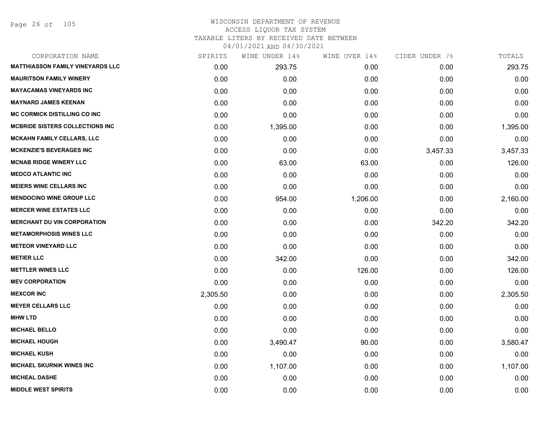Page 26 of 105

| CORPORATION NAME                        | SPIRITS  | WINE UNDER 14% | WINE OVER 14% | CIDER UNDER 7% | TOTALS   |
|-----------------------------------------|----------|----------------|---------------|----------------|----------|
| <b>MATTHIASSON FAMILY VINEYARDS LLC</b> | 0.00     | 293.75         | 0.00          | 0.00           | 293.75   |
| <b>MAURITSON FAMILY WINERY</b>          | 0.00     | 0.00           | 0.00          | 0.00           | 0.00     |
| <b>MAYACAMAS VINEYARDS INC</b>          | 0.00     | 0.00           | 0.00          | 0.00           | 0.00     |
| <b>MAYNARD JAMES KEENAN</b>             | 0.00     | 0.00           | 0.00          | 0.00           | 0.00     |
| <b>MC CORMICK DISTILLING CO INC</b>     | 0.00     | 0.00           | 0.00          | 0.00           | 0.00     |
| <b>MCBRIDE SISTERS COLLECTIONS INC</b>  | 0.00     | 1,395.00       | 0.00          | 0.00           | 1,395.00 |
| <b>MCKAHN FAMILY CELLARS, LLC</b>       | 0.00     | 0.00           | 0.00          | 0.00           | 0.00     |
| <b>MCKENZIE'S BEVERAGES INC</b>         | 0.00     | 0.00           | 0.00          | 3,457.33       | 3,457.33 |
| <b>MCNAB RIDGE WINERY LLC</b>           | 0.00     | 63.00          | 63.00         | 0.00           | 126.00   |
| <b>MEDCO ATLANTIC INC</b>               | 0.00     | 0.00           | 0.00          | 0.00           | 0.00     |
| <b>MEIERS WINE CELLARS INC</b>          | 0.00     | 0.00           | 0.00          | 0.00           | 0.00     |
| <b>MENDOCINO WINE GROUP LLC</b>         | 0.00     | 954.00         | 1,206.00      | 0.00           | 2,160.00 |
| <b>MERCER WINE ESTATES LLC</b>          | 0.00     | 0.00           | 0.00          | 0.00           | 0.00     |
| <b>MERCHANT DU VIN CORPORATION</b>      | 0.00     | 0.00           | 0.00          | 342.20         | 342.20   |
| <b>METAMORPHOSIS WINES LLC</b>          | 0.00     | 0.00           | 0.00          | 0.00           | 0.00     |
| <b>METEOR VINEYARD LLC</b>              | 0.00     | 0.00           | 0.00          | 0.00           | 0.00     |
| <b>METIER LLC</b>                       | 0.00     | 342.00         | 0.00          | 0.00           | 342.00   |
| <b>METTLER WINES LLC</b>                | 0.00     | 0.00           | 126.00        | 0.00           | 126.00   |
| <b>MEV CORPORATION</b>                  | 0.00     | 0.00           | 0.00          | 0.00           | 0.00     |
| <b>MEXCOR INC</b>                       | 2,305.50 | 0.00           | 0.00          | 0.00           | 2,305.50 |
| <b>MEYER CELLARS LLC</b>                | 0.00     | 0.00           | 0.00          | 0.00           | 0.00     |
| <b>MHW LTD</b>                          | 0.00     | 0.00           | 0.00          | 0.00           | 0.00     |
| <b>MICHAEL BELLO</b>                    | 0.00     | 0.00           | 0.00          | 0.00           | 0.00     |
| <b>MICHAEL HOUGH</b>                    | 0.00     | 3,490.47       | 90.00         | 0.00           | 3,580.47 |
| <b>MICHAEL KUSH</b>                     | 0.00     | 0.00           | 0.00          | 0.00           | 0.00     |
| <b>MICHAEL SKURNIK WINES INC</b>        | 0.00     | 1,107.00       | 0.00          | 0.00           | 1,107.00 |
| <b>MICHEAL DASHE</b>                    | 0.00     | 0.00           | 0.00          | 0.00           | 0.00     |
| <b>MIDDLE WEST SPIRITS</b>              | 0.00     | 0.00           | 0.00          | 0.00           | 0.00     |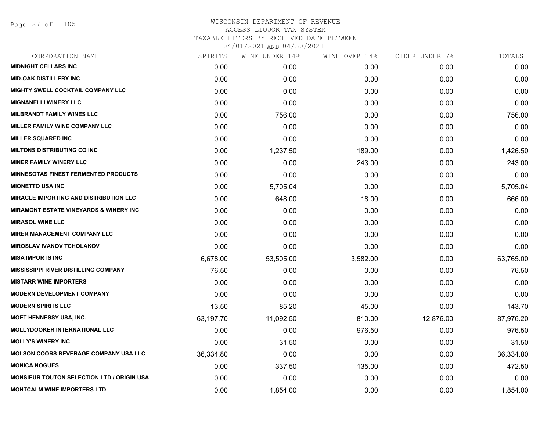Page 27 of 105

| CORPORATION NAME                                  | SPIRITS   | WINE UNDER 14% | WINE OVER 14% | CIDER UNDER 7% | TOTALS    |
|---------------------------------------------------|-----------|----------------|---------------|----------------|-----------|
| <b>MIDNIGHT CELLARS INC</b>                       | 0.00      | 0.00           | 0.00          | 0.00           | 0.00      |
| <b>MID-OAK DISTILLERY INC</b>                     | 0.00      | 0.00           | 0.00          | 0.00           | 0.00      |
| <b>MIGHTY SWELL COCKTAIL COMPANY LLC</b>          | 0.00      | 0.00           | 0.00          | 0.00           | 0.00      |
| <b>MIGNANELLI WINERY LLC</b>                      | 0.00      | 0.00           | 0.00          | 0.00           | 0.00      |
| <b>MILBRANDT FAMILY WINES LLC</b>                 | 0.00      | 756.00         | 0.00          | 0.00           | 756.00    |
| MILLER FAMILY WINE COMPANY LLC                    | 0.00      | 0.00           | 0.00          | 0.00           | 0.00      |
| <b>MILLER SQUARED INC</b>                         | 0.00      | 0.00           | 0.00          | 0.00           | 0.00      |
| <b>MILTONS DISTRIBUTING CO INC</b>                | 0.00      | 1,237.50       | 189.00        | 0.00           | 1,426.50  |
| <b>MINER FAMILY WINERY LLC</b>                    | 0.00      | 0.00           | 243.00        | 0.00           | 243.00    |
| <b>MINNESOTAS FINEST FERMENTED PRODUCTS</b>       | 0.00      | 0.00           | 0.00          | 0.00           | 0.00      |
| <b>MIONETTO USA INC</b>                           | 0.00      | 5,705.04       | 0.00          | 0.00           | 5,705.04  |
| <b>MIRACLE IMPORTING AND DISTRIBUTION LLC</b>     | 0.00      | 648.00         | 18.00         | 0.00           | 666.00    |
| <b>MIRAMONT ESTATE VINEYARDS &amp; WINERY INC</b> | 0.00      | 0.00           | 0.00          | 0.00           | 0.00      |
| <b>MIRASOL WINE LLC</b>                           | 0.00      | 0.00           | 0.00          | 0.00           | 0.00      |
| <b>MIRER MANAGEMENT COMPANY LLC</b>               | 0.00      | 0.00           | 0.00          | 0.00           | 0.00      |
| <b>MIROSLAV IVANOV TCHOLAKOV</b>                  | 0.00      | 0.00           | 0.00          | 0.00           | 0.00      |
| <b>MISA IMPORTS INC</b>                           | 6,678.00  | 53,505.00      | 3,582.00      | 0.00           | 63,765.00 |
| <b>MISSISSIPPI RIVER DISTILLING COMPANY</b>       | 76.50     | 0.00           | 0.00          | 0.00           | 76.50     |
| <b>MISTARR WINE IMPORTERS</b>                     | 0.00      | 0.00           | 0.00          | 0.00           | 0.00      |
| <b>MODERN DEVELOPMENT COMPANY</b>                 | 0.00      | 0.00           | 0.00          | 0.00           | 0.00      |
| <b>MODERN SPIRITS LLC</b>                         | 13.50     | 85.20          | 45.00         | 0.00           | 143.70    |
| <b>MOET HENNESSY USA, INC.</b>                    | 63,197.70 | 11,092.50      | 810.00        | 12,876.00      | 87,976.20 |
| <b>MOLLYDOOKER INTERNATIONAL LLC</b>              | 0.00      | 0.00           | 976.50        | 0.00           | 976.50    |
| <b>MOLLY'S WINERY INC</b>                         | 0.00      | 31.50          | 0.00          | 0.00           | 31.50     |
| <b>MOLSON COORS BEVERAGE COMPANY USA LLC</b>      | 36,334.80 | 0.00           | 0.00          | 0.00           | 36,334.80 |
| <b>MONICA NOGUES</b>                              | 0.00      | 337.50         | 135.00        | 0.00           | 472.50    |
| <b>MONSIEUR TOUTON SELECTION LTD / ORIGIN USA</b> | 0.00      | 0.00           | 0.00          | 0.00           | 0.00      |
| <b>MONTCALM WINE IMPORTERS LTD</b>                | 0.00      | 1,854.00       | 0.00          | 0.00           | 1,854.00  |
|                                                   |           |                |               |                |           |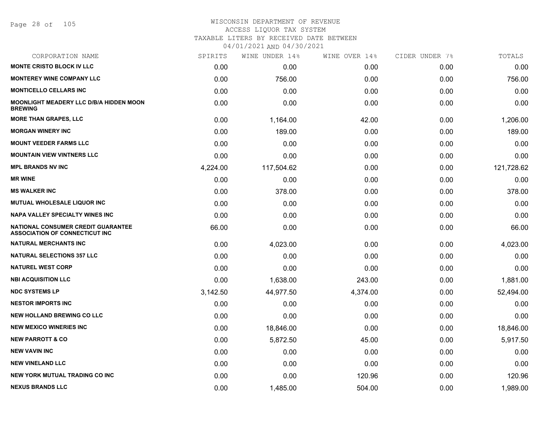#### WISCONSIN DEPARTMENT OF REVENUE ACCESS LIQUOR TAX SYSTEM

TAXABLE LITERS BY RECEIVED DATE BETWEEN

| CORPORATION NAME                                                            | SPIRITS  | WINE UNDER 14% | WINE OVER 14% | CIDER UNDER 7% | TOTALS     |
|-----------------------------------------------------------------------------|----------|----------------|---------------|----------------|------------|
| <b>MONTE CRISTO BLOCK IV LLC</b>                                            | 0.00     | 0.00           | 0.00          | 0.00           | 0.00       |
| <b>MONTEREY WINE COMPANY LLC</b>                                            | 0.00     | 756.00         | 0.00          | 0.00           | 756.00     |
| <b>MONTICELLO CELLARS INC</b>                                               | 0.00     | 0.00           | 0.00          | 0.00           | 0.00       |
| <b>MOONLIGHT MEADERY LLC D/B/A HIDDEN MOON</b><br><b>BREWING</b>            | 0.00     | 0.00           | 0.00          | 0.00           | 0.00       |
| <b>MORE THAN GRAPES, LLC</b>                                                | 0.00     | 1,164.00       | 42.00         | 0.00           | 1,206.00   |
| <b>MORGAN WINERY INC</b>                                                    | 0.00     | 189.00         | 0.00          | 0.00           | 189.00     |
| <b>MOUNT VEEDER FARMS LLC</b>                                               | 0.00     | 0.00           | 0.00          | 0.00           | 0.00       |
| <b>MOUNTAIN VIEW VINTNERS LLC</b>                                           | 0.00     | 0.00           | 0.00          | 0.00           | 0.00       |
| <b>MPL BRANDS NV INC</b>                                                    | 4,224.00 | 117,504.62     | 0.00          | 0.00           | 121,728.62 |
| <b>MR WINE</b>                                                              | 0.00     | 0.00           | 0.00          | 0.00           | 0.00       |
| <b>MS WALKER INC</b>                                                        | 0.00     | 378.00         | 0.00          | 0.00           | 378.00     |
| MUTUAL WHOLESALE LIQUOR INC                                                 | 0.00     | 0.00           | 0.00          | 0.00           | 0.00       |
| <b>NAPA VALLEY SPECIALTY WINES INC</b>                                      | 0.00     | 0.00           | 0.00          | 0.00           | 0.00       |
| NATIONAL CONSUMER CREDIT GUARANTEE<br><b>ASSOCIATION OF CONNECTICUT INC</b> | 66.00    | 0.00           | 0.00          | 0.00           | 66.00      |
| <b>NATURAL MERCHANTS INC</b>                                                | 0.00     | 4,023.00       | 0.00          | 0.00           | 4,023.00   |
| <b>NATURAL SELECTIONS 357 LLC</b>                                           | 0.00     | 0.00           | 0.00          | 0.00           | 0.00       |
| <b>NATUREL WEST CORP</b>                                                    | 0.00     | 0.00           | 0.00          | 0.00           | 0.00       |
| <b>NBI ACQUISITION LLC</b>                                                  | 0.00     | 1,638.00       | 243.00        | 0.00           | 1,881.00   |
| <b>NDC SYSTEMS LP</b>                                                       | 3,142.50 | 44,977.50      | 4,374.00      | 0.00           | 52,494.00  |
| <b>NESTOR IMPORTS INC</b>                                                   | 0.00     | 0.00           | 0.00          | 0.00           | 0.00       |
| <b>NEW HOLLAND BREWING CO LLC</b>                                           | 0.00     | 0.00           | 0.00          | 0.00           | 0.00       |
| <b>NEW MEXICO WINERIES INC</b>                                              | 0.00     | 18,846.00      | 0.00          | 0.00           | 18,846.00  |
| <b>NEW PARROTT &amp; CO</b>                                                 | 0.00     | 5,872.50       | 45.00         | 0.00           | 5,917.50   |
| <b>NEW VAVIN INC</b>                                                        | 0.00     | 0.00           | 0.00          | 0.00           | 0.00       |
| <b>NEW VINELAND LLC</b>                                                     | 0.00     | 0.00           | 0.00          | 0.00           | 0.00       |
| <b>NEW YORK MUTUAL TRADING CO INC</b>                                       | 0.00     | 0.00           | 120.96        | 0.00           | 120.96     |
| <b>NEXUS BRANDS LLC</b>                                                     | 0.00     | 1,485.00       | 504.00        | 0.00           | 1,989.00   |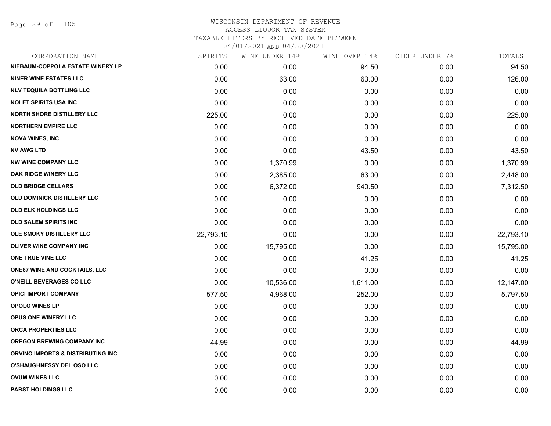Page 29 of 105

| CORPORATION NAME                     | SPIRITS   | WINE UNDER 14% | WINE OVER 14% | CIDER UNDER 7% | TOTALS    |
|--------------------------------------|-----------|----------------|---------------|----------------|-----------|
| NIEBAUM-COPPOLA ESTATE WINERY LP     | 0.00      | 0.00           | 94.50         | 0.00           | 94.50     |
| <b>NINER WINE ESTATES LLC</b>        | 0.00      | 63.00          | 63.00         | 0.00           | 126.00    |
| <b>NLV TEQUILA BOTTLING LLC</b>      | 0.00      | 0.00           | 0.00          | 0.00           | 0.00      |
| <b>NOLET SPIRITS USA INC</b>         | 0.00      | 0.00           | 0.00          | 0.00           | 0.00      |
| <b>NORTH SHORE DISTILLERY LLC</b>    | 225.00    | 0.00           | 0.00          | 0.00           | 225.00    |
| <b>NORTHERN EMPIRE LLC</b>           | 0.00      | 0.00           | 0.00          | 0.00           | 0.00      |
| <b>NOVA WINES, INC.</b>              | 0.00      | 0.00           | 0.00          | 0.00           | 0.00      |
| <b>NV AWG LTD</b>                    | 0.00      | 0.00           | 43.50         | 0.00           | 43.50     |
| <b>NW WINE COMPANY LLC</b>           | 0.00      | 1,370.99       | 0.00          | 0.00           | 1,370.99  |
| OAK RIDGE WINERY LLC                 | 0.00      | 2,385.00       | 63.00         | 0.00           | 2,448.00  |
| <b>OLD BRIDGE CELLARS</b>            | 0.00      | 6,372.00       | 940.50        | 0.00           | 7,312.50  |
| OLD DOMINICK DISTILLERY LLC          | 0.00      | 0.00           | 0.00          | 0.00           | 0.00      |
| OLD ELK HOLDINGS LLC                 | 0.00      | 0.00           | 0.00          | 0.00           | 0.00      |
| <b>OLD SALEM SPIRITS INC</b>         | 0.00      | 0.00           | 0.00          | 0.00           | 0.00      |
| OLE SMOKY DISTILLERY LLC             | 22,793.10 | 0.00           | 0.00          | 0.00           | 22,793.10 |
| OLIVER WINE COMPANY INC              | 0.00      | 15,795.00      | 0.00          | 0.00           | 15,795.00 |
| ONE TRUE VINE LLC                    | 0.00      | 0.00           | 41.25         | 0.00           | 41.25     |
| <b>ONE87 WINE AND COCKTAILS, LLC</b> | 0.00      | 0.00           | 0.00          | 0.00           | 0.00      |
| O'NEILL BEVERAGES CO LLC             | 0.00      | 10,536.00      | 1,611.00      | 0.00           | 12,147.00 |
| <b>OPICI IMPORT COMPANY</b>          | 577.50    | 4,968.00       | 252.00        | 0.00           | 5,797.50  |
| <b>OPOLO WINES LP</b>                | 0.00      | 0.00           | 0.00          | 0.00           | 0.00      |
| OPUS ONE WINERY LLC                  | 0.00      | 0.00           | 0.00          | 0.00           | 0.00      |
| ORCA PROPERTIES LLC                  | 0.00      | 0.00           | 0.00          | 0.00           | 0.00      |
| <b>OREGON BREWING COMPANY INC</b>    | 44.99     | 0.00           | 0.00          | 0.00           | 44.99     |
| ORVINO IMPORTS & DISTRIBUTING INC    | 0.00      | 0.00           | 0.00          | 0.00           | 0.00      |
| <b>O'SHAUGHNESSY DEL OSO LLC</b>     | 0.00      | 0.00           | 0.00          | 0.00           | 0.00      |
| <b>OVUM WINES LLC</b>                | 0.00      | 0.00           | 0.00          | 0.00           | 0.00      |
| <b>PABST HOLDINGS LLC</b>            | 0.00      | 0.00           | 0.00          | 0.00           | 0.00      |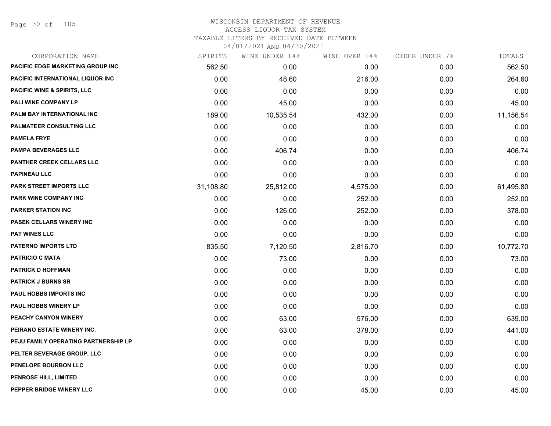Page 30 of 105

| CORPORATION NAME                       | SPIRITS   | WINE UNDER 14% | WINE OVER 14% | CIDER UNDER 7% | TOTALS    |
|----------------------------------------|-----------|----------------|---------------|----------------|-----------|
| PACIFIC EDGE MARKETING GROUP INC       | 562.50    | 0.00           | 0.00          | 0.00           | 562.50    |
| PACIFIC INTERNATIONAL LIQUOR INC       | 0.00      | 48.60          | 216.00        | 0.00           | 264.60    |
| <b>PACIFIC WINE &amp; SPIRITS, LLC</b> | 0.00      | 0.00           | 0.00          | 0.00           | 0.00      |
| PALI WINE COMPANY LP                   | 0.00      | 45.00          | 0.00          | 0.00           | 45.00     |
| <b>PALM BAY INTERNATIONAL INC</b>      | 189.00    | 10,535.54      | 432.00        | 0.00           | 11,156.54 |
| PALMATEER CONSULTING LLC               | 0.00      | 0.00           | 0.00          | 0.00           | 0.00      |
| <b>PAMELA FRYE</b>                     | 0.00      | 0.00           | 0.00          | 0.00           | 0.00      |
| <b>PAMPA BEVERAGES LLC</b>             | 0.00      | 406.74         | 0.00          | 0.00           | 406.74    |
| PANTHER CREEK CELLARS LLC              | 0.00      | 0.00           | 0.00          | 0.00           | 0.00      |
| <b>PAPINEAU LLC</b>                    | 0.00      | 0.00           | 0.00          | 0.00           | 0.00      |
| <b>PARK STREET IMPORTS LLC</b>         | 31,108.80 | 25,812.00      | 4,575.00      | 0.00           | 61,495.80 |
| PARK WINE COMPANY INC                  | 0.00      | 0.00           | 252.00        | 0.00           | 252.00    |
| <b>PARKER STATION INC</b>              | 0.00      | 126.00         | 252.00        | 0.00           | 378.00    |
| <b>PASEK CELLARS WINERY INC</b>        | 0.00      | 0.00           | 0.00          | 0.00           | 0.00      |
| <b>PAT WINES LLC</b>                   | 0.00      | 0.00           | 0.00          | 0.00           | 0.00      |
| <b>PATERNO IMPORTS LTD</b>             | 835.50    | 7,120.50       | 2,816.70      | 0.00           | 10,772.70 |
| <b>PATRICIO C MATA</b>                 | 0.00      | 73.00          | 0.00          | 0.00           | 73.00     |
| <b>PATRICK D HOFFMAN</b>               | 0.00      | 0.00           | 0.00          | 0.00           | 0.00      |
| <b>PATRICK J BURNS SR</b>              | 0.00      | 0.00           | 0.00          | 0.00           | 0.00      |
| PAUL HOBBS IMPORTS INC                 | 0.00      | 0.00           | 0.00          | 0.00           | 0.00      |
| PAUL HOBBS WINERY LP                   | 0.00      | 0.00           | 0.00          | 0.00           | 0.00      |
| PEACHY CANYON WINERY                   | 0.00      | 63.00          | 576.00        | 0.00           | 639.00    |
| PEIRANO ESTATE WINERY INC.             | 0.00      | 63.00          | 378.00        | 0.00           | 441.00    |
| PEJU FAMILY OPERATING PARTNERSHIP LP   | 0.00      | 0.00           | 0.00          | 0.00           | 0.00      |
| PELTER BEVERAGE GROUP, LLC             | 0.00      | 0.00           | 0.00          | 0.00           | 0.00      |
| PENELOPE BOURBON LLC                   | 0.00      | 0.00           | 0.00          | 0.00           | 0.00      |
| <b>PENROSE HILL, LIMITED</b>           | 0.00      | 0.00           | 0.00          | 0.00           | 0.00      |
| PEPPER BRIDGE WINERY LLC               | 0.00      | 0.00           | 45.00         | 0.00           | 45.00     |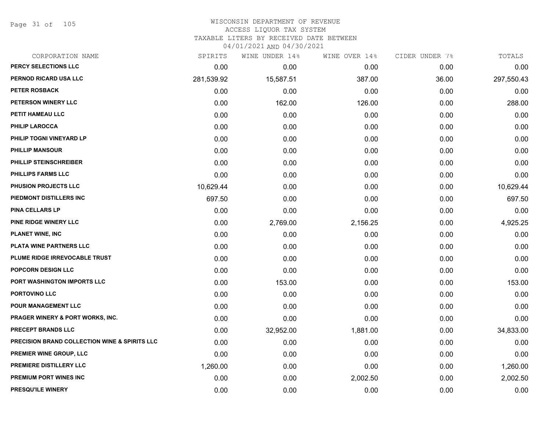Page 31 of 105

#### WISCONSIN DEPARTMENT OF REVENUE ACCESS LIQUOR TAX SYSTEM TAXABLE LITERS BY RECEIVED DATE BETWEEN

| CORPORATION NAME                              | SPIRITS    | WINE UNDER 14% | WINE OVER 14% | CIDER UNDER 7% | TOTALS     |
|-----------------------------------------------|------------|----------------|---------------|----------------|------------|
| PERCY SELECTIONS LLC                          | 0.00       | 0.00           | 0.00          | 0.00           | 0.00       |
| PERNOD RICARD USA LLC                         | 281,539.92 | 15,587.51      | 387.00        | 36.00          | 297,550.43 |
| <b>PETER ROSBACK</b>                          | 0.00       | 0.00           | 0.00          | 0.00           | 0.00       |
| PETERSON WINERY LLC                           | 0.00       | 162.00         | 126.00        | 0.00           | 288.00     |
| PETIT HAMEAU LLC                              | 0.00       | 0.00           | 0.00          | 0.00           | 0.00       |
| PHILIP LAROCCA                                | 0.00       | 0.00           | 0.00          | 0.00           | 0.00       |
| PHILIP TOGNI VINEYARD LP                      | 0.00       | 0.00           | 0.00          | 0.00           | 0.00       |
| <b>PHILLIP MANSOUR</b>                        | 0.00       | 0.00           | 0.00          | 0.00           | 0.00       |
| PHILLIP STEINSCHREIBER                        | 0.00       | 0.00           | 0.00          | 0.00           | 0.00       |
| PHILLIPS FARMS LLC                            | 0.00       | 0.00           | 0.00          | 0.00           | 0.00       |
| PHUSION PROJECTS LLC                          | 10,629.44  | 0.00           | 0.00          | 0.00           | 10,629.44  |
| PIEDMONT DISTILLERS INC                       | 697.50     | 0.00           | 0.00          | 0.00           | 697.50     |
| PINA CELLARS LP                               | 0.00       | 0.00           | 0.00          | 0.00           | 0.00       |
| PINE RIDGE WINERY LLC                         | 0.00       | 2,769.00       | 2,156.25      | 0.00           | 4,925.25   |
| <b>PLANET WINE, INC</b>                       | 0.00       | 0.00           | 0.00          | 0.00           | 0.00       |
| PLATA WINE PARTNERS LLC                       | 0.00       | 0.00           | 0.00          | 0.00           | 0.00       |
| PLUME RIDGE IRREVOCABLE TRUST                 | 0.00       | 0.00           | 0.00          | 0.00           | 0.00       |
| <b>POPCORN DESIGN LLC</b>                     | 0.00       | 0.00           | 0.00          | 0.00           | 0.00       |
| PORT WASHINGTON IMPORTS LLC                   | 0.00       | 153.00         | 0.00          | 0.00           | 153.00     |
| PORTOVINO LLC                                 | 0.00       | 0.00           | 0.00          | 0.00           | 0.00       |
| <b>POUR MANAGEMENT LLC</b>                    | 0.00       | 0.00           | 0.00          | 0.00           | 0.00       |
| <b>PRAGER WINERY &amp; PORT WORKS, INC.</b>   | 0.00       | 0.00           | 0.00          | 0.00           | 0.00       |
| PRECEPT BRANDS LLC                            | 0.00       | 32,952.00      | 1,881.00      | 0.00           | 34,833.00  |
| PRECISION BRAND COLLECTION WINE & SPIRITS LLC | 0.00       | 0.00           | 0.00          | 0.00           | 0.00       |
| PREMIER WINE GROUP, LLC                       | 0.00       | 0.00           | 0.00          | 0.00           | 0.00       |
| PREMIERE DISTILLERY LLC                       | 1,260.00   | 0.00           | 0.00          | 0.00           | 1,260.00   |
| PREMIUM PORT WINES INC                        | 0.00       | 0.00           | 2,002.50      | 0.00           | 2,002.50   |
| PRESQU'ILE WINERY                             | 0.00       | 0.00           | 0.00          | 0.00           | 0.00       |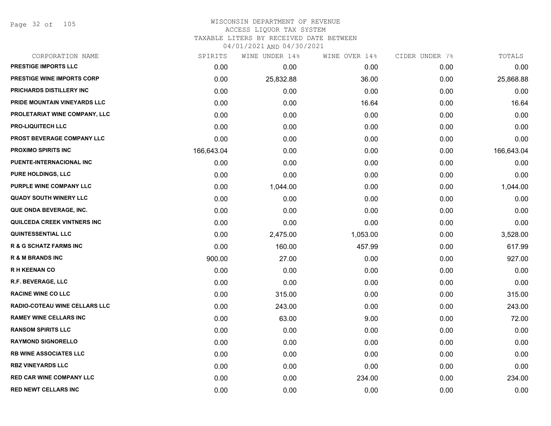Page 32 of 105

| CORPORATION NAME                  | SPIRITS    | WINE UNDER 14% | WINE OVER 14% | CIDER UNDER 7% | TOTALS     |
|-----------------------------------|------------|----------------|---------------|----------------|------------|
| <b>PRESTIGE IMPORTS LLC</b>       | 0.00       | 0.00           | 0.00          | 0.00           | 0.00       |
| PRESTIGE WINE IMPORTS CORP        | 0.00       | 25,832.88      | 36.00         | 0.00           | 25,868.88  |
| PRICHARDS DISTILLERY INC          | 0.00       | 0.00           | 0.00          | 0.00           | 0.00       |
| PRIDE MOUNTAIN VINEYARDS LLC      | 0.00       | 0.00           | 16.64         | 0.00           | 16.64      |
| PROLETARIAT WINE COMPANY, LLC     | 0.00       | 0.00           | 0.00          | 0.00           | 0.00       |
| <b>PRO-LIQUITECH LLC</b>          | 0.00       | 0.00           | 0.00          | 0.00           | 0.00       |
| PROST BEVERAGE COMPANY LLC        | 0.00       | 0.00           | 0.00          | 0.00           | 0.00       |
| <b>PROXIMO SPIRITS INC</b>        | 166,643.04 | 0.00           | 0.00          | 0.00           | 166,643.04 |
| PUENTE-INTERNACIONAL INC          | 0.00       | 0.00           | 0.00          | 0.00           | 0.00       |
| <b>PURE HOLDINGS, LLC</b>         | 0.00       | 0.00           | 0.00          | 0.00           | 0.00       |
| PURPLE WINE COMPANY LLC           | 0.00       | 1,044.00       | 0.00          | 0.00           | 1,044.00   |
| <b>QUADY SOUTH WINERY LLC</b>     | 0.00       | 0.00           | 0.00          | 0.00           | 0.00       |
| QUE ONDA BEVERAGE, INC.           | 0.00       | 0.00           | 0.00          | 0.00           | 0.00       |
| QUILCEDA CREEK VINTNERS INC       | 0.00       | 0.00           | 0.00          | 0.00           | 0.00       |
| <b>QUINTESSENTIAL LLC</b>         | 0.00       | 2,475.00       | 1,053.00      | 0.00           | 3,528.00   |
| <b>R &amp; G SCHATZ FARMS INC</b> | 0.00       | 160.00         | 457.99        | 0.00           | 617.99     |
| <b>R &amp; M BRANDS INC</b>       | 900.00     | 27.00          | 0.00          | 0.00           | 927.00     |
| <b>RH KEENAN CO</b>               | 0.00       | 0.00           | 0.00          | 0.00           | 0.00       |
| R.F. BEVERAGE, LLC                | 0.00       | 0.00           | 0.00          | 0.00           | 0.00       |
| <b>RACINE WINE CO LLC</b>         | 0.00       | 315.00         | 0.00          | 0.00           | 315.00     |
| RADIO-COTEAU WINE CELLARS LLC     | 0.00       | 243.00         | 0.00          | 0.00           | 243.00     |
| <b>RAMEY WINE CELLARS INC</b>     | 0.00       | 63.00          | 9.00          | 0.00           | 72.00      |
| <b>RANSOM SPIRITS LLC</b>         | 0.00       | 0.00           | 0.00          | 0.00           | 0.00       |
| <b>RAYMOND SIGNORELLO</b>         | 0.00       | 0.00           | 0.00          | 0.00           | 0.00       |
| <b>RB WINE ASSOCIATES LLC</b>     | 0.00       | 0.00           | 0.00          | 0.00           | 0.00       |
| <b>RBZ VINEYARDS LLC</b>          | 0.00       | 0.00           | 0.00          | 0.00           | 0.00       |
| <b>RED CAR WINE COMPANY LLC</b>   | 0.00       | 0.00           | 234.00        | 0.00           | 234.00     |
| <b>RED NEWT CELLARS INC</b>       | 0.00       | 0.00           | 0.00          | 0.00           | 0.00       |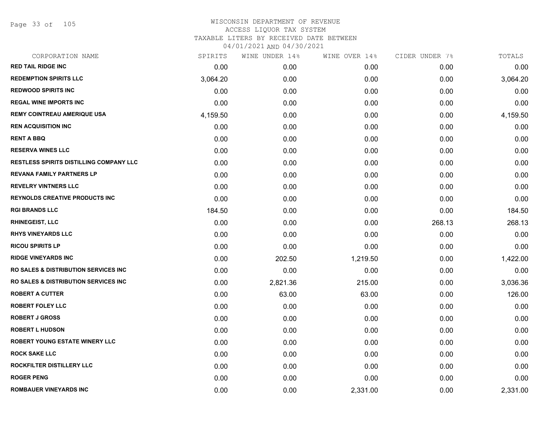Page 33 of 105

| CORPORATION NAME                                 | SPIRITS  | WINE UNDER 14% | WINE OVER 14% | CIDER UNDER 7% | TOTALS   |
|--------------------------------------------------|----------|----------------|---------------|----------------|----------|
| <b>RED TAIL RIDGE INC</b>                        | 0.00     | 0.00           | 0.00          | 0.00           | 0.00     |
| <b>REDEMPTION SPIRITS LLC</b>                    | 3,064.20 | 0.00           | 0.00          | 0.00           | 3,064.20 |
| <b>REDWOOD SPIRITS INC</b>                       | 0.00     | 0.00           | 0.00          | 0.00           | 0.00     |
| <b>REGAL WINE IMPORTS INC</b>                    | 0.00     | 0.00           | 0.00          | 0.00           | 0.00     |
| <b>REMY COINTREAU AMERIQUE USA</b>               | 4,159.50 | 0.00           | 0.00          | 0.00           | 4,159.50 |
| <b>REN ACQUISITION INC</b>                       | 0.00     | 0.00           | 0.00          | 0.00           | 0.00     |
| <b>RENT A BBQ</b>                                | 0.00     | 0.00           | 0.00          | 0.00           | 0.00     |
| <b>RESERVA WINES LLC</b>                         | 0.00     | 0.00           | 0.00          | 0.00           | 0.00     |
| RESTLESS SPIRITS DISTILLING COMPANY LLC          | 0.00     | 0.00           | 0.00          | 0.00           | 0.00     |
| <b>REVANA FAMILY PARTNERS LP</b>                 | 0.00     | 0.00           | 0.00          | 0.00           | 0.00     |
| <b>REVELRY VINTNERS LLC</b>                      | 0.00     | 0.00           | 0.00          | 0.00           | 0.00     |
| <b>REYNOLDS CREATIVE PRODUCTS INC</b>            | 0.00     | 0.00           | 0.00          | 0.00           | 0.00     |
| <b>RGI BRANDS LLC</b>                            | 184.50   | 0.00           | 0.00          | 0.00           | 184.50   |
| <b>RHINEGEIST, LLC</b>                           | 0.00     | 0.00           | 0.00          | 268.13         | 268.13   |
| <b>RHYS VINEYARDS LLC</b>                        | 0.00     | 0.00           | 0.00          | 0.00           | 0.00     |
| <b>RICOU SPIRITS LP</b>                          | 0.00     | 0.00           | 0.00          | 0.00           | 0.00     |
| <b>RIDGE VINEYARDS INC</b>                       | 0.00     | 202.50         | 1,219.50      | 0.00           | 1,422.00 |
| <b>RO SALES &amp; DISTRIBUTION SERVICES INC.</b> | 0.00     | 0.00           | 0.00          | 0.00           | 0.00     |
| <b>RO SALES &amp; DISTRIBUTION SERVICES INC</b>  | 0.00     | 2,821.36       | 215.00        | 0.00           | 3,036.36 |
| <b>ROBERT A CUTTER</b>                           | 0.00     | 63.00          | 63.00         | 0.00           | 126.00   |
| <b>ROBERT FOLEY LLC</b>                          | 0.00     | 0.00           | 0.00          | 0.00           | 0.00     |
| <b>ROBERT J GROSS</b>                            | 0.00     | 0.00           | 0.00          | 0.00           | 0.00     |
| <b>ROBERT L HUDSON</b>                           | 0.00     | 0.00           | 0.00          | 0.00           | 0.00     |
| ROBERT YOUNG ESTATE WINERY LLC                   | 0.00     | 0.00           | 0.00          | 0.00           | 0.00     |
| <b>ROCK SAKE LLC</b>                             | 0.00     | 0.00           | 0.00          | 0.00           | 0.00     |
| ROCKFILTER DISTILLERY LLC                        | 0.00     | 0.00           | 0.00          | 0.00           | 0.00     |
| <b>ROGER PENG</b>                                | 0.00     | 0.00           | 0.00          | 0.00           | 0.00     |
| <b>ROMBAUER VINEYARDS INC</b>                    | 0.00     | 0.00           | 2,331.00      | 0.00           | 2,331.00 |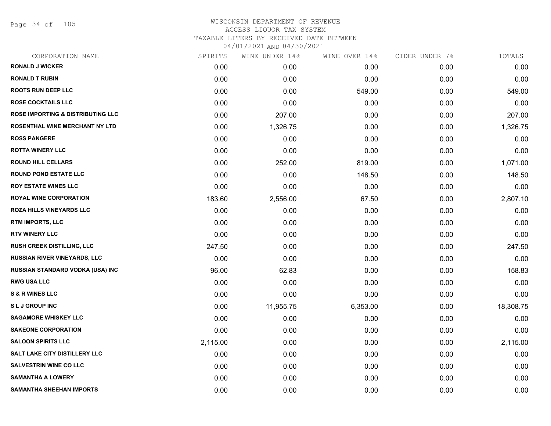Page 34 of 105

| CORPORATION NAME                             | SPIRITS  | WINE UNDER 14% | WINE OVER 14% | CIDER UNDER 7% | TOTALS    |
|----------------------------------------------|----------|----------------|---------------|----------------|-----------|
| <b>RONALD J WICKER</b>                       | 0.00     | 0.00           | 0.00          | 0.00           | 0.00      |
| <b>RONALD T RUBIN</b>                        | 0.00     | 0.00           | 0.00          | 0.00           | 0.00      |
| <b>ROOTS RUN DEEP LLC</b>                    | 0.00     | 0.00           | 549.00        | 0.00           | 549.00    |
| <b>ROSE COCKTAILS LLC</b>                    | 0.00     | 0.00           | 0.00          | 0.00           | 0.00      |
| <b>ROSE IMPORTING &amp; DISTRIBUTING LLC</b> | 0.00     | 207.00         | 0.00          | 0.00           | 207.00    |
| ROSENTHAL WINE MERCHANT NY LTD               | 0.00     | 1,326.75       | 0.00          | 0.00           | 1,326.75  |
| <b>ROSS PANGERE</b>                          | 0.00     | 0.00           | 0.00          | 0.00           | 0.00      |
| <b>ROTTA WINERY LLC</b>                      | 0.00     | 0.00           | 0.00          | 0.00           | 0.00      |
| <b>ROUND HILL CELLARS</b>                    | 0.00     | 252.00         | 819.00        | 0.00           | 1,071.00  |
| <b>ROUND POND ESTATE LLC</b>                 | 0.00     | 0.00           | 148.50        | 0.00           | 148.50    |
| <b>ROY ESTATE WINES LLC</b>                  | 0.00     | 0.00           | 0.00          | 0.00           | 0.00      |
| <b>ROYAL WINE CORPORATION</b>                | 183.60   | 2,556.00       | 67.50         | 0.00           | 2,807.10  |
| <b>ROZA HILLS VINEYARDS LLC</b>              | 0.00     | 0.00           | 0.00          | 0.00           | 0.00      |
| RTM IMPORTS, LLC                             | 0.00     | 0.00           | 0.00          | 0.00           | 0.00      |
| <b>RTV WINERY LLC</b>                        | 0.00     | 0.00           | 0.00          | 0.00           | 0.00      |
| RUSH CREEK DISTILLING, LLC                   | 247.50   | 0.00           | 0.00          | 0.00           | 247.50    |
| <b>RUSSIAN RIVER VINEYARDS, LLC</b>          | 0.00     | 0.00           | 0.00          | 0.00           | 0.00      |
| RUSSIAN STANDARD VODKA (USA) INC             | 96.00    | 62.83          | 0.00          | 0.00           | 158.83    |
| <b>RWG USA LLC</b>                           | 0.00     | 0.00           | 0.00          | 0.00           | 0.00      |
| <b>S &amp; R WINES LLC</b>                   | 0.00     | 0.00           | 0.00          | 0.00           | 0.00      |
| <b>SLJGROUPINC</b>                           | 0.00     | 11,955.75      | 6,353.00      | 0.00           | 18,308.75 |
| <b>SAGAMORE WHISKEY LLC</b>                  | 0.00     | 0.00           | 0.00          | 0.00           | 0.00      |
| <b>SAKEONE CORPORATION</b>                   | 0.00     | 0.00           | 0.00          | 0.00           | 0.00      |
| <b>SALOON SPIRITS LLC</b>                    | 2,115.00 | 0.00           | 0.00          | 0.00           | 2,115.00  |
| <b>SALT LAKE CITY DISTILLERY LLC</b>         | 0.00     | 0.00           | 0.00          | 0.00           | 0.00      |
| <b>SALVESTRIN WINE CO LLC</b>                | 0.00     | 0.00           | 0.00          | 0.00           | 0.00      |
| <b>SAMANTHA A LOWERY</b>                     | 0.00     | 0.00           | 0.00          | 0.00           | 0.00      |
| <b>SAMANTHA SHEEHAN IMPORTS</b>              | 0.00     | 0.00           | 0.00          | 0.00           | 0.00      |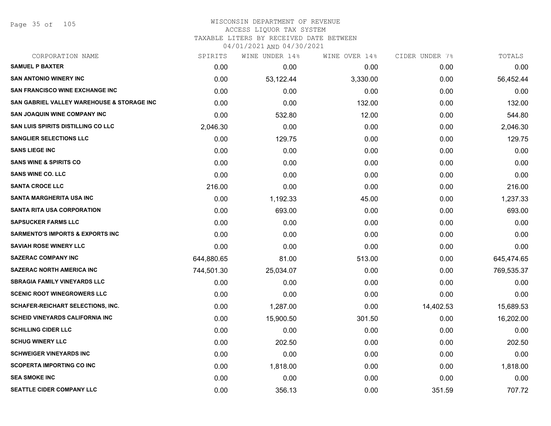## WISCONSIN DEPARTMENT OF REVENUE ACCESS LIQUOR TAX SYSTEM TAXABLE LITERS BY RECEIVED DATE BETWEEN

| CORPORATION NAME                            | SPIRITS    | WINE UNDER 14% | WINE OVER 14% | CIDER UNDER 7% | TOTALS     |
|---------------------------------------------|------------|----------------|---------------|----------------|------------|
| <b>SAMUEL P BAXTER</b>                      | 0.00       | 0.00           | 0.00          | 0.00           | 0.00       |
| <b>SAN ANTONIO WINERY INC</b>               | 0.00       | 53,122.44      | 3,330.00      | 0.00           | 56,452.44  |
| <b>SAN FRANCISCO WINE EXCHANGE INC</b>      | 0.00       | 0.00           | 0.00          | 0.00           | 0.00       |
| SAN GABRIEL VALLEY WAREHOUSE & STORAGE INC  | 0.00       | 0.00           | 132.00        | 0.00           | 132.00     |
| <b>SAN JOAQUIN WINE COMPANY INC</b>         | 0.00       | 532.80         | 12.00         | 0.00           | 544.80     |
| <b>SAN LUIS SPIRITS DISTILLING CO LLC</b>   | 2,046.30   | 0.00           | 0.00          | 0.00           | 2,046.30   |
| <b>SANGLIER SELECTIONS LLC</b>              | 0.00       | 129.75         | 0.00          | 0.00           | 129.75     |
| <b>SANS LIEGE INC</b>                       | 0.00       | 0.00           | 0.00          | 0.00           | 0.00       |
| <b>SANS WINE &amp; SPIRITS CO</b>           | 0.00       | 0.00           | 0.00          | 0.00           | 0.00       |
| <b>SANS WINE CO. LLC</b>                    | 0.00       | 0.00           | 0.00          | 0.00           | 0.00       |
| <b>SANTA CROCE LLC</b>                      | 216.00     | 0.00           | 0.00          | 0.00           | 216.00     |
| <b>SANTA MARGHERITA USA INC</b>             | 0.00       | 1,192.33       | 45.00         | 0.00           | 1,237.33   |
| SANTA RITA USA CORPORATION                  | 0.00       | 693.00         | 0.00          | 0.00           | 693.00     |
| <b>SAPSUCKER FARMS LLC</b>                  | 0.00       | 0.00           | 0.00          | 0.00           | 0.00       |
| <b>SARMENTO'S IMPORTS &amp; EXPORTS INC</b> | 0.00       | 0.00           | 0.00          | 0.00           | 0.00       |
| <b>SAVIAH ROSE WINERY LLC</b>               | 0.00       | 0.00           | 0.00          | 0.00           | 0.00       |
| <b>SAZERAC COMPANY INC</b>                  | 644,880.65 | 81.00          | 513.00        | 0.00           | 645,474.65 |
| <b>SAZERAC NORTH AMERICA INC</b>            | 744,501.30 | 25,034.07      | 0.00          | 0.00           | 769,535.37 |
| <b>SBRAGIA FAMILY VINEYARDS LLC</b>         | 0.00       | 0.00           | 0.00          | 0.00           | 0.00       |
| <b>SCENIC ROOT WINEGROWERS LLC</b>          | 0.00       | 0.00           | 0.00          | 0.00           | 0.00       |
| <b>SCHAFER-REICHART SELECTIONS, INC.</b>    | 0.00       | 1,287.00       | 0.00          | 14,402.53      | 15,689.53  |
| <b>SCHEID VINEYARDS CALIFORNIA INC</b>      | 0.00       | 15,900.50      | 301.50        | 0.00           | 16,202.00  |
| <b>SCHILLING CIDER LLC</b>                  | 0.00       | 0.00           | 0.00          | 0.00           | 0.00       |
| <b>SCHUG WINERY LLC</b>                     | 0.00       | 202.50         | 0.00          | 0.00           | 202.50     |
| <b>SCHWEIGER VINEYARDS INC</b>              | 0.00       | 0.00           | 0.00          | 0.00           | 0.00       |
| <b>SCOPERTA IMPORTING CO INC</b>            | 0.00       | 1,818.00       | 0.00          | 0.00           | 1,818.00   |
| <b>SEA SMOKE INC</b>                        | 0.00       | 0.00           | 0.00          | 0.00           | 0.00       |
| SEATTLE CIDER COMPANY LLC                   | 0.00       | 356.13         | 0.00          | 351.59         | 707.72     |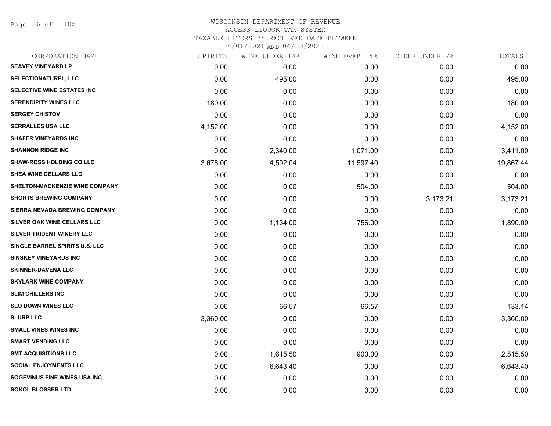Page 36 of 105

| CORPORATION NAME                      | SPIRITS  | WINE UNDER 14% | WINE OVER 14% | CIDER UNDER 7% | TOTALS    |
|---------------------------------------|----------|----------------|---------------|----------------|-----------|
| <b>SEAVEY VINEYARD LP</b>             | 0.00     | 0.00           | 0.00          | 0.00           | 0.00      |
| <b>SELECTIONATUREL, LLC</b>           | 0.00     | 495.00         | 0.00          | 0.00           | 495.00    |
| SELECTIVE WINE ESTATES INC            | 0.00     | 0.00           | 0.00          | 0.00           | 0.00      |
| <b>SERENDIPITY WINES LLC</b>          | 180.00   | 0.00           | 0.00          | 0.00           | 180.00    |
| <b>SERGEY CHISTOV</b>                 | 0.00     | 0.00           | 0.00          | 0.00           | 0.00      |
| <b>SERRALLES USA LLC</b>              | 4,152.00 | 0.00           | 0.00          | 0.00           | 4,152.00  |
| <b>SHAFER VINEYARDS INC</b>           | 0.00     | 0.00           | 0.00          | 0.00           | 0.00      |
| <b>SHANNON RIDGE INC</b>              | 0.00     | 2,340.00       | 1,071.00      | 0.00           | 3,411.00  |
| <b>SHAW-ROSS HOLDING CO LLC</b>       | 3,678.00 | 4,592.04       | 11,597.40     | 0.00           | 19,867.44 |
| SHEA WINE CELLARS LLC                 | 0.00     | 0.00           | 0.00          | 0.00           | 0.00      |
| <b>SHELTON-MACKENZIE WINE COMPANY</b> | 0.00     | 0.00           | 504.00        | 0.00           | 504.00    |
| <b>SHORTS BREWING COMPANY</b>         | 0.00     | 0.00           | 0.00          | 3,173.21       | 3,173.21  |
| SIERRA NEVADA BREWING COMPANY         | 0.00     | 0.00           | 0.00          | 0.00           | 0.00      |
| SILVER OAK WINE CELLARS LLC           | 0.00     | 1,134.00       | 756.00        | 0.00           | 1,890.00  |
| SILVER TRIDENT WINERY LLC             | 0.00     | 0.00           | 0.00          | 0.00           | 0.00      |
| SINGLE BARREL SPIRITS U.S. LLC        | 0.00     | 0.00           | 0.00          | 0.00           | 0.00      |
| <b>SINSKEY VINEYARDS INC</b>          | 0.00     | 0.00           | 0.00          | 0.00           | 0.00      |
| <b>SKINNER-DAVENA LLC</b>             | 0.00     | 0.00           | 0.00          | 0.00           | 0.00      |
| <b>SKYLARK WINE COMPANY</b>           | 0.00     | 0.00           | 0.00          | 0.00           | 0.00      |
| <b>SLIM CHILLERS INC</b>              | 0.00     | 0.00           | 0.00          | 0.00           | 0.00      |
| <b>SLO DOWN WINES LLC</b>             | 0.00     | 66.57          | 66.57         | 0.00           | 133.14    |
| <b>SLURP LLC</b>                      | 3,360.00 | 0.00           | 0.00          | 0.00           | 3,360.00  |
| <b>SMALL VINES WINES INC</b>          | 0.00     | 0.00           | 0.00          | 0.00           | 0.00      |
| <b>SMART VENDING LLC</b>              | 0.00     | 0.00           | 0.00          | 0.00           | 0.00      |
| <b>SMT ACQUISITIONS LLC</b>           | 0.00     | 1,615.50       | 900.00        | 0.00           | 2,515.50  |
| <b>SOCIAL ENJOYMENTS LLC</b>          | 0.00     | 6,643.40       | 0.00          | 0.00           | 6,643.40  |
| SOGEVINUS FINE WINES USA INC          | 0.00     | 0.00           | 0.00          | 0.00           | 0.00      |
| <b>SOKOL BLOSSER LTD</b>              | 0.00     | 0.00           | 0.00          | 0.00           | 0.00      |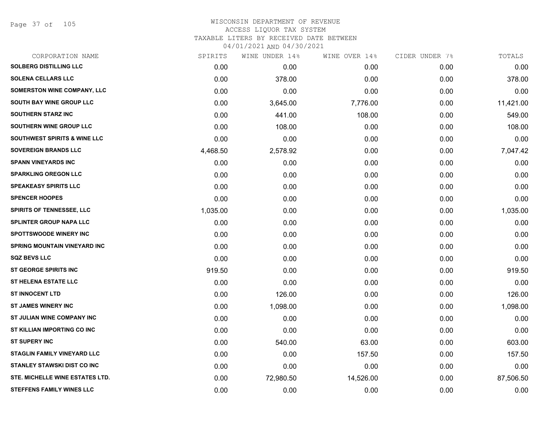Page 37 of 105

| SPIRITS  | WINE UNDER 14% | WINE OVER 14% | CIDER UNDER 7% | TOTALS    |
|----------|----------------|---------------|----------------|-----------|
| 0.00     | 0.00           | 0.00          | 0.00           | 0.00      |
| 0.00     | 378.00         | 0.00          | 0.00           | 378.00    |
| 0.00     | 0.00           | 0.00          | 0.00           | 0.00      |
| 0.00     | 3,645.00       | 7,776.00      | 0.00           | 11,421.00 |
| 0.00     | 441.00         | 108.00        | 0.00           | 549.00    |
| 0.00     | 108.00         | 0.00          | 0.00           | 108.00    |
| 0.00     | 0.00           | 0.00          | 0.00           | 0.00      |
| 4,468.50 | 2,578.92       | 0.00          | 0.00           | 7,047.42  |
| 0.00     | 0.00           | 0.00          | 0.00           | 0.00      |
| 0.00     | 0.00           | 0.00          | 0.00           | 0.00      |
| 0.00     | 0.00           | 0.00          | 0.00           | 0.00      |
| 0.00     | 0.00           | 0.00          | 0.00           | 0.00      |
| 1,035.00 | 0.00           | 0.00          | 0.00           | 1,035.00  |
| 0.00     | 0.00           | 0.00          | 0.00           | 0.00      |
| 0.00     | 0.00           | 0.00          | 0.00           | 0.00      |
| 0.00     | 0.00           | 0.00          | 0.00           | 0.00      |
| 0.00     | 0.00           | 0.00          | 0.00           | 0.00      |
| 919.50   | 0.00           | 0.00          | 0.00           | 919.50    |
| 0.00     | 0.00           | 0.00          | 0.00           | 0.00      |
| 0.00     | 126.00         | 0.00          | 0.00           | 126.00    |
| 0.00     | 1,098.00       | 0.00          | 0.00           | 1,098.00  |
| 0.00     | 0.00           | 0.00          | 0.00           | 0.00      |
| 0.00     | 0.00           | 0.00          | 0.00           | 0.00      |
| 0.00     | 540.00         | 63.00         | 0.00           | 603.00    |
| 0.00     | 0.00           | 157.50        | 0.00           | 157.50    |
| 0.00     | 0.00           | 0.00          | 0.00           | 0.00      |
| 0.00     | 72,980.50      | 14,526.00     | 0.00           | 87,506.50 |
| 0.00     | 0.00           | 0.00          | 0.00           | 0.00      |
|          |                |               |                |           |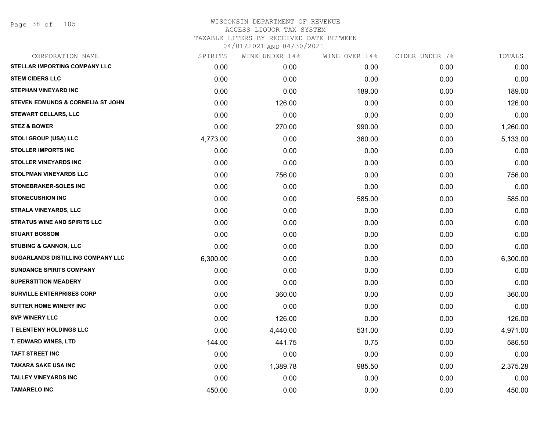| CORPORATION NAME                             | SPIRITS  | WINE UNDER 14% | WINE OVER 14% | CIDER UNDER 7% | TOTALS   |
|----------------------------------------------|----------|----------------|---------------|----------------|----------|
| STELLAR IMPORTING COMPANY LLC                | 0.00     | 0.00           | 0.00          | 0.00           | 0.00     |
| <b>STEM CIDERS LLC</b>                       | 0.00     | 0.00           | 0.00          | 0.00           | 0.00     |
| <b>STEPHAN VINEYARD INC</b>                  | 0.00     | 0.00           | 189.00        | 0.00           | 189.00   |
| <b>STEVEN EDMUNDS &amp; CORNELIA ST JOHN</b> | 0.00     | 126.00         | 0.00          | 0.00           | 126.00   |
| <b>STEWART CELLARS, LLC</b>                  | 0.00     | 0.00           | 0.00          | 0.00           | 0.00     |
| <b>STEZ &amp; BOWER</b>                      | 0.00     | 270.00         | 990.00        | 0.00           | 1,260.00 |
| <b>STOLI GROUP (USA) LLC</b>                 | 4,773.00 | 0.00           | 360.00        | 0.00           | 5,133.00 |
| <b>STOLLER IMPORTS INC</b>                   | 0.00     | 0.00           | 0.00          | 0.00           | 0.00     |
| <b>STOLLER VINEYARDS INC</b>                 | 0.00     | 0.00           | 0.00          | 0.00           | 0.00     |
| <b>STOLPMAN VINEYARDS LLC</b>                | 0.00     | 756.00         | 0.00          | 0.00           | 756.00   |
| <b>STONEBRAKER-SOLES INC</b>                 | 0.00     | 0.00           | 0.00          | 0.00           | 0.00     |
| <b>STONECUSHION INC</b>                      | 0.00     | 0.00           | 585.00        | 0.00           | 585.00   |
| <b>STRALA VINEYARDS, LLC</b>                 | 0.00     | 0.00           | 0.00          | 0.00           | 0.00     |
| <b>STRATUS WINE AND SPIRITS LLC</b>          | 0.00     | 0.00           | 0.00          | 0.00           | 0.00     |
| <b>STUART BOSSOM</b>                         | 0.00     | 0.00           | 0.00          | 0.00           | 0.00     |
| <b>STUBING &amp; GANNON, LLC</b>             | 0.00     | 0.00           | 0.00          | 0.00           | 0.00     |
| SUGARLANDS DISTILLING COMPANY LLC            | 6,300.00 | 0.00           | 0.00          | 0.00           | 6,300.00 |
| <b>SUNDANCE SPIRITS COMPANY</b>              | 0.00     | 0.00           | 0.00          | 0.00           | 0.00     |
| <b>SUPERSTITION MEADERY</b>                  | 0.00     | 0.00           | 0.00          | 0.00           | 0.00     |
| <b>SURVILLE ENTERPRISES CORP</b>             | 0.00     | 360.00         | 0.00          | 0.00           | 360.00   |
| <b>SUTTER HOME WINERY INC</b>                | 0.00     | 0.00           | 0.00          | 0.00           | 0.00     |
| <b>SVP WINERY LLC</b>                        | 0.00     | 126.00         | 0.00          | 0.00           | 126.00   |
| <b>T ELENTENY HOLDINGS LLC</b>               | 0.00     | 4,440.00       | 531.00        | 0.00           | 4,971.00 |
| T. EDWARD WINES, LTD                         | 144.00   | 441.75         | 0.75          | 0.00           | 586.50   |
| <b>TAFT STREET INC</b>                       | 0.00     | 0.00           | 0.00          | 0.00           | 0.00     |
| <b>TAKARA SAKE USA INC</b>                   | 0.00     | 1,389.78       | 985.50        | 0.00           | 2,375.28 |
| <b>TALLEY VINEYARDS INC</b>                  | 0.00     | 0.00           | 0.00          | 0.00           | 0.00     |
| <b>TAMARELO INC</b>                          | 450.00   | 0.00           | 0.00          | 0.00           | 450.00   |
|                                              |          |                |               |                |          |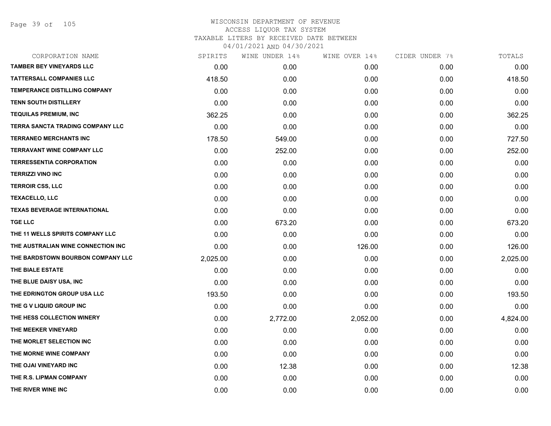Page 39 of 105

| CORPORATION NAME                    | SPIRITS  | WINE UNDER 14% | WINE OVER 14% | CIDER UNDER 7% | TOTALS   |
|-------------------------------------|----------|----------------|---------------|----------------|----------|
| <b>TAMBER BEY VINEYARDS LLC</b>     | 0.00     | 0.00           | 0.00          | 0.00           | 0.00     |
| <b>TATTERSALL COMPANIES LLC</b>     | 418.50   | 0.00           | 0.00          | 0.00           | 418.50   |
| TEMPERANCE DISTILLING COMPANY       | 0.00     | 0.00           | 0.00          | 0.00           | 0.00     |
| <b>TENN SOUTH DISTILLERY</b>        | 0.00     | 0.00           | 0.00          | 0.00           | 0.00     |
| <b>TEQUILAS PREMIUM, INC</b>        | 362.25   | 0.00           | 0.00          | 0.00           | 362.25   |
| TERRA SANCTA TRADING COMPANY LLC    | 0.00     | 0.00           | 0.00          | 0.00           | 0.00     |
| <b>TERRANEO MERCHANTS INC</b>       | 178.50   | 549.00         | 0.00          | 0.00           | 727.50   |
| <b>TERRAVANT WINE COMPANY LLC</b>   | 0.00     | 252.00         | 0.00          | 0.00           | 252.00   |
| <b>TERRESSENTIA CORPORATION</b>     | 0.00     | 0.00           | 0.00          | 0.00           | 0.00     |
| <b>TERRIZZI VINO INC</b>            | 0.00     | 0.00           | 0.00          | 0.00           | 0.00     |
| <b>TERROIR CSS, LLC</b>             | 0.00     | 0.00           | 0.00          | 0.00           | 0.00     |
| <b>TEXACELLO, LLC</b>               | 0.00     | 0.00           | 0.00          | 0.00           | 0.00     |
| <b>TEXAS BEVERAGE INTERNATIONAL</b> | 0.00     | 0.00           | 0.00          | 0.00           | 0.00     |
| <b>TGE LLC</b>                      | 0.00     | 673.20         | 0.00          | 0.00           | 673.20   |
| THE 11 WELLS SPIRITS COMPANY LLC    | 0.00     | 0.00           | 0.00          | 0.00           | 0.00     |
| THE AUSTRALIAN WINE CONNECTION INC  | 0.00     | 0.00           | 126.00        | 0.00           | 126.00   |
| THE BARDSTOWN BOURBON COMPANY LLC   | 2,025.00 | 0.00           | 0.00          | 0.00           | 2,025.00 |
| THE BIALE ESTATE                    | 0.00     | 0.00           | 0.00          | 0.00           | 0.00     |
| THE BLUE DAISY USA, INC             | 0.00     | 0.00           | 0.00          | 0.00           | 0.00     |
| THE EDRINGTON GROUP USA LLC         | 193.50   | 0.00           | 0.00          | 0.00           | 193.50   |
| THE G V LIQUID GROUP INC            | 0.00     | 0.00           | 0.00          | 0.00           | 0.00     |
| THE HESS COLLECTION WINERY          | 0.00     | 2,772.00       | 2,052.00      | 0.00           | 4,824.00 |
| THE MEEKER VINEYARD                 | 0.00     | 0.00           | 0.00          | 0.00           | 0.00     |
| THE MORLET SELECTION INC            | 0.00     | 0.00           | 0.00          | 0.00           | 0.00     |
| THE MORNE WINE COMPANY              | 0.00     | 0.00           | 0.00          | 0.00           | 0.00     |
| THE OJAI VINEYARD INC               | 0.00     | 12.38          | 0.00          | 0.00           | 12.38    |
| THE R.S. LIPMAN COMPANY             | 0.00     | 0.00           | 0.00          | 0.00           | 0.00     |
| THE RIVER WINE INC                  | 0.00     | 0.00           | 0.00          | 0.00           | 0.00     |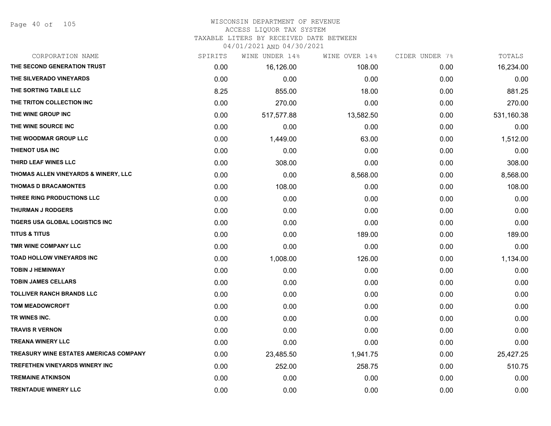# WISCONSIN DEPARTMENT OF REVENUE ACCESS LIQUOR TAX SYSTEM

TAXABLE LITERS BY RECEIVED DATE BETWEEN

| CORPORATION NAME                              | SPIRITS | WINE UNDER 14% | WINE OVER 14% | CIDER UNDER 7% | TOTALS     |
|-----------------------------------------------|---------|----------------|---------------|----------------|------------|
| THE SECOND GENERATION TRUST                   | 0.00    | 16,126.00      | 108.00        | 0.00           | 16,234.00  |
| THE SILVERADO VINEYARDS                       | 0.00    | 0.00           | 0.00          | 0.00           | 0.00       |
| THE SORTING TABLE LLC                         | 8.25    | 855.00         | 18.00         | 0.00           | 881.25     |
| THE TRITON COLLECTION INC                     | 0.00    | 270.00         | 0.00          | 0.00           | 270.00     |
| THE WINE GROUP INC                            | 0.00    | 517,577.88     | 13,582.50     | 0.00           | 531,160.38 |
| THE WINE SOURCE INC                           | 0.00    | 0.00           | 0.00          | 0.00           | 0.00       |
| THE WOODMAR GROUP LLC                         | 0.00    | 1,449.00       | 63.00         | 0.00           | 1,512.00   |
| THIENOT USA INC                               | 0.00    | 0.00           | 0.00          | 0.00           | 0.00       |
| THIRD LEAF WINES LLC                          | 0.00    | 308.00         | 0.00          | 0.00           | 308.00     |
| THOMAS ALLEN VINEYARDS & WINERY, LLC          | 0.00    | 0.00           | 8,568.00      | 0.00           | 8,568.00   |
| <b>THOMAS D BRACAMONTES</b>                   | 0.00    | 108.00         | 0.00          | 0.00           | 108.00     |
| THREE RING PRODUCTIONS LLC                    | 0.00    | 0.00           | 0.00          | 0.00           | 0.00       |
| <b>THURMAN J RODGERS</b>                      | 0.00    | 0.00           | 0.00          | 0.00           | 0.00       |
| TIGERS USA GLOBAL LOGISTICS INC               | 0.00    | 0.00           | 0.00          | 0.00           | 0.00       |
| <b>TITUS &amp; TITUS</b>                      | 0.00    | 0.00           | 189.00        | 0.00           | 189.00     |
| TMR WINE COMPANY LLC                          | 0.00    | 0.00           | 0.00          | 0.00           | 0.00       |
| TOAD HOLLOW VINEYARDS INC                     | 0.00    | 1,008.00       | 126.00        | 0.00           | 1,134.00   |
| <b>TOBIN J HEMINWAY</b>                       | 0.00    | 0.00           | 0.00          | 0.00           | 0.00       |
| <b>TOBIN JAMES CELLARS</b>                    | 0.00    | 0.00           | 0.00          | 0.00           | 0.00       |
| <b>TOLLIVER RANCH BRANDS LLC</b>              | 0.00    | 0.00           | 0.00          | 0.00           | 0.00       |
| <b>TOM MEADOWCROFT</b>                        | 0.00    | 0.00           | 0.00          | 0.00           | 0.00       |
| TR WINES INC.                                 | 0.00    | 0.00           | 0.00          | 0.00           | 0.00       |
| <b>TRAVIS R VERNON</b>                        | 0.00    | 0.00           | 0.00          | 0.00           | 0.00       |
| <b>TREANA WINERY LLC</b>                      | 0.00    | 0.00           | 0.00          | 0.00           | 0.00       |
| <b>TREASURY WINE ESTATES AMERICAS COMPANY</b> | 0.00    | 23,485.50      | 1,941.75      | 0.00           | 25,427.25  |
| TREFETHEN VINEYARDS WINERY INC                | 0.00    | 252.00         | 258.75        | 0.00           | 510.75     |
| <b>TREMAINE ATKINSON</b>                      | 0.00    | 0.00           | 0.00          | 0.00           | 0.00       |
| <b>TRENTADUE WINERY LLC</b>                   | 0.00    | 0.00           | 0.00          | 0.00           | 0.00       |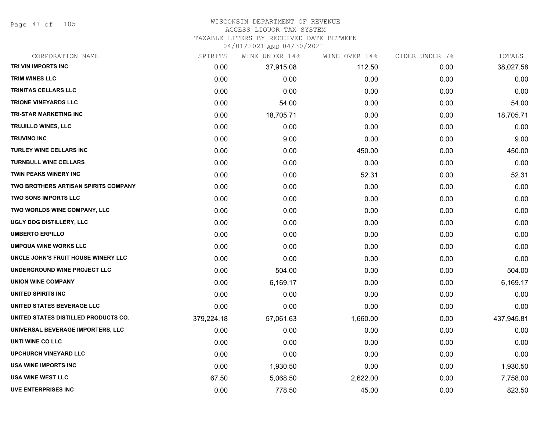Page 41 of 105

### WISCONSIN DEPARTMENT OF REVENUE ACCESS LIQUOR TAX SYSTEM

TAXABLE LITERS BY RECEIVED DATE BETWEEN

| CORPORATION NAME                            | SPIRITS    | WINE UNDER 14% | WINE OVER 14% | CIDER UNDER 7% | TOTALS     |
|---------------------------------------------|------------|----------------|---------------|----------------|------------|
| TRI VIN IMPORTS INC                         | 0.00       | 37,915.08      | 112.50        | 0.00           | 38,027.58  |
| <b>TRIM WINES LLC</b>                       | 0.00       | 0.00           | 0.00          | 0.00           | 0.00       |
| <b>TRINITAS CELLARS LLC</b>                 | 0.00       | 0.00           | 0.00          | 0.00           | 0.00       |
| <b>TRIONE VINEYARDS LLC</b>                 | 0.00       | 54.00          | 0.00          | 0.00           | 54.00      |
| TRI-STAR MARKETING INC                      | 0.00       | 18,705.71      | 0.00          | 0.00           | 18,705.71  |
| <b>TRUJILLO WINES, LLC</b>                  | 0.00       | 0.00           | 0.00          | 0.00           | 0.00       |
| <b>TRUVINO INC</b>                          | 0.00       | 9.00           | 0.00          | 0.00           | 9.00       |
| TURLEY WINE CELLARS INC                     | 0.00       | 0.00           | 450.00        | 0.00           | 450.00     |
| <b>TURNBULL WINE CELLARS</b>                | 0.00       | 0.00           | 0.00          | 0.00           | 0.00       |
| <b>TWIN PEAKS WINERY INC</b>                | 0.00       | 0.00           | 52.31         | 0.00           | 52.31      |
| <b>TWO BROTHERS ARTISAN SPIRITS COMPANY</b> | 0.00       | 0.00           | 0.00          | 0.00           | 0.00       |
| <b>TWO SONS IMPORTS LLC</b>                 | 0.00       | 0.00           | 0.00          | 0.00           | 0.00       |
| TWO WORLDS WINE COMPANY, LLC                | 0.00       | 0.00           | 0.00          | 0.00           | 0.00       |
| UGLY DOG DISTILLERY, LLC                    | 0.00       | 0.00           | 0.00          | 0.00           | 0.00       |
| <b>UMBERTO ERPILLO</b>                      | 0.00       | 0.00           | 0.00          | 0.00           | 0.00       |
| <b>UMPQUA WINE WORKS LLC</b>                | 0.00       | 0.00           | 0.00          | 0.00           | 0.00       |
| UNCLE JOHN'S FRUIT HOUSE WINERY LLC         | 0.00       | 0.00           | 0.00          | 0.00           | 0.00       |
| UNDERGROUND WINE PROJECT LLC                | 0.00       | 504.00         | 0.00          | 0.00           | 504.00     |
| <b>UNION WINE COMPANY</b>                   | 0.00       | 6,169.17       | 0.00          | 0.00           | 6,169.17   |
| UNITED SPIRITS INC                          | 0.00       | 0.00           | 0.00          | 0.00           | 0.00       |
| UNITED STATES BEVERAGE LLC                  | 0.00       | 0.00           | 0.00          | 0.00           | 0.00       |
| UNITED STATES DISTILLED PRODUCTS CO.        | 379,224.18 | 57,061.63      | 1,660.00      | 0.00           | 437,945.81 |
| UNIVERSAL BEVERAGE IMPORTERS, LLC           | 0.00       | 0.00           | 0.00          | 0.00           | 0.00       |
| UNTI WINE CO LLC                            | 0.00       | 0.00           | 0.00          | 0.00           | 0.00       |
| <b>UPCHURCH VINEYARD LLC</b>                | 0.00       | 0.00           | 0.00          | 0.00           | 0.00       |
| USA WINE IMPORTS INC                        | 0.00       | 1,930.50       | 0.00          | 0.00           | 1,930.50   |
| <b>USA WINE WEST LLC</b>                    | 67.50      | 5,068.50       | 2,622.00      | 0.00           | 7,758.00   |
| <b>UVE ENTERPRISES INC</b>                  | 0.00       | 778.50         | 45.00         | 0.00           | 823.50     |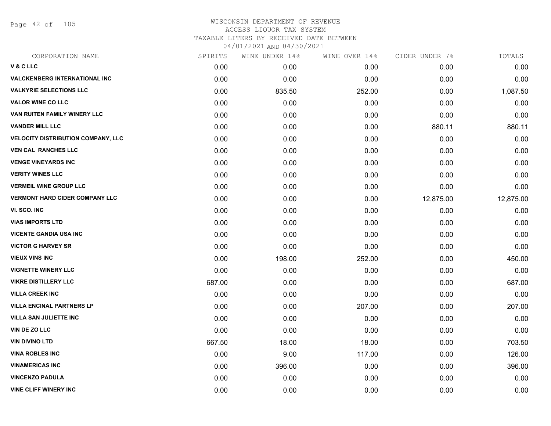Page 42 of 105

| SPIRITS | WINE UNDER 14% | WINE OVER 14% | CIDER UNDER 7% | TOTALS    |
|---------|----------------|---------------|----------------|-----------|
| 0.00    | 0.00           | 0.00          | 0.00           | 0.00      |
| 0.00    | 0.00           | 0.00          | 0.00           | 0.00      |
| 0.00    | 835.50         | 252.00        | 0.00           | 1,087.50  |
| 0.00    | 0.00           | 0.00          | 0.00           | 0.00      |
| 0.00    | 0.00           | 0.00          | 0.00           | 0.00      |
| 0.00    | 0.00           | 0.00          | 880.11         | 880.11    |
| 0.00    | 0.00           | 0.00          | 0.00           | 0.00      |
| 0.00    | 0.00           | 0.00          | 0.00           | 0.00      |
| 0.00    | 0.00           | 0.00          | 0.00           | 0.00      |
| 0.00    | 0.00           | 0.00          | 0.00           | 0.00      |
| 0.00    | 0.00           | 0.00          | 0.00           | 0.00      |
| 0.00    | 0.00           | 0.00          | 12,875.00      | 12,875.00 |
| 0.00    | 0.00           | 0.00          | 0.00           | 0.00      |
| 0.00    | 0.00           | 0.00          | 0.00           | 0.00      |
| 0.00    | 0.00           | 0.00          | 0.00           | 0.00      |
| 0.00    | 0.00           | 0.00          | 0.00           | 0.00      |
| 0.00    | 198.00         | 252.00        | 0.00           | 450.00    |
| 0.00    | 0.00           | 0.00          | 0.00           | 0.00      |
| 687.00  | 0.00           | 0.00          | 0.00           | 687.00    |
| 0.00    | 0.00           | 0.00          | 0.00           | 0.00      |
| 0.00    | 0.00           | 207.00        | 0.00           | 207.00    |
| 0.00    | 0.00           | 0.00          | 0.00           | 0.00      |
| 0.00    | 0.00           | 0.00          | 0.00           | 0.00      |
| 667.50  | 18.00          | 18.00         | 0.00           | 703.50    |
| 0.00    | 9.00           | 117.00        | 0.00           | 126.00    |
| 0.00    | 396.00         | 0.00          | 0.00           | 396.00    |
| 0.00    | 0.00           | 0.00          | 0.00           | 0.00      |
| 0.00    | 0.00           | 0.00          | 0.00           | 0.00      |
|         |                |               |                |           |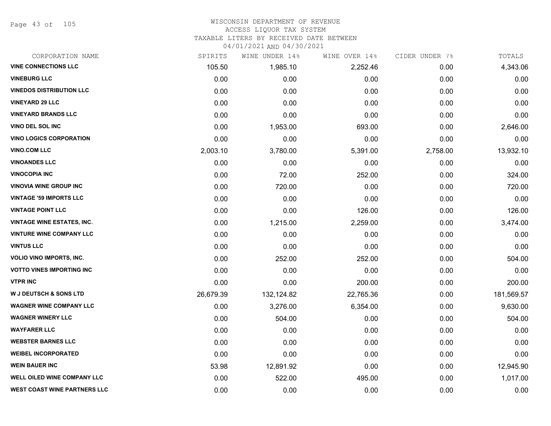Page 43 of 105

## WISCONSIN DEPARTMENT OF REVENUE ACCESS LIQUOR TAX SYSTEM

TAXABLE LITERS BY RECEIVED DATE BETWEEN

| CORPORATION NAME                    | SPIRITS   | WINE UNDER 14% | WINE OVER 14% | CIDER UNDER 7% | TOTALS     |
|-------------------------------------|-----------|----------------|---------------|----------------|------------|
| <b>VINE CONNECTIONS LLC</b>         | 105.50    | 1,985.10       | 2,252.46      | 0.00           | 4,343.06   |
| <b>VINEBURG LLC</b>                 | 0.00      | 0.00           | 0.00          | 0.00           | 0.00       |
| <b>VINEDOS DISTRIBUTION LLC</b>     | 0.00      | 0.00           | 0.00          | 0.00           | 0.00       |
| <b>VINEYARD 29 LLC</b>              | 0.00      | 0.00           | 0.00          | 0.00           | 0.00       |
| <b>VINEYARD BRANDS LLC</b>          | 0.00      | 0.00           | 0.00          | 0.00           | 0.00       |
| VINO DEL SOL INC                    | 0.00      | 1,953.00       | 693.00        | 0.00           | 2,646.00   |
| <b>VINO LOGICS CORPORATION</b>      | 0.00      | 0.00           | 0.00          | 0.00           | 0.00       |
| <b>VINO.COM LLC</b>                 | 2,003.10  | 3,780.00       | 5,391.00      | 2,758.00       | 13,932.10  |
| <b>VINOANDES LLC</b>                | 0.00      | 0.00           | 0.00          | 0.00           | 0.00       |
| <b>VINOCOPIA INC</b>                | 0.00      | 72.00          | 252.00        | 0.00           | 324.00     |
| <b>VINOVIA WINE GROUP INC</b>       | 0.00      | 720.00         | 0.00          | 0.00           | 720.00     |
| <b>VINTAGE '59 IMPORTS LLC</b>      | 0.00      | 0.00           | 0.00          | 0.00           | 0.00       |
| <b>VINTAGE POINT LLC</b>            | 0.00      | 0.00           | 126.00        | 0.00           | 126.00     |
| <b>VINTAGE WINE ESTATES, INC.</b>   | 0.00      | 1,215.00       | 2,259.00      | 0.00           | 3,474.00   |
| <b>VINTURE WINE COMPANY LLC</b>     | 0.00      | 0.00           | 0.00          | 0.00           | 0.00       |
| <b>VINTUS LLC</b>                   | 0.00      | 0.00           | 0.00          | 0.00           | 0.00       |
| <b>VOLIO VINO IMPORTS, INC.</b>     | 0.00      | 252.00         | 252.00        | 0.00           | 504.00     |
| <b>VOTTO VINES IMPORTING INC</b>    | 0.00      | 0.00           | 0.00          | 0.00           | 0.00       |
| <b>VTPR INC</b>                     | 0.00      | 0.00           | 200.00        | 0.00           | 200.00     |
| <b>W J DEUTSCH &amp; SONS LTD</b>   | 26,679.39 | 132,124.82     | 22,765.36     | 0.00           | 181,569.57 |
| <b>WAGNER WINE COMPANY LLC</b>      | 0.00      | 3,276.00       | 6,354.00      | 0.00           | 9,630.00   |
| <b>WAGNER WINERY LLC</b>            | 0.00      | 504.00         | 0.00          | 0.00           | 504.00     |
| <b>WAYFARER LLC</b>                 | 0.00      | 0.00           | 0.00          | 0.00           | 0.00       |
| <b>WEBSTER BARNES LLC</b>           | 0.00      | 0.00           | 0.00          | 0.00           | 0.00       |
| <b>WEIBEL INCORPORATED</b>          | 0.00      | 0.00           | 0.00          | 0.00           | 0.00       |
| <b>WEIN BAUER INC</b>               | 53.98     | 12,891.92      | 0.00          | 0.00           | 12,945.90  |
| WELL OILED WINE COMPANY LLC         | 0.00      | 522.00         | 495.00        | 0.00           | 1,017.00   |
| <b>WEST COAST WINE PARTNERS LLC</b> | 0.00      | 0.00           | 0.00          | 0.00           | 0.00       |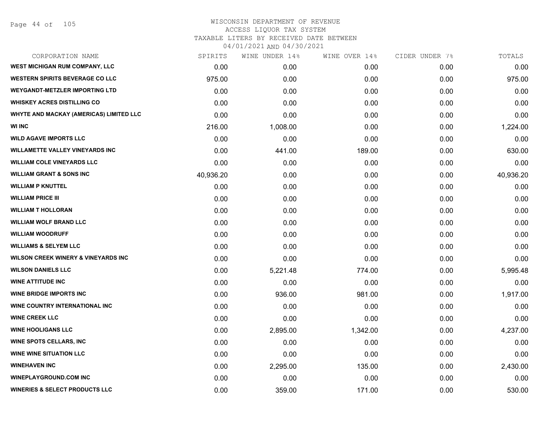Page 44 of 105

# WISCONSIN DEPARTMENT OF REVENUE ACCESS LIQUOR TAX SYSTEM TAXABLE LITERS BY RECEIVED DATE BETWEEN

| CORPORATION NAME                               | SPIRITS   | WINE UNDER 14% | WINE OVER 14% | CIDER UNDER 7% | TOTALS    |
|------------------------------------------------|-----------|----------------|---------------|----------------|-----------|
| <b>WEST MICHIGAN RUM COMPANY, LLC</b>          | 0.00      | 0.00           | 0.00          | 0.00           | 0.00      |
| <b>WESTERN SPIRITS BEVERAGE CO LLC</b>         | 975.00    | 0.00           | 0.00          | 0.00           | 975.00    |
| <b>WEYGANDT-METZLER IMPORTING LTD</b>          | 0.00      | 0.00           | 0.00          | 0.00           | 0.00      |
| <b>WHISKEY ACRES DISTILLING CO</b>             | 0.00      | 0.00           | 0.00          | 0.00           | 0.00      |
| <b>WHYTE AND MACKAY (AMERICAS) LIMITED LLC</b> | 0.00      | 0.00           | 0.00          | 0.00           | 0.00      |
| <b>WI INC</b>                                  | 216.00    | 1,008.00       | 0.00          | 0.00           | 1,224.00  |
| <b>WILD AGAVE IMPORTS LLC</b>                  | 0.00      | 0.00           | 0.00          | 0.00           | 0.00      |
| WILLAMETTE VALLEY VINEYARDS INC                | 0.00      | 441.00         | 189.00        | 0.00           | 630.00    |
| <b>WILLIAM COLE VINEYARDS LLC</b>              | 0.00      | 0.00           | 0.00          | 0.00           | 0.00      |
| <b>WILLIAM GRANT &amp; SONS INC</b>            | 40,936.20 | 0.00           | 0.00          | 0.00           | 40,936.20 |
| <b>WILLIAM P KNUTTEL</b>                       | 0.00      | 0.00           | 0.00          | 0.00           | 0.00      |
| <b>WILLIAM PRICE III</b>                       | 0.00      | 0.00           | 0.00          | 0.00           | 0.00      |
| <b>WILLIAM T HOLLORAN</b>                      | 0.00      | 0.00           | 0.00          | 0.00           | 0.00      |
| <b>WILLIAM WOLF BRAND LLC</b>                  | 0.00      | 0.00           | 0.00          | 0.00           | 0.00      |
| <b>WILLIAM WOODRUFF</b>                        | 0.00      | 0.00           | 0.00          | 0.00           | 0.00      |
| <b>WILLIAMS &amp; SELYEM LLC</b>               | 0.00      | 0.00           | 0.00          | 0.00           | 0.00      |
| <b>WILSON CREEK WINERY &amp; VINEYARDS INC</b> | 0.00      | 0.00           | 0.00          | 0.00           | 0.00      |
| <b>WILSON DANIELS LLC</b>                      | 0.00      | 5,221.48       | 774.00        | 0.00           | 5,995.48  |
| <b>WINE ATTITUDE INC</b>                       | 0.00      | 0.00           | 0.00          | 0.00           | 0.00      |
| <b>WINE BRIDGE IMPORTS INC</b>                 | 0.00      | 936.00         | 981.00        | 0.00           | 1,917.00  |
| WINE COUNTRY INTERNATIONAL INC                 | 0.00      | 0.00           | 0.00          | 0.00           | 0.00      |
| <b>WINE CREEK LLC</b>                          | 0.00      | 0.00           | 0.00          | 0.00           | 0.00      |
| <b>WINE HOOLIGANS LLC</b>                      | 0.00      | 2,895.00       | 1,342.00      | 0.00           | 4,237.00  |
| <b>WINE SPOTS CELLARS, INC</b>                 | 0.00      | 0.00           | 0.00          | 0.00           | 0.00      |
| <b>WINE WINE SITUATION LLC</b>                 | 0.00      | 0.00           | 0.00          | 0.00           | 0.00      |
| <b>WINEHAVEN INC</b>                           | 0.00      | 2,295.00       | 135.00        | 0.00           | 2,430.00  |
| <b>WINEPLAYGROUND.COM INC</b>                  | 0.00      | 0.00           | 0.00          | 0.00           | 0.00      |
| <b>WINERIES &amp; SELECT PRODUCTS LLC</b>      | 0.00      | 359.00         | 171.00        | 0.00           | 530.00    |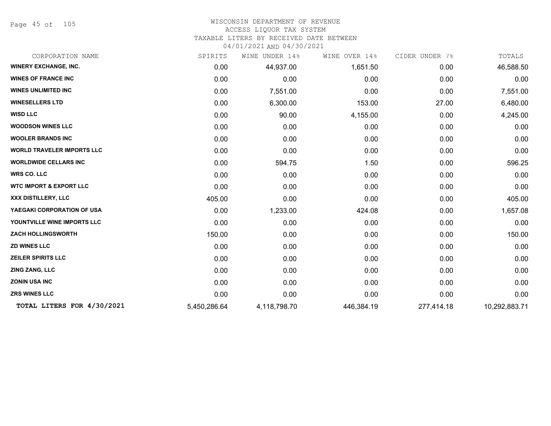Page 45 of 105

### WISCONSIN DEPARTMENT OF REVENUE ACCESS LIQUOR TAX SYSTEM

TAXABLE LITERS BY RECEIVED DATE BETWEEN

| CORPORATION NAME                   | SPIRITS      | UNDER 14%<br>WINE | WINE OVER 14% | CIDER UNDER 7% | TOTALS        |
|------------------------------------|--------------|-------------------|---------------|----------------|---------------|
| <b>WINERY EXCHANGE, INC.</b>       | 0.00         | 44,937.00         | 1,651.50      | 0.00           | 46,588.50     |
| <b>WINES OF FRANCE INC</b>         | 0.00         | 0.00              | 0.00          | 0.00           | 0.00          |
| <b>WINES UNLIMITED INC.</b>        | 0.00         | 7,551.00          | 0.00          | 0.00           | 7,551.00      |
| <b>WINESELLERS LTD</b>             | 0.00         | 6,300.00          | 153.00        | 27.00          | 6,480.00      |
| <b>WISD LLC</b>                    | 0.00         | 90.00             | 4,155.00      | 0.00           | 4,245.00      |
| <b>WOODSON WINES LLC</b>           | 0.00         | 0.00              | 0.00          | 0.00           | 0.00          |
| <b>WOOLER BRANDS INC</b>           | 0.00         | 0.00              | 0.00          | 0.00           | 0.00          |
| <b>WORLD TRAVELER IMPORTS LLC</b>  | 0.00         | 0.00              | 0.00          | 0.00           | 0.00          |
| <b>WORLDWIDE CELLARS INC</b>       | 0.00         | 594.75            | 1.50          | 0.00           | 596.25        |
| <b>WRS CO. LLC</b>                 | 0.00         | 0.00              | 0.00          | 0.00           | 0.00          |
| <b>WTC IMPORT &amp; EXPORT LLC</b> | 0.00         | 0.00              | 0.00          | 0.00           | 0.00          |
| XXX DISTILLERY, LLC                | 405.00       | 0.00              | 0.00          | 0.00           | 405.00        |
| YAEGAKI CORPORATION OF USA         | 0.00         | 1,233.00          | 424.08        | 0.00           | 1,657.08      |
| YOUNTVILLE WINE IMPORTS LLC        | 0.00         | 0.00              | 0.00          | 0.00           | 0.00          |
| <b>ZACH HOLLINGSWORTH</b>          | 150.00       | 0.00              | 0.00          | 0.00           | 150.00        |
| <b>ZD WINES LLC</b>                | 0.00         | 0.00              | 0.00          | 0.00           | 0.00          |
| <b>ZEILER SPIRITS LLC</b>          | 0.00         | 0.00              | 0.00          | 0.00           | 0.00          |
| ZING ZANG, LLC                     | 0.00         | 0.00              | 0.00          | 0.00           | 0.00          |
| <b>ZONIN USA INC</b>               | 0.00         | 0.00              | 0.00          | 0.00           | 0.00          |
| <b>ZRS WINES LLC</b>               | 0.00         | 0.00              | 0.00          | 0.00           | 0.00          |
| TOTAL LITERS FOR 4/30/2021         | 5,450,286.64 | 4,118,798.70      | 446,384.19    | 277,414.18     | 10,292,883.71 |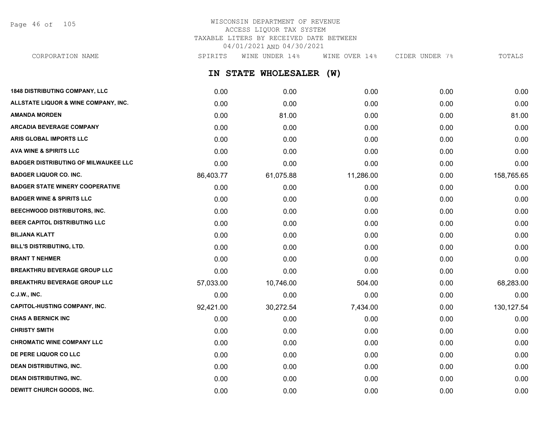Page 46 of 105

#### WISCONSIN DEPARTMENT OF REVENUE ACCESS LIQUOR TAX SYSTEM TAXABLE LITERS BY RECEIVED DATE BETWEEN 04/01/2021 AND 04/30/2021 CORPORATION NAME SPIRITS WINE UNDER 14% WINE OVER 14% CIDER UNDER 7% TOTALS

| CORPORATION NAME                            | SPIRITS   | MINE UNDER 14%      | MINE OVER 14% | CIDER UNDER /% | TOTALS      |
|---------------------------------------------|-----------|---------------------|---------------|----------------|-------------|
|                                             |           | IN STATE WHOLESALER | (W)           |                |             |
| <b>1848 DISTRIBUTING COMPANY, LLC</b>       | 0.00      | 0.00                | 0.00          | 0.00           | 0.00        |
| ALLSTATE LIQUOR & WINE COMPANY, INC.        | 0.00      | 0.00                | 0.00          | 0.00           | 0.00        |
| AMANDA MORDEN                               | 0.00      | 81.00               | 0.00          | 0.00           | 81.00       |
| ARCADIA BEVERAGE COMPANY                    | 0.00      | 0.00                | 0.00          | 0.00           | 0.00        |
| ARIS GLOBAL IMPORTS LLC                     | 0.00      | 0.00                | 0.00          | 0.00           | 0.00        |
| <b>AVA WINE &amp; SPIRITS LLC</b>           | 0.00      | 0.00                | 0.00          | 0.00           | 0.00        |
| <b>BADGER DISTRIBUTING OF MILWAUKEE LLC</b> | 0.00      | 0.00                | 0.00          | 0.00           | 0.00        |
| <b>BADGER LIQUOR CO. INC.</b>               | 86,403.77 | 61,075.88           | 11,286.00     | 0.00           | 158,765.65  |
| <b>BADGER STATE WINERY COOPERATIVE</b>      | 0.00      | 0.00                | 0.00          | 0.00           | 0.00        |
| <b>BADGER WINE &amp; SPIRITS LLC</b>        | 0.00      | 0.00                | 0.00          | 0.00           | 0.00        |
| BEECHWOOD DISTRIBUTORS, INC.                | 0.00      | 0.00                | 0.00          | 0.00           | 0.00        |
| <b>BEER CAPITOL DISTRIBUTING LLC</b>        | 0.00      | 0.00                | 0.00          | 0.00           | 0.00        |
| BILJANA KLATT                               | 0.00      | 0.00                | 0.00          | 0.00           | 0.00        |
| <b>BILL'S DISTRIBUTING, LTD.</b>            | 0.00      | 0.00                | 0.00          | 0.00           | 0.00        |
| <b>BRANT T NEHMER</b>                       | 0.00      | 0.00                | 0.00          | 0.00           | 0.00        |
| <b>BREAKTHRU BEVERAGE GROUP LLC</b>         | 0.00      | 0.00                | 0.00          | 0.00           | 0.00        |
| <b>BREAKTHRU BEVERAGE GROUP LLC</b>         | 57,033.00 | 10,746.00           | 504.00        | 0.00           | 68,283.00   |
| C.J.W., INC.                                | 0.00      | 0.00                | 0.00          | 0.00           | 0.00        |
| <b>CAPITOL-HUSTING COMPANY, INC.</b>        | 92,421.00 | 30,272.54           | 7,434.00      | 0.00           | 130, 127.54 |
| <b>CHAS A BERNICK INC</b>                   | 0.00      | 0.00                | 0.00          | 0.00           | 0.00        |
| CHRISTY SMITH                               | 0.00      | 0.00                | 0.00          | 0.00           | 0.00        |
| <b>CHROMATIC WINE COMPANY LLC</b>           | 0.00      | 0.00                | 0.00          | 0.00           | 0.00        |
| DE PERE LIQUOR CO LLC                       | 0.00      | 0.00                | 0.00          | 0.00           | 0.00        |
| DEAN DISTRIBUTING, INC.                     | 0.00      | 0.00                | 0.00          | 0.00           | 0.00        |
| <b>DEAN DISTRIBUTING, INC.</b>              | 0.00      | 0.00                | 0.00          | 0.00           | 0.00        |

**DEWITT CHURCH GOODS, INC.** 0.00 0.00 0.00 0.00 0.00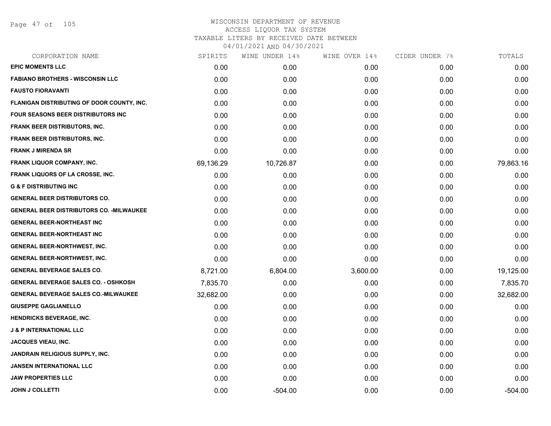Page 47 of 105

| CORPORATION NAME                                 | SPIRITS   | WINE UNDER 14% | WINE OVER 14% | CIDER UNDER 7% | TOTALS    |
|--------------------------------------------------|-----------|----------------|---------------|----------------|-----------|
| <b>EPIC MOMENTS LLC</b>                          | 0.00      | 0.00           | 0.00          | 0.00           | 0.00      |
| <b>FABIANO BROTHERS - WISCONSIN LLC</b>          | 0.00      | 0.00           | 0.00          | 0.00           | 0.00      |
| <b>FAUSTO FIORAVANTI</b>                         | 0.00      | 0.00           | 0.00          | 0.00           | 0.00      |
| FLANIGAN DISTRIBUTING OF DOOR COUNTY, INC.       | 0.00      | 0.00           | 0.00          | 0.00           | 0.00      |
| <b>FOUR SEASONS BEER DISTRIBUTORS INC.</b>       | 0.00      | 0.00           | 0.00          | 0.00           | 0.00      |
| FRANK BEER DISTRIBUTORS, INC.                    | 0.00      | 0.00           | 0.00          | 0.00           | 0.00      |
| FRANK BEER DISTRIBUTORS, INC.                    | 0.00      | 0.00           | 0.00          | 0.00           | 0.00      |
| <b>FRANK J MIRENDA SR</b>                        | 0.00      | 0.00           | 0.00          | 0.00           | 0.00      |
| <b>FRANK LIQUOR COMPANY, INC.</b>                | 69,136.29 | 10,726.87      | 0.00          | 0.00           | 79,863.16 |
| FRANK LIQUORS OF LA CROSSE, INC.                 | 0.00      | 0.00           | 0.00          | 0.00           | 0.00      |
| <b>G &amp; F DISTRIBUTING INC</b>                | 0.00      | 0.00           | 0.00          | 0.00           | 0.00      |
| <b>GENERAL BEER DISTRIBUTORS CO.</b>             | 0.00      | 0.00           | 0.00          | 0.00           | 0.00      |
| <b>GENERAL BEER DISTRIBUTORS CO. - MILWAUKEE</b> | 0.00      | 0.00           | 0.00          | 0.00           | 0.00      |
| <b>GENERAL BEER-NORTHEAST INC</b>                | 0.00      | 0.00           | 0.00          | 0.00           | 0.00      |
| <b>GENERAL BEER-NORTHEAST INC</b>                | 0.00      | 0.00           | 0.00          | 0.00           | 0.00      |
| <b>GENERAL BEER-NORTHWEST, INC.</b>              | 0.00      | 0.00           | 0.00          | 0.00           | 0.00      |
| <b>GENERAL BEER-NORTHWEST, INC.</b>              | 0.00      | 0.00           | 0.00          | 0.00           | 0.00      |
| <b>GENERAL BEVERAGE SALES CO.</b>                | 8,721.00  | 6,804.00       | 3,600.00      | 0.00           | 19,125.00 |
| <b>GENERAL BEVERAGE SALES CO. - OSHKOSH</b>      | 7,835.70  | 0.00           | 0.00          | 0.00           | 7,835.70  |
| <b>GENERAL BEVERAGE SALES CO.-MILWAUKEE</b>      | 32,682.00 | 0.00           | 0.00          | 0.00           | 32,682.00 |
| <b>GIUSEPPE GAGLIANELLO</b>                      | 0.00      | 0.00           | 0.00          | 0.00           | 0.00      |
| HENDRICKS BEVERAGE, INC.                         | 0.00      | 0.00           | 0.00          | 0.00           | 0.00      |
| <b>J &amp; P INTERNATIONAL LLC</b>               | 0.00      | 0.00           | 0.00          | 0.00           | 0.00      |
| <b>JACQUES VIEAU, INC.</b>                       | 0.00      | 0.00           | 0.00          | 0.00           | 0.00      |
| JANDRAIN RELIGIOUS SUPPLY, INC.                  | 0.00      | 0.00           | 0.00          | 0.00           | 0.00      |
| <b>JANSEN INTERNATIONAL LLC</b>                  | 0.00      | 0.00           | 0.00          | 0.00           | 0.00      |
| <b>JAW PROPERTIES LLC</b>                        | 0.00      | 0.00           | 0.00          | 0.00           | 0.00      |
| <b>JOHN J COLLETTI</b>                           | 0.00      | $-504.00$      | 0.00          | 0.00           | $-504.00$ |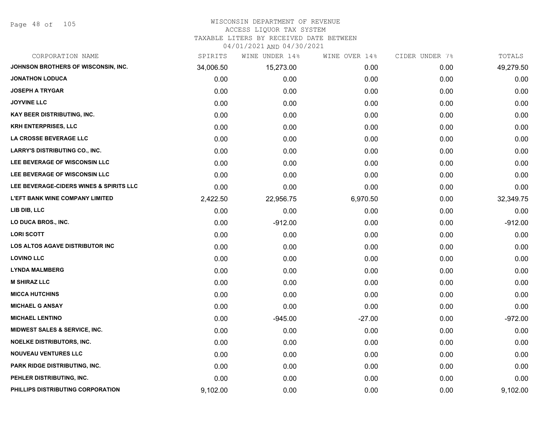Page 48 of 105

### WISCONSIN DEPARTMENT OF REVENUE ACCESS LIQUOR TAX SYSTEM

TAXABLE LITERS BY RECEIVED DATE BETWEEN

| CORPORATION NAME                        | SPIRITS   | WINE UNDER 14% | WINE OVER 14% | CIDER UNDER 7% | TOTALS    |
|-----------------------------------------|-----------|----------------|---------------|----------------|-----------|
| JOHNSON BROTHERS OF WISCONSIN, INC.     | 34,006.50 | 15,273.00      | 0.00          | 0.00           | 49,279.50 |
| <b>JONATHON LODUCA</b>                  | 0.00      | 0.00           | 0.00          | 0.00           | 0.00      |
| <b>JOSEPH A TRYGAR</b>                  | 0.00      | 0.00           | 0.00          | 0.00           | 0.00      |
| <b>JOYVINE LLC</b>                      | 0.00      | 0.00           | 0.00          | 0.00           | 0.00      |
| KAY BEER DISTRIBUTING, INC.             | 0.00      | 0.00           | 0.00          | 0.00           | 0.00      |
| <b>KRH ENTERPRISES, LLC</b>             | 0.00      | 0.00           | 0.00          | 0.00           | 0.00      |
| LA CROSSE BEVERAGE LLC                  | 0.00      | 0.00           | 0.00          | 0.00           | 0.00      |
| <b>LARRY'S DISTRIBUTING CO., INC.</b>   | 0.00      | 0.00           | 0.00          | 0.00           | 0.00      |
| LEE BEVERAGE OF WISCONSIN LLC           | 0.00      | 0.00           | 0.00          | 0.00           | 0.00      |
| LEE BEVERAGE OF WISCONSIN LLC           | 0.00      | 0.00           | 0.00          | 0.00           | 0.00      |
| LEE BEVERAGE-CIDERS WINES & SPIRITS LLC | 0.00      | 0.00           | 0.00          | 0.00           | 0.00      |
| <b>L'EFT BANK WINE COMPANY LIMITED</b>  | 2,422.50  | 22,956.75      | 6,970.50      | 0.00           | 32,349.75 |
| LIB DIB, LLC                            | 0.00      | 0.00           | 0.00          | 0.00           | 0.00      |
| LO DUCA BROS., INC.                     | 0.00      | $-912.00$      | 0.00          | 0.00           | $-912.00$ |
| <b>LORI SCOTT</b>                       | 0.00      | 0.00           | 0.00          | 0.00           | 0.00      |
| LOS ALTOS AGAVE DISTRIBUTOR INC         | 0.00      | 0.00           | 0.00          | 0.00           | 0.00      |
| <b>LOVINO LLC</b>                       | 0.00      | 0.00           | 0.00          | 0.00           | 0.00      |
| <b>LYNDA MALMBERG</b>                   | 0.00      | 0.00           | 0.00          | 0.00           | 0.00      |
| <b>M SHIRAZ LLC</b>                     | 0.00      | 0.00           | 0.00          | 0.00           | 0.00      |
| <b>MICCA HUTCHINS</b>                   | 0.00      | 0.00           | 0.00          | 0.00           | 0.00      |
| <b>MICHAEL G ANSAY</b>                  | 0.00      | 0.00           | 0.00          | 0.00           | 0.00      |
| <b>MICHAEL LENTINO</b>                  | 0.00      | $-945.00$      | $-27.00$      | 0.00           | $-972.00$ |
| MIDWEST SALES & SERVICE, INC.           | 0.00      | 0.00           | 0.00          | 0.00           | 0.00      |
| <b>NOELKE DISTRIBUTORS, INC.</b>        | 0.00      | 0.00           | 0.00          | 0.00           | 0.00      |
| <b>NOUVEAU VENTURES LLC</b>             | 0.00      | 0.00           | 0.00          | 0.00           | 0.00      |
| PARK RIDGE DISTRIBUTING, INC.           | 0.00      | 0.00           | 0.00          | 0.00           | 0.00      |
| PEHLER DISTRIBUTING, INC.               | 0.00      | 0.00           | 0.00          | 0.00           | 0.00      |
| PHILLIPS DISTRIBUTING CORPORATION       | 9,102.00  | 0.00           | 0.00          | 0.00           | 9,102.00  |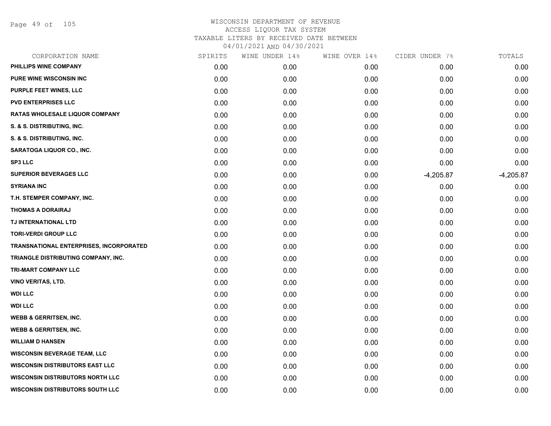Page 49 of 105

| CORPORATION NAME                        | SPIRITS | WINE UNDER 14% | WINE OVER 14% | CIDER UNDER 7% | TOTALS      |
|-----------------------------------------|---------|----------------|---------------|----------------|-------------|
| PHILLIPS WINE COMPANY                   | 0.00    | 0.00           | 0.00          | 0.00           | 0.00        |
| <b>PURE WINE WISCONSIN INC</b>          | 0.00    | 0.00           | 0.00          | 0.00           | 0.00        |
| PURPLE FEET WINES, LLC                  | 0.00    | 0.00           | 0.00          | 0.00           | 0.00        |
| <b>PVD ENTERPRISES LLC</b>              | 0.00    | 0.00           | 0.00          | 0.00           | 0.00        |
| RATAS WHOLESALE LIQUOR COMPANY          | 0.00    | 0.00           | 0.00          | 0.00           | 0.00        |
| S. & S. DISTRIBUTING, INC.              | 0.00    | 0.00           | 0.00          | 0.00           | 0.00        |
| S. & S. DISTRIBUTING, INC.              | 0.00    | 0.00           | 0.00          | 0.00           | 0.00        |
| SARATOGA LIQUOR CO., INC.               | 0.00    | 0.00           | 0.00          | 0.00           | 0.00        |
| <b>SP3 LLC</b>                          | 0.00    | 0.00           | 0.00          | 0.00           | 0.00        |
| <b>SUPERIOR BEVERAGES LLC</b>           | 0.00    | 0.00           | 0.00          | $-4,205.87$    | $-4,205.87$ |
| <b>SYRIANA INC</b>                      | 0.00    | 0.00           | 0.00          | 0.00           | 0.00        |
| T.H. STEMPER COMPANY, INC.              | 0.00    | 0.00           | 0.00          | 0.00           | 0.00        |
| <b>THOMAS A DORAIRAJ</b>                | 0.00    | 0.00           | 0.00          | 0.00           | 0.00        |
| TJ INTERNATIONAL LTD                    | 0.00    | 0.00           | 0.00          | 0.00           | 0.00        |
| <b>TORI-VERDI GROUP LLC</b>             | 0.00    | 0.00           | 0.00          | 0.00           | 0.00        |
| TRANSNATIONAL ENTERPRISES, INCORPORATED | 0.00    | 0.00           | 0.00          | 0.00           | 0.00        |
| TRIANGLE DISTRIBUTING COMPANY, INC.     | 0.00    | 0.00           | 0.00          | 0.00           | 0.00        |
| <b>TRI-MART COMPANY LLC</b>             | 0.00    | 0.00           | 0.00          | 0.00           | 0.00        |
| <b>VINO VERITAS, LTD.</b>               | 0.00    | 0.00           | 0.00          | 0.00           | 0.00        |
| <b>WDI LLC</b>                          | 0.00    | 0.00           | 0.00          | 0.00           | 0.00        |
| <b>WDI LLC</b>                          | 0.00    | 0.00           | 0.00          | 0.00           | 0.00        |
| <b>WEBB &amp; GERRITSEN, INC.</b>       | 0.00    | 0.00           | 0.00          | 0.00           | 0.00        |
| <b>WEBB &amp; GERRITSEN, INC.</b>       | 0.00    | 0.00           | 0.00          | 0.00           | 0.00        |
| <b>WILLIAM D HANSEN</b>                 | 0.00    | 0.00           | 0.00          | 0.00           | 0.00        |
| <b>WISCONSIN BEVERAGE TEAM, LLC</b>     | 0.00    | 0.00           | 0.00          | 0.00           | 0.00        |
| <b>WISCONSIN DISTRIBUTORS EAST LLC</b>  | 0.00    | 0.00           | 0.00          | 0.00           | 0.00        |
| <b>WISCONSIN DISTRIBUTORS NORTH LLC</b> | 0.00    | 0.00           | 0.00          | 0.00           | 0.00        |
| <b>WISCONSIN DISTRIBUTORS SOUTH LLC</b> | 0.00    | 0.00           | 0.00          | 0.00           | 0.00        |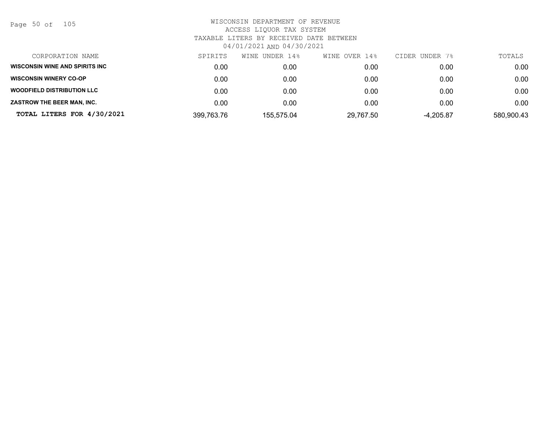Page 50 of 105

| CORPORATION NAME                  | SPIRITS    | WINE UNDER 14% | WINE OVER 14% | CIDER UNDER 7% | TOTALS     |
|-----------------------------------|------------|----------------|---------------|----------------|------------|
| WISCONSIN WINE AND SPIRITS INC    | 0.00       | 0.00           | 0.00          | 0.00           | 0.00       |
| <b>WISCONSIN WINERY CO-OP</b>     | 0.00       | 0.00           | 0.00          | 0.00           | 0.00       |
| <b>WOODFIELD DISTRIBUTION LLC</b> | 0.00       | 0.00           | 0.00          | 0.00           | 0.00       |
| ZASTROW THE BEER MAN, INC.        | 0.00       | 0.00           | 0.00          | 0.00           | 0.00       |
| TOTAL LITERS FOR 4/30/2021        | 399,763.76 | 155,575.04     | 29,767.50     | $-4,205.87$    | 580,900.43 |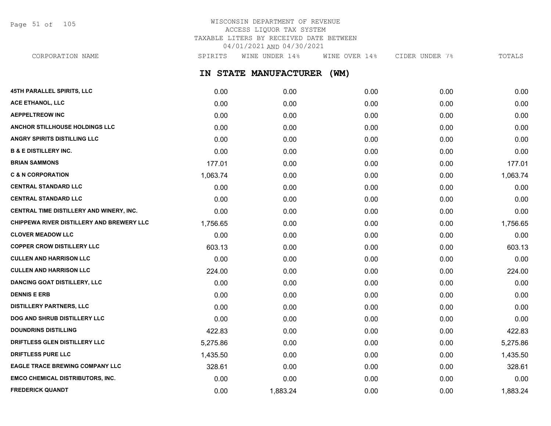Page 51 of 105

## WISCONSIN DEPARTMENT OF REVENUE ACCESS LIQUOR TAX SYSTEM TAXABLE LITERS BY RECEIVED DATE BETWEEN 04/01/2021 AND 04/30/2021

**IN STATE MANUFACTURER (WM) 45TH PARALLEL SPIRITS, LLC** 0.00 0.00 0.00 0.00 0.00 **ACE ETHANOL, LLC** 0.00 0.00 0.00 0.00 0.00 **AEPPELTREOW INC** 0.00 0.00 0.00 0.00 0.00 **ANCHOR STILLHOUSE HOLDINGS LLC** 0.00 0.00 0.00 0.00 0.00 **ANGRY SPIRITS DISTILLING LLC** 0.00 0.00 0.00 0.00 0.00 **B & E DISTILLERY INC.** 0.00 0.00 0.00 0.00 0.00 **BRIAN SAMMONS** 177.01 0.00 0.00 0.00 177.01 **C & N CORPORATION** 1,063.74 0.00 0.00 0.00 1,063.74 **CENTRAL STANDARD LLC** 0.00 0.00 0.00 0.00 0.00 **CENTRAL STANDARD LLC** 0.00 0.00 0.00 0.00 0.00 **CENTRAL TIME DISTILLERY AND WINERY, INC.**  $0.00$   $0.00$   $0.00$   $0.00$   $0.00$   $0.00$   $0.00$   $0.00$   $0.00$   $0.00$   $0.00$ **CHIPPEWA RIVER DISTILLERY AND BREWERY LLC**  $1.756.65$   $0.00$   $0.00$   $0.00$   $0.00$   $0.00$   $1.756.65$ **CLOVER MEADOW LLC** 0.00 0.00 0.00 0.00 0.00 **COPPER CROW DISTILLERY LLC** 603.13 0.00 0.00 0.00 603.13 **CULLEN AND HARRISON LLC** 0.00 0.00 0.00 0.00 0.00 **CULLEN AND HARRISON LLC** 224.00 0.00 0.00 0.00 224.00 **DANCING GOAT DISTILLERY, LLC** 0.00 0.00 0.00 0.00 0.00 **DENNIS E ERB** 0.00 0.00 0.00 0.00 0.00 **DISTILLERY PARTNERS, LLC** 0.00 0.00 0.00 0.00 0.00 **DOG AND SHRUB DISTILLERY LLC**  $0.00$   $0.00$   $0.00$   $0.00$   $0.00$   $0.00$   $0.00$   $0.00$   $0.00$   $0.00$   $0.00$   $0.00$   $0.00$   $0.00$   $0.00$   $0.00$   $0.00$   $0.00$   $0.00$   $0.00$   $0.00$   $0.00$   $0.00$   $0.00$   $0.00$   $0.00$   $0.00$   $0$ **DOUNDRINS DISTILLING** 422.83 0.00 0.00 0.00 422.83 CORPORATION NAME SPIRITS WINE UNDER 14% WINE OVER 14% CIDER UNDER 7% TOTALS

**DRIFTLESS GLEN DISTILLERY LLC**  $5.275.86$   $5.275.86$   $0.00$   $0.00$   $0.00$   $0.00$   $5.275.86$ **DRIFTLESS PURE LLC** 1,435.50 0.00 0.00 0.00 1,435.50 **EAGLE TRACE BREWING COMPANY LLC** 328.61 0.00 0.00 0.00 328.61 **EMCO CHEMICAL DISTRIBUTORS, INC.** 0.00 0.00 0.00 0.00 0.00 **FREDERICK QUANDT** 0.00 1,883.24 0.00 0.00 1,883.24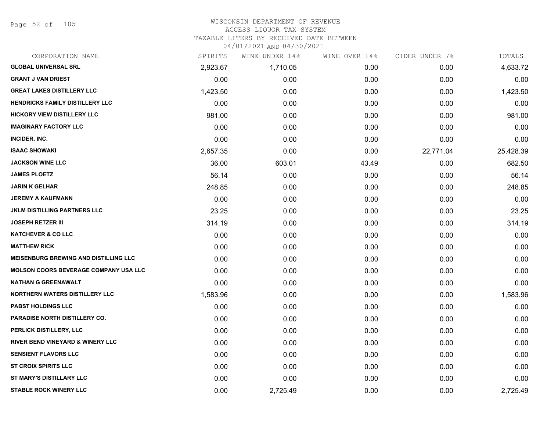Page 52 of 105

| CORPORATION NAME                             | SPIRITS  | WINE UNDER 14% | WINE OVER 14% | CIDER UNDER 7% | TOTALS    |
|----------------------------------------------|----------|----------------|---------------|----------------|-----------|
| <b>GLOBAL UNIVERSAL SRL</b>                  | 2,923.67 | 1,710.05       | 0.00          | 0.00           | 4,633.72  |
| <b>GRANT J VAN DRIEST</b>                    | 0.00     | 0.00           | 0.00          | 0.00           | 0.00      |
| <b>GREAT LAKES DISTILLERY LLC</b>            | 1,423.50 | 0.00           | 0.00          | 0.00           | 1,423.50  |
| <b>HENDRICKS FAMILY DISTILLERY LLC</b>       | 0.00     | 0.00           | 0.00          | 0.00           | 0.00      |
| <b>HICKORY VIEW DISTILLERY LLC</b>           | 981.00   | 0.00           | 0.00          | 0.00           | 981.00    |
| <b>IMAGINARY FACTORY LLC</b>                 | 0.00     | 0.00           | 0.00          | 0.00           | 0.00      |
| INCIDER, INC.                                | 0.00     | 0.00           | 0.00          | 0.00           | 0.00      |
| <b>ISAAC SHOWAKI</b>                         | 2,657.35 | 0.00           | 0.00          | 22,771.04      | 25,428.39 |
| <b>JACKSON WINE LLC</b>                      | 36.00    | 603.01         | 43.49         | 0.00           | 682.50    |
| <b>JAMES PLOETZ</b>                          | 56.14    | 0.00           | 0.00          | 0.00           | 56.14     |
| <b>JARIN K GELHAR</b>                        | 248.85   | 0.00           | 0.00          | 0.00           | 248.85    |
| <b>JEREMY A KAUFMANN</b>                     | 0.00     | 0.00           | 0.00          | 0.00           | 0.00      |
| JKLM DISTILLING PARTNERS LLC                 | 23.25    | 0.00           | 0.00          | 0.00           | 23.25     |
| <b>JOSEPH RETZER III</b>                     | 314.19   | 0.00           | 0.00          | 0.00           | 314.19    |
| <b>KATCHEVER &amp; CO LLC</b>                | 0.00     | 0.00           | 0.00          | 0.00           | 0.00      |
| <b>MATTHEW RICK</b>                          | 0.00     | 0.00           | 0.00          | 0.00           | 0.00      |
| <b>MEISENBURG BREWING AND DISTILLING LLC</b> | 0.00     | 0.00           | 0.00          | 0.00           | 0.00      |
| MOLSON COORS BEVERAGE COMPANY USA LLC        | 0.00     | 0.00           | 0.00          | 0.00           | 0.00      |
| <b>NATHAN G GREENAWALT</b>                   | 0.00     | 0.00           | 0.00          | 0.00           | 0.00      |
| <b>NORTHERN WATERS DISTILLERY LLC</b>        | 1,583.96 | 0.00           | 0.00          | 0.00           | 1,583.96  |
| <b>PABST HOLDINGS LLC</b>                    | 0.00     | 0.00           | 0.00          | 0.00           | 0.00      |
| PARADISE NORTH DISTILLERY CO.                | 0.00     | 0.00           | 0.00          | 0.00           | 0.00      |
| PERLICK DISTILLERY, LLC                      | 0.00     | 0.00           | 0.00          | 0.00           | 0.00      |
| <b>RIVER BEND VINEYARD &amp; WINERY LLC</b>  | 0.00     | 0.00           | 0.00          | 0.00           | 0.00      |
| <b>SENSIENT FLAVORS LLC</b>                  | 0.00     | 0.00           | 0.00          | 0.00           | 0.00      |
| <b>ST CROIX SPIRITS LLC</b>                  | 0.00     | 0.00           | 0.00          | 0.00           | 0.00      |
| <b>ST MARY'S DISTILLARY LLC</b>              | 0.00     | 0.00           | 0.00          | 0.00           | 0.00      |
| <b>STABLE ROCK WINERY LLC</b>                | 0.00     | 2,725.49       | 0.00          | 0.00           | 2,725.49  |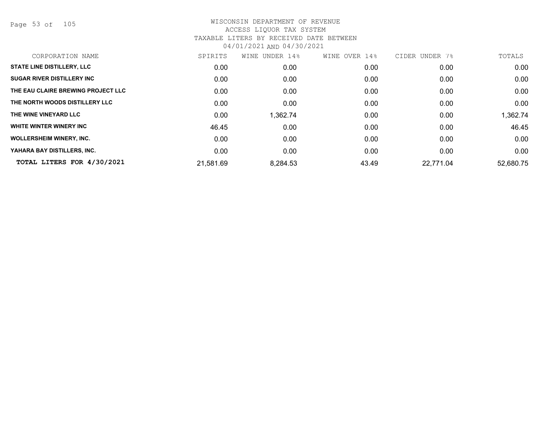Page 53 of 105

| CORPORATION NAME                   | SPIRITS   | UNDER 14%<br>WINE | WINE OVER 14% | CIDER UNDER<br>7% | TOTALS    |
|------------------------------------|-----------|-------------------|---------------|-------------------|-----------|
| <b>STATE LINE DISTILLERY, LLC</b>  | 0.00      | 0.00              | 0.00          | 0.00              | 0.00      |
| <b>SUGAR RIVER DISTILLERY INC</b>  | 0.00      | 0.00              | 0.00          | 0.00              | 0.00      |
| THE EAU CLAIRE BREWING PROJECT LLC | 0.00      | 0.00              | 0.00          | 0.00              | 0.00      |
| THE NORTH WOODS DISTILLERY LLC     | 0.00      | 0.00              | 0.00          | 0.00              | 0.00      |
| THE WINE VINEYARD LLC              | 0.00      | 1,362.74          | 0.00          | 0.00              | 1,362.74  |
| WHITE WINTER WINERY INC            | 46.45     | 0.00              | 0.00          | 0.00              | 46.45     |
| <b>WOLLERSHEIM WINERY, INC.</b>    | 0.00      | 0.00              | 0.00          | 0.00              | 0.00      |
| YAHARA BAY DISTILLERS, INC.        | 0.00      | 0.00              | 0.00          | 0.00              | 0.00      |
| TOTAL LITERS FOR 4/30/2021         | 21,581.69 | 8,284.53          | 43.49         | 22.771.04         | 52,680.75 |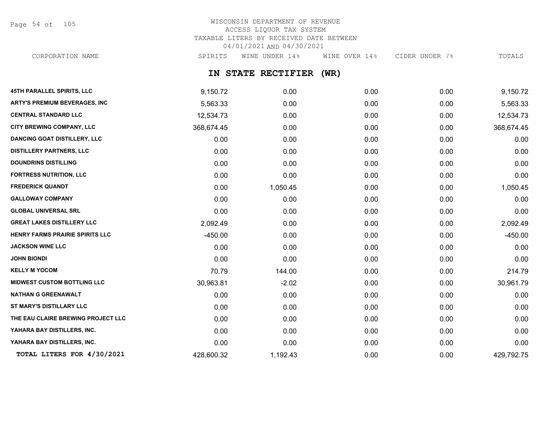Page 54 of 105

# WISCONSIN DEPARTMENT OF REVENUE ACCESS LIQUOR TAX SYSTEM TAXABLE LITERS BY RECEIVED DATE BETWEEN 04/01/2021 AND 04/30/2021

CORPORATION NAME SPIRITS WINE UNDER 14% WINE OVER 14% CIDER UNDER 7% TOTALS

## **IN STATE RECTIFIER (WR)**

| 45TH PARALLEL SPIRITS, LLC           | 9,150.72   | 0.00     | 0.00 | 0.00 | 9,150.72   |
|--------------------------------------|------------|----------|------|------|------------|
| <b>ARTY'S PREMIUM BEVERAGES, INC</b> | 5,563.33   | 0.00     | 0.00 | 0.00 | 5,563.33   |
| <b>CENTRAL STANDARD LLC</b>          | 12,534.73  | 0.00     | 0.00 | 0.00 | 12,534.73  |
| CITY BREWING COMPANY, LLC            | 368,674.45 | 0.00     | 0.00 | 0.00 | 368,674.45 |
| <b>DANCING GOAT DISTILLERY, LLC</b>  | 0.00       | 0.00     | 0.00 | 0.00 | 0.00       |
| <b>DISTILLERY PARTNERS, LLC</b>      | 0.00       | 0.00     | 0.00 | 0.00 | 0.00       |
| <b>DOUNDRINS DISTILLING</b>          | 0.00       | 0.00     | 0.00 | 0.00 | 0.00       |
| <b>FORTRESS NUTRITION, LLC</b>       | 0.00       | 0.00     | 0.00 | 0.00 | 0.00       |
| <b>FREDERICK QUANDT</b>              | 0.00       | 1,050.45 | 0.00 | 0.00 | 1,050.45   |
| <b>GALLOWAY COMPANY</b>              | 0.00       | 0.00     | 0.00 | 0.00 | 0.00       |
| <b>GLOBAL UNIVERSAL SRL</b>          | 0.00       | 0.00     | 0.00 | 0.00 | 0.00       |
| <b>GREAT LAKES DISTILLERY LLC</b>    | 2,092.49   | 0.00     | 0.00 | 0.00 | 2,092.49   |
| HENRY FARMS PRAIRIE SPIRITS LLC      | $-450.00$  | 0.00     | 0.00 | 0.00 | $-450.00$  |
| <b>JACKSON WINE LLC</b>              | 0.00       | 0.00     | 0.00 | 0.00 | 0.00       |
| <b>JOHN BIONDI</b>                   | 0.00       | 0.00     | 0.00 | 0.00 | 0.00       |
| <b>KELLY M YOCOM</b>                 | 70.79      | 144.00   | 0.00 | 0.00 | 214.79     |
| <b>MIDWEST CUSTOM BOTTLING LLC</b>   | 30,963.81  | $-2.02$  | 0.00 | 0.00 | 30,961.79  |
| <b>NATHAN G GREENAWALT</b>           | 0.00       | 0.00     | 0.00 | 0.00 | 0.00       |
| <b>ST MARY'S DISTILLARY LLC</b>      | 0.00       | 0.00     | 0.00 | 0.00 | 0.00       |
| THE EAU CLAIRE BREWING PROJECT LLC   | 0.00       | 0.00     | 0.00 | 0.00 | 0.00       |
| YAHARA BAY DISTILLERS, INC.          | 0.00       | 0.00     | 0.00 | 0.00 | 0.00       |
| YAHARA BAY DISTILLERS, INC.          | 0.00       | 0.00     | 0.00 | 0.00 | 0.00       |
| TOTAL LITERS FOR 4/30/2021           | 428,600.32 | 1,192.43 | 0.00 | 0.00 | 429,792.75 |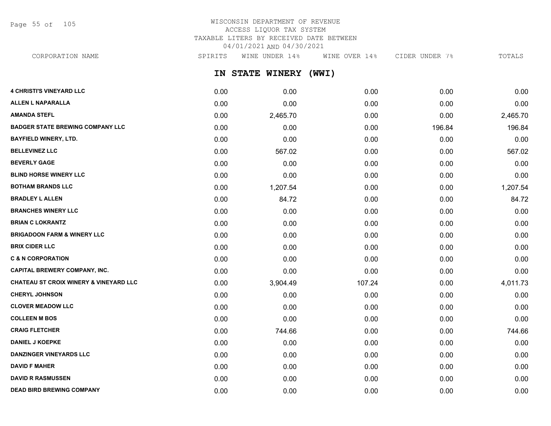Page 55 of 105

# WISCONSIN DEPARTMENT OF REVENUE ACCESS LIQUOR TAX SYSTEM TAXABLE LITERS BY RECEIVED DATE BETWEEN 04/01/2021 AND 04/30/2021

CORPORATION NAME SPIRITS WINE UNDER 14% WINE OVER 14% CIDER UNDER 7% TOTALS

**IN STATE WINERY (WWI)**

| <b>4 CHRISTI'S VINEYARD LLC</b>                   | 0.00 | 0.00     | 0.00   | 0.00   | 0.00     |
|---------------------------------------------------|------|----------|--------|--------|----------|
| <b>ALLEN L NAPARALLA</b>                          | 0.00 | 0.00     | 0.00   | 0.00   | 0.00     |
| <b>AMANDA STEFL</b>                               | 0.00 | 2,465.70 | 0.00   | 0.00   | 2,465.70 |
| <b>BADGER STATE BREWING COMPANY LLC</b>           | 0.00 | 0.00     | 0.00   | 196.84 | 196.84   |
| <b>BAYFIELD WINERY, LTD.</b>                      | 0.00 | 0.00     | 0.00   | 0.00   | 0.00     |
| <b>BELLEVINEZ LLC</b>                             | 0.00 | 567.02   | 0.00   | 0.00   | 567.02   |
| <b>BEVERLY GAGE</b>                               | 0.00 | 0.00     | 0.00   | 0.00   | 0.00     |
| <b>BLIND HORSE WINERY LLC</b>                     | 0.00 | 0.00     | 0.00   | 0.00   | 0.00     |
| <b>BOTHAM BRANDS LLC</b>                          | 0.00 | 1,207.54 | 0.00   | 0.00   | 1,207.54 |
| <b>BRADLEY L ALLEN</b>                            | 0.00 | 84.72    | 0.00   | 0.00   | 84.72    |
| <b>BRANCHES WINERY LLC</b>                        | 0.00 | 0.00     | 0.00   | 0.00   | 0.00     |
| <b>BRIAN C LOKRANTZ</b>                           | 0.00 | 0.00     | 0.00   | 0.00   | 0.00     |
| <b>BRIGADOON FARM &amp; WINERY LLC</b>            | 0.00 | 0.00     | 0.00   | 0.00   | 0.00     |
| <b>BRIX CIDER LLC</b>                             | 0.00 | 0.00     | 0.00   | 0.00   | 0.00     |
| <b>C &amp; N CORPORATION</b>                      | 0.00 | 0.00     | 0.00   | 0.00   | 0.00     |
| <b>CAPITAL BREWERY COMPANY, INC.</b>              | 0.00 | 0.00     | 0.00   | 0.00   | 0.00     |
| <b>CHATEAU ST CROIX WINERY &amp; VINEYARD LLC</b> | 0.00 | 3,904.49 | 107.24 | 0.00   | 4,011.73 |
| <b>CHERYL JOHNSON</b>                             | 0.00 | 0.00     | 0.00   | 0.00   | 0.00     |
| <b>CLOVER MEADOW LLC</b>                          | 0.00 | 0.00     | 0.00   | 0.00   | 0.00     |
| <b>COLLEEN M BOS</b>                              | 0.00 | 0.00     | 0.00   | 0.00   | 0.00     |
| <b>CRAIG FLETCHER</b>                             | 0.00 | 744.66   | 0.00   | 0.00   | 744.66   |
| <b>DANIEL J KOEPKE</b>                            | 0.00 | 0.00     | 0.00   | 0.00   | 0.00     |
| <b>DANZINGER VINEYARDS LLC</b>                    | 0.00 | 0.00     | 0.00   | 0.00   | 0.00     |
| <b>DAVID F MAHER</b>                              | 0.00 | 0.00     | 0.00   | 0.00   | 0.00     |
| <b>DAVID R RASMUSSEN</b>                          | 0.00 | 0.00     | 0.00   | 0.00   | 0.00     |
| <b>DEAD BIRD BREWING COMPANY</b>                  | 0.00 | 0.00     | 0.00   | 0.00   | 0.00     |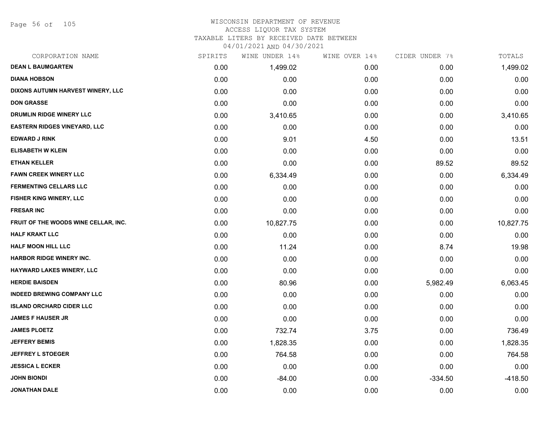Page 56 of 105

### WISCONSIN DEPARTMENT OF REVENUE ACCESS LIQUOR TAX SYSTEM TAXABLE LITERS BY RECEIVED DATE BETWEEN

| CORPORATION NAME                     | SPIRITS | WINE UNDER 14% | WINE OVER 14% | CIDER UNDER 7% | TOTALS    |
|--------------------------------------|---------|----------------|---------------|----------------|-----------|
| <b>DEAN L BAUMGARTEN</b>             | 0.00    | 1,499.02       | 0.00          | 0.00           | 1,499.02  |
| <b>DIANA HOBSON</b>                  | 0.00    | 0.00           | 0.00          | 0.00           | 0.00      |
| DIXONS AUTUMN HARVEST WINERY, LLC    | 0.00    | 0.00           | 0.00          | 0.00           | 0.00      |
| <b>DON GRASSE</b>                    | 0.00    | 0.00           | 0.00          | 0.00           | 0.00      |
| DRUMLIN RIDGE WINERY LLC             | 0.00    | 3,410.65       | 0.00          | 0.00           | 3,410.65  |
| <b>EASTERN RIDGES VINEYARD, LLC</b>  | 0.00    | 0.00           | 0.00          | 0.00           | 0.00      |
| <b>EDWARD J RINK</b>                 | 0.00    | 9.01           | 4.50          | 0.00           | 13.51     |
| <b>ELISABETH W KLEIN</b>             | 0.00    | 0.00           | 0.00          | 0.00           | 0.00      |
| <b>ETHAN KELLER</b>                  | 0.00    | 0.00           | 0.00          | 89.52          | 89.52     |
| <b>FAWN CREEK WINERY LLC</b>         | 0.00    | 6,334.49       | 0.00          | 0.00           | 6,334.49  |
| <b>FERMENTING CELLARS LLC</b>        | 0.00    | 0.00           | 0.00          | 0.00           | 0.00      |
| FISHER KING WINERY, LLC              | 0.00    | 0.00           | 0.00          | 0.00           | 0.00      |
| <b>FRESAR INC</b>                    | 0.00    | 0.00           | 0.00          | 0.00           | 0.00      |
| FRUIT OF THE WOODS WINE CELLAR, INC. | 0.00    | 10,827.75      | 0.00          | 0.00           | 10,827.75 |
| <b>HALF KRAKT LLC</b>                | 0.00    | 0.00           | 0.00          | 0.00           | 0.00      |
| HALF MOON HILL LLC                   | 0.00    | 11.24          | 0.00          | 8.74           | 19.98     |
| <b>HARBOR RIDGE WINERY INC.</b>      | 0.00    | 0.00           | 0.00          | 0.00           | 0.00      |
| HAYWARD LAKES WINERY, LLC            | 0.00    | 0.00           | 0.00          | 0.00           | 0.00      |
| <b>HERDIE BAISDEN</b>                | 0.00    | 80.96          | 0.00          | 5,982.49       | 6,063.45  |
| <b>INDEED BREWING COMPANY LLC</b>    | 0.00    | 0.00           | 0.00          | 0.00           | 0.00      |
| <b>ISLAND ORCHARD CIDER LLC</b>      | 0.00    | 0.00           | 0.00          | 0.00           | 0.00      |
| <b>JAMES F HAUSER JR</b>             | 0.00    | 0.00           | 0.00          | 0.00           | 0.00      |
| <b>JAMES PLOETZ</b>                  | 0.00    | 732.74         | 3.75          | 0.00           | 736.49    |
| <b>JEFFERY BEMIS</b>                 | 0.00    | 1,828.35       | 0.00          | 0.00           | 1,828.35  |
| <b>JEFFREY L STOEGER</b>             | 0.00    | 764.58         | 0.00          | 0.00           | 764.58    |
| <b>JESSICA L ECKER</b>               | 0.00    | 0.00           | 0.00          | 0.00           | 0.00      |
| <b>JOHN BIONDI</b>                   | 0.00    | $-84.00$       | 0.00          | $-334.50$      | $-418.50$ |
| <b>JONATHAN DALE</b>                 | 0.00    | 0.00           | 0.00          | 0.00           | 0.00      |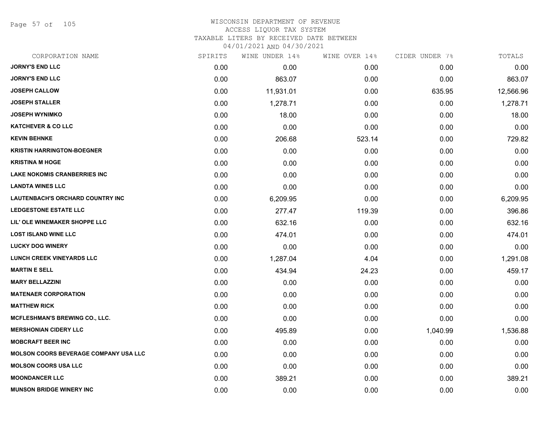Page 57 of 105

### WISCONSIN DEPARTMENT OF REVENUE ACCESS LIQUOR TAX SYSTEM TAXABLE LITERS BY RECEIVED DATE BETWEEN

| CORPORATION NAME                             | SPIRITS | WINE UNDER 14% | WINE OVER 14% | CIDER UNDER 7% | TOTALS    |
|----------------------------------------------|---------|----------------|---------------|----------------|-----------|
| <b>JORNY'S END LLC</b>                       | 0.00    | 0.00           | 0.00          | 0.00           | 0.00      |
| <b>JORNY'S END LLC</b>                       | 0.00    | 863.07         | 0.00          | 0.00           | 863.07    |
| <b>JOSEPH CALLOW</b>                         | 0.00    | 11,931.01      | 0.00          | 635.95         | 12,566.96 |
| <b>JOSEPH STALLER</b>                        | 0.00    | 1,278.71       | 0.00          | 0.00           | 1,278.71  |
| <b>JOSEPH WYNIMKO</b>                        | 0.00    | 18.00          | 0.00          | 0.00           | 18.00     |
| <b>KATCHEVER &amp; CO LLC</b>                | 0.00    | 0.00           | 0.00          | 0.00           | 0.00      |
| <b>KEVIN BEHNKE</b>                          | 0.00    | 206.68         | 523.14        | 0.00           | 729.82    |
| <b>KRISTIN HARRINGTON-BOEGNER</b>            | 0.00    | 0.00           | 0.00          | 0.00           | 0.00      |
| <b>KRISTINA M HOGE</b>                       | 0.00    | 0.00           | 0.00          | 0.00           | 0.00      |
| <b>LAKE NOKOMIS CRANBERRIES INC</b>          | 0.00    | 0.00           | 0.00          | 0.00           | 0.00      |
| <b>LANDTA WINES LLC</b>                      | 0.00    | 0.00           | 0.00          | 0.00           | 0.00      |
| <b>LAUTENBACH'S ORCHARD COUNTRY INC</b>      | 0.00    | 6,209.95       | 0.00          | 0.00           | 6,209.95  |
| <b>LEDGESTONE ESTATE LLC</b>                 | 0.00    | 277.47         | 119.39        | 0.00           | 396.86    |
| LIL' OLE WINEMAKER SHOPPE LLC                | 0.00    | 632.16         | 0.00          | 0.00           | 632.16    |
| <b>LOST ISLAND WINE LLC</b>                  | 0.00    | 474.01         | 0.00          | 0.00           | 474.01    |
| <b>LUCKY DOG WINERY</b>                      | 0.00    | 0.00           | 0.00          | 0.00           | 0.00      |
| <b>LUNCH CREEK VINEYARDS LLC</b>             | 0.00    | 1,287.04       | 4.04          | 0.00           | 1,291.08  |
| <b>MARTIN E SELL</b>                         | 0.00    | 434.94         | 24.23         | 0.00           | 459.17    |
| <b>MARY BELLAZZINI</b>                       | 0.00    | 0.00           | 0.00          | 0.00           | 0.00      |
| <b>MATENAER CORPORATION</b>                  | 0.00    | 0.00           | 0.00          | 0.00           | 0.00      |
| <b>MATTHEW RICK</b>                          | 0.00    | 0.00           | 0.00          | 0.00           | 0.00      |
| <b>MCFLESHMAN'S BREWING CO., LLC.</b>        | 0.00    | 0.00           | 0.00          | 0.00           | 0.00      |
| <b>MERSHONIAN CIDERY LLC</b>                 | 0.00    | 495.89         | 0.00          | 1,040.99       | 1,536.88  |
| <b>MOBCRAFT BEER INC</b>                     | 0.00    | 0.00           | 0.00          | 0.00           | 0.00      |
| <b>MOLSON COORS BEVERAGE COMPANY USA LLC</b> | 0.00    | 0.00           | 0.00          | 0.00           | 0.00      |
| <b>MOLSON COORS USA LLC</b>                  | 0.00    | 0.00           | 0.00          | 0.00           | 0.00      |
| <b>MOONDANCER LLC</b>                        | 0.00    | 389.21         | 0.00          | 0.00           | 389.21    |
| <b>MUNSON BRIDGE WINERY INC</b>              | 0.00    | 0.00           | 0.00          | 0.00           | 0.00      |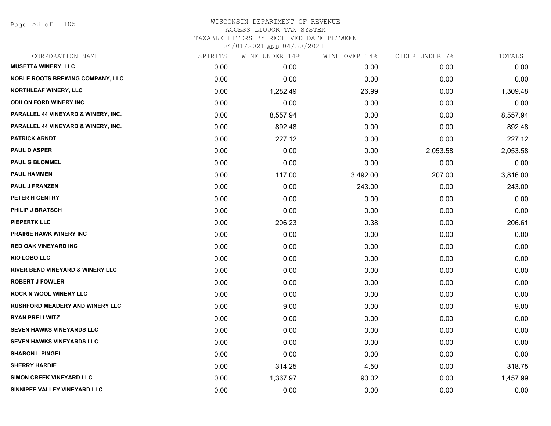Page 58 of 105

| CORPORATION NAME                            | SPIRITS | WINE UNDER 14% | WINE OVER 14% | CIDER UNDER 7% | TOTALS   |
|---------------------------------------------|---------|----------------|---------------|----------------|----------|
| <b>MUSETTA WINERY, LLC</b>                  | 0.00    | 0.00           | 0.00          | 0.00           | 0.00     |
| <b>NOBLE ROOTS BREWING COMPANY, LLC</b>     | 0.00    | 0.00           | 0.00          | 0.00           | 0.00     |
| <b>NORTHLEAF WINERY, LLC</b>                | 0.00    | 1,282.49       | 26.99         | 0.00           | 1,309.48 |
| <b>ODILON FORD WINERY INC</b>               | 0.00    | 0.00           | 0.00          | 0.00           | 0.00     |
| PARALLEL 44 VINEYARD & WINERY, INC.         | 0.00    | 8,557.94       | 0.00          | 0.00           | 8,557.94 |
| PARALLEL 44 VINEYARD & WINERY, INC.         | 0.00    | 892.48         | 0.00          | 0.00           | 892.48   |
| <b>PATRICK ARNDT</b>                        | 0.00    | 227.12         | 0.00          | 0.00           | 227.12   |
| <b>PAUL D ASPER</b>                         | 0.00    | 0.00           | 0.00          | 2,053.58       | 2,053.58 |
| <b>PAUL G BLOMMEL</b>                       | 0.00    | 0.00           | 0.00          | 0.00           | 0.00     |
| <b>PAUL HAMMEN</b>                          | 0.00    | 117.00         | 3,492.00      | 207.00         | 3,816.00 |
| <b>PAUL J FRANZEN</b>                       | 0.00    | 0.00           | 243.00        | 0.00           | 243.00   |
| PETER H GENTRY                              | 0.00    | 0.00           | 0.00          | 0.00           | 0.00     |
| <b>PHILIP J BRATSCH</b>                     | 0.00    | 0.00           | 0.00          | 0.00           | 0.00     |
| PIEPERTK LLC                                | 0.00    | 206.23         | 0.38          | 0.00           | 206.61   |
| <b>PRAIRIE HAWK WINERY INC</b>              | 0.00    | 0.00           | 0.00          | 0.00           | 0.00     |
| <b>RED OAK VINEYARD INC</b>                 | 0.00    | 0.00           | 0.00          | 0.00           | 0.00     |
| RIO LOBO LLC                                | 0.00    | 0.00           | 0.00          | 0.00           | 0.00     |
| <b>RIVER BEND VINEYARD &amp; WINERY LLC</b> | 0.00    | 0.00           | 0.00          | 0.00           | 0.00     |
| <b>ROBERT J FOWLER</b>                      | 0.00    | 0.00           | 0.00          | 0.00           | 0.00     |
| <b>ROCK N WOOL WINERY LLC</b>               | 0.00    | 0.00           | 0.00          | 0.00           | 0.00     |
| <b>RUSHFORD MEADERY AND WINERY LLC</b>      | 0.00    | $-9.00$        | 0.00          | 0.00           | $-9.00$  |
| <b>RYAN PRELLWITZ</b>                       | 0.00    | 0.00           | 0.00          | 0.00           | 0.00     |
| SEVEN HAWKS VINEYARDS LLC                   | 0.00    | 0.00           | 0.00          | 0.00           | 0.00     |
| <b>SEVEN HAWKS VINEYARDS LLC</b>            | 0.00    | 0.00           | 0.00          | 0.00           | 0.00     |
| <b>SHARON L PINGEL</b>                      | 0.00    | 0.00           | 0.00          | 0.00           | 0.00     |
| <b>SHERRY HARDIE</b>                        | 0.00    | 314.25         | 4.50          | 0.00           | 318.75   |
| <b>SIMON CREEK VINEYARD LLC</b>             | 0.00    | 1,367.97       | 90.02         | 0.00           | 1,457.99 |
| SINNIPEE VALLEY VINEYARD LLC                | 0.00    | 0.00           | 0.00          | 0.00           | 0.00     |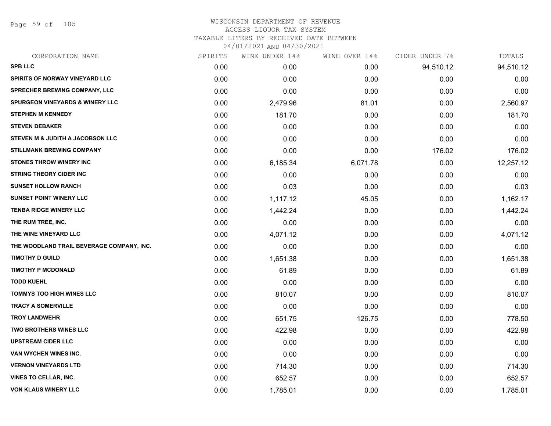Page 59 of 105

| CORPORATION NAME                           | SPIRITS | WINE UNDER 14% | WINE OVER 14% | CIDER UNDER 7% | TOTALS    |
|--------------------------------------------|---------|----------------|---------------|----------------|-----------|
| <b>SPB LLC</b>                             | 0.00    | 0.00           | 0.00          | 94,510.12      | 94,510.12 |
| SPIRITS OF NORWAY VINEYARD LLC             | 0.00    | 0.00           | 0.00          | 0.00           | 0.00      |
| SPRECHER BREWING COMPANY, LLC              | 0.00    | 0.00           | 0.00          | 0.00           | 0.00      |
| <b>SPURGEON VINEYARDS &amp; WINERY LLC</b> | 0.00    | 2,479.96       | 81.01         | 0.00           | 2,560.97  |
| <b>STEPHEN M KENNEDY</b>                   | 0.00    | 181.70         | 0.00          | 0.00           | 181.70    |
| <b>STEVEN DEBAKER</b>                      | 0.00    | 0.00           | 0.00          | 0.00           | 0.00      |
| STEVEN M & JUDITH A JACOBSON LLC           | 0.00    | 0.00           | 0.00          | 0.00           | 0.00      |
| <b>STILLMANK BREWING COMPANY</b>           | 0.00    | 0.00           | 0.00          | 176.02         | 176.02    |
| <b>STONES THROW WINERY INC</b>             | 0.00    | 6,185.34       | 6,071.78      | 0.00           | 12,257.12 |
| <b>STRING THEORY CIDER INC</b>             | 0.00    | 0.00           | 0.00          | 0.00           | 0.00      |
| <b>SUNSET HOLLOW RANCH</b>                 | 0.00    | 0.03           | 0.00          | 0.00           | 0.03      |
| <b>SUNSET POINT WINERY LLC</b>             | 0.00    | 1,117.12       | 45.05         | 0.00           | 1,162.17  |
| <b>TENBA RIDGE WINERY LLC</b>              | 0.00    | 1,442.24       | 0.00          | 0.00           | 1,442.24  |
| THE RUM TREE, INC.                         | 0.00    | 0.00           | 0.00          | 0.00           | 0.00      |
| THE WINE VINEYARD LLC                      | 0.00    | 4,071.12       | 0.00          | 0.00           | 4,071.12  |
| THE WOODLAND TRAIL BEVERAGE COMPANY, INC.  | 0.00    | 0.00           | 0.00          | 0.00           | 0.00      |
| <b>TIMOTHY D GUILD</b>                     | 0.00    | 1,651.38       | 0.00          | 0.00           | 1,651.38  |
| <b>TIMOTHY P MCDONALD</b>                  | 0.00    | 61.89          | 0.00          | 0.00           | 61.89     |
| <b>TODD KUEHL</b>                          | 0.00    | 0.00           | 0.00          | 0.00           | 0.00      |
| <b>TOMMYS TOO HIGH WINES LLC</b>           | 0.00    | 810.07         | 0.00          | 0.00           | 810.07    |
| <b>TRACY A SOMERVILLE</b>                  | 0.00    | 0.00           | 0.00          | 0.00           | 0.00      |
| <b>TROY LANDWEHR</b>                       | 0.00    | 651.75         | 126.75        | 0.00           | 778.50    |
| <b>TWO BROTHERS WINES LLC</b>              | 0.00    | 422.98         | 0.00          | 0.00           | 422.98    |
| <b>UPSTREAM CIDER LLC</b>                  | 0.00    | 0.00           | 0.00          | 0.00           | 0.00      |
| VAN WYCHEN WINES INC.                      | 0.00    | 0.00           | 0.00          | 0.00           | 0.00      |
| <b>VERNON VINEYARDS LTD</b>                | 0.00    | 714.30         | 0.00          | 0.00           | 714.30    |
| <b>VINES TO CELLAR, INC.</b>               | 0.00    | 652.57         | 0.00          | 0.00           | 652.57    |
| <b>VON KLAUS WINERY LLC</b>                | 0.00    | 1,785.01       | 0.00          | 0.00           | 1,785.01  |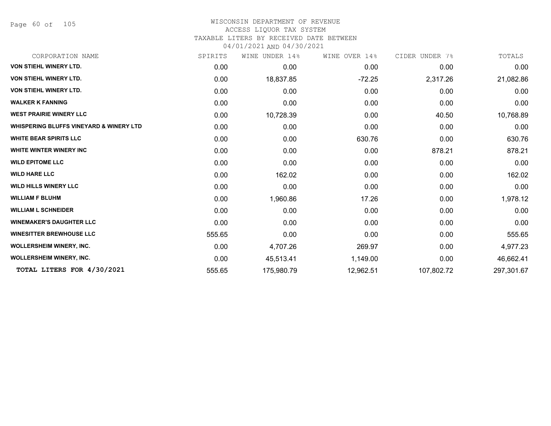Page 60 of 105

### WISCONSIN DEPARTMENT OF REVENUE ACCESS LIQUOR TAX SYSTEM

TAXABLE LITERS BY RECEIVED DATE BETWEEN

| CORPORATION NAME                                   | SPIRITS | UNDER 14%<br>WINE | WINE OVER 14% | CIDER UNDER 7% | TOTALS     |
|----------------------------------------------------|---------|-------------------|---------------|----------------|------------|
| <b>VON STIEHL WINERY LTD.</b>                      | 0.00    | 0.00              | 0.00          | 0.00           | 0.00       |
| <b>VON STIEHL WINERY LTD.</b>                      | 0.00    | 18,837.85         | $-72.25$      | 2,317.26       | 21,082.86  |
| <b>VON STIEHL WINERY LTD.</b>                      | 0.00    | 0.00              | 0.00          | 0.00           | 0.00       |
| <b>WALKER K FANNING</b>                            | 0.00    | 0.00              | 0.00          | 0.00           | 0.00       |
| <b>WEST PRAIRIE WINERY LLC</b>                     | 0.00    | 10,728.39         | 0.00          | 40.50          | 10,768.89  |
| <b>WHISPERING BLUFFS VINEYARD &amp; WINERY LTD</b> | 0.00    | 0.00              | 0.00          | 0.00           | 0.00       |
| <b>WHITE BEAR SPIRITS LLC</b>                      | 0.00    | 0.00              | 630.76        | 0.00           | 630.76     |
| <b>WHITE WINTER WINERY INC</b>                     | 0.00    | 0.00              | 0.00          | 878.21         | 878.21     |
| <b>WILD EPITOME LLC</b>                            | 0.00    | 0.00              | 0.00          | 0.00           | 0.00       |
| <b>WILD HARE LLC</b>                               | 0.00    | 162.02            | 0.00          | 0.00           | 162.02     |
| <b>WILD HILLS WINERY LLC</b>                       | 0.00    | 0.00              | 0.00          | 0.00           | 0.00       |
| <b>WILLIAM F BLUHM</b>                             | 0.00    | 1,960.86          | 17.26         | 0.00           | 1,978.12   |
| <b>WILLIAM L SCHNEIDER</b>                         | 0.00    | 0.00              | 0.00          | 0.00           | 0.00       |
| <b>WINEMAKER'S DAUGHTER LLC</b>                    | 0.00    | 0.00              | 0.00          | 0.00           | 0.00       |
| <b>WINESITTER BREWHOUSE LLC</b>                    | 555.65  | 0.00              | 0.00          | 0.00           | 555.65     |
| <b>WOLLERSHEIM WINERY, INC.</b>                    | 0.00    | 4,707.26          | 269.97        | 0.00           | 4,977.23   |
| <b>WOLLERSHEIM WINERY, INC.</b>                    | 0.00    | 45,513.41         | 1,149.00      | 0.00           | 46,662.41  |
| TOTAL LITERS FOR 4/30/2021                         | 555.65  | 175,980.79        | 12,962.51     | 107,802.72     | 297,301.67 |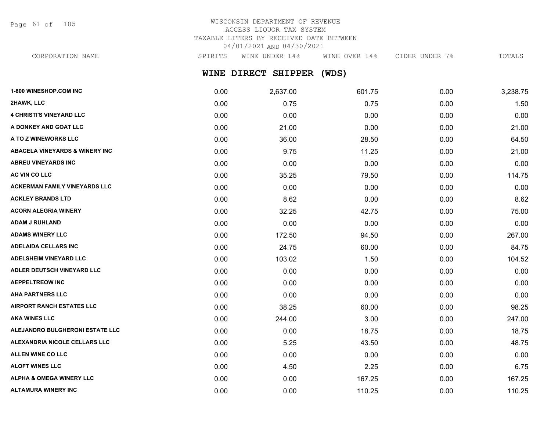Page 61 of 105

# WISCONSIN DEPARTMENT OF REVENUE ACCESS LIQUOR TAX SYSTEM TAXABLE LITERS BY RECEIVED DATE BETWEEN 04/01/2021 AND 04/30/2021

CORPORATION NAME SPIRITS WINE UNDER 14% WINE OVER 14% CIDER UNDER 7% TOTALS

**WINE DIRECT SHIPPER (WDS)**

| 1-800 WINESHOP.COM INC                    | 0.00 | 2,637.00 | 601.75 | 0.00 | 3,238.75 |
|-------------------------------------------|------|----------|--------|------|----------|
| 2HAWK, LLC                                | 0.00 | 0.75     | 0.75   | 0.00 | 1.50     |
| <b>4 CHRISTI'S VINEYARD LLC</b>           | 0.00 | 0.00     | 0.00   | 0.00 | 0.00     |
| A DONKEY AND GOAT LLC                     | 0.00 | 21.00    | 0.00   | 0.00 | 21.00    |
| A TO Z WINEWORKS LLC                      | 0.00 | 36.00    | 28.50  | 0.00 | 64.50    |
| <b>ABACELA VINEYARDS &amp; WINERY INC</b> | 0.00 | 9.75     | 11.25  | 0.00 | 21.00    |
| ABREU VINEYARDS INC                       | 0.00 | 0.00     | 0.00   | 0.00 | 0.00     |
| AC VIN CO LLC                             | 0.00 | 35.25    | 79.50  | 0.00 | 114.75   |
| <b>ACKERMAN FAMILY VINEYARDS LLC</b>      | 0.00 | 0.00     | 0.00   | 0.00 | 0.00     |
| <b>ACKLEY BRANDS LTD</b>                  | 0.00 | 8.62     | 0.00   | 0.00 | 8.62     |
| <b>ACORN ALEGRIA WINERY</b>               | 0.00 | 32.25    | 42.75  | 0.00 | 75.00    |
| <b>ADAM J RUHLAND</b>                     | 0.00 | 0.00     | 0.00   | 0.00 | 0.00     |
| <b>ADAMS WINERY LLC</b>                   | 0.00 | 172.50   | 94.50  | 0.00 | 267.00   |
| <b>ADELAIDA CELLARS INC</b>               | 0.00 | 24.75    | 60.00  | 0.00 | 84.75    |
| <b>ADELSHEIM VINEYARD LLC</b>             | 0.00 | 103.02   | 1.50   | 0.00 | 104.52   |
| ADLER DEUTSCH VINEYARD LLC                | 0.00 | 0.00     | 0.00   | 0.00 | 0.00     |
| <b>AEPPELTREOW INC</b>                    | 0.00 | 0.00     | 0.00   | 0.00 | 0.00     |
| <b>AHA PARTNERS LLC</b>                   | 0.00 | 0.00     | 0.00   | 0.00 | 0.00     |
| <b>AIRPORT RANCH ESTATES LLC</b>          | 0.00 | 38.25    | 60.00  | 0.00 | 98.25    |
| <b>AKA WINES LLC</b>                      | 0.00 | 244.00   | 3.00   | 0.00 | 247.00   |
| <b>ALEJANDRO BULGHERONI ESTATE LLC</b>    | 0.00 | 0.00     | 18.75  | 0.00 | 18.75    |
| ALEXANDRIA NICOLE CELLARS LLC             | 0.00 | 5.25     | 43.50  | 0.00 | 48.75    |
| <b>ALLEN WINE CO LLC</b>                  | 0.00 | 0.00     | 0.00   | 0.00 | 0.00     |
| <b>ALOFT WINES LLC</b>                    | 0.00 | 4.50     | 2.25   | 0.00 | 6.75     |
| <b>ALPHA &amp; OMEGA WINERY LLC</b>       | 0.00 | 0.00     | 167.25 | 0.00 | 167.25   |
| <b>ALTAMURA WINERY INC</b>                | 0.00 | 0.00     | 110.25 | 0.00 | 110.25   |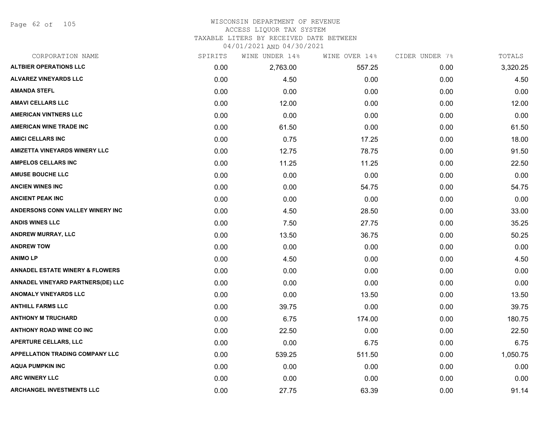Page 62 of 105

## WISCONSIN DEPARTMENT OF REVENUE ACCESS LIQUOR TAX SYSTEM TAXABLE LITERS BY RECEIVED DATE BETWEEN

| CORPORATION NAME                           | SPIRITS | WINE UNDER 14% | WINE OVER 14% | CIDER UNDER 7% | TOTALS   |
|--------------------------------------------|---------|----------------|---------------|----------------|----------|
| <b>ALTBIER OPERATIONS LLC</b>              | 0.00    | 2,763.00       | 557.25        | 0.00           | 3,320.25 |
| <b>ALVAREZ VINEYARDS LLC</b>               | 0.00    | 4.50           | 0.00          | 0.00           | 4.50     |
| <b>AMANDA STEFL</b>                        | 0.00    | 0.00           | 0.00          | 0.00           | 0.00     |
| <b>AMAVI CELLARS LLC</b>                   | 0.00    | 12.00          | 0.00          | 0.00           | 12.00    |
| <b>AMERICAN VINTNERS LLC</b>               | 0.00    | 0.00           | 0.00          | 0.00           | 0.00     |
| <b>AMERICAN WINE TRADE INC</b>             | 0.00    | 61.50          | 0.00          | 0.00           | 61.50    |
| <b>AMICI CELLARS INC</b>                   | 0.00    | 0.75           | 17.25         | 0.00           | 18.00    |
| <b>AMIZETTA VINEYARDS WINERY LLC</b>       | 0.00    | 12.75          | 78.75         | 0.00           | 91.50    |
| <b>AMPELOS CELLARS INC</b>                 | 0.00    | 11.25          | 11.25         | 0.00           | 22.50    |
| <b>AMUSE BOUCHE LLC</b>                    | 0.00    | 0.00           | 0.00          | 0.00           | 0.00     |
| <b>ANCIEN WINES INC</b>                    | 0.00    | 0.00           | 54.75         | 0.00           | 54.75    |
| <b>ANCIENT PEAK INC</b>                    | 0.00    | 0.00           | 0.00          | 0.00           | 0.00     |
| ANDERSONS CONN VALLEY WINERY INC           | 0.00    | 4.50           | 28.50         | 0.00           | 33.00    |
| <b>ANDIS WINES LLC</b>                     | 0.00    | 7.50           | 27.75         | 0.00           | 35.25    |
| ANDREW MURRAY, LLC                         | 0.00    | 13.50          | 36.75         | 0.00           | 50.25    |
| <b>ANDREW TOW</b>                          | 0.00    | 0.00           | 0.00          | 0.00           | 0.00     |
| <b>ANIMOLP</b>                             | 0.00    | 4.50           | 0.00          | 0.00           | 4.50     |
| <b>ANNADEL ESTATE WINERY &amp; FLOWERS</b> | 0.00    | 0.00           | 0.00          | 0.00           | 0.00     |
| ANNADEL VINEYARD PARTNERS(DE) LLC          | 0.00    | 0.00           | 0.00          | 0.00           | 0.00     |
| <b>ANOMALY VINEYARDS LLC</b>               | 0.00    | 0.00           | 13.50         | 0.00           | 13.50    |
| <b>ANTHILL FARMS LLC</b>                   | 0.00    | 39.75          | 0.00          | 0.00           | 39.75    |
| <b>ANTHONY M TRUCHARD</b>                  | 0.00    | 6.75           | 174.00        | 0.00           | 180.75   |
| <b>ANTHONY ROAD WINE CO INC</b>            | 0.00    | 22.50          | 0.00          | 0.00           | 22.50    |
| <b>APERTURE CELLARS, LLC</b>               | 0.00    | 0.00           | 6.75          | 0.00           | 6.75     |
| <b>APPELLATION TRADING COMPANY LLC</b>     | 0.00    | 539.25         | 511.50        | 0.00           | 1,050.75 |
| <b>AQUA PUMPKIN INC</b>                    | 0.00    | 0.00           | 0.00          | 0.00           | 0.00     |
| <b>ARC WINERY LLC</b>                      | 0.00    | 0.00           | 0.00          | 0.00           | 0.00     |
| <b>ARCHANGEL INVESTMENTS LLC</b>           | 0.00    | 27.75          | 63.39         | 0.00           | 91.14    |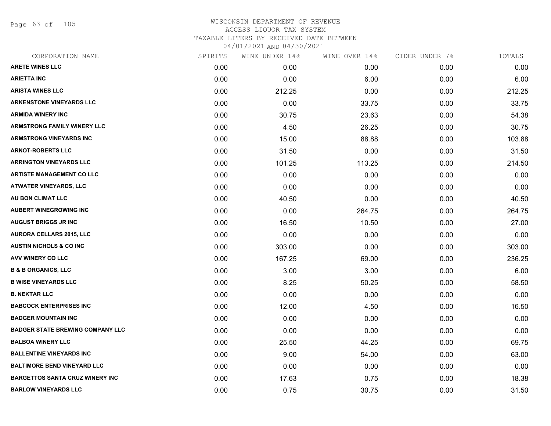Page 63 of 105

| CORPORATION NAME                        | SPIRITS | WINE UNDER 14% | WINE OVER 14% | CIDER UNDER 7% | TOTALS |
|-----------------------------------------|---------|----------------|---------------|----------------|--------|
| <b>ARETE WINES LLC</b>                  | 0.00    | 0.00           | 0.00          | 0.00           | 0.00   |
| <b>ARIETTA INC</b>                      | 0.00    | 0.00           | 6.00          | 0.00           | 6.00   |
| <b>ARISTA WINES LLC</b>                 | 0.00    | 212.25         | 0.00          | 0.00           | 212.25 |
| <b>ARKENSTONE VINEYARDS LLC</b>         | 0.00    | 0.00           | 33.75         | 0.00           | 33.75  |
| <b>ARMIDA WINERY INC</b>                | 0.00    | 30.75          | 23.63         | 0.00           | 54.38  |
| <b>ARMSTRONG FAMILY WINERY LLC</b>      | 0.00    | 4.50           | 26.25         | 0.00           | 30.75  |
| <b>ARMSTRONG VINEYARDS INC</b>          | 0.00    | 15.00          | 88.88         | 0.00           | 103.88 |
| <b>ARNOT-ROBERTS LLC</b>                | 0.00    | 31.50          | 0.00          | 0.00           | 31.50  |
| <b>ARRINGTON VINEYARDS LLC</b>          | 0.00    | 101.25         | 113.25        | 0.00           | 214.50 |
| <b>ARTISTE MANAGEMENT CO LLC</b>        | 0.00    | 0.00           | 0.00          | 0.00           | 0.00   |
| <b>ATWATER VINEYARDS, LLC</b>           | 0.00    | 0.00           | 0.00          | 0.00           | 0.00   |
| AU BON CLIMAT LLC                       | 0.00    | 40.50          | 0.00          | 0.00           | 40.50  |
| <b>AUBERT WINEGROWING INC</b>           | 0.00    | 0.00           | 264.75        | 0.00           | 264.75 |
| <b>AUGUST BRIGGS JR INC</b>             | 0.00    | 16.50          | 10.50         | 0.00           | 27.00  |
| <b>AURORA CELLARS 2015, LLC</b>         | 0.00    | 0.00           | 0.00          | 0.00           | 0.00   |
| <b>AUSTIN NICHOLS &amp; CO INC</b>      | 0.00    | 303.00         | 0.00          | 0.00           | 303.00 |
| <b>AVV WINERY CO LLC</b>                | 0.00    | 167.25         | 69.00         | 0.00           | 236.25 |
| <b>B &amp; B ORGANICS, LLC</b>          | 0.00    | 3.00           | 3.00          | 0.00           | 6.00   |
| <b>B WISE VINEYARDS LLC</b>             | 0.00    | 8.25           | 50.25         | 0.00           | 58.50  |
| <b>B. NEKTAR LLC</b>                    | 0.00    | 0.00           | 0.00          | 0.00           | 0.00   |
| <b>BABCOCK ENTERPRISES INC</b>          | 0.00    | 12.00          | 4.50          | 0.00           | 16.50  |
| <b>BADGER MOUNTAIN INC</b>              | 0.00    | 0.00           | 0.00          | 0.00           | 0.00   |
| <b>BADGER STATE BREWING COMPANY LLC</b> | 0.00    | 0.00           | 0.00          | 0.00           | 0.00   |
| <b>BALBOA WINERY LLC</b>                | 0.00    | 25.50          | 44.25         | 0.00           | 69.75  |
| <b>BALLENTINE VINEYARDS INC</b>         | 0.00    | 9.00           | 54.00         | 0.00           | 63.00  |
| <b>BALTIMORE BEND VINEYARD LLC</b>      | 0.00    | 0.00           | 0.00          | 0.00           | 0.00   |
| <b>BARGETTOS SANTA CRUZ WINERY INC</b>  | 0.00    | 17.63          | 0.75          | 0.00           | 18.38  |
| <b>BARLOW VINEYARDS LLC</b>             | 0.00    | 0.75           | 30.75         | 0.00           | 31.50  |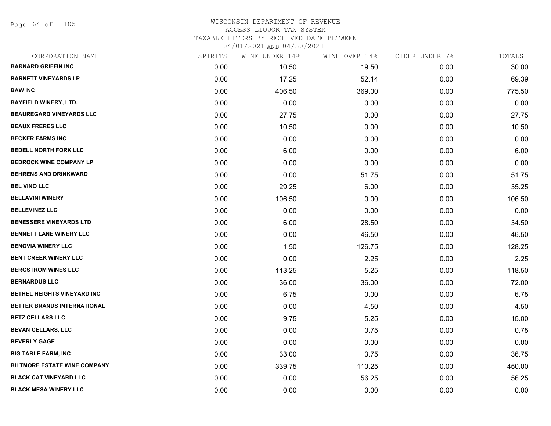Page 64 of 105

| CORPORATION NAME                    | SPIRITS | WINE UNDER 14% | WINE OVER 14% | CIDER UNDER 7% | TOTALS |
|-------------------------------------|---------|----------------|---------------|----------------|--------|
| <b>BARNARD GRIFFIN INC</b>          | 0.00    | 10.50          | 19.50         | 0.00           | 30.00  |
| <b>BARNETT VINEYARDS LP</b>         | 0.00    | 17.25          | 52.14         | 0.00           | 69.39  |
| <b>BAW INC</b>                      | 0.00    | 406.50         | 369.00        | 0.00           | 775.50 |
| <b>BAYFIELD WINERY, LTD.</b>        | 0.00    | 0.00           | 0.00          | 0.00           | 0.00   |
| <b>BEAUREGARD VINEYARDS LLC</b>     | 0.00    | 27.75          | 0.00          | 0.00           | 27.75  |
| <b>BEAUX FRERES LLC</b>             | 0.00    | 10.50          | 0.00          | 0.00           | 10.50  |
| <b>BECKER FARMS INC</b>             | 0.00    | 0.00           | 0.00          | 0.00           | 0.00   |
| <b>BEDELL NORTH FORK LLC</b>        | 0.00    | 6.00           | 0.00          | 0.00           | 6.00   |
| <b>BEDROCK WINE COMPANY LP</b>      | 0.00    | 0.00           | 0.00          | 0.00           | 0.00   |
| <b>BEHRENS AND DRINKWARD</b>        | 0.00    | 0.00           | 51.75         | 0.00           | 51.75  |
| <b>BEL VINO LLC</b>                 | 0.00    | 29.25          | 6.00          | 0.00           | 35.25  |
| <b>BELLAVINI WINERY</b>             | 0.00    | 106.50         | 0.00          | 0.00           | 106.50 |
| <b>BELLEVINEZ LLC</b>               | 0.00    | 0.00           | 0.00          | 0.00           | 0.00   |
| <b>BENESSERE VINEYARDS LTD</b>      | 0.00    | 6.00           | 28.50         | 0.00           | 34.50  |
| <b>BENNETT LANE WINERY LLC</b>      | 0.00    | 0.00           | 46.50         | 0.00           | 46.50  |
| <b>BENOVIA WINERY LLC</b>           | 0.00    | 1.50           | 126.75        | 0.00           | 128.25 |
| <b>BENT CREEK WINERY LLC</b>        | 0.00    | 0.00           | 2.25          | 0.00           | 2.25   |
| <b>BERGSTROM WINES LLC</b>          | 0.00    | 113.25         | 5.25          | 0.00           | 118.50 |
| <b>BERNARDUS LLC</b>                | 0.00    | 36.00          | 36.00         | 0.00           | 72.00  |
| BETHEL HEIGHTS VINEYARD INC         | 0.00    | 6.75           | 0.00          | 0.00           | 6.75   |
| BETTER BRANDS INTERNATIONAL         | 0.00    | 0.00           | 4.50          | 0.00           | 4.50   |
| <b>BETZ CELLARS LLC</b>             | 0.00    | 9.75           | 5.25          | 0.00           | 15.00  |
| <b>BEVAN CELLARS, LLC</b>           | 0.00    | 0.00           | 0.75          | 0.00           | 0.75   |
| <b>BEVERLY GAGE</b>                 | 0.00    | 0.00           | 0.00          | 0.00           | 0.00   |
| <b>BIG TABLE FARM, INC</b>          | 0.00    | 33.00          | 3.75          | 0.00           | 36.75  |
| <b>BILTMORE ESTATE WINE COMPANY</b> | 0.00    | 339.75         | 110.25        | 0.00           | 450.00 |
| <b>BLACK CAT VINEYARD LLC</b>       | 0.00    | 0.00           | 56.25         | 0.00           | 56.25  |
| <b>BLACK MESA WINERY LLC</b>        | 0.00    | 0.00           | 0.00          | 0.00           | 0.00   |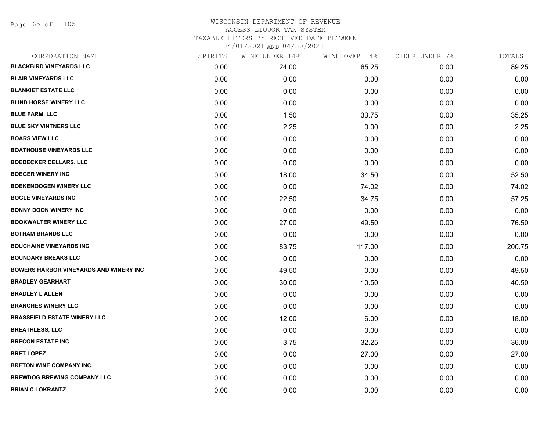Page 65 of 105

| CORPORATION NAME                              | SPIRITS | WINE UNDER 14% | WINE OVER 14% | CIDER UNDER 7% | TOTALS |
|-----------------------------------------------|---------|----------------|---------------|----------------|--------|
| <b>BLACKBIRD VINEYARDS LLC</b>                | 0.00    | 24.00          | 65.25         | 0.00           | 89.25  |
| <b>BLAIR VINEYARDS LLC</b>                    | 0.00    | 0.00           | 0.00          | 0.00           | 0.00   |
| <b>BLANKIET ESTATE LLC</b>                    | 0.00    | 0.00           | 0.00          | 0.00           | 0.00   |
| <b>BLIND HORSE WINERY LLC</b>                 | 0.00    | 0.00           | 0.00          | 0.00           | 0.00   |
| <b>BLUE FARM, LLC</b>                         | 0.00    | 1.50           | 33.75         | 0.00           | 35.25  |
| <b>BLUE SKY VINTNERS LLC</b>                  | 0.00    | 2.25           | 0.00          | 0.00           | 2.25   |
| <b>BOARS VIEW LLC</b>                         | 0.00    | 0.00           | 0.00          | 0.00           | 0.00   |
| <b>BOATHOUSE VINEYARDS LLC</b>                | 0.00    | 0.00           | 0.00          | 0.00           | 0.00   |
| <b>BOEDECKER CELLARS, LLC</b>                 | 0.00    | 0.00           | 0.00          | 0.00           | 0.00   |
| <b>BOEGER WINERY INC</b>                      | 0.00    | 18.00          | 34.50         | 0.00           | 52.50  |
| <b>BOEKENOOGEN WINERY LLC</b>                 | 0.00    | 0.00           | 74.02         | 0.00           | 74.02  |
| <b>BOGLE VINEYARDS INC</b>                    | 0.00    | 22.50          | 34.75         | 0.00           | 57.25  |
| <b>BONNY DOON WINERY INC</b>                  | 0.00    | 0.00           | 0.00          | 0.00           | 0.00   |
| <b>BOOKWALTER WINERY LLC</b>                  | 0.00    | 27.00          | 49.50         | 0.00           | 76.50  |
| <b>BOTHAM BRANDS LLC</b>                      | 0.00    | 0.00           | 0.00          | 0.00           | 0.00   |
| <b>BOUCHAINE VINEYARDS INC</b>                | 0.00    | 83.75          | 117.00        | 0.00           | 200.75 |
| <b>BOUNDARY BREAKS LLC</b>                    | 0.00    | 0.00           | 0.00          | 0.00           | 0.00   |
| <b>BOWERS HARBOR VINEYARDS AND WINERY INC</b> | 0.00    | 49.50          | 0.00          | 0.00           | 49.50  |
| <b>BRADLEY GEARHART</b>                       | 0.00    | 30.00          | 10.50         | 0.00           | 40.50  |
| <b>BRADLEY L ALLEN</b>                        | 0.00    | 0.00           | 0.00          | 0.00           | 0.00   |
| <b>BRANCHES WINERY LLC</b>                    | 0.00    | 0.00           | 0.00          | 0.00           | 0.00   |
| <b>BRASSFIELD ESTATE WINERY LLC</b>           | 0.00    | 12.00          | 6.00          | 0.00           | 18.00  |
| <b>BREATHLESS, LLC</b>                        | 0.00    | 0.00           | 0.00          | 0.00           | 0.00   |
| <b>BRECON ESTATE INC</b>                      | 0.00    | 3.75           | 32.25         | 0.00           | 36.00  |
| <b>BRET LOPEZ</b>                             | 0.00    | 0.00           | 27.00         | 0.00           | 27.00  |
| <b>BRETON WINE COMPANY INC</b>                | 0.00    | 0.00           | 0.00          | 0.00           | 0.00   |
| <b>BREWDOG BREWING COMPANY LLC</b>            | 0.00    | 0.00           | 0.00          | 0.00           | 0.00   |
| <b>BRIAN C LOKRANTZ</b>                       | 0.00    | 0.00           | 0.00          | 0.00           | 0.00   |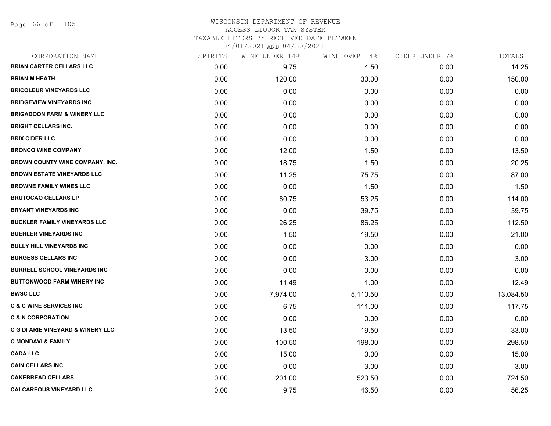Page 66 of 105

# WISCONSIN DEPARTMENT OF REVENUE ACCESS LIQUOR TAX SYSTEM TAXABLE LITERS BY RECEIVED DATE BETWEEN

| CORPORATION NAME                             | SPIRITS | WINE UNDER 14% | WINE OVER 14% | CIDER UNDER 7% | TOTALS    |
|----------------------------------------------|---------|----------------|---------------|----------------|-----------|
| <b>BRIAN CARTER CELLARS LLC</b>              | 0.00    | 9.75           | 4.50          | 0.00           | 14.25     |
| <b>BRIAN M HEATH</b>                         | 0.00    | 120.00         | 30.00         | 0.00           | 150.00    |
| <b>BRICOLEUR VINEYARDS LLC</b>               | 0.00    | 0.00           | 0.00          | 0.00           | 0.00      |
| <b>BRIDGEVIEW VINEYARDS INC</b>              | 0.00    | 0.00           | 0.00          | 0.00           | 0.00      |
| <b>BRIGADOON FARM &amp; WINERY LLC</b>       | 0.00    | 0.00           | 0.00          | 0.00           | 0.00      |
| <b>BRIGHT CELLARS INC.</b>                   | 0.00    | 0.00           | 0.00          | 0.00           | 0.00      |
| <b>BRIX CIDER LLC</b>                        | 0.00    | 0.00           | 0.00          | 0.00           | 0.00      |
| <b>BRONCO WINE COMPANY</b>                   | 0.00    | 12.00          | 1.50          | 0.00           | 13.50     |
| BROWN COUNTY WINE COMPANY, INC.              | 0.00    | 18.75          | 1.50          | 0.00           | 20.25     |
| <b>BROWN ESTATE VINEYARDS LLC</b>            | 0.00    | 11.25          | 75.75         | 0.00           | 87.00     |
| <b>BROWNE FAMILY WINES LLC</b>               | 0.00    | 0.00           | 1.50          | 0.00           | 1.50      |
| <b>BRUTOCAO CELLARS LP</b>                   | 0.00    | 60.75          | 53.25         | 0.00           | 114.00    |
| <b>BRYANT VINEYARDS INC</b>                  | 0.00    | 0.00           | 39.75         | 0.00           | 39.75     |
| <b>BUCKLER FAMILY VINEYARDS LLC</b>          | 0.00    | 26.25          | 86.25         | 0.00           | 112.50    |
| <b>BUEHLER VINEYARDS INC</b>                 | 0.00    | 1.50           | 19.50         | 0.00           | 21.00     |
| <b>BULLY HILL VINEYARDS INC</b>              | 0.00    | 0.00           | 0.00          | 0.00           | 0.00      |
| <b>BURGESS CELLARS INC</b>                   | 0.00    | 0.00           | 3.00          | 0.00           | 3.00      |
| <b>BURRELL SCHOOL VINEYARDS INC</b>          | 0.00    | 0.00           | 0.00          | 0.00           | 0.00      |
| <b>BUTTONWOOD FARM WINERY INC</b>            | 0.00    | 11.49          | 1.00          | 0.00           | 12.49     |
| <b>BWSC LLC</b>                              | 0.00    | 7,974.00       | 5,110.50      | 0.00           | 13,084.50 |
| <b>C &amp; C WINE SERVICES INC</b>           | 0.00    | 6.75           | 111.00        | 0.00           | 117.75    |
| <b>C &amp; N CORPORATION</b>                 | 0.00    | 0.00           | 0.00          | 0.00           | 0.00      |
| <b>C G DI ARIE VINEYARD &amp; WINERY LLC</b> | 0.00    | 13.50          | 19.50         | 0.00           | 33.00     |
| <b>C MONDAVI &amp; FAMILY</b>                | 0.00    | 100.50         | 198.00        | 0.00           | 298.50    |
| <b>CADA LLC</b>                              | 0.00    | 15.00          | 0.00          | 0.00           | 15.00     |
| <b>CAIN CELLARS INC</b>                      | 0.00    | 0.00           | 3.00          | 0.00           | 3.00      |
| <b>CAKEBREAD CELLARS</b>                     | 0.00    | 201.00         | 523.50        | 0.00           | 724.50    |
| <b>CALCAREOUS VINEYARD LLC</b>               | 0.00    | 9.75           | 46.50         | 0.00           | 56.25     |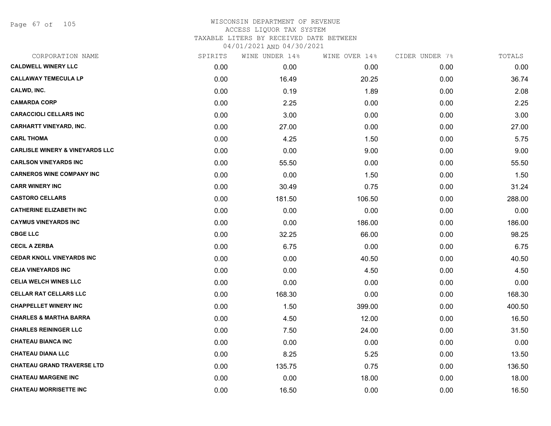Page 67 of 105

| CORPORATION NAME                           | SPIRITS | WINE UNDER 14% | WINE OVER 14% | CIDER UNDER 7% | TOTALS |
|--------------------------------------------|---------|----------------|---------------|----------------|--------|
| <b>CALDWELL WINERY LLC</b>                 | 0.00    | 0.00           | 0.00          | 0.00           | 0.00   |
| <b>CALLAWAY TEMECULA LP</b>                | 0.00    | 16.49          | 20.25         | 0.00           | 36.74  |
| CALWD, INC.                                | 0.00    | 0.19           | 1.89          | 0.00           | 2.08   |
| <b>CAMARDA CORP</b>                        | 0.00    | 2.25           | 0.00          | 0.00           | 2.25   |
| <b>CARACCIOLI CELLARS INC</b>              | 0.00    | 3.00           | 0.00          | 0.00           | 3.00   |
| <b>CARHARTT VINEYARD, INC.</b>             | 0.00    | 27.00          | 0.00          | 0.00           | 27.00  |
| <b>CARL THOMA</b>                          | 0.00    | 4.25           | 1.50          | 0.00           | 5.75   |
| <b>CARLISLE WINERY &amp; VINEYARDS LLC</b> | 0.00    | 0.00           | 9.00          | 0.00           | 9.00   |
| <b>CARLSON VINEYARDS INC</b>               | 0.00    | 55.50          | 0.00          | 0.00           | 55.50  |
| <b>CARNEROS WINE COMPANY INC</b>           | 0.00    | 0.00           | 1.50          | 0.00           | 1.50   |
| <b>CARR WINERY INC</b>                     | 0.00    | 30.49          | 0.75          | 0.00           | 31.24  |
| <b>CASTORO CELLARS</b>                     | 0.00    | 181.50         | 106.50        | 0.00           | 288.00 |
| <b>CATHERINE ELIZABETH INC</b>             | 0.00    | 0.00           | 0.00          | 0.00           | 0.00   |
| <b>CAYMUS VINEYARDS INC</b>                | 0.00    | 0.00           | 186.00        | 0.00           | 186.00 |
| <b>CBGE LLC</b>                            | 0.00    | 32.25          | 66.00         | 0.00           | 98.25  |
| <b>CECIL A ZERBA</b>                       | 0.00    | 6.75           | 0.00          | 0.00           | 6.75   |
| <b>CEDAR KNOLL VINEYARDS INC</b>           | 0.00    | 0.00           | 40.50         | 0.00           | 40.50  |
| <b>CEJA VINEYARDS INC</b>                  | 0.00    | 0.00           | 4.50          | 0.00           | 4.50   |
| <b>CELIA WELCH WINES LLC</b>               | 0.00    | 0.00           | 0.00          | 0.00           | 0.00   |
| <b>CELLAR RAT CELLARS LLC</b>              | 0.00    | 168.30         | 0.00          | 0.00           | 168.30 |
| <b>CHAPPELLET WINERY INC</b>               | 0.00    | 1.50           | 399.00        | 0.00           | 400.50 |
| <b>CHARLES &amp; MARTHA BARRA</b>          | 0.00    | 4.50           | 12.00         | 0.00           | 16.50  |
| <b>CHARLES REININGER LLC</b>               | 0.00    | 7.50           | 24.00         | 0.00           | 31.50  |
| <b>CHATEAU BIANCA INC</b>                  | 0.00    | 0.00           | 0.00          | 0.00           | 0.00   |
| <b>CHATEAU DIANA LLC</b>                   | 0.00    | 8.25           | 5.25          | 0.00           | 13.50  |
| <b>CHATEAU GRAND TRAVERSE LTD</b>          | 0.00    | 135.75         | 0.75          | 0.00           | 136.50 |
| <b>CHATEAU MARGENE INC</b>                 | 0.00    | 0.00           | 18.00         | 0.00           | 18.00  |
| <b>CHATEAU MORRISETTE INC</b>              | 0.00    | 16.50          | 0.00          | 0.00           | 16.50  |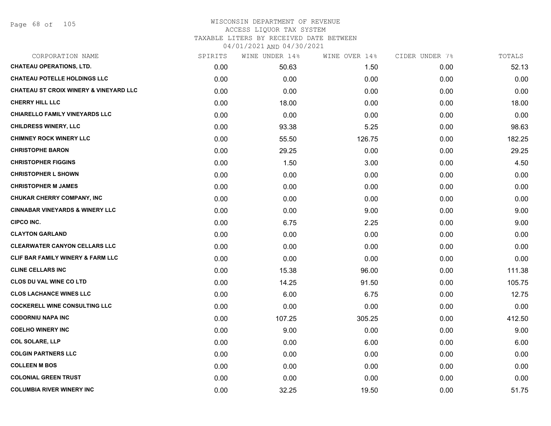# WISCONSIN DEPARTMENT OF REVENUE ACCESS LIQUOR TAX SYSTEM TAXABLE LITERS BY RECEIVED DATE BETWEEN

| CORPORATION NAME                                  | SPIRITS | WINE UNDER 14% | WINE OVER 14% | CIDER UNDER 7% | TOTALS |
|---------------------------------------------------|---------|----------------|---------------|----------------|--------|
| <b>CHATEAU OPERATIONS, LTD.</b>                   | 0.00    | 50.63          | 1.50          | 0.00           | 52.13  |
| <b>CHATEAU POTELLE HOLDINGS LLC</b>               | 0.00    | 0.00           | 0.00          | 0.00           | 0.00   |
| <b>CHATEAU ST CROIX WINERY &amp; VINEYARD LLC</b> | 0.00    | 0.00           | 0.00          | 0.00           | 0.00   |
| <b>CHERRY HILL LLC</b>                            | 0.00    | 18.00          | 0.00          | 0.00           | 18.00  |
| <b>CHIARELLO FAMILY VINEYARDS LLC</b>             | 0.00    | 0.00           | 0.00          | 0.00           | 0.00   |
| <b>CHILDRESS WINERY, LLC</b>                      | 0.00    | 93.38          | 5.25          | 0.00           | 98.63  |
| <b>CHIMNEY ROCK WINERY LLC</b>                    | 0.00    | 55.50          | 126.75        | 0.00           | 182.25 |
| <b>CHRISTOPHE BARON</b>                           | 0.00    | 29.25          | 0.00          | 0.00           | 29.25  |
| <b>CHRISTOPHER FIGGINS</b>                        | 0.00    | 1.50           | 3.00          | 0.00           | 4.50   |
| <b>CHRISTOPHER L SHOWN</b>                        | 0.00    | 0.00           | 0.00          | 0.00           | 0.00   |
| <b>CHRISTOPHER M JAMES</b>                        | 0.00    | 0.00           | 0.00          | 0.00           | 0.00   |
| CHUKAR CHERRY COMPANY, INC                        | 0.00    | 0.00           | 0.00          | 0.00           | 0.00   |
| <b>CINNABAR VINEYARDS &amp; WINERY LLC</b>        | 0.00    | 0.00           | 9.00          | 0.00           | 9.00   |
| <b>CIPCO INC.</b>                                 | 0.00    | 6.75           | 2.25          | 0.00           | 9.00   |
| <b>CLAYTON GARLAND</b>                            | 0.00    | 0.00           | 0.00          | 0.00           | 0.00   |
| <b>CLEARWATER CANYON CELLARS LLC</b>              | 0.00    | 0.00           | 0.00          | 0.00           | 0.00   |
| <b>CLIF BAR FAMILY WINERY &amp; FARM LLC</b>      | 0.00    | 0.00           | 0.00          | 0.00           | 0.00   |
| <b>CLINE CELLARS INC</b>                          | 0.00    | 15.38          | 96.00         | 0.00           | 111.38 |
| <b>CLOS DU VAL WINE CO LTD</b>                    | 0.00    | 14.25          | 91.50         | 0.00           | 105.75 |
| <b>CLOS LACHANCE WINES LLC</b>                    | 0.00    | 6.00           | 6.75          | 0.00           | 12.75  |
| <b>COCKERELL WINE CONSULTING LLC</b>              | 0.00    | 0.00           | 0.00          | 0.00           | 0.00   |
| <b>CODORNIU NAPA INC</b>                          | 0.00    | 107.25         | 305.25        | 0.00           | 412.50 |
| <b>COELHO WINERY INC</b>                          | 0.00    | 9.00           | 0.00          | 0.00           | 9.00   |
| <b>COL SOLARE, LLP</b>                            | 0.00    | 0.00           | 6.00          | 0.00           | 6.00   |
| <b>COLGIN PARTNERS LLC</b>                        | 0.00    | 0.00           | 0.00          | 0.00           | 0.00   |
| <b>COLLEEN M BOS</b>                              | 0.00    | 0.00           | 0.00          | 0.00           | 0.00   |
| <b>COLONIAL GREEN TRUST</b>                       | 0.00    | 0.00           | 0.00          | 0.00           | 0.00   |
| <b>COLUMBIA RIVER WINERY INC</b>                  | 0.00    | 32.25          | 19.50         | 0.00           | 51.75  |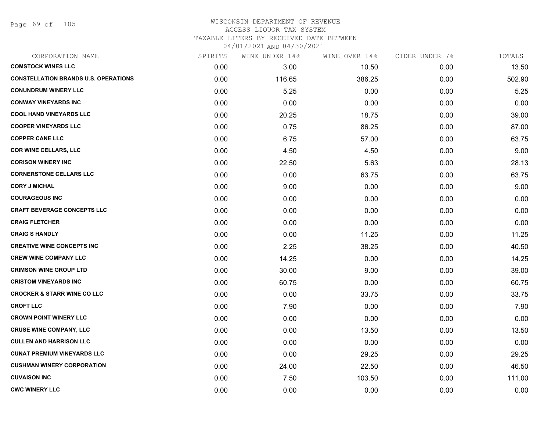Page 69 of 105

| CORPORATION NAME                            | SPIRITS | WINE UNDER 14% | WINE OVER 14% | CIDER UNDER 7% | TOTALS |
|---------------------------------------------|---------|----------------|---------------|----------------|--------|
| <b>COMSTOCK WINES LLC</b>                   | 0.00    | 3.00           | 10.50         | 0.00           | 13.50  |
| <b>CONSTELLATION BRANDS U.S. OPERATIONS</b> | 0.00    | 116.65         | 386.25        | 0.00           | 502.90 |
| <b>CONUNDRUM WINERY LLC</b>                 | 0.00    | 5.25           | 0.00          | 0.00           | 5.25   |
| <b>CONWAY VINEYARDS INC</b>                 | 0.00    | 0.00           | 0.00          | 0.00           | 0.00   |
| <b>COOL HAND VINEYARDS LLC</b>              | 0.00    | 20.25          | 18.75         | 0.00           | 39.00  |
| <b>COOPER VINEYARDS LLC</b>                 | 0.00    | 0.75           | 86.25         | 0.00           | 87.00  |
| <b>COPPER CANE LLC</b>                      | 0.00    | 6.75           | 57.00         | 0.00           | 63.75  |
| <b>COR WINE CELLARS, LLC</b>                | 0.00    | 4.50           | 4.50          | 0.00           | 9.00   |
| <b>CORISON WINERY INC</b>                   | 0.00    | 22.50          | 5.63          | 0.00           | 28.13  |
| <b>CORNERSTONE CELLARS LLC</b>              | 0.00    | 0.00           | 63.75         | 0.00           | 63.75  |
| <b>CORY J MICHAL</b>                        | 0.00    | 9.00           | 0.00          | 0.00           | 9.00   |
| <b>COURAGEOUS INC</b>                       | 0.00    | 0.00           | 0.00          | 0.00           | 0.00   |
| <b>CRAFT BEVERAGE CONCEPTS LLC</b>          | 0.00    | 0.00           | 0.00          | 0.00           | 0.00   |
| <b>CRAIG FLETCHER</b>                       | 0.00    | 0.00           | 0.00          | 0.00           | 0.00   |
| <b>CRAIG S HANDLY</b>                       | 0.00    | 0.00           | 11.25         | 0.00           | 11.25  |
| <b>CREATIVE WINE CONCEPTS INC</b>           | 0.00    | 2.25           | 38.25         | 0.00           | 40.50  |
| <b>CREW WINE COMPANY LLC</b>                | 0.00    | 14.25          | 0.00          | 0.00           | 14.25  |
| <b>CRIMSON WINE GROUP LTD</b>               | 0.00    | 30.00          | 9.00          | 0.00           | 39.00  |
| <b>CRISTOM VINEYARDS INC</b>                | 0.00    | 60.75          | 0.00          | 0.00           | 60.75  |
| <b>CROCKER &amp; STARR WINE CO LLC</b>      | 0.00    | 0.00           | 33.75         | 0.00           | 33.75  |
| <b>CROFT LLC</b>                            | 0.00    | 7.90           | 0.00          | 0.00           | 7.90   |
| <b>CROWN POINT WINERY LLC</b>               | 0.00    | 0.00           | 0.00          | 0.00           | 0.00   |
| <b>CRUSE WINE COMPANY, LLC</b>              | 0.00    | 0.00           | 13.50         | 0.00           | 13.50  |
| <b>CULLEN AND HARRISON LLC</b>              | 0.00    | 0.00           | 0.00          | 0.00           | 0.00   |
| <b>CUNAT PREMIUM VINEYARDS LLC</b>          | 0.00    | 0.00           | 29.25         | 0.00           | 29.25  |
| <b>CUSHMAN WINERY CORPORATION</b>           | 0.00    | 24.00          | 22.50         | 0.00           | 46.50  |
| <b>CUVAISON INC</b>                         | 0.00    | 7.50           | 103.50        | 0.00           | 111.00 |
| <b>CWC WINERY LLC</b>                       | 0.00    | 0.00           | 0.00          | 0.00           | 0.00   |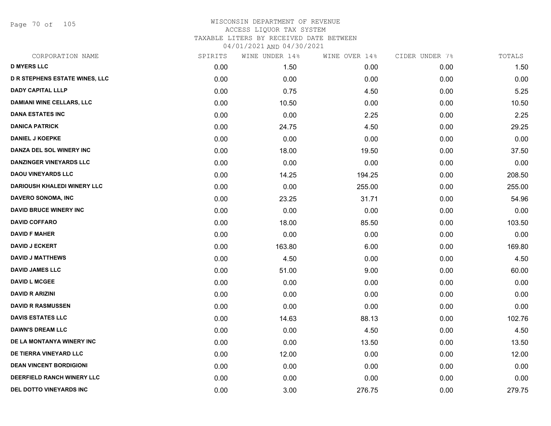Page 70 of 105

| CORPORATION NAME                      | SPIRITS | WINE UNDER 14% | WINE OVER 14% | CIDER UNDER 7% | TOTALS |
|---------------------------------------|---------|----------------|---------------|----------------|--------|
| <b>D MYERS LLC</b>                    | 0.00    | 1.50           | 0.00          | 0.00           | 1.50   |
| <b>D R STEPHENS ESTATE WINES, LLC</b> | 0.00    | 0.00           | 0.00          | 0.00           | 0.00   |
| <b>DADY CAPITAL LLLP</b>              | 0.00    | 0.75           | 4.50          | 0.00           | 5.25   |
| <b>DAMIANI WINE CELLARS, LLC</b>      | 0.00    | 10.50          | 0.00          | 0.00           | 10.50  |
| <b>DANA ESTATES INC</b>               | 0.00    | 0.00           | 2.25          | 0.00           | 2.25   |
| <b>DANICA PATRICK</b>                 | 0.00    | 24.75          | 4.50          | 0.00           | 29.25  |
| <b>DANIEL J KOEPKE</b>                | 0.00    | 0.00           | 0.00          | 0.00           | 0.00   |
| DANZA DEL SOL WINERY INC              | 0.00    | 18.00          | 19.50         | 0.00           | 37.50  |
| <b>DANZINGER VINEYARDS LLC</b>        | 0.00    | 0.00           | 0.00          | 0.00           | 0.00   |
| <b>DAOU VINEYARDS LLC</b>             | 0.00    | 14.25          | 194.25        | 0.00           | 208.50 |
| <b>DARIOUSH KHALEDI WINERY LLC</b>    | 0.00    | 0.00           | 255.00        | 0.00           | 255.00 |
| DAVERO SONOMA, INC                    | 0.00    | 23.25          | 31.71         | 0.00           | 54.96  |
| <b>DAVID BRUCE WINERY INC</b>         | 0.00    | 0.00           | 0.00          | 0.00           | 0.00   |
| <b>DAVID COFFARO</b>                  | 0.00    | 18.00          | 85.50         | 0.00           | 103.50 |
| <b>DAVID F MAHER</b>                  | 0.00    | 0.00           | 0.00          | 0.00           | 0.00   |
| <b>DAVID J ECKERT</b>                 | 0.00    | 163.80         | 6.00          | 0.00           | 169.80 |
| <b>DAVID J MATTHEWS</b>               | 0.00    | 4.50           | 0.00          | 0.00           | 4.50   |
| <b>DAVID JAMES LLC</b>                | 0.00    | 51.00          | 9.00          | 0.00           | 60.00  |
| <b>DAVID L MCGEE</b>                  | 0.00    | 0.00           | 0.00          | 0.00           | 0.00   |
| <b>DAVID R ARIZINI</b>                | 0.00    | 0.00           | 0.00          | 0.00           | 0.00   |
| <b>DAVID R RASMUSSEN</b>              | 0.00    | 0.00           | 0.00          | 0.00           | 0.00   |
| <b>DAVIS ESTATES LLC</b>              | 0.00    | 14.63          | 88.13         | 0.00           | 102.76 |
| <b>DAWN'S DREAM LLC</b>               | 0.00    | 0.00           | 4.50          | 0.00           | 4.50   |
| DE LA MONTANYA WINERY INC             | 0.00    | 0.00           | 13.50         | 0.00           | 13.50  |
| DE TIERRA VINEYARD LLC                | 0.00    | 12.00          | 0.00          | 0.00           | 12.00  |
| <b>DEAN VINCENT BORDIGIONI</b>        | 0.00    | 0.00           | 0.00          | 0.00           | 0.00   |
| DEERFIELD RANCH WINERY LLC            | 0.00    | 0.00           | 0.00          | 0.00           | 0.00   |
| DEL DOTTO VINEYARDS INC               | 0.00    | 3.00           | 276.75        | 0.00           | 279.75 |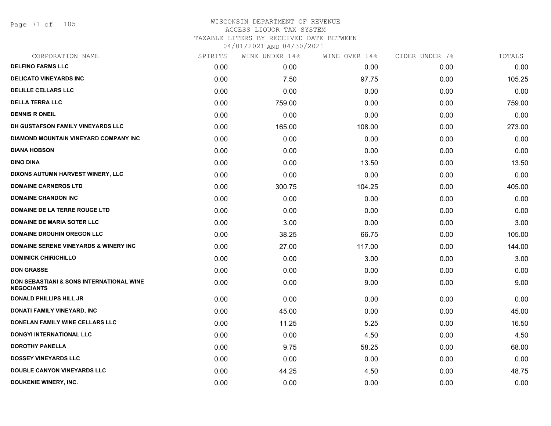Page 71 of 105

| CORPORATION NAME                                              | SPIRITS | WINE UNDER 14% | WINE OVER 14% | CIDER UNDER 7% | TOTALS |
|---------------------------------------------------------------|---------|----------------|---------------|----------------|--------|
| <b>DELFINO FARMS LLC</b>                                      | 0.00    | 0.00           | 0.00          | 0.00           | 0.00   |
| <b>DELICATO VINEYARDS INC</b>                                 | 0.00    | 7.50           | 97.75         | 0.00           | 105.25 |
| <b>DELILLE CELLARS LLC</b>                                    | 0.00    | 0.00           | 0.00          | 0.00           | 0.00   |
| <b>DELLA TERRA LLC</b>                                        | 0.00    | 759.00         | 0.00          | 0.00           | 759.00 |
| <b>DENNIS R ONEIL</b>                                         | 0.00    | 0.00           | 0.00          | 0.00           | 0.00   |
| DH GUSTAFSON FAMILY VINEYARDS LLC                             | 0.00    | 165.00         | 108.00        | 0.00           | 273.00 |
| DIAMOND MOUNTAIN VINEYARD COMPANY INC                         | 0.00    | 0.00           | 0.00          | 0.00           | 0.00   |
| <b>DIANA HOBSON</b>                                           | 0.00    | 0.00           | 0.00          | 0.00           | 0.00   |
| <b>DINO DINA</b>                                              | 0.00    | 0.00           | 13.50         | 0.00           | 13.50  |
| DIXONS AUTUMN HARVEST WINERY, LLC                             | 0.00    | 0.00           | 0.00          | 0.00           | 0.00   |
| <b>DOMAINE CARNEROS LTD</b>                                   | 0.00    | 300.75         | 104.25        | 0.00           | 405.00 |
| <b>DOMAINE CHANDON INC</b>                                    | 0.00    | 0.00           | 0.00          | 0.00           | 0.00   |
| DOMAINE DE LA TERRE ROUGE LTD                                 | 0.00    | 0.00           | 0.00          | 0.00           | 0.00   |
| <b>DOMAINE DE MARIA SOTER LLC</b>                             | 0.00    | 3.00           | 0.00          | 0.00           | 3.00   |
| <b>DOMAINE DROUHIN OREGON LLC</b>                             | 0.00    | 38.25          | 66.75         | 0.00           | 105.00 |
| <b>DOMAINE SERENE VINEYARDS &amp; WINERY INC</b>              | 0.00    | 27.00          | 117.00        | 0.00           | 144.00 |
| <b>DOMINICK CHIRICHILLO</b>                                   | 0.00    | 0.00           | 3.00          | 0.00           | 3.00   |
| <b>DON GRASSE</b>                                             | 0.00    | 0.00           | 0.00          | 0.00           | 0.00   |
| DON SEBASTIANI & SONS INTERNATIONAL WINE<br><b>NEGOCIANTS</b> | 0.00    | 0.00           | 9.00          | 0.00           | 9.00   |
| <b>DONALD PHILLIPS HILL JR</b>                                | 0.00    | 0.00           | 0.00          | 0.00           | 0.00   |
| DONATI FAMILY VINEYARD, INC                                   | 0.00    | 45.00          | 0.00          | 0.00           | 45.00  |
| DONELAN FAMILY WINE CELLARS LLC                               | 0.00    | 11.25          | 5.25          | 0.00           | 16.50  |
| DONGYI INTERNATIONAL LLC                                      | 0.00    | 0.00           | 4.50          | 0.00           | 4.50   |
| <b>DOROTHY PANELLA</b>                                        | 0.00    | 9.75           | 58.25         | 0.00           | 68.00  |
| <b>DOSSEY VINEYARDS LLC</b>                                   | 0.00    | 0.00           | 0.00          | 0.00           | 0.00   |
| <b>DOUBLE CANYON VINEYARDS LLC</b>                            | 0.00    | 44.25          | 4.50          | 0.00           | 48.75  |
| DOUKENIE WINERY, INC.                                         | 0.00    | 0.00           | 0.00          | 0.00           | 0.00   |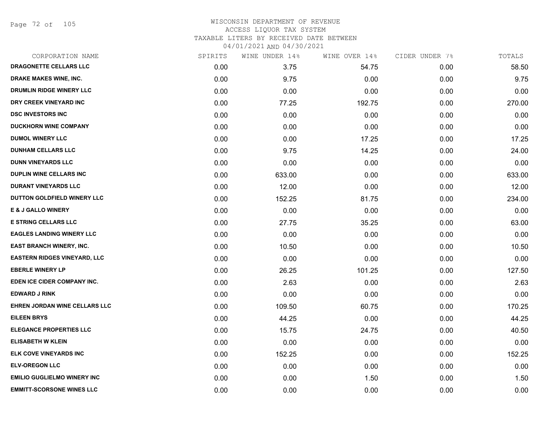Page 72 of 105

| CORPORATION NAME                    | SPIRITS | WINE UNDER 14% | WINE OVER 14% | CIDER UNDER 7% | TOTALS |
|-------------------------------------|---------|----------------|---------------|----------------|--------|
| DRAGONETTE CELLARS LLC              | 0.00    | 3.75           | 54.75         | 0.00           | 58.50  |
| DRAKE MAKES WINE, INC.              | 0.00    | 9.75           | 0.00          | 0.00           | 9.75   |
| DRUMLIN RIDGE WINERY LLC            | 0.00    | 0.00           | 0.00          | 0.00           | 0.00   |
| DRY CREEK VINEYARD INC              | 0.00    | 77.25          | 192.75        | 0.00           | 270.00 |
| <b>DSC INVESTORS INC</b>            | 0.00    | 0.00           | 0.00          | 0.00           | 0.00   |
| <b>DUCKHORN WINE COMPANY</b>        | 0.00    | 0.00           | 0.00          | 0.00           | 0.00   |
| <b>DUMOL WINERY LLC</b>             | 0.00    | 0.00           | 17.25         | 0.00           | 17.25  |
| <b>DUNHAM CELLARS LLC</b>           | 0.00    | 9.75           | 14.25         | 0.00           | 24.00  |
| <b>DUNN VINEYARDS LLC</b>           | 0.00    | 0.00           | 0.00          | 0.00           | 0.00   |
| <b>DUPLIN WINE CELLARS INC</b>      | 0.00    | 633.00         | 0.00          | 0.00           | 633.00 |
| <b>DURANT VINEYARDS LLC</b>         | 0.00    | 12.00          | 0.00          | 0.00           | 12.00  |
| DUTTON GOLDFIELD WINERY LLC         | 0.00    | 152.25         | 81.75         | 0.00           | 234.00 |
| <b>E &amp; J GALLO WINERY</b>       | 0.00    | 0.00           | 0.00          | 0.00           | 0.00   |
| <b>E STRING CELLARS LLC</b>         | 0.00    | 27.75          | 35.25         | 0.00           | 63.00  |
| <b>EAGLES LANDING WINERY LLC</b>    | 0.00    | 0.00           | 0.00          | 0.00           | 0.00   |
| EAST BRANCH WINERY, INC.            | 0.00    | 10.50          | 0.00          | 0.00           | 10.50  |
| <b>EASTERN RIDGES VINEYARD, LLC</b> | 0.00    | 0.00           | 0.00          | 0.00           | 0.00   |
| <b>EBERLE WINERY LP</b>             | 0.00    | 26.25          | 101.25        | 0.00           | 127.50 |
| EDEN ICE CIDER COMPANY INC.         | 0.00    | 2.63           | 0.00          | 0.00           | 2.63   |
| <b>EDWARD J RINK</b>                | 0.00    | 0.00           | 0.00          | 0.00           | 0.00   |
| EHREN JORDAN WINE CELLARS LLC       | 0.00    | 109.50         | 60.75         | 0.00           | 170.25 |
| <b>EILEEN BRYS</b>                  | 0.00    | 44.25          | 0.00          | 0.00           | 44.25  |
| <b>ELEGANCE PROPERTIES LLC</b>      | 0.00    | 15.75          | 24.75         | 0.00           | 40.50  |
| <b>ELISABETH W KLEIN</b>            | 0.00    | 0.00           | 0.00          | 0.00           | 0.00   |
| <b>ELK COVE VINEYARDS INC</b>       | 0.00    | 152.25         | 0.00          | 0.00           | 152.25 |
| <b>ELV-OREGON LLC</b>               | 0.00    | 0.00           | 0.00          | 0.00           | 0.00   |
| <b>EMILIO GUGLIELMO WINERY INC</b>  | 0.00    | 0.00           | 1.50          | 0.00           | 1.50   |
| <b>EMMITT-SCORSONE WINES LLC</b>    | 0.00    | 0.00           | 0.00          | 0.00           | 0.00   |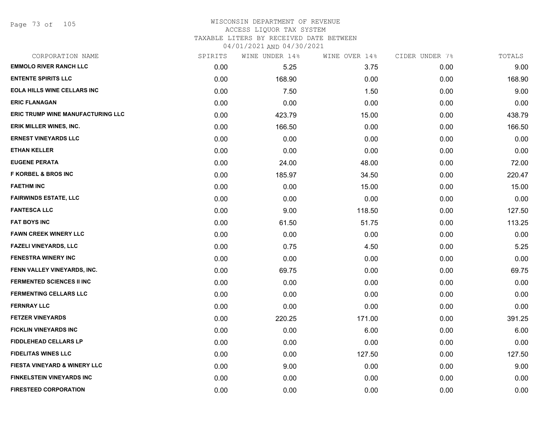Page 73 of 105

# WISCONSIN DEPARTMENT OF REVENUE ACCESS LIQUOR TAX SYSTEM

TAXABLE LITERS BY RECEIVED DATE BETWEEN

| CORPORATION NAME                         | SPIRITS | WINE UNDER 14% | WINE OVER 14% | CIDER UNDER 7% | TOTALS |
|------------------------------------------|---------|----------------|---------------|----------------|--------|
| <b>EMMOLO RIVER RANCH LLC</b>            | 0.00    | 5.25           | 3.75          | 0.00           | 9.00   |
| <b>ENTENTE SPIRITS LLC</b>               | 0.00    | 168.90         | 0.00          | 0.00           | 168.90 |
| <b>EOLA HILLS WINE CELLARS INC</b>       | 0.00    | 7.50           | 1.50          | 0.00           | 9.00   |
| <b>ERIC FLANAGAN</b>                     | 0.00    | 0.00           | 0.00          | 0.00           | 0.00   |
| <b>ERIC TRUMP WINE MANUFACTURING LLC</b> | 0.00    | 423.79         | 15.00         | 0.00           | 438.79 |
| ERIK MILLER WINES, INC.                  | 0.00    | 166.50         | 0.00          | 0.00           | 166.50 |
| <b>ERNEST VINEYARDS LLC</b>              | 0.00    | 0.00           | 0.00          | 0.00           | 0.00   |
| <b>ETHAN KELLER</b>                      | 0.00    | 0.00           | 0.00          | 0.00           | 0.00   |
| <b>EUGENE PERATA</b>                     | 0.00    | 24.00          | 48.00         | 0.00           | 72.00  |
| <b>F KORBEL &amp; BROS INC</b>           | 0.00    | 185.97         | 34.50         | 0.00           | 220.47 |
| <b>FAETHM INC</b>                        | 0.00    | 0.00           | 15.00         | 0.00           | 15.00  |
| <b>FAIRWINDS ESTATE, LLC</b>             | 0.00    | 0.00           | 0.00          | 0.00           | 0.00   |
| <b>FANTESCA LLC</b>                      | 0.00    | 9.00           | 118.50        | 0.00           | 127.50 |
| <b>FAT BOYS INC</b>                      | 0.00    | 61.50          | 51.75         | 0.00           | 113.25 |
| <b>FAWN CREEK WINERY LLC</b>             | 0.00    | 0.00           | 0.00          | 0.00           | 0.00   |
| <b>FAZELI VINEYARDS, LLC</b>             | 0.00    | 0.75           | 4.50          | 0.00           | 5.25   |
| <b>FENESTRA WINERY INC</b>               | 0.00    | 0.00           | 0.00          | 0.00           | 0.00   |
| FENN VALLEY VINEYARDS, INC.              | 0.00    | 69.75          | 0.00          | 0.00           | 69.75  |
| <b>FERMENTED SCIENCES II INC</b>         | 0.00    | 0.00           | 0.00          | 0.00           | 0.00   |
| <b>FERMENTING CELLARS LLC</b>            | 0.00    | 0.00           | 0.00          | 0.00           | 0.00   |
| <b>FERNRAY LLC</b>                       | 0.00    | 0.00           | 0.00          | 0.00           | 0.00   |
| <b>FETZER VINEYARDS</b>                  | 0.00    | 220.25         | 171.00        | 0.00           | 391.25 |
| <b>FICKLIN VINEYARDS INC</b>             | 0.00    | 0.00           | 6.00          | 0.00           | 6.00   |
| <b>FIDDLEHEAD CELLARS LP</b>             | 0.00    | 0.00           | 0.00          | 0.00           | 0.00   |
| <b>FIDELITAS WINES LLC</b>               | 0.00    | 0.00           | 127.50        | 0.00           | 127.50 |
| <b>FIESTA VINEYARD &amp; WINERY LLC</b>  | 0.00    | 9.00           | 0.00          | 0.00           | 9.00   |
| <b>FINKELSTEIN VINEYARDS INC</b>         | 0.00    | 0.00           | 0.00          | 0.00           | 0.00   |
| <b>FIRESTEED CORPORATION</b>             | 0.00    | 0.00           | 0.00          | 0.00           | 0.00   |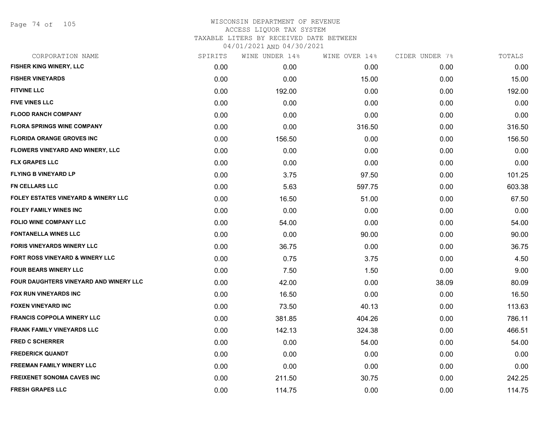Page 74 of 105

|      | WINE UNDER 14% | WINE OVER 14% |       | TOTALS         |
|------|----------------|---------------|-------|----------------|
| 0.00 | 0.00           | 0.00          | 0.00  | 0.00           |
| 0.00 | 0.00           | 15.00         | 0.00  | 15.00          |
| 0.00 | 192.00         | 0.00          | 0.00  | 192.00         |
| 0.00 | 0.00           | 0.00          | 0.00  | 0.00           |
| 0.00 | 0.00           | 0.00          | 0.00  | 0.00           |
| 0.00 | 0.00           | 316.50        | 0.00  | 316.50         |
| 0.00 | 156.50         | 0.00          | 0.00  | 156.50         |
| 0.00 | 0.00           | 0.00          | 0.00  | 0.00           |
| 0.00 | 0.00           | 0.00          | 0.00  | 0.00           |
| 0.00 | 3.75           | 97.50         | 0.00  | 101.25         |
| 0.00 | 5.63           | 597.75        | 0.00  | 603.38         |
| 0.00 | 16.50          | 51.00         | 0.00  | 67.50          |
| 0.00 | 0.00           | 0.00          | 0.00  | 0.00           |
| 0.00 | 54.00          | 0.00          | 0.00  | 54.00          |
| 0.00 | 0.00           | 90.00         | 0.00  | 90.00          |
| 0.00 | 36.75          | 0.00          | 0.00  | 36.75          |
| 0.00 | 0.75           | 3.75          | 0.00  | 4.50           |
| 0.00 | 7.50           | 1.50          | 0.00  | 9.00           |
| 0.00 | 42.00          | 0.00          | 38.09 | 80.09          |
| 0.00 | 16.50          | 0.00          | 0.00  | 16.50          |
| 0.00 | 73.50          | 40.13         | 0.00  | 113.63         |
| 0.00 | 381.85         | 404.26        | 0.00  | 786.11         |
| 0.00 | 142.13         | 324.38        | 0.00  | 466.51         |
| 0.00 | 0.00           | 54.00         | 0.00  | 54.00          |
| 0.00 | 0.00           | 0.00          | 0.00  | 0.00           |
| 0.00 | 0.00           | 0.00          | 0.00  | 0.00           |
| 0.00 | 211.50         | 30.75         | 0.00  | 242.25         |
| 0.00 | 114.75         | 0.00          | 0.00  | 114.75         |
|      | SPIRITS        |               |       | CIDER UNDER 7% |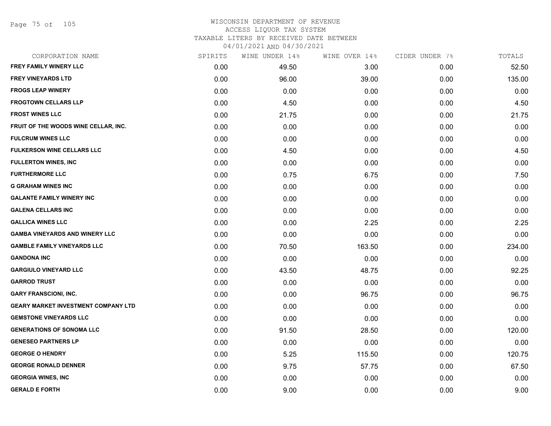Page 75 of 105

#### WISCONSIN DEPARTMENT OF REVENUE ACCESS LIQUOR TAX SYSTEM TAXABLE LITERS BY RECEIVED DATE BETWEEN

| CORPORATION NAME                           | SPIRITS | WINE UNDER 14% | WINE OVER 14% | CIDER UNDER 7% | TOTALS |
|--------------------------------------------|---------|----------------|---------------|----------------|--------|
| FREY FAMILY WINERY LLC                     | 0.00    | 49.50          | 3.00          | 0.00           | 52.50  |
| <b>FREY VINEYARDS LTD</b>                  | 0.00    | 96.00          | 39.00         | 0.00           | 135.00 |
| <b>FROGS LEAP WINERY</b>                   | 0.00    | 0.00           | 0.00          | 0.00           | 0.00   |
| <b>FROGTOWN CELLARS LLP</b>                | 0.00    | 4.50           | 0.00          | 0.00           | 4.50   |
| <b>FROST WINES LLC</b>                     | 0.00    | 21.75          | 0.00          | 0.00           | 21.75  |
| FRUIT OF THE WOODS WINE CELLAR, INC.       | 0.00    | 0.00           | 0.00          | 0.00           | 0.00   |
| <b>FULCRUM WINES LLC</b>                   | 0.00    | 0.00           | 0.00          | 0.00           | 0.00   |
| <b>FULKERSON WINE CELLARS LLC</b>          | 0.00    | 4.50           | 0.00          | 0.00           | 4.50   |
| <b>FULLERTON WINES, INC</b>                | 0.00    | 0.00           | 0.00          | 0.00           | 0.00   |
| <b>FURTHERMORE LLC</b>                     | 0.00    | 0.75           | 6.75          | 0.00           | 7.50   |
| <b>G GRAHAM WINES INC</b>                  | 0.00    | 0.00           | 0.00          | 0.00           | 0.00   |
| <b>GALANTE FAMILY WINERY INC</b>           | 0.00    | 0.00           | 0.00          | 0.00           | 0.00   |
| <b>GALENA CELLARS INC</b>                  | 0.00    | 0.00           | 0.00          | 0.00           | 0.00   |
| <b>GALLICA WINES LLC</b>                   | 0.00    | 0.00           | 2.25          | 0.00           | 2.25   |
| <b>GAMBA VINEYARDS AND WINERY LLC</b>      | 0.00    | 0.00           | 0.00          | 0.00           | 0.00   |
| <b>GAMBLE FAMILY VINEYARDS LLC</b>         | 0.00    | 70.50          | 163.50        | 0.00           | 234.00 |
| <b>GANDONA INC</b>                         | 0.00    | 0.00           | 0.00          | 0.00           | 0.00   |
| <b>GARGIULO VINEYARD LLC</b>               | 0.00    | 43.50          | 48.75         | 0.00           | 92.25  |
| <b>GARROD TRUST</b>                        | 0.00    | 0.00           | 0.00          | 0.00           | 0.00   |
| <b>GARY FRANSCIONI, INC.</b>               | 0.00    | 0.00           | 96.75         | 0.00           | 96.75  |
| <b>GEARY MARKET INVESTMENT COMPANY LTD</b> | 0.00    | 0.00           | 0.00          | 0.00           | 0.00   |
| <b>GEMSTONE VINEYARDS LLC</b>              | 0.00    | 0.00           | 0.00          | 0.00           | 0.00   |
| <b>GENERATIONS OF SONOMA LLC</b>           | 0.00    | 91.50          | 28.50         | 0.00           | 120.00 |
| <b>GENESEO PARTNERS LP</b>                 | 0.00    | 0.00           | 0.00          | 0.00           | 0.00   |
| <b>GEORGE O HENDRY</b>                     | 0.00    | 5.25           | 115.50        | 0.00           | 120.75 |
| <b>GEORGE RONALD DENNER</b>                | 0.00    | 9.75           | 57.75         | 0.00           | 67.50  |
| <b>GEORGIA WINES, INC</b>                  | 0.00    | 0.00           | 0.00          | 0.00           | 0.00   |
| <b>GERALD E FORTH</b>                      | 0.00    | 9.00           | 0.00          | 0.00           | 9.00   |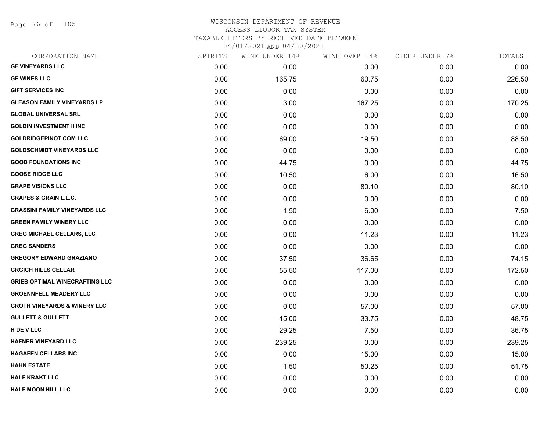Page 76 of 105

| CORPORATION NAME                        | SPIRITS | WINE UNDER 14% | WINE OVER 14% | CIDER UNDER 7% | TOTALS |
|-----------------------------------------|---------|----------------|---------------|----------------|--------|
| <b>GF VINEYARDS LLC</b>                 | 0.00    | 0.00           | 0.00          | 0.00           | 0.00   |
| <b>GF WINES LLC</b>                     | 0.00    | 165.75         | 60.75         | 0.00           | 226.50 |
| <b>GIFT SERVICES INC</b>                | 0.00    | 0.00           | 0.00          | 0.00           | 0.00   |
| <b>GLEASON FAMILY VINEYARDS LP</b>      | 0.00    | 3.00           | 167.25        | 0.00           | 170.25 |
| <b>GLOBAL UNIVERSAL SRL</b>             | 0.00    | 0.00           | 0.00          | 0.00           | 0.00   |
| <b>GOLDIN INVESTMENT II INC</b>         | 0.00    | 0.00           | 0.00          | 0.00           | 0.00   |
| <b>GOLDRIDGEPINOT.COM LLC</b>           | 0.00    | 69.00          | 19.50         | 0.00           | 88.50  |
| <b>GOLDSCHMIDT VINEYARDS LLC</b>        | 0.00    | 0.00           | 0.00          | 0.00           | 0.00   |
| <b>GOOD FOUNDATIONS INC</b>             | 0.00    | 44.75          | 0.00          | 0.00           | 44.75  |
| <b>GOOSE RIDGE LLC</b>                  | 0.00    | 10.50          | 6.00          | 0.00           | 16.50  |
| <b>GRAPE VISIONS LLC</b>                | 0.00    | 0.00           | 80.10         | 0.00           | 80.10  |
| <b>GRAPES &amp; GRAIN L.L.C.</b>        | 0.00    | 0.00           | 0.00          | 0.00           | 0.00   |
| <b>GRASSINI FAMILY VINEYARDS LLC</b>    | 0.00    | 1.50           | 6.00          | 0.00           | 7.50   |
| <b>GREEN FAMILY WINERY LLC</b>          | 0.00    | 0.00           | 0.00          | 0.00           | 0.00   |
| <b>GREG MICHAEL CELLARS, LLC</b>        | 0.00    | 0.00           | 11.23         | 0.00           | 11.23  |
| <b>GREG SANDERS</b>                     | 0.00    | 0.00           | 0.00          | 0.00           | 0.00   |
| <b>GREGORY EDWARD GRAZIANO</b>          | 0.00    | 37.50          | 36.65         | 0.00           | 74.15  |
| <b>GRGICH HILLS CELLAR</b>              | 0.00    | 55.50          | 117.00        | 0.00           | 172.50 |
| <b>GRIEB OPTIMAL WINECRAFTING LLC</b>   | 0.00    | 0.00           | 0.00          | 0.00           | 0.00   |
| <b>GROENNFELL MEADERY LLC</b>           | 0.00    | 0.00           | 0.00          | 0.00           | 0.00   |
| <b>GROTH VINEYARDS &amp; WINERY LLC</b> | 0.00    | 0.00           | 57.00         | 0.00           | 57.00  |
| <b>GULLETT &amp; GULLETT</b>            | 0.00    | 15.00          | 33.75         | 0.00           | 48.75  |
| H DE V LLC                              | 0.00    | 29.25          | 7.50          | 0.00           | 36.75  |
| <b>HAFNER VINEYARD LLC</b>              | 0.00    | 239.25         | 0.00          | 0.00           | 239.25 |
| <b>HAGAFEN CELLARS INC</b>              | 0.00    | 0.00           | 15.00         | 0.00           | 15.00  |
| <b>HAHN ESTATE</b>                      | 0.00    | 1.50           | 50.25         | 0.00           | 51.75  |
| <b>HALF KRAKT LLC</b>                   | 0.00    | 0.00           | 0.00          | 0.00           | 0.00   |
| <b>HALF MOON HILL LLC</b>               | 0.00    | 0.00           | 0.00          | 0.00           | 0.00   |
|                                         |         |                |               |                |        |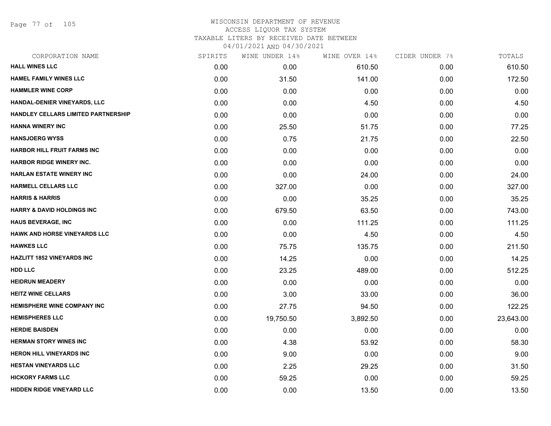Page 77 of 105

| CORPORATION NAME                      | SPIRITS | WINE UNDER 14% | WINE OVER 14% | CIDER UNDER 7% | TOTALS    |
|---------------------------------------|---------|----------------|---------------|----------------|-----------|
| <b>HALL WINES LLC</b>                 | 0.00    | 0.00           | 610.50        | 0.00           | 610.50    |
| <b>HAMEL FAMILY WINES LLC</b>         | 0.00    | 31.50          | 141.00        | 0.00           | 172.50    |
| <b>HAMMLER WINE CORP</b>              | 0.00    | 0.00           | 0.00          | 0.00           | 0.00      |
| HANDAL-DENIER VINEYARDS, LLC          | 0.00    | 0.00           | 4.50          | 0.00           | 4.50      |
| HANDLEY CELLARS LIMITED PARTNERSHIP   | 0.00    | 0.00           | 0.00          | 0.00           | 0.00      |
| <b>HANNA WINERY INC</b>               | 0.00    | 25.50          | 51.75         | 0.00           | 77.25     |
| <b>HANSJOERG WYSS</b>                 | 0.00    | 0.75           | 21.75         | 0.00           | 22.50     |
| HARBOR HILL FRUIT FARMS INC           | 0.00    | 0.00           | 0.00          | 0.00           | 0.00      |
| <b>HARBOR RIDGE WINERY INC.</b>       | 0.00    | 0.00           | 0.00          | 0.00           | 0.00      |
| <b>HARLAN ESTATE WINERY INC</b>       | 0.00    | 0.00           | 24.00         | 0.00           | 24.00     |
| <b>HARMELL CELLARS LLC</b>            | 0.00    | 327.00         | 0.00          | 0.00           | 327.00    |
| <b>HARRIS &amp; HARRIS</b>            | 0.00    | 0.00           | 35.25         | 0.00           | 35.25     |
| <b>HARRY &amp; DAVID HOLDINGS INC</b> | 0.00    | 679.50         | 63.50         | 0.00           | 743.00    |
| <b>HAUS BEVERAGE, INC</b>             | 0.00    | 0.00           | 111.25        | 0.00           | 111.25    |
| <b>HAWK AND HORSE VINEYARDS LLC</b>   | 0.00    | 0.00           | 4.50          | 0.00           | 4.50      |
| <b>HAWKES LLC</b>                     | 0.00    | 75.75          | 135.75        | 0.00           | 211.50    |
| <b>HAZLITT 1852 VINEYARDS INC</b>     | 0.00    | 14.25          | 0.00          | 0.00           | 14.25     |
| <b>HDD LLC</b>                        | 0.00    | 23.25          | 489.00        | 0.00           | 512.25    |
| <b>HEIDRUN MEADERY</b>                | 0.00    | 0.00           | 0.00          | 0.00           | 0.00      |
| <b>HEITZ WINE CELLARS</b>             | 0.00    | 3.00           | 33.00         | 0.00           | 36.00     |
| <b>HEMISPHERE WINE COMPANY INC</b>    | 0.00    | 27.75          | 94.50         | 0.00           | 122.25    |
| <b>HEMISPHERES LLC</b>                | 0.00    | 19,750.50      | 3,892.50      | 0.00           | 23,643.00 |
| <b>HERDIE BAISDEN</b>                 | 0.00    | 0.00           | 0.00          | 0.00           | 0.00      |
| <b>HERMAN STORY WINES INC</b>         | 0.00    | 4.38           | 53.92         | 0.00           | 58.30     |
| <b>HERON HILL VINEYARDS INC</b>       | 0.00    | 9.00           | 0.00          | 0.00           | 9.00      |
| <b>HESTAN VINEYARDS LLC</b>           | 0.00    | 2.25           | 29.25         | 0.00           | 31.50     |
| <b>HICKORY FARMS LLC</b>              | 0.00    | 59.25          | 0.00          | 0.00           | 59.25     |
| <b>HIDDEN RIDGE VINEYARD LLC</b>      | 0.00    | 0.00           | 13.50         | 0.00           | 13.50     |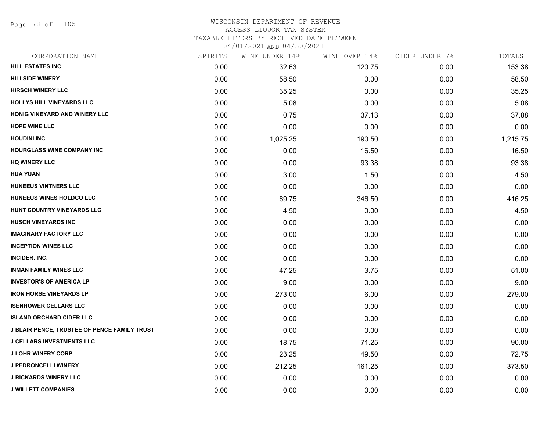Page 78 of 105

#### WISCONSIN DEPARTMENT OF REVENUE ACCESS LIQUOR TAX SYSTEM TAXABLE LITERS BY RECEIVED DATE BETWEEN

| CORPORATION NAME                                    | SPIRITS | WINE UNDER 14% | WINE OVER 14% | CIDER UNDER 7% | TOTALS   |
|-----------------------------------------------------|---------|----------------|---------------|----------------|----------|
| <b>HILL ESTATES INC</b>                             | 0.00    | 32.63          | 120.75        | 0.00           | 153.38   |
| <b>HILLSIDE WINERY</b>                              | 0.00    | 58.50          | 0.00          | 0.00           | 58.50    |
| <b>HIRSCH WINERY LLC</b>                            | 0.00    | 35.25          | 0.00          | 0.00           | 35.25    |
| HOLLYS HILL VINEYARDS LLC                           | 0.00    | 5.08           | 0.00          | 0.00           | 5.08     |
| HONIG VINEYARD AND WINERY LLC                       | 0.00    | 0.75           | 37.13         | 0.00           | 37.88    |
| <b>HOPE WINE LLC</b>                                | 0.00    | 0.00           | 0.00          | 0.00           | 0.00     |
| <b>HOUDINI INC</b>                                  | 0.00    | 1,025.25       | 190.50        | 0.00           | 1,215.75 |
| <b>HOURGLASS WINE COMPANY INC</b>                   | 0.00    | 0.00           | 16.50         | 0.00           | 16.50    |
| <b>HQ WINERY LLC</b>                                | 0.00    | 0.00           | 93.38         | 0.00           | 93.38    |
| <b>HUA YUAN</b>                                     | 0.00    | 3.00           | 1.50          | 0.00           | 4.50     |
| HUNEEUS VINTNERS LLC                                | 0.00    | 0.00           | 0.00          | 0.00           | 0.00     |
| HUNEEUS WINES HOLDCO LLC                            | 0.00    | 69.75          | 346.50        | 0.00           | 416.25   |
| HUNT COUNTRY VINEYARDS LLC                          | 0.00    | 4.50           | 0.00          | 0.00           | 4.50     |
| HUSCH VINEYARDS INC                                 | 0.00    | 0.00           | 0.00          | 0.00           | 0.00     |
| <b>IMAGINARY FACTORY LLC</b>                        | 0.00    | 0.00           | 0.00          | 0.00           | 0.00     |
| <b>INCEPTION WINES LLC</b>                          | 0.00    | 0.00           | 0.00          | 0.00           | 0.00     |
| INCIDER, INC.                                       | 0.00    | 0.00           | 0.00          | 0.00           | 0.00     |
| <b>INMAN FAMILY WINES LLC</b>                       | 0.00    | 47.25          | 3.75          | 0.00           | 51.00    |
| <b>INVESTOR'S OF AMERICA LP</b>                     | 0.00    | 9.00           | 0.00          | 0.00           | 9.00     |
| <b>IRON HORSE VINEYARDS LP</b>                      | 0.00    | 273.00         | 6.00          | 0.00           | 279.00   |
| <b>ISENHOWER CELLARS LLC</b>                        | 0.00    | 0.00           | 0.00          | 0.00           | 0.00     |
| <b>ISLAND ORCHARD CIDER LLC</b>                     | 0.00    | 0.00           | 0.00          | 0.00           | 0.00     |
| <b>J BLAIR PENCE, TRUSTEE OF PENCE FAMILY TRUST</b> | 0.00    | 0.00           | 0.00          | 0.00           | 0.00     |
| <b>J CELLARS INVESTMENTS LLC</b>                    | 0.00    | 18.75          | 71.25         | 0.00           | 90.00    |
| <b>J LOHR WINERY CORP</b>                           | 0.00    | 23.25          | 49.50         | 0.00           | 72.75    |
| <b>J PEDRONCELLI WINERY</b>                         | 0.00    | 212.25         | 161.25        | 0.00           | 373.50   |
| <b>J RICKARDS WINERY LLC</b>                        | 0.00    | 0.00           | 0.00          | 0.00           | 0.00     |
| <b>J WILLETT COMPANIES</b>                          | 0.00    | 0.00           | 0.00          | 0.00           | 0.00     |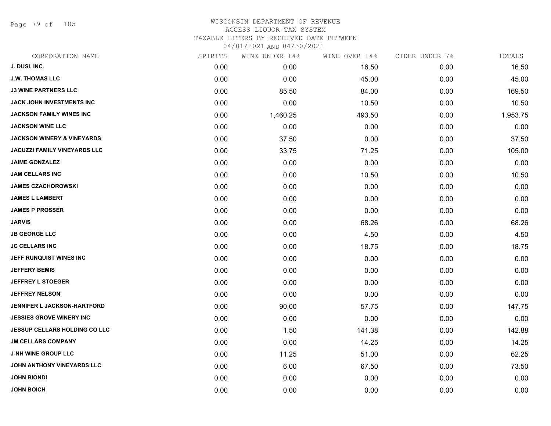Page 79 of 105

| CORPORATION NAME                      | SPIRITS | WINE UNDER 14% | WINE OVER 14% | CIDER UNDER 7% | TOTALS   |
|---------------------------------------|---------|----------------|---------------|----------------|----------|
| J. DUSI, INC.                         | 0.00    | 0.00           | 16.50         | 0.00           | 16.50    |
| <b>J.W. THOMAS LLC</b>                | 0.00    | 0.00           | 45.00         | 0.00           | 45.00    |
| <b>J3 WINE PARTNERS LLC</b>           | 0.00    | 85.50          | 84.00         | 0.00           | 169.50   |
| JACK JOHN INVESTMENTS INC             | 0.00    | 0.00           | 10.50         | 0.00           | 10.50    |
| <b>JACKSON FAMILY WINES INC</b>       | 0.00    | 1,460.25       | 493.50        | 0.00           | 1,953.75 |
| <b>JACKSON WINE LLC</b>               | 0.00    | 0.00           | 0.00          | 0.00           | 0.00     |
| <b>JACKSON WINERY &amp; VINEYARDS</b> | 0.00    | 37.50          | 0.00          | 0.00           | 37.50    |
| <b>JACUZZI FAMILY VINEYARDS LLC</b>   | 0.00    | 33.75          | 71.25         | 0.00           | 105.00   |
| <b>JAIME GONZALEZ</b>                 | 0.00    | 0.00           | 0.00          | 0.00           | 0.00     |
| <b>JAM CELLARS INC</b>                | 0.00    | 0.00           | 10.50         | 0.00           | 10.50    |
| <b>JAMES CZACHOROWSKI</b>             | 0.00    | 0.00           | 0.00          | 0.00           | 0.00     |
| <b>JAMES L LAMBERT</b>                | 0.00    | 0.00           | 0.00          | 0.00           | 0.00     |
| <b>JAMES P PROSSER</b>                | 0.00    | 0.00           | 0.00          | 0.00           | 0.00     |
| <b>JARVIS</b>                         | 0.00    | 0.00           | 68.26         | 0.00           | 68.26    |
| <b>JB GEORGE LLC</b>                  | 0.00    | 0.00           | 4.50          | 0.00           | 4.50     |
| <b>JC CELLARS INC</b>                 | 0.00    | 0.00           | 18.75         | 0.00           | 18.75    |
| JEFF RUNQUIST WINES INC               | 0.00    | 0.00           | 0.00          | 0.00           | 0.00     |
| <b>JEFFERY BEMIS</b>                  | 0.00    | 0.00           | 0.00          | 0.00           | 0.00     |
| <b>JEFFREY L STOEGER</b>              | 0.00    | 0.00           | 0.00          | 0.00           | 0.00     |
| <b>JEFFREY NELSON</b>                 | 0.00    | 0.00           | 0.00          | 0.00           | 0.00     |
| JENNIFER L JACKSON-HARTFORD           | 0.00    | 90.00          | 57.75         | 0.00           | 147.75   |
| <b>JESSIES GROVE WINERY INC</b>       | 0.00    | 0.00           | 0.00          | 0.00           | 0.00     |
| <b>JESSUP CELLARS HOLDING CO LLC</b>  | 0.00    | 1.50           | 141.38        | 0.00           | 142.88   |
| <b>JM CELLARS COMPANY</b>             | 0.00    | 0.00           | 14.25         | 0.00           | 14.25    |
| <b>J-NH WINE GROUP LLC</b>            | 0.00    | 11.25          | 51.00         | 0.00           | 62.25    |
| JOHN ANTHONY VINEYARDS LLC            | 0.00    | 6.00           | 67.50         | 0.00           | 73.50    |
| <b>JOHN BIONDI</b>                    | 0.00    | 0.00           | 0.00          | 0.00           | 0.00     |
| <b>JOHN BOICH</b>                     | 0.00    | 0.00           | 0.00          | 0.00           | 0.00     |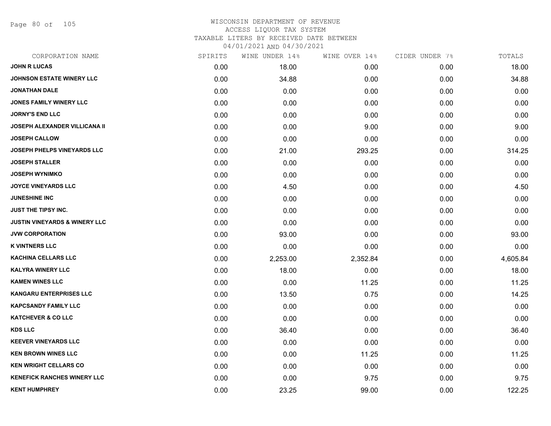Page 80 of 105

| CORPORATION NAME                         | SPIRITS | WINE UNDER 14% | WINE OVER 14% | CIDER UNDER 7% | TOTALS   |
|------------------------------------------|---------|----------------|---------------|----------------|----------|
| <b>JOHN R LUCAS</b>                      | 0.00    | 18.00          | 0.00          | 0.00           | 18.00    |
| <b>JOHNSON ESTATE WINERY LLC</b>         | 0.00    | 34.88          | 0.00          | 0.00           | 34.88    |
| JONATHAN DALE                            | 0.00    | 0.00           | 0.00          | 0.00           | 0.00     |
| <b>JONES FAMILY WINERY LLC</b>           | 0.00    | 0.00           | 0.00          | 0.00           | 0.00     |
| <b>JORNY'S END LLC</b>                   | 0.00    | 0.00           | 0.00          | 0.00           | 0.00     |
| JOSEPH ALEXANDER VILLICANA II            | 0.00    | 0.00           | 9.00          | 0.00           | 9.00     |
| <b>JOSEPH CALLOW</b>                     | 0.00    | 0.00           | 0.00          | 0.00           | 0.00     |
| <b>JOSEPH PHELPS VINEYARDS LLC</b>       | 0.00    | 21.00          | 293.25        | 0.00           | 314.25   |
| <b>JOSEPH STALLER</b>                    | 0.00    | 0.00           | 0.00          | 0.00           | 0.00     |
| <b>JOSEPH WYNIMKO</b>                    | 0.00    | 0.00           | 0.00          | 0.00           | 0.00     |
| <b>JOYCE VINEYARDS LLC</b>               | 0.00    | 4.50           | 0.00          | 0.00           | 4.50     |
| <b>JUNESHINE INC</b>                     | 0.00    | 0.00           | 0.00          | 0.00           | 0.00     |
| <b>JUST THE TIPSY INC.</b>               | 0.00    | 0.00           | 0.00          | 0.00           | 0.00     |
| <b>JUSTIN VINEYARDS &amp; WINERY LLC</b> | 0.00    | 0.00           | 0.00          | 0.00           | 0.00     |
| <b>JVW CORPORATION</b>                   | 0.00    | 93.00          | 0.00          | 0.00           | 93.00    |
| <b>K VINTNERS LLC</b>                    | 0.00    | 0.00           | 0.00          | 0.00           | 0.00     |
| <b>KACHINA CELLARS LLC</b>               | 0.00    | 2,253.00       | 2,352.84      | 0.00           | 4,605.84 |
| <b>KALYRA WINERY LLC</b>                 | 0.00    | 18.00          | 0.00          | 0.00           | 18.00    |
| <b>KAMEN WINES LLC</b>                   | 0.00    | 0.00           | 11.25         | 0.00           | 11.25    |
| KANGARU ENTERPRISES LLC                  | 0.00    | 13.50          | 0.75          | 0.00           | 14.25    |
| <b>KAPCSANDY FAMILY LLC</b>              | 0.00    | 0.00           | 0.00          | 0.00           | 0.00     |
| <b>KATCHEVER &amp; CO LLC</b>            | 0.00    | 0.00           | 0.00          | 0.00           | 0.00     |
| <b>KDS LLC</b>                           | 0.00    | 36.40          | 0.00          | 0.00           | 36.40    |
| <b>KEEVER VINEYARDS LLC</b>              | 0.00    | 0.00           | 0.00          | 0.00           | 0.00     |
| <b>KEN BROWN WINES LLC</b>               | 0.00    | 0.00           | 11.25         | 0.00           | 11.25    |
| <b>KEN WRIGHT CELLARS CO</b>             | 0.00    | 0.00           | 0.00          | 0.00           | 0.00     |
| <b>KENEFICK RANCHES WINERY LLC</b>       | 0.00    | 0.00           | 9.75          | 0.00           | 9.75     |
| <b>KENT HUMPHREY</b>                     | 0.00    | 23.25          | 99.00         | 0.00           | 122.25   |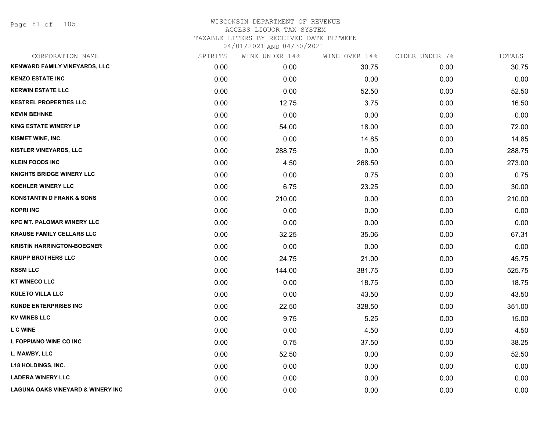Page 81 of 105

| CORPORATION NAME                             | SPIRITS | WINE UNDER 14% | WINE OVER 14% | CIDER UNDER 7% | TOTALS |
|----------------------------------------------|---------|----------------|---------------|----------------|--------|
| KENWARD FAMILY VINEYARDS, LLC                | 0.00    | 0.00           | 30.75         | 0.00           | 30.75  |
| <b>KENZO ESTATE INC</b>                      | 0.00    | 0.00           | 0.00          | 0.00           | 0.00   |
| <b>KERWIN ESTATE LLC</b>                     | 0.00    | 0.00           | 52.50         | 0.00           | 52.50  |
| <b>KESTREL PROPERTIES LLC</b>                | 0.00    | 12.75          | 3.75          | 0.00           | 16.50  |
| <b>KEVIN BEHNKE</b>                          | 0.00    | 0.00           | 0.00          | 0.00           | 0.00   |
| <b>KING ESTATE WINERY LP</b>                 | 0.00    | 54.00          | 18.00         | 0.00           | 72.00  |
| KISMET WINE, INC.                            | 0.00    | 0.00           | 14.85         | 0.00           | 14.85  |
| KISTLER VINEYARDS, LLC                       | 0.00    | 288.75         | 0.00          | 0.00           | 288.75 |
| <b>KLEIN FOODS INC</b>                       | 0.00    | 4.50           | 268.50        | 0.00           | 273.00 |
| <b>KNIGHTS BRIDGE WINERY LLC</b>             | 0.00    | 0.00           | 0.75          | 0.00           | 0.75   |
| <b>KOEHLER WINERY LLC</b>                    | 0.00    | 6.75           | 23.25         | 0.00           | 30.00  |
| <b>KONSTANTIN D FRANK &amp; SONS</b>         | 0.00    | 210.00         | 0.00          | 0.00           | 210.00 |
| <b>KOPRI INC</b>                             | 0.00    | 0.00           | 0.00          | 0.00           | 0.00   |
| <b>KPC MT. PALOMAR WINERY LLC</b>            | 0.00    | 0.00           | 0.00          | 0.00           | 0.00   |
| <b>KRAUSE FAMILY CELLARS LLC</b>             | 0.00    | 32.25          | 35.06         | 0.00           | 67.31  |
| <b>KRISTIN HARRINGTON-BOEGNER</b>            | 0.00    | 0.00           | 0.00          | 0.00           | 0.00   |
| <b>KRUPP BROTHERS LLC</b>                    | 0.00    | 24.75          | 21.00         | 0.00           | 45.75  |
| <b>KSSM LLC</b>                              | 0.00    | 144.00         | 381.75        | 0.00           | 525.75 |
| <b>KT WINECO LLC</b>                         | 0.00    | 0.00           | 18.75         | 0.00           | 18.75  |
| <b>KULETO VILLA LLC</b>                      | 0.00    | 0.00           | 43.50         | 0.00           | 43.50  |
| <b>KUNDE ENTERPRISES INC</b>                 | 0.00    | 22.50          | 328.50        | 0.00           | 351.00 |
| <b>KV WINES LLC</b>                          | 0.00    | 9.75           | 5.25          | 0.00           | 15.00  |
| <b>L C WINE</b>                              | 0.00    | 0.00           | 4.50          | 0.00           | 4.50   |
| L FOPPIANO WINE CO INC                       | 0.00    | 0.75           | 37.50         | 0.00           | 38.25  |
| L. MAWBY, LLC                                | 0.00    | 52.50          | 0.00          | 0.00           | 52.50  |
| <b>L18 HOLDINGS, INC.</b>                    | 0.00    | 0.00           | 0.00          | 0.00           | 0.00   |
| <b>LADERA WINERY LLC</b>                     | 0.00    | 0.00           | 0.00          | 0.00           | 0.00   |
| <b>LAGUNA OAKS VINEYARD &amp; WINERY INC</b> | 0.00    | 0.00           | 0.00          | 0.00           | 0.00   |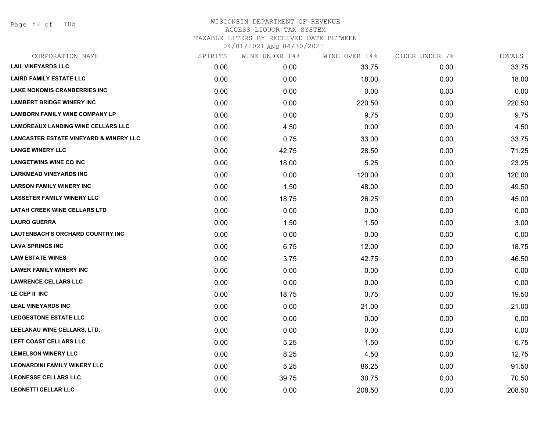Page 82 of 105

| CORPORATION NAME                                  | SPIRITS | WINE UNDER 14% | WINE OVER 14% | CIDER UNDER 7% | TOTALS |
|---------------------------------------------------|---------|----------------|---------------|----------------|--------|
| <b>LAIL VINEYARDS LLC</b>                         | 0.00    | 0.00           | 33.75         | 0.00           | 33.75  |
| <b>LAIRD FAMILY ESTATE LLC</b>                    | 0.00    | 0.00           | 18.00         | 0.00           | 18.00  |
| <b>LAKE NOKOMIS CRANBERRIES INC</b>               | 0.00    | 0.00           | 0.00          | 0.00           | 0.00   |
| <b>LAMBERT BRIDGE WINERY INC</b>                  | 0.00    | 0.00           | 220.50        | 0.00           | 220.50 |
| <b>LAMBORN FAMILY WINE COMPANY LP</b>             | 0.00    | 0.00           | 9.75          | 0.00           | 9.75   |
| <b>LAMOREAUX LANDING WINE CELLARS LLC</b>         | 0.00    | 4.50           | 0.00          | 0.00           | 4.50   |
| <b>LANCASTER ESTATE VINEYARD &amp; WINERY LLC</b> | 0.00    | 0.75           | 33.00         | 0.00           | 33.75  |
| <b>LANGE WINERY LLC</b>                           | 0.00    | 42.75          | 28.50         | 0.00           | 71.25  |
| <b>LANGETWINS WINE CO INC</b>                     | 0.00    | 18.00          | 5.25          | 0.00           | 23.25  |
| <b>LARKMEAD VINEYARDS INC</b>                     | 0.00    | 0.00           | 120.00        | 0.00           | 120.00 |
| <b>LARSON FAMILY WINERY INC</b>                   | 0.00    | 1.50           | 48.00         | 0.00           | 49.50  |
| <b>LASSETER FAMILY WINERY LLC</b>                 | 0.00    | 18.75          | 26.25         | 0.00           | 45.00  |
| <b>LATAH CREEK WINE CELLARS LTD</b>               | 0.00    | 0.00           | 0.00          | 0.00           | 0.00   |
| <b>LAURO GUERRA</b>                               | 0.00    | 1.50           | 1.50          | 0.00           | 3.00   |
| LAUTENBACH'S ORCHARD COUNTRY INC                  | 0.00    | 0.00           | 0.00          | 0.00           | 0.00   |
| <b>LAVA SPRINGS INC</b>                           | 0.00    | 6.75           | 12.00         | 0.00           | 18.75  |
| <b>LAW ESTATE WINES</b>                           | 0.00    | 3.75           | 42.75         | 0.00           | 46.50  |
| <b>LAWER FAMILY WINERY INC</b>                    | 0.00    | 0.00           | 0.00          | 0.00           | 0.00   |
| <b>LAWRENCE CELLARS LLC</b>                       | 0.00    | 0.00           | 0.00          | 0.00           | 0.00   |
| LE CEP II INC                                     | 0.00    | 18.75          | 0.75          | 0.00           | 19.50  |
| <b>LEAL VINEYARDS INC</b>                         | 0.00    | 0.00           | 21.00         | 0.00           | 21.00  |
| <b>LEDGESTONE ESTATE LLC</b>                      | 0.00    | 0.00           | 0.00          | 0.00           | 0.00   |
| LEELANAU WINE CELLARS, LTD.                       | 0.00    | 0.00           | 0.00          | 0.00           | 0.00   |
| LEFT COAST CELLARS LLC                            | 0.00    | 5.25           | 1.50          | 0.00           | 6.75   |
| <b>LEMELSON WINERY LLC</b>                        | 0.00    | 8.25           | 4.50          | 0.00           | 12.75  |
| <b>LEONARDINI FAMILY WINERY LLC</b>               | 0.00    | 5.25           | 86.25         | 0.00           | 91.50  |
| <b>LEONESSE CELLARS LLC</b>                       | 0.00    | 39.75          | 30.75         | 0.00           | 70.50  |
| <b>LEONETTI CELLAR LLC</b>                        | 0.00    | 0.00           | 208.50        | 0.00           | 208.50 |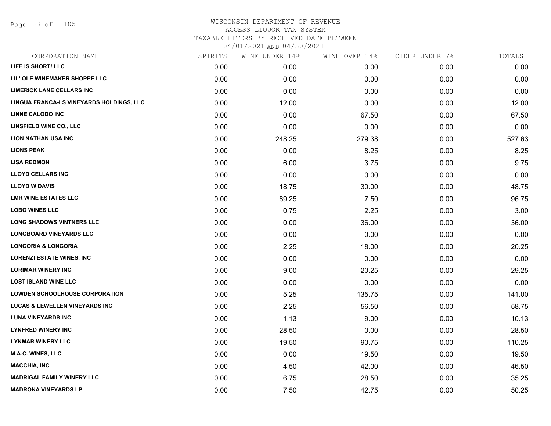Page 83 of 105

| CORPORATION NAME                          | SPIRITS | WINE UNDER 14% | WINE OVER 14% | CIDER UNDER 7% | TOTALS |
|-------------------------------------------|---------|----------------|---------------|----------------|--------|
| LIFE IS SHORT! LLC                        | 0.00    | 0.00           | 0.00          | 0.00           | 0.00   |
| LIL' OLE WINEMAKER SHOPPE LLC             | 0.00    | 0.00           | 0.00          | 0.00           | 0.00   |
| <b>LIMERICK LANE CELLARS INC</b>          | 0.00    | 0.00           | 0.00          | 0.00           | 0.00   |
| LINGUA FRANCA-LS VINEYARDS HOLDINGS, LLC  | 0.00    | 12.00          | 0.00          | 0.00           | 12.00  |
| <b>LINNE CALODO INC</b>                   | 0.00    | 0.00           | 67.50         | 0.00           | 67.50  |
| <b>LINSFIELD WINE CO., LLC</b>            | 0.00    | 0.00           | 0.00          | 0.00           | 0.00   |
| <b>LION NATHAN USA INC</b>                | 0.00    | 248.25         | 279.38        | 0.00           | 527.63 |
| <b>LIONS PEAK</b>                         | 0.00    | 0.00           | 8.25          | 0.00           | 8.25   |
| <b>LISA REDMON</b>                        | 0.00    | 6.00           | 3.75          | 0.00           | 9.75   |
| <b>LLOYD CELLARS INC</b>                  | 0.00    | 0.00           | 0.00          | 0.00           | 0.00   |
| <b>LLOYD W DAVIS</b>                      | 0.00    | 18.75          | 30.00         | 0.00           | 48.75  |
| <b>LMR WINE ESTATES LLC</b>               | 0.00    | 89.25          | 7.50          | 0.00           | 96.75  |
| <b>LOBO WINES LLC</b>                     | 0.00    | 0.75           | 2.25          | 0.00           | 3.00   |
| <b>LONG SHADOWS VINTNERS LLC</b>          | 0.00    | 0.00           | 36.00         | 0.00           | 36.00  |
| <b>LONGBOARD VINEYARDS LLC</b>            | 0.00    | 0.00           | 0.00          | 0.00           | 0.00   |
| <b>LONGORIA &amp; LONGORIA</b>            | 0.00    | 2.25           | 18.00         | 0.00           | 20.25  |
| <b>LORENZI ESTATE WINES, INC</b>          | 0.00    | 0.00           | 0.00          | 0.00           | 0.00   |
| <b>LORIMAR WINERY INC</b>                 | 0.00    | 9.00           | 20.25         | 0.00           | 29.25  |
| <b>LOST ISLAND WINE LLC</b>               | 0.00    | 0.00           | 0.00          | 0.00           | 0.00   |
| <b>LOWDEN SCHOOLHOUSE CORPORATION</b>     | 0.00    | 5.25           | 135.75        | 0.00           | 141.00 |
| <b>LUCAS &amp; LEWELLEN VINEYARDS INC</b> | 0.00    | 2.25           | 56.50         | 0.00           | 58.75  |
| <b>LUNA VINEYARDS INC</b>                 | 0.00    | 1.13           | 9.00          | 0.00           | 10.13  |
| <b>LYNFRED WINERY INC</b>                 | 0.00    | 28.50          | 0.00          | 0.00           | 28.50  |
| <b>LYNMAR WINERY LLC</b>                  | 0.00    | 19.50          | 90.75         | 0.00           | 110.25 |
| <b>M.A.C. WINES, LLC</b>                  | 0.00    | 0.00           | 19.50         | 0.00           | 19.50  |
| <b>MACCHIA, INC</b>                       | 0.00    | 4.50           | 42.00         | 0.00           | 46.50  |
| <b>MADRIGAL FAMILY WINERY LLC</b>         | 0.00    | 6.75           | 28.50         | 0.00           | 35.25  |
| <b>MADRONA VINEYARDS LP</b>               | 0.00    | 7.50           | 42.75         | 0.00           | 50.25  |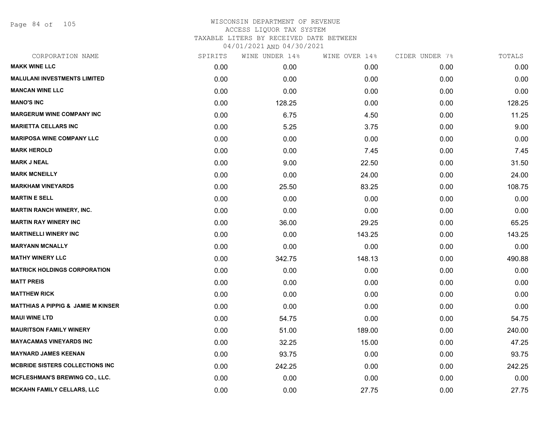Page 84 of 105

| CORPORATION NAME                              | SPIRITS | WINE UNDER 14% | WINE OVER 14% | CIDER UNDER 7% | TOTALS |
|-----------------------------------------------|---------|----------------|---------------|----------------|--------|
| <b>MAKK WINE LLC</b>                          | 0.00    | 0.00           | 0.00          | 0.00           | 0.00   |
| <b>MALULANI INVESTMENTS LIMITED</b>           | 0.00    | 0.00           | 0.00          | 0.00           | 0.00   |
| <b>MANCAN WINE LLC</b>                        | 0.00    | 0.00           | 0.00          | 0.00           | 0.00   |
| <b>MANO'S INC</b>                             | 0.00    | 128.25         | 0.00          | 0.00           | 128.25 |
| <b>MARGERUM WINE COMPANY INC</b>              | 0.00    | 6.75           | 4.50          | 0.00           | 11.25  |
| <b>MARIETTA CELLARS INC</b>                   | 0.00    | 5.25           | 3.75          | 0.00           | 9.00   |
| <b>MARIPOSA WINE COMPANY LLC</b>              | 0.00    | 0.00           | 0.00          | 0.00           | 0.00   |
| <b>MARK HEROLD</b>                            | 0.00    | 0.00           | 7.45          | 0.00           | 7.45   |
| <b>MARK J NEAL</b>                            | 0.00    | 9.00           | 22.50         | 0.00           | 31.50  |
| <b>MARK MCNEILLY</b>                          | 0.00    | 0.00           | 24.00         | 0.00           | 24.00  |
| <b>MARKHAM VINEYARDS</b>                      | 0.00    | 25.50          | 83.25         | 0.00           | 108.75 |
| <b>MARTIN E SELL</b>                          | 0.00    | 0.00           | 0.00          | 0.00           | 0.00   |
| <b>MARTIN RANCH WINERY, INC.</b>              | 0.00    | 0.00           | 0.00          | 0.00           | 0.00   |
| <b>MARTIN RAY WINERY INC</b>                  | 0.00    | 36.00          | 29.25         | 0.00           | 65.25  |
| <b>MARTINELLI WINERY INC</b>                  | 0.00    | 0.00           | 143.25        | 0.00           | 143.25 |
| <b>MARYANN MCNALLY</b>                        | 0.00    | 0.00           | 0.00          | 0.00           | 0.00   |
| <b>MATHY WINERY LLC</b>                       | 0.00    | 342.75         | 148.13        | 0.00           | 490.88 |
| <b>MATRICK HOLDINGS CORPORATION</b>           | 0.00    | 0.00           | 0.00          | 0.00           | 0.00   |
| <b>MATT PREIS</b>                             | 0.00    | 0.00           | 0.00          | 0.00           | 0.00   |
| <b>MATTHEW RICK</b>                           | 0.00    | 0.00           | 0.00          | 0.00           | 0.00   |
| <b>MATTHIAS A PIPPIG &amp; JAMIE M KINSER</b> | 0.00    | 0.00           | 0.00          | 0.00           | 0.00   |
| <b>MAUI WINE LTD</b>                          | 0.00    | 54.75          | 0.00          | 0.00           | 54.75  |
| <b>MAURITSON FAMILY WINERY</b>                | 0.00    | 51.00          | 189.00        | 0.00           | 240.00 |
| <b>MAYACAMAS VINEYARDS INC</b>                | 0.00    | 32.25          | 15.00         | 0.00           | 47.25  |
| <b>MAYNARD JAMES KEENAN</b>                   | 0.00    | 93.75          | 0.00          | 0.00           | 93.75  |
| MCBRIDE SISTERS COLLECTIONS INC               | 0.00    | 242.25         | 0.00          | 0.00           | 242.25 |
| <b>MCFLESHMAN'S BREWING CO., LLC.</b>         | 0.00    | 0.00           | 0.00          | 0.00           | 0.00   |
| <b>MCKAHN FAMILY CELLARS, LLC</b>             | 0.00    | 0.00           | 27.75         | 0.00           | 27.75  |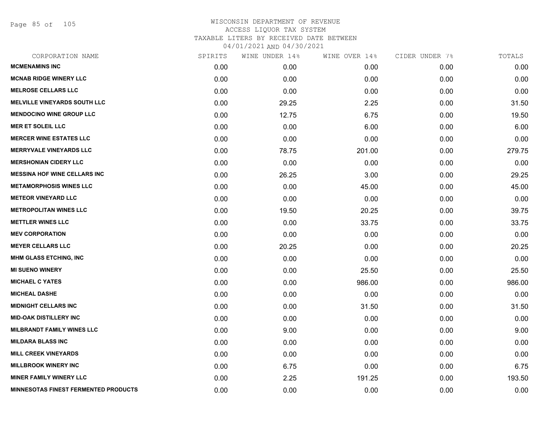Page 85 of 105

| CORPORATION NAME                            | SPIRITS | WINE UNDER 14% | WINE OVER 14% | CIDER UNDER 7% | TOTALS |
|---------------------------------------------|---------|----------------|---------------|----------------|--------|
| <b>MCMENAMINS INC</b>                       | 0.00    | 0.00           | 0.00          | 0.00           | 0.00   |
| <b>MCNAB RIDGE WINERY LLC</b>               | 0.00    | 0.00           | 0.00          | 0.00           | 0.00   |
| <b>MELROSE CELLARS LLC</b>                  | 0.00    | 0.00           | 0.00          | 0.00           | 0.00   |
| <b>MELVILLE VINEYARDS SOUTH LLC</b>         | 0.00    | 29.25          | 2.25          | 0.00           | 31.50  |
| <b>MENDOCINO WINE GROUP LLC</b>             | 0.00    | 12.75          | 6.75          | 0.00           | 19.50  |
| <b>MER ET SOLEIL LLC</b>                    | 0.00    | 0.00           | 6.00          | 0.00           | 6.00   |
| <b>MERCER WINE ESTATES LLC</b>              | 0.00    | 0.00           | 0.00          | 0.00           | 0.00   |
| <b>MERRYVALE VINEYARDS LLC</b>              | 0.00    | 78.75          | 201.00        | 0.00           | 279.75 |
| <b>MERSHONIAN CIDERY LLC</b>                | 0.00    | 0.00           | 0.00          | 0.00           | 0.00   |
| <b>MESSINA HOF WINE CELLARS INC</b>         | 0.00    | 26.25          | 3.00          | 0.00           | 29.25  |
| <b>METAMORPHOSIS WINES LLC</b>              | 0.00    | 0.00           | 45.00         | 0.00           | 45.00  |
| <b>METEOR VINEYARD LLC</b>                  | 0.00    | 0.00           | 0.00          | 0.00           | 0.00   |
| <b>METROPOLITAN WINES LLC</b>               | 0.00    | 19.50          | 20.25         | 0.00           | 39.75  |
| <b>METTLER WINES LLC</b>                    | 0.00    | 0.00           | 33.75         | 0.00           | 33.75  |
| <b>MEV CORPORATION</b>                      | 0.00    | 0.00           | 0.00          | 0.00           | 0.00   |
| <b>MEYER CELLARS LLC</b>                    | 0.00    | 20.25          | 0.00          | 0.00           | 20.25  |
| <b>MHM GLASS ETCHING, INC</b>               | 0.00    | 0.00           | 0.00          | 0.00           | 0.00   |
| <b>MI SUENO WINERY</b>                      | 0.00    | 0.00           | 25.50         | 0.00           | 25.50  |
| <b>MICHAEL C YATES</b>                      | 0.00    | 0.00           | 986.00        | 0.00           | 986.00 |
| <b>MICHEAL DASHE</b>                        | 0.00    | 0.00           | 0.00          | 0.00           | 0.00   |
| <b>MIDNIGHT CELLARS INC</b>                 | 0.00    | 0.00           | 31.50         | 0.00           | 31.50  |
| <b>MID-OAK DISTILLERY INC</b>               | 0.00    | 0.00           | 0.00          | 0.00           | 0.00   |
| <b>MILBRANDT FAMILY WINES LLC</b>           | 0.00    | 9.00           | 0.00          | 0.00           | 9.00   |
| <b>MILDARA BLASS INC</b>                    | 0.00    | 0.00           | 0.00          | 0.00           | 0.00   |
| <b>MILL CREEK VINEYARDS</b>                 | 0.00    | 0.00           | 0.00          | 0.00           | 0.00   |
| <b>MILLBROOK WINERY INC</b>                 | 0.00    | 6.75           | 0.00          | 0.00           | 6.75   |
| <b>MINER FAMILY WINERY LLC</b>              | 0.00    | 2.25           | 191.25        | 0.00           | 193.50 |
| <b>MINNESOTAS FINEST FERMENTED PRODUCTS</b> | 0.00    | 0.00           | 0.00          | 0.00           | 0.00   |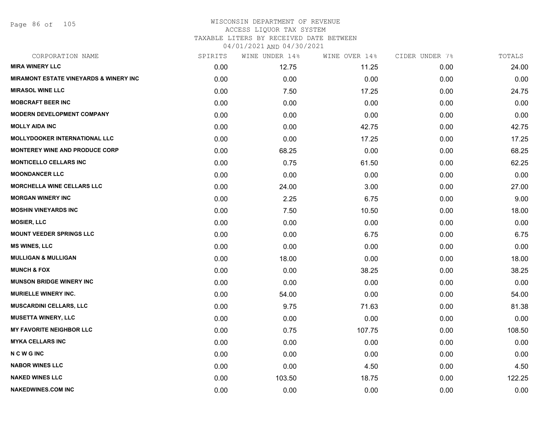Page 86 of 105

#### WISCONSIN DEPARTMENT OF REVENUE ACCESS LIQUOR TAX SYSTEM TAXABLE LITERS BY RECEIVED DATE BETWEEN

| CORPORATION NAME                                  | SPIRITS | WINE UNDER 14% | WINE OVER 14% | CIDER UNDER 7% | TOTALS |
|---------------------------------------------------|---------|----------------|---------------|----------------|--------|
| <b>MIRA WINERY LLC</b>                            | 0.00    | 12.75          | 11.25         | 0.00           | 24.00  |
| <b>MIRAMONT ESTATE VINEYARDS &amp; WINERY INC</b> | 0.00    | 0.00           | 0.00          | 0.00           | 0.00   |
| <b>MIRASOL WINE LLC</b>                           | 0.00    | 7.50           | 17.25         | 0.00           | 24.75  |
| <b>MOBCRAFT BEER INC</b>                          | 0.00    | 0.00           | 0.00          | 0.00           | 0.00   |
| <b>MODERN DEVELOPMENT COMPANY</b>                 | 0.00    | 0.00           | 0.00          | 0.00           | 0.00   |
| <b>MOLLY AIDA INC</b>                             | 0.00    | 0.00           | 42.75         | 0.00           | 42.75  |
| <b>MOLLYDOOKER INTERNATIONAL LLC</b>              | 0.00    | 0.00           | 17.25         | 0.00           | 17.25  |
| <b>MONTEREY WINE AND PRODUCE CORP</b>             | 0.00    | 68.25          | 0.00          | 0.00           | 68.25  |
| <b>MONTICELLO CELLARS INC</b>                     | 0.00    | 0.75           | 61.50         | 0.00           | 62.25  |
| <b>MOONDANCER LLC</b>                             | 0.00    | 0.00           | 0.00          | 0.00           | 0.00   |
| <b>MORCHELLA WINE CELLARS LLC</b>                 | 0.00    | 24.00          | 3.00          | 0.00           | 27.00  |
| <b>MORGAN WINERY INC</b>                          | 0.00    | 2.25           | 6.75          | 0.00           | 9.00   |
| <b>MOSHIN VINEYARDS INC</b>                       | 0.00    | 7.50           | 10.50         | 0.00           | 18.00  |
| <b>MOSIER, LLC</b>                                | 0.00    | 0.00           | 0.00          | 0.00           | 0.00   |
| <b>MOUNT VEEDER SPRINGS LLC</b>                   | 0.00    | 0.00           | 6.75          | 0.00           | 6.75   |
| <b>MS WINES, LLC</b>                              | 0.00    | 0.00           | 0.00          | 0.00           | 0.00   |
| <b>MULLIGAN &amp; MULLIGAN</b>                    | 0.00    | 18.00          | 0.00          | 0.00           | 18.00  |
| <b>MUNCH &amp; FOX</b>                            | 0.00    | 0.00           | 38.25         | 0.00           | 38.25  |
| <b>MUNSON BRIDGE WINERY INC</b>                   | 0.00    | 0.00           | 0.00          | 0.00           | 0.00   |
| <b>MURIELLE WINERY INC.</b>                       | 0.00    | 54.00          | 0.00          | 0.00           | 54.00  |
| <b>MUSCARDINI CELLARS, LLC</b>                    | 0.00    | 9.75           | 71.63         | 0.00           | 81.38  |
| <b>MUSETTA WINERY, LLC</b>                        | 0.00    | 0.00           | 0.00          | 0.00           | 0.00   |
| <b>MY FAVORITE NEIGHBOR LLC</b>                   | 0.00    | 0.75           | 107.75        | 0.00           | 108.50 |
| <b>MYKA CELLARS INC</b>                           | 0.00    | 0.00           | 0.00          | 0.00           | 0.00   |
| <b>NCWGINC</b>                                    | 0.00    | 0.00           | 0.00          | 0.00           | 0.00   |
| <b>NABOR WINES LLC</b>                            | 0.00    | 0.00           | 4.50          | 0.00           | 4.50   |
| <b>NAKED WINES LLC</b>                            | 0.00    | 103.50         | 18.75         | 0.00           | 122.25 |
| <b>NAKEDWINES.COM INC</b>                         | 0.00    | 0.00           | 0.00          | 0.00           | 0.00   |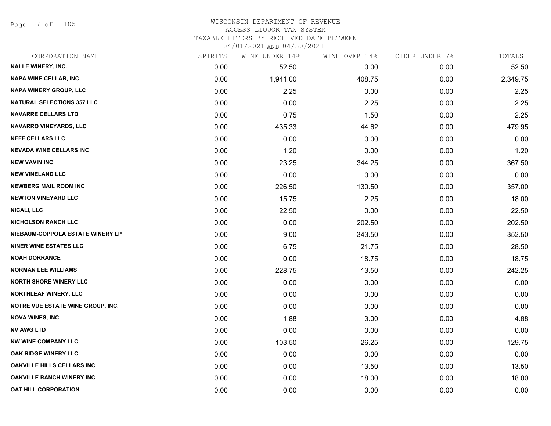Page 87 of 105

# WISCONSIN DEPARTMENT OF REVENUE ACCESS LIQUOR TAX SYSTEM

TAXABLE LITERS BY RECEIVED DATE BETWEEN

| CORPORATION NAME                         | SPIRITS | WINE UNDER 14% | WINE OVER 14% | CIDER UNDER 7% | TOTALS   |
|------------------------------------------|---------|----------------|---------------|----------------|----------|
| <b>NALLE WINERY, INC.</b>                | 0.00    | 52.50          | 0.00          | 0.00           | 52.50    |
| NAPA WINE CELLAR, INC.                   | 0.00    | 1,941.00       | 408.75        | 0.00           | 2,349.75 |
| <b>NAPA WINERY GROUP, LLC</b>            | 0.00    | 2.25           | 0.00          | 0.00           | 2.25     |
| <b>NATURAL SELECTIONS 357 LLC</b>        | 0.00    | 0.00           | 2.25          | 0.00           | 2.25     |
| <b>NAVARRE CELLARS LTD</b>               | 0.00    | 0.75           | 1.50          | 0.00           | 2.25     |
| NAVARRO VINEYARDS, LLC                   | 0.00    | 435.33         | 44.62         | 0.00           | 479.95   |
| <b>NEFF CELLARS LLC</b>                  | 0.00    | 0.00           | 0.00          | 0.00           | 0.00     |
| <b>NEVADA WINE CELLARS INC</b>           | 0.00    | 1.20           | 0.00          | 0.00           | 1.20     |
| <b>NEW VAVIN INC</b>                     | 0.00    | 23.25          | 344.25        | 0.00           | 367.50   |
| <b>NEW VINELAND LLC</b>                  | 0.00    | 0.00           | 0.00          | 0.00           | 0.00     |
| <b>NEWBERG MAIL ROOM INC</b>             | 0.00    | 226.50         | 130.50        | 0.00           | 357.00   |
| <b>NEWTON VINEYARD LLC</b>               | 0.00    | 15.75          | 2.25          | 0.00           | 18.00    |
| <b>NICALI, LLC</b>                       | 0.00    | 22.50          | 0.00          | 0.00           | 22.50    |
| <b>NICHOLSON RANCH LLC</b>               | 0.00    | 0.00           | 202.50        | 0.00           | 202.50   |
| NIEBAUM-COPPOLA ESTATE WINERY LP         | 0.00    | 9.00           | 343.50        | 0.00           | 352.50   |
| <b>NINER WINE ESTATES LLC</b>            | 0.00    | 6.75           | 21.75         | 0.00           | 28.50    |
| <b>NOAH DORRANCE</b>                     | 0.00    | 0.00           | 18.75         | 0.00           | 18.75    |
| <b>NORMAN LEE WILLIAMS</b>               | 0.00    | 228.75         | 13.50         | 0.00           | 242.25   |
| <b>NORTH SHORE WINERY LLC</b>            | 0.00    | 0.00           | 0.00          | 0.00           | 0.00     |
| <b>NORTHLEAF WINERY, LLC</b>             | 0.00    | 0.00           | 0.00          | 0.00           | 0.00     |
| <b>NOTRE VUE ESTATE WINE GROUP, INC.</b> | 0.00    | 0.00           | 0.00          | 0.00           | 0.00     |
| <b>NOVA WINES, INC.</b>                  | 0.00    | 1.88           | 3.00          | 0.00           | 4.88     |
| <b>NV AWG LTD</b>                        | 0.00    | 0.00           | 0.00          | 0.00           | 0.00     |
| <b>NW WINE COMPANY LLC</b>               | 0.00    | 103.50         | 26.25         | 0.00           | 129.75   |
| OAK RIDGE WINERY LLC                     | 0.00    | 0.00           | 0.00          | 0.00           | 0.00     |
| <b>OAKVILLE HILLS CELLARS INC</b>        | 0.00    | 0.00           | 13.50         | 0.00           | 13.50    |
| <b>OAKVILLE RANCH WINERY INC</b>         | 0.00    | 0.00           | 18.00         | 0.00           | 18.00    |
| OAT HILL CORPORATION                     | 0.00    | 0.00           | 0.00          | 0.00           | 0.00     |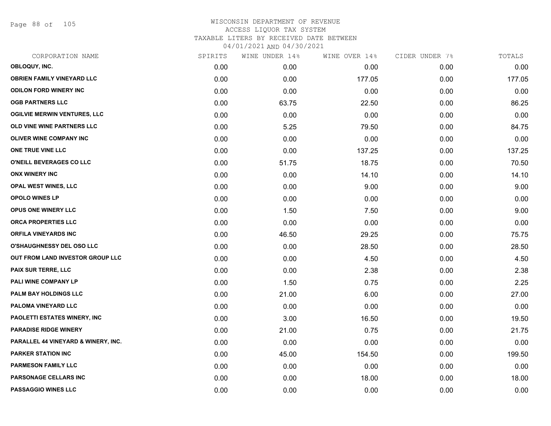Page 88 of 105

|      | WINE UNDER 14% |        |               | TOTALS         |
|------|----------------|--------|---------------|----------------|
| 0.00 | 0.00           | 0.00   | 0.00          | 0.00           |
| 0.00 | 0.00           | 177.05 | 0.00          | 177.05         |
| 0.00 | 0.00           | 0.00   | 0.00          | 0.00           |
| 0.00 | 63.75          | 22.50  | 0.00          | 86.25          |
| 0.00 | 0.00           | 0.00   | 0.00          | 0.00           |
| 0.00 | 5.25           | 79.50  | 0.00          | 84.75          |
| 0.00 | 0.00           | 0.00   | 0.00          | 0.00           |
| 0.00 | 0.00           | 137.25 | 0.00          | 137.25         |
| 0.00 | 51.75          | 18.75  | 0.00          | 70.50          |
| 0.00 | 0.00           | 14.10  | 0.00          | 14.10          |
| 0.00 | 0.00           | 9.00   | 0.00          | 9.00           |
| 0.00 | 0.00           | 0.00   | 0.00          | 0.00           |
| 0.00 | 1.50           | 7.50   | 0.00          | 9.00           |
| 0.00 | 0.00           | 0.00   | 0.00          | 0.00           |
| 0.00 | 46.50          | 29.25  | 0.00          | 75.75          |
| 0.00 | 0.00           | 28.50  | 0.00          | 28.50          |
| 0.00 | 0.00           | 4.50   | 0.00          | 4.50           |
| 0.00 | 0.00           | 2.38   | 0.00          | 2.38           |
| 0.00 | 1.50           | 0.75   | 0.00          | 2.25           |
| 0.00 | 21.00          | 6.00   | 0.00          | 27.00          |
| 0.00 | 0.00           | 0.00   | 0.00          | 0.00           |
| 0.00 | 3.00           | 16.50  | 0.00          | 19.50          |
| 0.00 | 21.00          | 0.75   | 0.00          | 21.75          |
| 0.00 | 0.00           | 0.00   | 0.00          | 0.00           |
| 0.00 | 45.00          | 154.50 | 0.00          | 199.50         |
| 0.00 | 0.00           | 0.00   | 0.00          | 0.00           |
| 0.00 | 0.00           | 18.00  | 0.00          | 18.00          |
| 0.00 | 0.00           | 0.00   | 0.00          | 0.00           |
|      | SPIRITS        |        | WINE OVER 14% | CIDER UNDER 7% |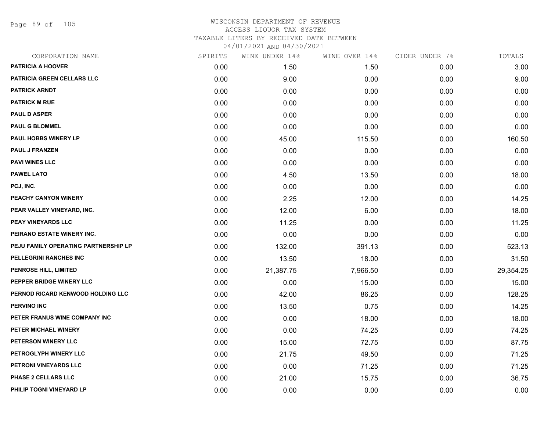Page 89 of 105

| CORPORATION NAME                     | SPIRITS | WINE UNDER 14% | WINE OVER 14% | CIDER UNDER 7% | TOTALS    |
|--------------------------------------|---------|----------------|---------------|----------------|-----------|
| <b>PATRICIA A HOOVER</b>             | 0.00    | 1.50           | 1.50          | 0.00           | 3.00      |
| PATRICIA GREEN CELLARS LLC           | 0.00    | 9.00           | 0.00          | 0.00           | 9.00      |
| <b>PATRICK ARNDT</b>                 | 0.00    | 0.00           | 0.00          | 0.00           | 0.00      |
| <b>PATRICK M RUE</b>                 | 0.00    | 0.00           | 0.00          | 0.00           | 0.00      |
| <b>PAUL D ASPER</b>                  | 0.00    | 0.00           | 0.00          | 0.00           | 0.00      |
| <b>PAUL G BLOMMEL</b>                | 0.00    | 0.00           | 0.00          | 0.00           | 0.00      |
| <b>PAUL HOBBS WINERY LP</b>          | 0.00    | 45.00          | 115.50        | 0.00           | 160.50    |
| <b>PAUL J FRANZEN</b>                | 0.00    | 0.00           | 0.00          | 0.00           | 0.00      |
| <b>PAVI WINES LLC</b>                | 0.00    | 0.00           | 0.00          | 0.00           | 0.00      |
| <b>PAWEL LATO</b>                    | 0.00    | 4.50           | 13.50         | 0.00           | 18.00     |
| PCJ, INC.                            | 0.00    | 0.00           | 0.00          | 0.00           | 0.00      |
| PEACHY CANYON WINERY                 | 0.00    | 2.25           | 12.00         | 0.00           | 14.25     |
| PEAR VALLEY VINEYARD, INC.           | 0.00    | 12.00          | 6.00          | 0.00           | 18.00     |
| PEAY VINEYARDS LLC                   | 0.00    | 11.25          | 0.00          | 0.00           | 11.25     |
| PEIRANO ESTATE WINERY INC.           | 0.00    | 0.00           | 0.00          | 0.00           | 0.00      |
| PEJU FAMILY OPERATING PARTNERSHIP LP | 0.00    | 132.00         | 391.13        | 0.00           | 523.13    |
| PELLEGRINI RANCHES INC               | 0.00    | 13.50          | 18.00         | 0.00           | 31.50     |
| PENROSE HILL, LIMITED                | 0.00    | 21,387.75      | 7,966.50      | 0.00           | 29,354.25 |
| PEPPER BRIDGE WINERY LLC             | 0.00    | 0.00           | 15.00         | 0.00           | 15.00     |
| PERNOD RICARD KENWOOD HOLDING LLC    | 0.00    | 42.00          | 86.25         | 0.00           | 128.25    |
| <b>PERVINO INC</b>                   | 0.00    | 13.50          | 0.75          | 0.00           | 14.25     |
| PETER FRANUS WINE COMPANY INC        | 0.00    | 0.00           | 18.00         | 0.00           | 18.00     |
| PETER MICHAEL WINERY                 | 0.00    | 0.00           | 74.25         | 0.00           | 74.25     |
| PETERSON WINERY LLC                  | 0.00    | 15.00          | 72.75         | 0.00           | 87.75     |
| PETROGLYPH WINERY LLC                | 0.00    | 21.75          | 49.50         | 0.00           | 71.25     |
| PETRONI VINEYARDS LLC                | 0.00    | 0.00           | 71.25         | 0.00           | 71.25     |
| <b>PHASE 2 CELLARS LLC</b>           | 0.00    | 21.00          | 15.75         | 0.00           | 36.75     |
| PHILIP TOGNI VINEYARD LP             | 0.00    | 0.00           | 0.00          | 0.00           | 0.00      |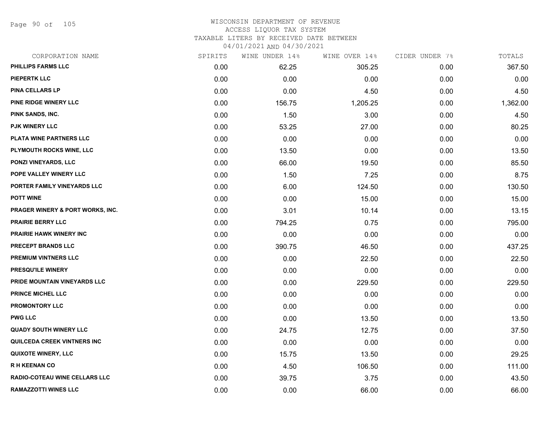Page 90 of 105

#### WISCONSIN DEPARTMENT OF REVENUE ACCESS LIQUOR TAX SYSTEM TAXABLE LITERS BY RECEIVED DATE BETWEEN

| CORPORATION NAME                            | SPIRITS | WINE UNDER 14% | WINE OVER 14% | CIDER UNDER 7% | TOTALS   |
|---------------------------------------------|---------|----------------|---------------|----------------|----------|
| <b>PHILLIPS FARMS LLC</b>                   | 0.00    | 62.25          | 305.25        | 0.00           | 367.50   |
| <b>PIEPERTK LLC</b>                         | 0.00    | 0.00           | 0.00          | 0.00           | 0.00     |
| PINA CELLARS LP                             | 0.00    | 0.00           | 4.50          | 0.00           | 4.50     |
| PINE RIDGE WINERY LLC                       | 0.00    | 156.75         | 1,205.25      | 0.00           | 1,362.00 |
| PINK SANDS, INC.                            | 0.00    | 1.50           | 3.00          | 0.00           | 4.50     |
| PJK WINERY LLC                              | 0.00    | 53.25          | 27.00         | 0.00           | 80.25    |
| PLATA WINE PARTNERS LLC                     | 0.00    | 0.00           | 0.00          | 0.00           | 0.00     |
| PLYMOUTH ROCKS WINE, LLC                    | 0.00    | 13.50          | 0.00          | 0.00           | 13.50    |
| <b>PONZI VINEYARDS, LLC</b>                 | 0.00    | 66.00          | 19.50         | 0.00           | 85.50    |
| POPE VALLEY WINERY LLC                      | 0.00    | 1.50           | 7.25          | 0.00           | 8.75     |
| PORTER FAMILY VINEYARDS LLC                 | 0.00    | 6.00           | 124.50        | 0.00           | 130.50   |
| <b>POTT WINE</b>                            | 0.00    | 0.00           | 15.00         | 0.00           | 15.00    |
| <b>PRAGER WINERY &amp; PORT WORKS, INC.</b> | 0.00    | 3.01           | 10.14         | 0.00           | 13.15    |
| <b>PRAIRIE BERRY LLC</b>                    | 0.00    | 794.25         | 0.75          | 0.00           | 795.00   |
| <b>PRAIRIE HAWK WINERY INC</b>              | 0.00    | 0.00           | 0.00          | 0.00           | 0.00     |
| PRECEPT BRANDS LLC                          | 0.00    | 390.75         | 46.50         | 0.00           | 437.25   |
| <b>PREMIUM VINTNERS LLC</b>                 | 0.00    | 0.00           | 22.50         | 0.00           | 22.50    |
| PRESQU'ILE WINERY                           | 0.00    | 0.00           | 0.00          | 0.00           | 0.00     |
| PRIDE MOUNTAIN VINEYARDS LLC                | 0.00    | 0.00           | 229.50        | 0.00           | 229.50   |
| <b>PRINCE MICHEL LLC</b>                    | 0.00    | 0.00           | 0.00          | 0.00           | 0.00     |
| <b>PROMONTORY LLC</b>                       | 0.00    | 0.00           | 0.00          | 0.00           | 0.00     |
| <b>PWG LLC</b>                              | 0.00    | 0.00           | 13.50         | 0.00           | 13.50    |
| <b>QUADY SOUTH WINERY LLC</b>               | 0.00    | 24.75          | 12.75         | 0.00           | 37.50    |
| QUILCEDA CREEK VINTNERS INC                 | 0.00    | 0.00           | 0.00          | 0.00           | 0.00     |
| <b>QUIXOTE WINERY, LLC</b>                  | 0.00    | 15.75          | 13.50         | 0.00           | 29.25    |
| <b>RH KEENAN CO</b>                         | 0.00    | 4.50           | 106.50        | 0.00           | 111.00   |
| RADIO-COTEAU WINE CELLARS LLC               | 0.00    | 39.75          | 3.75          | 0.00           | 43.50    |
| <b>RAMAZZOTTI WINES LLC</b>                 | 0.00    | 0.00           | 66.00         | 0.00           | 66.00    |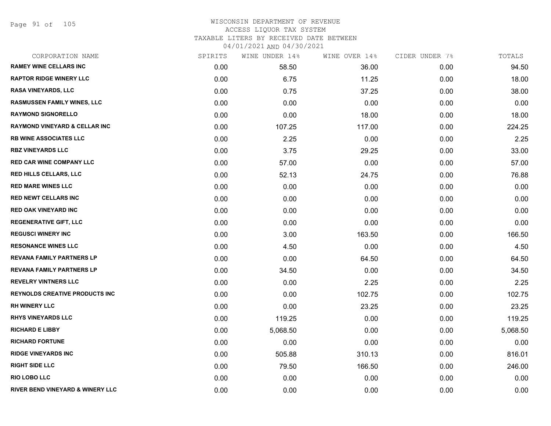Page 91 of 105

| CORPORATION NAME                         | SPIRITS | WINE UNDER 14% | WINE OVER 14% | CIDER UNDER 7% | TOTALS   |
|------------------------------------------|---------|----------------|---------------|----------------|----------|
| <b>RAMEY WINE CELLARS INC</b>            | 0.00    | 58.50          | 36.00         | 0.00           | 94.50    |
| <b>RAPTOR RIDGE WINERY LLC</b>           | 0.00    | 6.75           | 11.25         | 0.00           | 18.00    |
| RASA VINEYARDS, LLC                      | 0.00    | 0.75           | 37.25         | 0.00           | 38.00    |
| <b>RASMUSSEN FAMILY WINES, LLC</b>       | 0.00    | 0.00           | 0.00          | 0.00           | 0.00     |
| <b>RAYMOND SIGNORELLO</b>                | 0.00    | 0.00           | 18.00         | 0.00           | 18.00    |
| <b>RAYMOND VINEYARD &amp; CELLAR INC</b> | 0.00    | 107.25         | 117.00        | 0.00           | 224.25   |
| <b>RB WINE ASSOCIATES LLC</b>            | 0.00    | 2.25           | 0.00          | 0.00           | 2.25     |
| <b>RBZ VINEYARDS LLC</b>                 | 0.00    | 3.75           | 29.25         | 0.00           | 33.00    |
| <b>RED CAR WINE COMPANY LLC</b>          | 0.00    | 57.00          | 0.00          | 0.00           | 57.00    |
| RED HILLS CELLARS, LLC                   | 0.00    | 52.13          | 24.75         | 0.00           | 76.88    |
| <b>RED MARE WINES LLC</b>                | 0.00    | 0.00           | 0.00          | 0.00           | 0.00     |
| <b>RED NEWT CELLARS INC</b>              | 0.00    | 0.00           | 0.00          | 0.00           | 0.00     |
| <b>RED OAK VINEYARD INC</b>              | 0.00    | 0.00           | 0.00          | 0.00           | 0.00     |
| <b>REGENERATIVE GIFT, LLC</b>            | 0.00    | 0.00           | 0.00          | 0.00           | 0.00     |
| <b>REGUSCI WINERY INC</b>                | 0.00    | 3.00           | 163.50        | 0.00           | 166.50   |
| <b>RESONANCE WINES LLC</b>               | 0.00    | 4.50           | 0.00          | 0.00           | 4.50     |
| <b>REVANA FAMILY PARTNERS LP</b>         | 0.00    | 0.00           | 64.50         | 0.00           | 64.50    |
| <b>REVANA FAMILY PARTNERS LP</b>         | 0.00    | 34.50          | 0.00          | 0.00           | 34.50    |
| <b>REVELRY VINTNERS LLC</b>              | 0.00    | 0.00           | 2.25          | 0.00           | 2.25     |
| <b>REYNOLDS CREATIVE PRODUCTS INC</b>    | 0.00    | 0.00           | 102.75        | 0.00           | 102.75   |
| <b>RH WINERY LLC</b>                     | 0.00    | 0.00           | 23.25         | 0.00           | 23.25    |
| <b>RHYS VINEYARDS LLC</b>                | 0.00    | 119.25         | 0.00          | 0.00           | 119.25   |
| <b>RICHARD E LIBBY</b>                   | 0.00    | 5,068.50       | 0.00          | 0.00           | 5,068.50 |
| <b>RICHARD FORTUNE</b>                   | 0.00    | 0.00           | 0.00          | 0.00           | 0.00     |
| <b>RIDGE VINEYARDS INC</b>               | 0.00    | 505.88         | 310.13        | 0.00           | 816.01   |
| <b>RIGHT SIDE LLC</b>                    | 0.00    | 79.50          | 166.50        | 0.00           | 246.00   |
| <b>RIO LOBO LLC</b>                      | 0.00    | 0.00           | 0.00          | 0.00           | 0.00     |
| RIVER BEND VINEYARD & WINERY LLC         | 0.00    | 0.00           | 0.00          | 0.00           | 0.00     |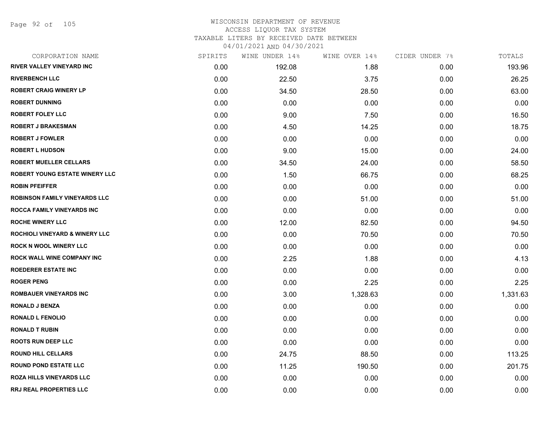Page 92 of 105

| CORPORATION NAME                          | SPIRITS | WINE UNDER 14% | WINE OVER 14% | CIDER UNDER 7% | TOTALS   |
|-------------------------------------------|---------|----------------|---------------|----------------|----------|
| <b>RIVER VALLEY VINEYARD INC</b>          | 0.00    | 192.08         | 1.88          | 0.00           | 193.96   |
| <b>RIVERBENCH LLC</b>                     | 0.00    | 22.50          | 3.75          | 0.00           | 26.25    |
| <b>ROBERT CRAIG WINERY LP</b>             | 0.00    | 34.50          | 28.50         | 0.00           | 63.00    |
| <b>ROBERT DUNNING</b>                     | 0.00    | 0.00           | 0.00          | 0.00           | 0.00     |
| <b>ROBERT FOLEY LLC</b>                   | 0.00    | 9.00           | 7.50          | 0.00           | 16.50    |
| <b>ROBERT J BRAKESMAN</b>                 | 0.00    | 4.50           | 14.25         | 0.00           | 18.75    |
| <b>ROBERT J FOWLER</b>                    | 0.00    | 0.00           | 0.00          | 0.00           | 0.00     |
| <b>ROBERT L HUDSON</b>                    | 0.00    | 9.00           | 15.00         | 0.00           | 24.00    |
| <b>ROBERT MUELLER CELLARS</b>             | 0.00    | 34.50          | 24.00         | 0.00           | 58.50    |
| <b>ROBERT YOUNG ESTATE WINERY LLC</b>     | 0.00    | 1.50           | 66.75         | 0.00           | 68.25    |
| <b>ROBIN PFEIFFER</b>                     | 0.00    | 0.00           | 0.00          | 0.00           | 0.00     |
| <b>ROBINSON FAMILY VINEYARDS LLC</b>      | 0.00    | 0.00           | 51.00         | 0.00           | 51.00    |
| ROCCA FAMILY VINEYARDS INC                | 0.00    | 0.00           | 0.00          | 0.00           | 0.00     |
| <b>ROCHE WINERY LLC</b>                   | 0.00    | 12.00          | 82.50         | 0.00           | 94.50    |
| <b>ROCHIOLI VINEYARD &amp; WINERY LLC</b> | 0.00    | 0.00           | 70.50         | 0.00           | 70.50    |
| <b>ROCK N WOOL WINERY LLC</b>             | 0.00    | 0.00           | 0.00          | 0.00           | 0.00     |
| ROCK WALL WINE COMPANY INC                | 0.00    | 2.25           | 1.88          | 0.00           | 4.13     |
| <b>ROEDERER ESTATE INC</b>                | 0.00    | 0.00           | 0.00          | 0.00           | 0.00     |
| <b>ROGER PENG</b>                         | 0.00    | 0.00           | 2.25          | 0.00           | 2.25     |
| <b>ROMBAUER VINEYARDS INC</b>             | 0.00    | 3.00           | 1,328.63      | 0.00           | 1,331.63 |
| <b>RONALD J BENZA</b>                     | 0.00    | 0.00           | 0.00          | 0.00           | 0.00     |
| <b>RONALD L FENOLIO</b>                   | 0.00    | 0.00           | 0.00          | 0.00           | 0.00     |
| <b>RONALD T RUBIN</b>                     | 0.00    | 0.00           | 0.00          | 0.00           | 0.00     |
| <b>ROOTS RUN DEEP LLC</b>                 | 0.00    | 0.00           | 0.00          | 0.00           | 0.00     |
| <b>ROUND HILL CELLARS</b>                 | 0.00    | 24.75          | 88.50         | 0.00           | 113.25   |
| <b>ROUND POND ESTATE LLC</b>              | 0.00    | 11.25          | 190.50        | 0.00           | 201.75   |
| <b>ROZA HILLS VINEYARDS LLC</b>           | 0.00    | 0.00           | 0.00          | 0.00           | 0.00     |
| <b>RRJ REAL PROPERTIES LLC</b>            | 0.00    | 0.00           | 0.00          | 0.00           | 0.00     |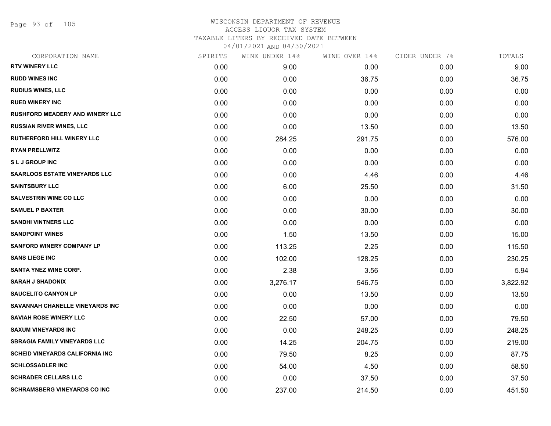Page 93 of 105

| CORPORATION NAME                       | SPIRITS | WINE UNDER 14% | WINE OVER 14% | CIDER UNDER 7% | TOTALS   |
|----------------------------------------|---------|----------------|---------------|----------------|----------|
| <b>RTV WINERY LLC</b>                  | 0.00    | 9.00           | 0.00          | 0.00           | 9.00     |
| <b>RUDD WINES INC</b>                  | 0.00    | 0.00           | 36.75         | 0.00           | 36.75    |
| <b>RUDIUS WINES, LLC</b>               | 0.00    | 0.00           | 0.00          | 0.00           | 0.00     |
| <b>RUED WINERY INC</b>                 | 0.00    | 0.00           | 0.00          | 0.00           | 0.00     |
| <b>RUSHFORD MEADERY AND WINERY LLC</b> | 0.00    | 0.00           | 0.00          | 0.00           | 0.00     |
| <b>RUSSIAN RIVER WINES, LLC</b>        | 0.00    | 0.00           | 13.50         | 0.00           | 13.50    |
| <b>RUTHERFORD HILL WINERY LLC</b>      | 0.00    | 284.25         | 291.75        | 0.00           | 576.00   |
| <b>RYAN PRELLWITZ</b>                  | 0.00    | 0.00           | 0.00          | 0.00           | 0.00     |
| <b>SLJ GROUP INC</b>                   | 0.00    | 0.00           | 0.00          | 0.00           | 0.00     |
| <b>SAARLOOS ESTATE VINEYARDS LLC</b>   | 0.00    | 0.00           | 4.46          | 0.00           | 4.46     |
| <b>SAINTSBURY LLC</b>                  | 0.00    | 6.00           | 25.50         | 0.00           | 31.50    |
| <b>SALVESTRIN WINE CO LLC</b>          | 0.00    | 0.00           | 0.00          | 0.00           | 0.00     |
| <b>SAMUEL P BAXTER</b>                 | 0.00    | 0.00           | 30.00         | 0.00           | 30.00    |
| <b>SANDHI VINTNERS LLC</b>             | 0.00    | 0.00           | 0.00          | 0.00           | 0.00     |
| <b>SANDPOINT WINES</b>                 | 0.00    | 1.50           | 13.50         | 0.00           | 15.00    |
| <b>SANFORD WINERY COMPANY LP</b>       | 0.00    | 113.25         | 2.25          | 0.00           | 115.50   |
| <b>SANS LIEGE INC</b>                  | 0.00    | 102.00         | 128.25        | 0.00           | 230.25   |
| <b>SANTA YNEZ WINE CORP.</b>           | 0.00    | 2.38           | 3.56          | 0.00           | 5.94     |
| <b>SARAH J SHADONIX</b>                | 0.00    | 3,276.17       | 546.75        | 0.00           | 3,822.92 |
| <b>SAUCELITO CANYON LP</b>             | 0.00    | 0.00           | 13.50         | 0.00           | 13.50    |
| SAVANNAH CHANELLE VINEYARDS INC        | 0.00    | 0.00           | 0.00          | 0.00           | 0.00     |
| <b>SAVIAH ROSE WINERY LLC</b>          | 0.00    | 22.50          | 57.00         | 0.00           | 79.50    |
| <b>SAXUM VINEYARDS INC</b>             | 0.00    | 0.00           | 248.25        | 0.00           | 248.25   |
| <b>SBRAGIA FAMILY VINEYARDS LLC</b>    | 0.00    | 14.25          | 204.75        | 0.00           | 219.00   |
| <b>SCHEID VINEYARDS CALIFORNIA INC</b> | 0.00    | 79.50          | 8.25          | 0.00           | 87.75    |
| <b>SCHLOSSADLER INC</b>                | 0.00    | 54.00          | 4.50          | 0.00           | 58.50    |
| <b>SCHRADER CELLARS LLC</b>            | 0.00    | 0.00           | 37.50         | 0.00           | 37.50    |
| <b>SCHRAMSBERG VINEYARDS CO INC</b>    | 0.00    | 237.00         | 214.50        | 0.00           | 451.50   |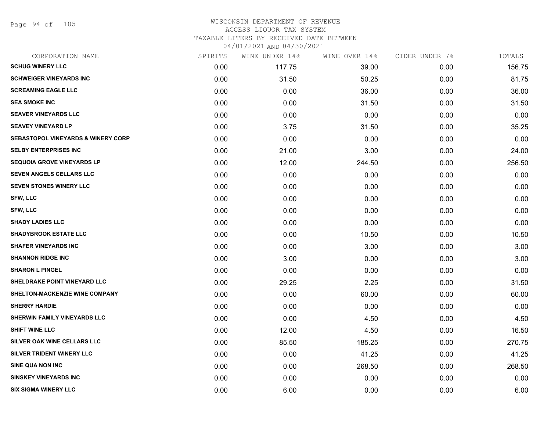Page 94 of 105

| CORPORATION NAME                              | SPIRITS | WINE UNDER 14% | WINE OVER 14% | CIDER UNDER 7% | TOTALS |
|-----------------------------------------------|---------|----------------|---------------|----------------|--------|
| <b>SCHUG WINERY LLC</b>                       | 0.00    | 117.75         | 39.00         | 0.00           | 156.75 |
| <b>SCHWEIGER VINEYARDS INC</b>                | 0.00    | 31.50          | 50.25         | 0.00           | 81.75  |
| <b>SCREAMING EAGLE LLC</b>                    | 0.00    | 0.00           | 36.00         | 0.00           | 36.00  |
| <b>SEA SMOKE INC</b>                          | 0.00    | 0.00           | 31.50         | 0.00           | 31.50  |
| <b>SEAVER VINEYARDS LLC</b>                   | 0.00    | 0.00           | 0.00          | 0.00           | 0.00   |
| <b>SEAVEY VINEYARD LP</b>                     | 0.00    | 3.75           | 31.50         | 0.00           | 35.25  |
| <b>SEBASTOPOL VINEYARDS &amp; WINERY CORP</b> | 0.00    | 0.00           | 0.00          | 0.00           | 0.00   |
| <b>SELBY ENTERPRISES INC</b>                  | 0.00    | 21.00          | 3.00          | 0.00           | 24.00  |
| <b>SEQUOIA GROVE VINEYARDS LP</b>             | 0.00    | 12.00          | 244.50        | 0.00           | 256.50 |
| SEVEN ANGELS CELLARS LLC                      | 0.00    | 0.00           | 0.00          | 0.00           | 0.00   |
| <b>SEVEN STONES WINERY LLC</b>                | 0.00    | 0.00           | 0.00          | 0.00           | 0.00   |
| <b>SFW, LLC</b>                               | 0.00    | 0.00           | 0.00          | 0.00           | 0.00   |
| <b>SFW, LLC</b>                               | 0.00    | 0.00           | 0.00          | 0.00           | 0.00   |
| <b>SHADY LADIES LLC</b>                       | 0.00    | 0.00           | 0.00          | 0.00           | 0.00   |
| <b>SHADYBROOK ESTATE LLC</b>                  | 0.00    | 0.00           | 10.50         | 0.00           | 10.50  |
| <b>SHAFER VINEYARDS INC</b>                   | 0.00    | 0.00           | 3.00          | 0.00           | 3.00   |
| <b>SHANNON RIDGE INC</b>                      | 0.00    | 3.00           | 0.00          | 0.00           | 3.00   |
| <b>SHARON L PINGEL</b>                        | 0.00    | 0.00           | 0.00          | 0.00           | 0.00   |
| SHELDRAKE POINT VINEYARD LLC                  | 0.00    | 29.25          | 2.25          | 0.00           | 31.50  |
| SHELTON-MACKENZIE WINE COMPANY                | 0.00    | 0.00           | 60.00         | 0.00           | 60.00  |
| <b>SHERRY HARDIE</b>                          | 0.00    | 0.00           | 0.00          | 0.00           | 0.00   |
| SHERWIN FAMILY VINEYARDS LLC                  | 0.00    | 0.00           | 4.50          | 0.00           | 4.50   |
| <b>SHIFT WINE LLC</b>                         | 0.00    | 12.00          | 4.50          | 0.00           | 16.50  |
| SILVER OAK WINE CELLARS LLC                   | 0.00    | 85.50          | 185.25        | 0.00           | 270.75 |
| SILVER TRIDENT WINERY LLC                     | 0.00    | 0.00           | 41.25         | 0.00           | 41.25  |
| SINE QUA NON INC                              | 0.00    | 0.00           | 268.50        | 0.00           | 268.50 |
| <b>SINSKEY VINEYARDS INC</b>                  | 0.00    | 0.00           | 0.00          | 0.00           | 0.00   |
| <b>SIX SIGMA WINERY LLC</b>                   | 0.00    | 6.00           | 0.00          | 0.00           | 6.00   |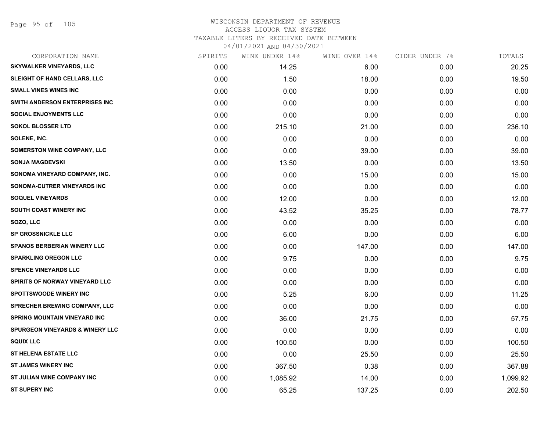| CORPORATION NAME                           | SPIRITS | WINE UNDER 14% | WINE OVER 14% | CIDER UNDER 7% | TOTALS   |
|--------------------------------------------|---------|----------------|---------------|----------------|----------|
| SKYWALKER VINEYARDS, LLC                   | 0.00    | 14.25          | 6.00          | 0.00           | 20.25    |
| SLEIGHT OF HAND CELLARS, LLC               | 0.00    | 1.50           | 18.00         | 0.00           | 19.50    |
| <b>SMALL VINES WINES INC</b>               | 0.00    | 0.00           | 0.00          | 0.00           | 0.00     |
| SMITH ANDERSON ENTERPRISES INC             | 0.00    | 0.00           | 0.00          | 0.00           | 0.00     |
| <b>SOCIAL ENJOYMENTS LLC</b>               | 0.00    | 0.00           | 0.00          | 0.00           | 0.00     |
| <b>SOKOL BLOSSER LTD</b>                   | 0.00    | 215.10         | 21.00         | 0.00           | 236.10   |
| SOLENE, INC.                               | 0.00    | 0.00           | 0.00          | 0.00           | 0.00     |
| SOMERSTON WINE COMPANY, LLC                | 0.00    | 0.00           | 39.00         | 0.00           | 39.00    |
| <b>SONJA MAGDEVSKI</b>                     | 0.00    | 13.50          | 0.00          | 0.00           | 13.50    |
| SONOMA VINEYARD COMPANY, INC.              | 0.00    | 0.00           | 15.00         | 0.00           | 15.00    |
| SONOMA-CUTRER VINEYARDS INC                | 0.00    | 0.00           | 0.00          | 0.00           | 0.00     |
| <b>SOQUEL VINEYARDS</b>                    | 0.00    | 12.00          | 0.00          | 0.00           | 12.00    |
| <b>SOUTH COAST WINERY INC</b>              | 0.00    | 43.52          | 35.25         | 0.00           | 78.77    |
| SOZO, LLC                                  | 0.00    | 0.00           | 0.00          | 0.00           | 0.00     |
| <b>SP GROSSNICKLE LLC</b>                  | 0.00    | 6.00           | 0.00          | 0.00           | 6.00     |
| SPANOS BERBERIAN WINERY LLC                | 0.00    | 0.00           | 147.00        | 0.00           | 147.00   |
| <b>SPARKLING OREGON LLC</b>                | 0.00    | 9.75           | 0.00          | 0.00           | 9.75     |
| <b>SPENCE VINEYARDS LLC</b>                | 0.00    | 0.00           | 0.00          | 0.00           | 0.00     |
| <b>SPIRITS OF NORWAY VINEYARD LLC</b>      | 0.00    | 0.00           | 0.00          | 0.00           | 0.00     |
| <b>SPOTTSWOODE WINERY INC</b>              | 0.00    | 5.25           | 6.00          | 0.00           | 11.25    |
| SPRECHER BREWING COMPANY, LLC              | 0.00    | 0.00           | 0.00          | 0.00           | 0.00     |
| <b>SPRING MOUNTAIN VINEYARD INC</b>        | 0.00    | 36.00          | 21.75         | 0.00           | 57.75    |
| <b>SPURGEON VINEYARDS &amp; WINERY LLC</b> | 0.00    | 0.00           | 0.00          | 0.00           | 0.00     |
| <b>SQUIX LLC</b>                           | 0.00    | 100.50         | 0.00          | 0.00           | 100.50   |
| <b>ST HELENA ESTATE LLC</b>                | 0.00    | 0.00           | 25.50         | 0.00           | 25.50    |
| <b>ST JAMES WINERY INC</b>                 | 0.00    | 367.50         | 0.38          | 0.00           | 367.88   |
| ST JULIAN WINE COMPANY INC                 | 0.00    | 1,085.92       | 14.00         | 0.00           | 1,099.92 |
| <b>ST SUPERY INC</b>                       | 0.00    | 65.25          | 137.25        | 0.00           | 202.50   |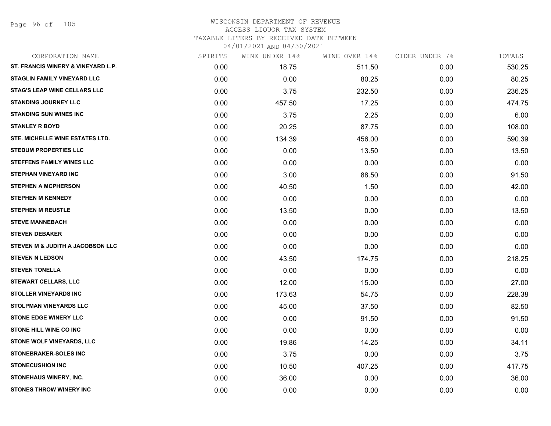Page 96 of 105

| CORPORATION NAME                    | SPIRITS | WINE UNDER 14% | WINE OVER 14% | CIDER UNDER 7% | TOTALS |
|-------------------------------------|---------|----------------|---------------|----------------|--------|
| ST. FRANCIS WINERY & VINEYARD L.P.  | 0.00    | 18.75          | 511.50        | 0.00           | 530.25 |
| <b>STAGLIN FAMILY VINEYARD LLC</b>  | 0.00    | 0.00           | 80.25         | 0.00           | 80.25  |
| <b>STAG'S LEAP WINE CELLARS LLC</b> | 0.00    | 3.75           | 232.50        | 0.00           | 236.25 |
| <b>STANDING JOURNEY LLC</b>         | 0.00    | 457.50         | 17.25         | 0.00           | 474.75 |
| <b>STANDING SUN WINES INC</b>       | 0.00    | 3.75           | 2.25          | 0.00           | 6.00   |
| <b>STANLEY R BOYD</b>               | 0.00    | 20.25          | 87.75         | 0.00           | 108.00 |
| STE. MICHELLE WINE ESTATES LTD.     | 0.00    | 134.39         | 456.00        | 0.00           | 590.39 |
| <b>STEDUM PROPERTIES LLC</b>        | 0.00    | 0.00           | 13.50         | 0.00           | 13.50  |
| <b>STEFFENS FAMILY WINES LLC</b>    | 0.00    | 0.00           | 0.00          | 0.00           | 0.00   |
| <b>STEPHAN VINEYARD INC</b>         | 0.00    | 3.00           | 88.50         | 0.00           | 91.50  |
| <b>STEPHEN A MCPHERSON</b>          | 0.00    | 40.50          | 1.50          | 0.00           | 42.00  |
| <b>STEPHEN M KENNEDY</b>            | 0.00    | 0.00           | 0.00          | 0.00           | 0.00   |
| <b>STEPHEN M REUSTLE</b>            | 0.00    | 13.50          | 0.00          | 0.00           | 13.50  |
| <b>STEVE MANNEBACH</b>              | 0.00    | 0.00           | 0.00          | 0.00           | 0.00   |
| <b>STEVEN DEBAKER</b>               | 0.00    | 0.00           | 0.00          | 0.00           | 0.00   |
| STEVEN M & JUDITH A JACOBSON LLC    | 0.00    | 0.00           | 0.00          | 0.00           | 0.00   |
| <b>STEVEN N LEDSON</b>              | 0.00    | 43.50          | 174.75        | 0.00           | 218.25 |
| <b>STEVEN TONELLA</b>               | 0.00    | 0.00           | 0.00          | 0.00           | 0.00   |
| <b>STEWART CELLARS, LLC</b>         | 0.00    | 12.00          | 15.00         | 0.00           | 27.00  |
| <b>STOLLER VINEYARDS INC</b>        | 0.00    | 173.63         | 54.75         | 0.00           | 228.38 |
| <b>STOLPMAN VINEYARDS LLC</b>       | 0.00    | 45.00          | 37.50         | 0.00           | 82.50  |
| <b>STONE EDGE WINERY LLC</b>        | 0.00    | 0.00           | 91.50         | 0.00           | 91.50  |
| <b>STONE HILL WINE CO INC</b>       | 0.00    | 0.00           | 0.00          | 0.00           | 0.00   |
| STONE WOLF VINEYARDS, LLC           | 0.00    | 19.86          | 14.25         | 0.00           | 34.11  |
| <b>STONEBRAKER-SOLES INC</b>        | 0.00    | 3.75           | 0.00          | 0.00           | 3.75   |
| <b>STONECUSHION INC</b>             | 0.00    | 10.50          | 407.25        | 0.00           | 417.75 |
| <b>STONEHAUS WINERY, INC.</b>       | 0.00    | 36.00          | 0.00          | 0.00           | 36.00  |
| <b>STONES THROW WINERY INC</b>      | 0.00    | 0.00           | 0.00          | 0.00           | 0.00   |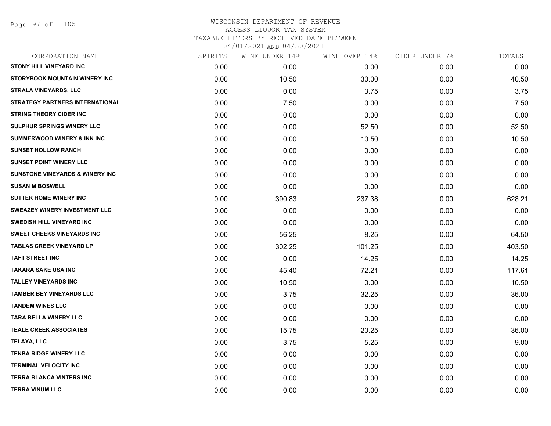Page 97 of 105

| CORPORATION NAME                           | SPIRITS | WINE UNDER 14% | WINE OVER 14% | CIDER UNDER 7% | TOTALS |
|--------------------------------------------|---------|----------------|---------------|----------------|--------|
| <b>STONY HILL VINEYARD INC</b>             | 0.00    | 0.00           | 0.00          | 0.00           | 0.00   |
| STORYBOOK MOUNTAIN WINERY INC              | 0.00    | 10.50          | 30.00         | 0.00           | 40.50  |
| <b>STRALA VINEYARDS, LLC</b>               | 0.00    | 0.00           | 3.75          | 0.00           | 3.75   |
| <b>STRATEGY PARTNERS INTERNATIONAL</b>     | 0.00    | 7.50           | 0.00          | 0.00           | 7.50   |
| <b>STRING THEORY CIDER INC</b>             | 0.00    | 0.00           | 0.00          | 0.00           | 0.00   |
| SULPHUR SPRINGS WINERY LLC                 | 0.00    | 0.00           | 52.50         | 0.00           | 52.50  |
| <b>SUMMERWOOD WINERY &amp; INN INC</b>     | 0.00    | 0.00           | 10.50         | 0.00           | 10.50  |
| <b>SUNSET HOLLOW RANCH</b>                 | 0.00    | 0.00           | 0.00          | 0.00           | 0.00   |
| <b>SUNSET POINT WINERY LLC</b>             | 0.00    | 0.00           | 0.00          | 0.00           | 0.00   |
| <b>SUNSTONE VINEYARDS &amp; WINERY INC</b> | 0.00    | 0.00           | 0.00          | 0.00           | 0.00   |
| <b>SUSAN M BOSWELL</b>                     | 0.00    | 0.00           | 0.00          | 0.00           | 0.00   |
| <b>SUTTER HOME WINERY INC</b>              | 0.00    | 390.83         | 237.38        | 0.00           | 628.21 |
| SWEAZEY WINERY INVESTMENT LLC              | 0.00    | 0.00           | 0.00          | 0.00           | 0.00   |
| <b>SWEDISH HILL VINEYARD INC</b>           | 0.00    | 0.00           | 0.00          | 0.00           | 0.00   |
| <b>SWEET CHEEKS VINEYARDS INC</b>          | 0.00    | 56.25          | 8.25          | 0.00           | 64.50  |
| <b>TABLAS CREEK VINEYARD LP</b>            | 0.00    | 302.25         | 101.25        | 0.00           | 403.50 |
| <b>TAFT STREET INC</b>                     | 0.00    | 0.00           | 14.25         | 0.00           | 14.25  |
| <b>TAKARA SAKE USA INC</b>                 | 0.00    | 45.40          | 72.21         | 0.00           | 117.61 |
| <b>TALLEY VINEYARDS INC</b>                | 0.00    | 10.50          | 0.00          | 0.00           | 10.50  |
| <b>TAMBER BEY VINEYARDS LLC</b>            | 0.00    | 3.75           | 32.25         | 0.00           | 36.00  |
| <b>TANDEM WINES LLC</b>                    | 0.00    | 0.00           | 0.00          | 0.00           | 0.00   |
| <b>TARA BELLA WINERY LLC</b>               | 0.00    | 0.00           | 0.00          | 0.00           | 0.00   |
| <b>TEALE CREEK ASSOCIATES</b>              | 0.00    | 15.75          | 20.25         | 0.00           | 36.00  |
| TELAYA, LLC                                | 0.00    | 3.75           | 5.25          | 0.00           | 9.00   |
| <b>TENBA RIDGE WINERY LLC</b>              | 0.00    | 0.00           | 0.00          | 0.00           | 0.00   |
| <b>TERMINAL VELOCITY INC</b>               | 0.00    | 0.00           | 0.00          | 0.00           | 0.00   |
| <b>TERRA BLANCA VINTERS INC</b>            | 0.00    | 0.00           | 0.00          | 0.00           | 0.00   |
| <b>TERRA VINUM LLC</b>                     | 0.00    | 0.00           | 0.00          | 0.00           | 0.00   |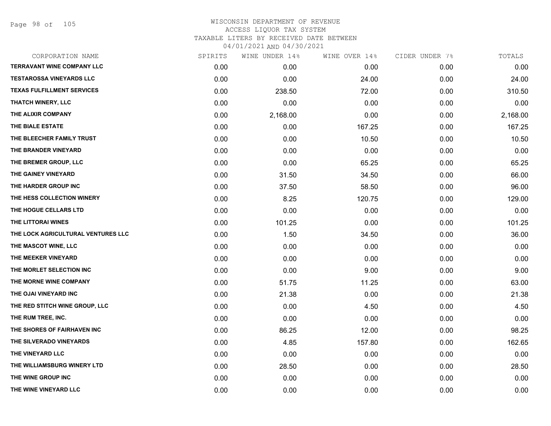Page 98 of 105

| CORPORATION NAME                   | SPIRITS | WINE UNDER 14% | WINE OVER 14% | CIDER UNDER 7% | TOTALS   |
|------------------------------------|---------|----------------|---------------|----------------|----------|
| <b>TERRAVANT WINE COMPANY LLC</b>  | 0.00    | 0.00           | 0.00          | 0.00           | 0.00     |
| <b>TESTAROSSA VINEYARDS LLC</b>    | 0.00    | 0.00           | 24.00         | 0.00           | 24.00    |
| <b>TEXAS FULFILLMENT SERVICES</b>  | 0.00    | 238.50         | 72.00         | 0.00           | 310.50   |
| <b>THATCH WINERY, LLC</b>          | 0.00    | 0.00           | 0.00          | 0.00           | 0.00     |
| THE ALIXIR COMPANY                 | 0.00    | 2,168.00       | 0.00          | 0.00           | 2,168.00 |
| THE BIALE ESTATE                   | 0.00    | 0.00           | 167.25        | 0.00           | 167.25   |
| THE BLEECHER FAMILY TRUST          | 0.00    | 0.00           | 10.50         | 0.00           | 10.50    |
| THE BRANDER VINEYARD               | 0.00    | 0.00           | 0.00          | 0.00           | 0.00     |
| THE BREMER GROUP, LLC              | 0.00    | 0.00           | 65.25         | 0.00           | 65.25    |
| THE GAINEY VINEYARD                | 0.00    | 31.50          | 34.50         | 0.00           | 66.00    |
| THE HARDER GROUP INC               | 0.00    | 37.50          | 58.50         | 0.00           | 96.00    |
| THE HESS COLLECTION WINERY         | 0.00    | 8.25           | 120.75        | 0.00           | 129.00   |
| THE HOGUE CELLARS LTD              | 0.00    | 0.00           | 0.00          | 0.00           | 0.00     |
| THE LITTORAI WINES                 | 0.00    | 101.25         | 0.00          | 0.00           | 101.25   |
| THE LOCK AGRICULTURAL VENTURES LLC | 0.00    | 1.50           | 34.50         | 0.00           | 36.00    |
| THE MASCOT WINE, LLC               | 0.00    | 0.00           | 0.00          | 0.00           | 0.00     |
| THE MEEKER VINEYARD                | 0.00    | 0.00           | 0.00          | 0.00           | 0.00     |
| THE MORLET SELECTION INC           | 0.00    | 0.00           | 9.00          | 0.00           | 9.00     |
| THE MORNE WINE COMPANY             | 0.00    | 51.75          | 11.25         | 0.00           | 63.00    |
| THE OJAI VINEYARD INC              | 0.00    | 21.38          | 0.00          | 0.00           | 21.38    |
| THE RED STITCH WINE GROUP, LLC     | 0.00    | 0.00           | 4.50          | 0.00           | 4.50     |
| THE RUM TREE, INC.                 | 0.00    | 0.00           | 0.00          | 0.00           | 0.00     |
| THE SHORES OF FAIRHAVEN INC        | 0.00    | 86.25          | 12.00         | 0.00           | 98.25    |
| THE SILVERADO VINEYARDS            | 0.00    | 4.85           | 157.80        | 0.00           | 162.65   |
| THE VINEYARD LLC                   | 0.00    | 0.00           | 0.00          | 0.00           | 0.00     |
| THE WILLIAMSBURG WINERY LTD        | 0.00    | 28.50          | 0.00          | 0.00           | 28.50    |
| THE WINE GROUP INC                 | 0.00    | 0.00           | 0.00          | 0.00           | 0.00     |
| THE WINE VINEYARD LLC              | 0.00    | 0.00           | 0.00          | 0.00           | 0.00     |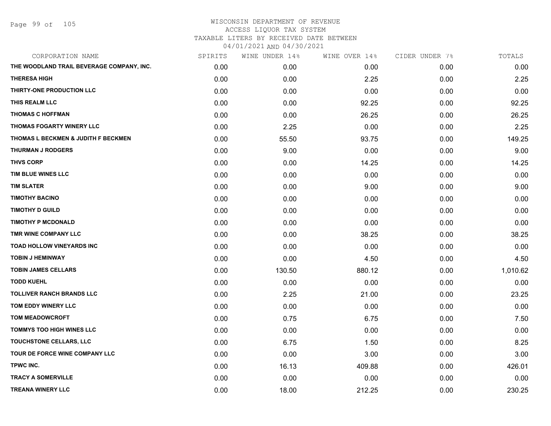Page 99 of 105

| CORPORATION NAME                          | SPIRITS | WINE UNDER 14% | WINE OVER 14% | CIDER UNDER 7% | TOTALS   |
|-------------------------------------------|---------|----------------|---------------|----------------|----------|
| THE WOODLAND TRAIL BEVERAGE COMPANY, INC. | 0.00    | 0.00           | 0.00          | 0.00           | 0.00     |
| <b>THERESA HIGH</b>                       | 0.00    | 0.00           | 2.25          | 0.00           | 2.25     |
| THIRTY-ONE PRODUCTION LLC                 | 0.00    | 0.00           | 0.00          | 0.00           | 0.00     |
| THIS REALM LLC                            | 0.00    | 0.00           | 92.25         | 0.00           | 92.25    |
| <b>THOMAS C HOFFMAN</b>                   | 0.00    | 0.00           | 26.25         | 0.00           | 26.25    |
| THOMAS FOGARTY WINERY LLC                 | 0.00    | 2.25           | 0.00          | 0.00           | 2.25     |
| THOMAS L BECKMEN & JUDITH F BECKMEN       | 0.00    | 55.50          | 93.75         | 0.00           | 149.25   |
| <b>THURMAN J RODGERS</b>                  | 0.00    | 9.00           | 0.00          | 0.00           | 9.00     |
| <b>THVS CORP</b>                          | 0.00    | 0.00           | 14.25         | 0.00           | 14.25    |
| TIM BLUE WINES LLC                        | 0.00    | 0.00           | 0.00          | 0.00           | 0.00     |
| <b>TIM SLATER</b>                         | 0.00    | 0.00           | 9.00          | 0.00           | 9.00     |
| <b>TIMOTHY BACINO</b>                     | 0.00    | 0.00           | 0.00          | 0.00           | 0.00     |
| <b>TIMOTHY D GUILD</b>                    | 0.00    | 0.00           | 0.00          | 0.00           | 0.00     |
| <b>TIMOTHY P MCDONALD</b>                 | 0.00    | 0.00           | 0.00          | 0.00           | 0.00     |
| TMR WINE COMPANY LLC                      | 0.00    | 0.00           | 38.25         | 0.00           | 38.25    |
| <b>TOAD HOLLOW VINEYARDS INC</b>          | 0.00    | 0.00           | 0.00          | 0.00           | 0.00     |
| <b>TOBIN J HEMINWAY</b>                   | 0.00    | 0.00           | 4.50          | 0.00           | 4.50     |
| <b>TOBIN JAMES CELLARS</b>                | 0.00    | 130.50         | 880.12        | 0.00           | 1,010.62 |
| <b>TODD KUEHL</b>                         | 0.00    | 0.00           | 0.00          | 0.00           | 0.00     |
| <b>TOLLIVER RANCH BRANDS LLC</b>          | 0.00    | 2.25           | 21.00         | 0.00           | 23.25    |
| TOM EDDY WINERY LLC                       | 0.00    | 0.00           | 0.00          | 0.00           | 0.00     |
| <b>TOM MEADOWCROFT</b>                    | 0.00    | 0.75           | 6.75          | 0.00           | 7.50     |
| TOMMYS TOO HIGH WINES LLC                 | 0.00    | 0.00           | 0.00          | 0.00           | 0.00     |
| TOUCHSTONE CELLARS, LLC                   | 0.00    | 6.75           | 1.50          | 0.00           | 8.25     |
| TOUR DE FORCE WINE COMPANY LLC            | 0.00    | 0.00           | 3.00          | 0.00           | 3.00     |
| TPWC INC.                                 | 0.00    | 16.13          | 409.88        | 0.00           | 426.01   |
| <b>TRACY A SOMERVILLE</b>                 | 0.00    | 0.00           | 0.00          | 0.00           | 0.00     |
| <b>TREANA WINERY LLC</b>                  | 0.00    | 18.00          | 212.25        | 0.00           | 230.25   |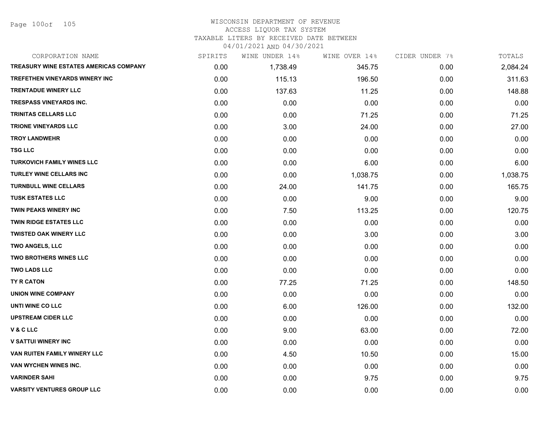Page 100of 105

# WISCONSIN DEPARTMENT OF REVENUE ACCESS LIQUOR TAX SYSTEM TAXABLE LITERS BY RECEIVED DATE BETWEEN

| CORPORATION NAME                       | SPIRITS | WINE UNDER 14% | WINE OVER 14% | CIDER UNDER 7% | TOTALS   |
|----------------------------------------|---------|----------------|---------------|----------------|----------|
| TREASURY WINE ESTATES AMERICAS COMPANY | 0.00    | 1,738.49       | 345.75        | 0.00           | 2,084.24 |
| <b>TREFETHEN VINEYARDS WINERY INC</b>  | 0.00    | 115.13         | 196.50        | 0.00           | 311.63   |
| <b>TRENTADUE WINERY LLC</b>            | 0.00    | 137.63         | 11.25         | 0.00           | 148.88   |
| <b>TRESPASS VINEYARDS INC.</b>         | 0.00    | 0.00           | 0.00          | 0.00           | 0.00     |
| <b>TRINITAS CELLARS LLC</b>            | 0.00    | 0.00           | 71.25         | 0.00           | 71.25    |
| <b>TRIONE VINEYARDS LLC</b>            | 0.00    | 3.00           | 24.00         | 0.00           | 27.00    |
| <b>TROY LANDWEHR</b>                   | 0.00    | 0.00           | 0.00          | 0.00           | 0.00     |
| <b>TSG LLC</b>                         | 0.00    | 0.00           | 0.00          | 0.00           | 0.00     |
| <b>TURKOVICH FAMILY WINES LLC</b>      | 0.00    | 0.00           | 6.00          | 0.00           | 6.00     |
| <b>TURLEY WINE CELLARS INC</b>         | 0.00    | 0.00           | 1,038.75      | 0.00           | 1,038.75 |
| <b>TURNBULL WINE CELLARS</b>           | 0.00    | 24.00          | 141.75        | 0.00           | 165.75   |
| <b>TUSK ESTATES LLC</b>                | 0.00    | 0.00           | 9.00          | 0.00           | 9.00     |
| <b>TWIN PEAKS WINERY INC</b>           | 0.00    | 7.50           | 113.25        | 0.00           | 120.75   |
| <b>TWIN RIDGE ESTATES LLC</b>          | 0.00    | 0.00           | 0.00          | 0.00           | 0.00     |
| <b>TWISTED OAK WINERY LLC</b>          | 0.00    | 0.00           | 3.00          | 0.00           | 3.00     |
| <b>TWO ANGELS, LLC</b>                 | 0.00    | 0.00           | 0.00          | 0.00           | 0.00     |
| <b>TWO BROTHERS WINES LLC</b>          | 0.00    | 0.00           | 0.00          | 0.00           | 0.00     |
| <b>TWO LADS LLC</b>                    | 0.00    | 0.00           | 0.00          | 0.00           | 0.00     |
| TY R CATON                             | 0.00    | 77.25          | 71.25         | 0.00           | 148.50   |
| <b>UNION WINE COMPANY</b>              | 0.00    | 0.00           | 0.00          | 0.00           | 0.00     |
| UNTI WINE CO LLC                       | 0.00    | 6.00           | 126.00        | 0.00           | 132.00   |
| <b>UPSTREAM CIDER LLC</b>              | 0.00    | 0.00           | 0.00          | 0.00           | 0.00     |
| <b>V&amp;CLLC</b>                      | 0.00    | 9.00           | 63.00         | 0.00           | 72.00    |
| <b>V SATTUI WINERY INC</b>             | 0.00    | 0.00           | 0.00          | 0.00           | 0.00     |
| VAN RUITEN FAMILY WINERY LLC           | 0.00    | 4.50           | 10.50         | 0.00           | 15.00    |
| VAN WYCHEN WINES INC.                  | 0.00    | 0.00           | 0.00          | 0.00           | 0.00     |
| <b>VARINDER SAHI</b>                   | 0.00    | 0.00           | 9.75          | 0.00           | 9.75     |
| <b>VARSITY VENTURES GROUP LLC</b>      | 0.00    | 0.00           | 0.00          | 0.00           | 0.00     |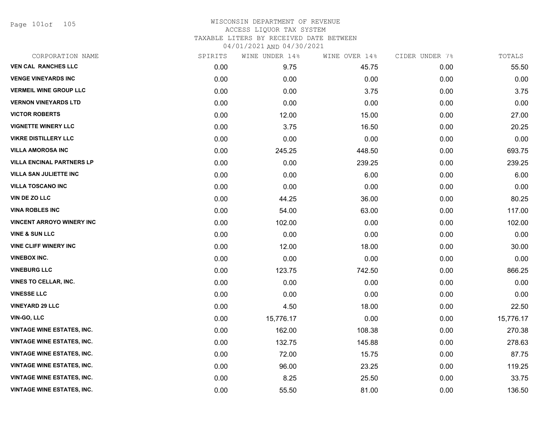Page 101of 105

| CORPORATION NAME                  | SPIRITS | WINE UNDER 14% | WINE OVER 14% | CIDER UNDER 7% | TOTALS    |
|-----------------------------------|---------|----------------|---------------|----------------|-----------|
| <b>VEN CAL RANCHES LLC</b>        | 0.00    | 9.75           | 45.75         | 0.00           | 55.50     |
| <b>VENGE VINEYARDS INC</b>        | 0.00    | 0.00           | 0.00          | 0.00           | 0.00      |
| <b>VERMEIL WINE GROUP LLC</b>     | 0.00    | 0.00           | 3.75          | 0.00           | 3.75      |
| <b>VERNON VINEYARDS LTD</b>       | 0.00    | 0.00           | 0.00          | 0.00           | 0.00      |
| <b>VICTOR ROBERTS</b>             | 0.00    | 12.00          | 15.00         | 0.00           | 27.00     |
| <b>VIGNETTE WINERY LLC</b>        | 0.00    | 3.75           | 16.50         | 0.00           | 20.25     |
| <b>VIKRE DISTILLERY LLC</b>       | 0.00    | 0.00           | 0.00          | 0.00           | 0.00      |
| <b>VILLA AMOROSA INC</b>          | 0.00    | 245.25         | 448.50        | 0.00           | 693.75    |
| <b>VILLA ENCINAL PARTNERS LP</b>  | 0.00    | 0.00           | 239.25        | 0.00           | 239.25    |
| <b>VILLA SAN JULIETTE INC</b>     | 0.00    | 0.00           | 6.00          | 0.00           | 6.00      |
| <b>VILLA TOSCANO INC</b>          | 0.00    | 0.00           | 0.00          | 0.00           | 0.00      |
| VIN DE ZO LLC                     | 0.00    | 44.25          | 36.00         | 0.00           | 80.25     |
| <b>VINA ROBLES INC</b>            | 0.00    | 54.00          | 63.00         | 0.00           | 117.00    |
| <b>VINCENT ARROYO WINERY INC</b>  | 0.00    | 102.00         | 0.00          | 0.00           | 102.00    |
| <b>VINE &amp; SUN LLC</b>         | 0.00    | 0.00           | 0.00          | 0.00           | 0.00      |
| <b>VINE CLIFF WINERY INC</b>      | 0.00    | 12.00          | 18.00         | 0.00           | 30.00     |
| <b>VINEBOX INC.</b>               | 0.00    | 0.00           | 0.00          | 0.00           | 0.00      |
| <b>VINEBURG LLC</b>               | 0.00    | 123.75         | 742.50        | 0.00           | 866.25    |
| <b>VINES TO CELLAR, INC.</b>      | 0.00    | 0.00           | 0.00          | 0.00           | 0.00      |
| <b>VINESSE LLC</b>                | 0.00    | 0.00           | 0.00          | 0.00           | 0.00      |
| <b>VINEYARD 29 LLC</b>            | 0.00    | 4.50           | 18.00         | 0.00           | 22.50     |
| <b>VIN-GO, LLC</b>                | 0.00    | 15,776.17      | 0.00          | 0.00           | 15,776.17 |
| <b>VINTAGE WINE ESTATES, INC.</b> | 0.00    | 162.00         | 108.38        | 0.00           | 270.38    |
| <b>VINTAGE WINE ESTATES, INC.</b> | 0.00    | 132.75         | 145.88        | 0.00           | 278.63    |
| <b>VINTAGE WINE ESTATES, INC.</b> | 0.00    | 72.00          | 15.75         | 0.00           | 87.75     |
| <b>VINTAGE WINE ESTATES, INC.</b> | 0.00    | 96.00          | 23.25         | 0.00           | 119.25    |
| <b>VINTAGE WINE ESTATES, INC.</b> | 0.00    | 8.25           | 25.50         | 0.00           | 33.75     |
| <b>VINTAGE WINE ESTATES, INC.</b> | 0.00    | 55.50          | 81.00         | 0.00           | 136.50    |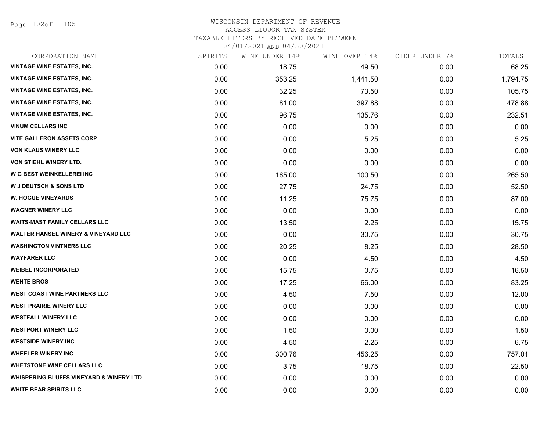Page 102of 105

#### WISCONSIN DEPARTMENT OF REVENUE ACCESS LIQUOR TAX SYSTEM TAXABLE LITERS BY RECEIVED DATE BETWEEN

| CORPORATION NAME                                   | SPIRITS | WINE UNDER 14% | WINE OVER 14% | CIDER UNDER 7% | TOTALS   |
|----------------------------------------------------|---------|----------------|---------------|----------------|----------|
| <b>VINTAGE WINE ESTATES, INC.</b>                  | 0.00    | 18.75          | 49.50         | 0.00           | 68.25    |
| <b>VINTAGE WINE ESTATES, INC.</b>                  | 0.00    | 353.25         | 1,441.50      | 0.00           | 1,794.75 |
| <b>VINTAGE WINE ESTATES, INC.</b>                  | 0.00    | 32.25          | 73.50         | 0.00           | 105.75   |
| <b>VINTAGE WINE ESTATES, INC.</b>                  | 0.00    | 81.00          | 397.88        | 0.00           | 478.88   |
| <b>VINTAGE WINE ESTATES, INC.</b>                  | 0.00    | 96.75          | 135.76        | 0.00           | 232.51   |
| <b>VINUM CELLARS INC</b>                           | 0.00    | 0.00           | 0.00          | 0.00           | 0.00     |
| <b>VITE GALLERON ASSETS CORP</b>                   | 0.00    | 0.00           | 5.25          | 0.00           | 5.25     |
| <b>VON KLAUS WINERY LLC</b>                        | 0.00    | 0.00           | 0.00          | 0.00           | 0.00     |
| <b>VON STIEHL WINERY LTD.</b>                      | 0.00    | 0.00           | 0.00          | 0.00           | 0.00     |
| W G BEST WEINKELLEREI INC                          | 0.00    | 165.00         | 100.50        | 0.00           | 265.50   |
| <b>W J DEUTSCH &amp; SONS LTD</b>                  | 0.00    | 27.75          | 24.75         | 0.00           | 52.50    |
| <b>W. HOGUE VINEYARDS</b>                          | 0.00    | 11.25          | 75.75         | 0.00           | 87.00    |
| <b>WAGNER WINERY LLC</b>                           | 0.00    | 0.00           | 0.00          | 0.00           | 0.00     |
| <b>WAITS-MAST FAMILY CELLARS LLC</b>               | 0.00    | 13.50          | 2.25          | 0.00           | 15.75    |
| <b>WALTER HANSEL WINERY &amp; VINEYARD LLC</b>     | 0.00    | 0.00           | 30.75         | 0.00           | 30.75    |
| <b>WASHINGTON VINTNERS LLC</b>                     | 0.00    | 20.25          | 8.25          | 0.00           | 28.50    |
| <b>WAYFARER LLC</b>                                | 0.00    | 0.00           | 4.50          | 0.00           | 4.50     |
| <b>WEIBEL INCORPORATED</b>                         | 0.00    | 15.75          | 0.75          | 0.00           | 16.50    |
| <b>WENTE BROS</b>                                  | 0.00    | 17.25          | 66.00         | 0.00           | 83.25    |
| <b>WEST COAST WINE PARTNERS LLC</b>                | 0.00    | 4.50           | 7.50          | 0.00           | 12.00    |
| <b>WEST PRAIRIE WINERY LLC</b>                     | 0.00    | 0.00           | 0.00          | 0.00           | 0.00     |
| <b>WESTFALL WINERY LLC</b>                         | 0.00    | 0.00           | 0.00          | 0.00           | 0.00     |
| <b>WESTPORT WINERY LLC</b>                         | 0.00    | 1.50           | 0.00          | 0.00           | 1.50     |
| <b>WESTSIDE WINERY INC</b>                         | 0.00    | 4.50           | 2.25          | 0.00           | 6.75     |
| <b>WHEELER WINERY INC</b>                          | 0.00    | 300.76         | 456.25        | 0.00           | 757.01   |
| <b>WHETSTONE WINE CELLARS LLC</b>                  | 0.00    | 3.75           | 18.75         | 0.00           | 22.50    |
| <b>WHISPERING BLUFFS VINEYARD &amp; WINERY LTD</b> | 0.00    | 0.00           | 0.00          | 0.00           | 0.00     |
| <b>WHITE BEAR SPIRITS LLC</b>                      | 0.00    | 0.00           | 0.00          | 0.00           | 0.00     |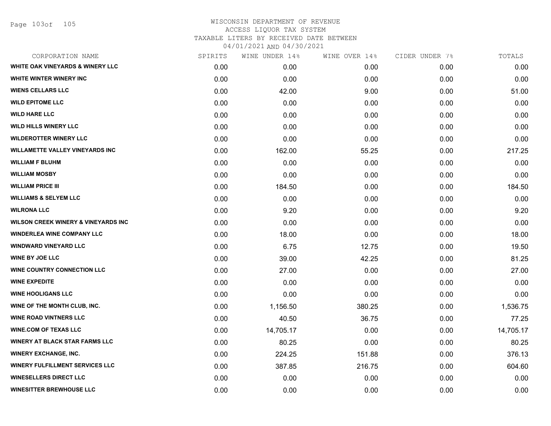Page 103of 105

| SPIRITS | WINE UNDER 14% | WINE OVER 14% |      | TOTALS         |
|---------|----------------|---------------|------|----------------|
| 0.00    | 0.00           | 0.00          | 0.00 | 0.00           |
| 0.00    | 0.00           | 0.00          | 0.00 | 0.00           |
| 0.00    | 42.00          | 9.00          | 0.00 | 51.00          |
| 0.00    | 0.00           | 0.00          | 0.00 | 0.00           |
| 0.00    | 0.00           | 0.00          | 0.00 | 0.00           |
| 0.00    | 0.00           | 0.00          | 0.00 | 0.00           |
| 0.00    | 0.00           | 0.00          | 0.00 | 0.00           |
| 0.00    | 162.00         | 55.25         | 0.00 | 217.25         |
| 0.00    | 0.00           | 0.00          | 0.00 | 0.00           |
| 0.00    | 0.00           | 0.00          | 0.00 | 0.00           |
| 0.00    | 184.50         | 0.00          | 0.00 | 184.50         |
| 0.00    | 0.00           | 0.00          | 0.00 | 0.00           |
| 0.00    | 9.20           | 0.00          | 0.00 | 9.20           |
| 0.00    | 0.00           | 0.00          | 0.00 | 0.00           |
| 0.00    | 18.00          | 0.00          | 0.00 | 18.00          |
| 0.00    | 6.75           | 12.75         | 0.00 | 19.50          |
| 0.00    | 39.00          | 42.25         | 0.00 | 81.25          |
| 0.00    | 27.00          | 0.00          | 0.00 | 27.00          |
| 0.00    | 0.00           | 0.00          | 0.00 | 0.00           |
| 0.00    | 0.00           | 0.00          | 0.00 | 0.00           |
| 0.00    | 1,156.50       | 380.25        | 0.00 | 1,536.75       |
| 0.00    | 40.50          | 36.75         | 0.00 | 77.25          |
| 0.00    | 14,705.17      | 0.00          | 0.00 | 14,705.17      |
| 0.00    | 80.25          | 0.00          | 0.00 | 80.25          |
| 0.00    | 224.25         | 151.88        | 0.00 | 376.13         |
| 0.00    | 387.85         | 216.75        | 0.00 | 604.60         |
| 0.00    | 0.00           | 0.00          | 0.00 | 0.00           |
| 0.00    | 0.00           | 0.00          | 0.00 | 0.00           |
|         |                |               |      | CIDER UNDER 7% |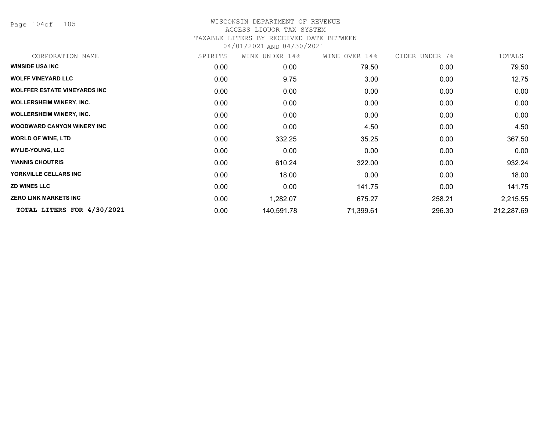Page 104of 105

| CORPORATION NAME                    | SPIRITS | WINE UNDER 14% | WINE OVER 14% | CIDER UNDER 7% | TOTALS     |
|-------------------------------------|---------|----------------|---------------|----------------|------------|
| <b>WINSIDE USA INC</b>              | 0.00    | 0.00           | 79.50         | 0.00           | 79.50      |
| <b>WOLFF VINEYARD LLC</b>           | 0.00    | 9.75           | 3.00          | 0.00           | 12.75      |
| <b>WOLFFER ESTATE VINEYARDS INC</b> | 0.00    | 0.00           | 0.00          | 0.00           | 0.00       |
| <b>WOLLERSHEIM WINERY, INC.</b>     | 0.00    | 0.00           | 0.00          | 0.00           | 0.00       |
| <b>WOLLERSHEIM WINERY, INC.</b>     | 0.00    | 0.00           | 0.00          | 0.00           | 0.00       |
| <b>WOODWARD CANYON WINERY INC</b>   | 0.00    | 0.00           | 4.50          | 0.00           | 4.50       |
| <b>WORLD OF WINE, LTD</b>           | 0.00    | 332.25         | 35.25         | 0.00           | 367.50     |
| <b>WYLIE-YOUNG, LLC</b>             | 0.00    | 0.00           | 0.00          | 0.00           | 0.00       |
| <b>YIANNIS CHOUTRIS</b>             | 0.00    | 610.24         | 322.00        | 0.00           | 932.24     |
| YORKVILLE CELLARS INC               | 0.00    | 18.00          | 0.00          | 0.00           | 18.00      |
| <b>ZD WINES LLC</b>                 | 0.00    | 0.00           | 141.75        | 0.00           | 141.75     |
| <b>ZERO LINK MARKETS INC</b>        | 0.00    | 1,282.07       | 675.27        | 258.21         | 2,215.55   |
| TOTAL LITERS FOR 4/30/2021          | 0.00    | 140,591.78     | 71,399.61     | 296.30         | 212,287.69 |